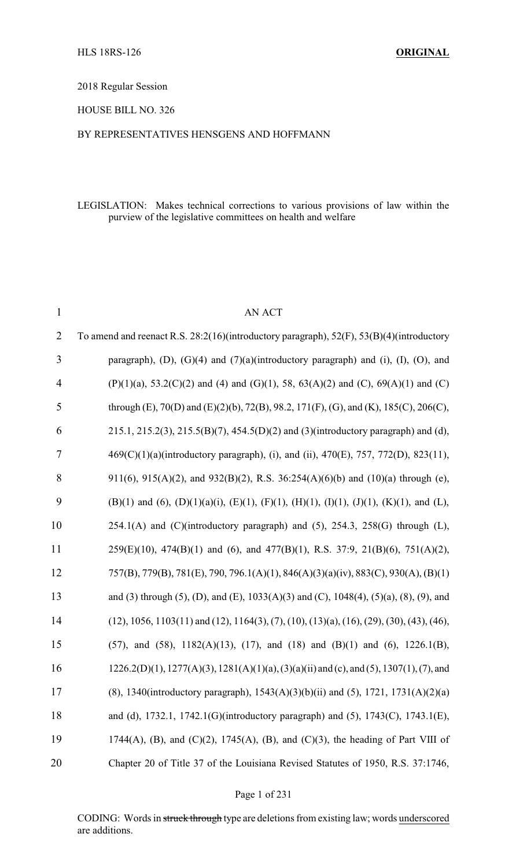2018 Regular Session

HOUSE BILL NO. 326

#### BY REPRESENTATIVES HENSGENS AND HOFFMANN

#### LEGISLATION: Makes technical corrections to various provisions of law within the purview of the legislative committees on health and welfare

| $\mathbf{1}$   | <b>AN ACT</b>                                                                                                       |
|----------------|---------------------------------------------------------------------------------------------------------------------|
| $\overline{2}$ | To amend and reenact R.S. 28:2(16)(introductory paragraph), 52(F), 53(B)(4)(introductory                            |
| 3              | paragraph), (D), (G)(4) and $(7)(a)$ (introductory paragraph) and (i), (I), (O), and                                |
| $\overline{4}$ | $(P)(1)(a)$ , 53.2(C)(2) and (4) and (G)(1), 58, 63(A)(2) and (C), 69(A)(1) and (C)                                 |
| 5              | through (E), 70(D) and (E)(2)(b), 72(B), 98.2, 171(F), (G), and (K), 185(C), 206(C),                                |
| 6              | 215.1, 215.2(3), 215.5(B)(7), 454.5(D)(2) and (3)(introductory paragraph) and (d),                                  |
| 7              | 469(C)(1)(a)(introductory paragraph), (i), and (ii), 470(E), 757, 772(D), 823(11),                                  |
| 8              | 911(6), 915(A)(2), and 932(B)(2), R.S. 36:254(A)(6)(b) and (10)(a) through (e),                                     |
| 9              | $(B)(1)$ and $(6)$ , $(D)(1)(a)(i)$ , $(E)(1)$ , $(F)(1)$ , $(H)(1)$ , $(I)(1)$ , $(J)(1)$ , $(K)(1)$ , and $(L)$ , |
| 10             | $254.1(A)$ and (C)(introductory paragraph) and (5), $254.3$ , $258(G)$ through (L),                                 |
| 11             | $259(E)(10)$ , $474(B)(1)$ and (6), and $477(B)(1)$ , R.S. $37:9$ , $21(B)(6)$ , $751(A)(2)$ ,                      |
| 12             | 757(B), 779(B), 781(E), 790, 796.1(A)(1), 846(A)(3)(a)(iv), 883(C), 930(A), (B)(1)                                  |
| 13             | and (3) through (5), (D), and (E), $1033(A)(3)$ and (C), $1048(4)$ , $(5)(a)$ , $(8)$ , $(9)$ , and                 |
| 14             | $(12), 1056, 1103(11)$ and $(12), 1164(3), (7), (10), (13)(a), (16), (29), (30), (43), (46),$                       |
| 15             | $(57)$ , and $(58)$ , $1182(A)(13)$ , $(17)$ , and $(18)$ and $(B)(1)$ and $(6)$ , $1226.1(B)$ ,                    |
| 16             | $1226.2(D)(1)$ , $1277(A)(3)$ , $1281(A)(1)(a)$ , $(3)(a)(ii)$ and (c), and (5), $1307(1)$ , (7), and               |
| 17             | (8), 1340(introductory paragraph), 1543(A)(3)(b)(ii) and (5), 1721, 1731(A)(2)(a)                                   |
| 18             | and (d), 1732.1, 1742.1(G)(introductory paragraph) and (5), 1743(C), 1743.1(E),                                     |
| 19             | 1744(A), (B), and (C)(2), 1745(A), (B), and (C)(3), the heading of Part VIII of                                     |
| 20             | Chapter 20 of Title 37 of the Louisiana Revised Statutes of 1950, R.S. 37:1746,                                     |

#### Page 1 of 231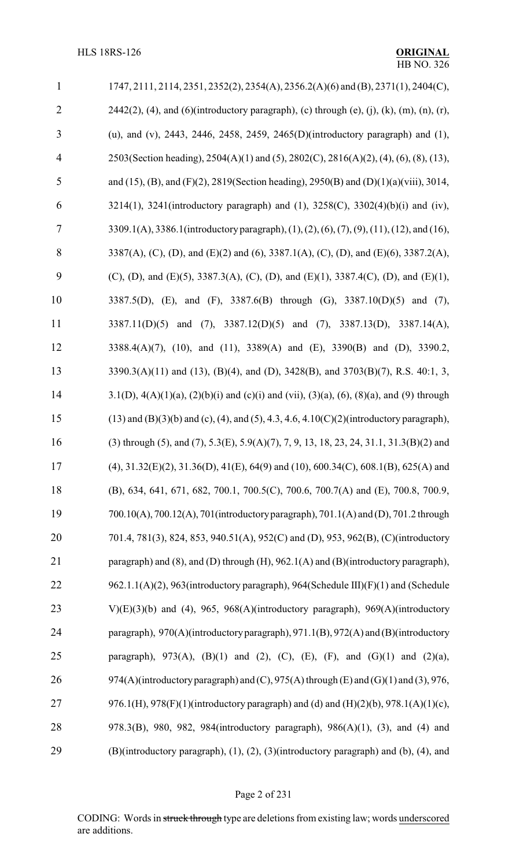| $\mathbf{1}$   | $1747, 2111, 2114, 2351, 2352(2), 2354(A), 2356.2(A)(6)$ and (B), $2371(1), 2404(C)$ ,                        |
|----------------|---------------------------------------------------------------------------------------------------------------|
| $\overline{2}$ | $2442(2)$ , (4), and (6)(introductory paragraph), (c) through (e), (j), (k), (m), (n), (r),                   |
| 3              | (u), and (v), 2443, 2446, 2458, 2459, 2465(D)(introductory paragraph) and (1),                                |
| $\overline{4}$ | 2503(Section heading), 2504(A)(1) and (5), 2802(C), 2816(A)(2), (4), (6), (8), (13),                          |
| 5              | and (15), (B), and (F)(2), 2819(Section heading), 2950(B) and (D)(1)(a)(viii), 3014,                          |
| 6              | 3214(1), 3241(introductory paragraph) and (1), $3258(C)$ , $3302(4)(b)(i)$ and (iv),                          |
| $\tau$         | 3309.1(A), 3386.1(introductory paragraph), (1), (2), (6), (7), (9), (11), (12), and (16),                     |
| 8              | 3387(A), (C), (D), and (E)(2) and (6), 3387.1(A), (C), (D), and (E)(6), 3387.2(A),                            |
| 9              | (C), (D), and (E)(5), 3387.3(A), (C), (D), and (E)(1), 3387.4(C), (D), and (E)(1),                            |
| 10             | 3387.5(D), (E), and (F), 3387.6(B) through (G), 3387.10(D)(5) and (7),                                        |
| 11             | 3387.11(D)(5) and (7), 3387.12(D)(5) and (7), 3387.13(D), 3387.14(A),                                         |
| 12             | 3388.4(A)(7), (10), and (11), 3389(A) and (E), 3390(B) and (D), 3390.2,                                       |
| 13             | 3390.3(A)(11) and (13), (B)(4), and (D), 3428(B), and 3703(B)(7), R.S. 40:1, 3,                               |
| 14             | 3.1(D), $4(A)(1)(a)$ , $(2)(b)(i)$ and $(c)(i)$ and $(vii)$ , $(3)(a)$ , $(6)$ , $(8)(a)$ , and $(9)$ through |
| 15             | $(13)$ and $(B)(3)(b)$ and $(c)$ , $(4)$ , and $(5)$ , 4.3, 4.6, 4.10 $(C)(2)$ (introductory paragraph),      |
| 16             | (3) through (5), and (7), 5.3(E), 5.9(A)(7), 7, 9, 13, 18, 23, 24, 31.1, 31.3(B)(2) and                       |
| 17             | $(4)$ , 31.32(E)(2), 31.36(D), 41(E), 64(9) and (10), 600.34(C), 608.1(B), 625(A) and                         |
| 18             | (B), 634, 641, 671, 682, 700.1, 700.5(C), 700.6, 700.7(A) and (E), 700.8, 700.9,                              |
| 19             | 700.10(A), 700.12(A), 701(introductory paragraph), 701.1(A) and (D), 701.2 through                            |
| 20             | 701.4, 781(3), 824, 853, 940.51(A), 952(C) and (D), 953, 962(B), (C)(introductory                             |
| 21             | paragraph) and (8), and (D) through (H), 962.1(A) and (B)(introductory paragraph),                            |
| 22             | 962.1.1(A)(2), 963(introductory paragraph), 964(Schedule III)(F)(1) and (Schedule                             |
| 23             | V) $(E)(3)(b)$ and (4), 965, 968 $(A)$ (introductory paragraph), 969 $(A)$ (introductory                      |
| 24             | paragraph), 970(A)(introductory paragraph), 971.1(B), 972(A) and (B)(introductory                             |
| 25             | paragraph), 973(A), (B)(1) and (2), (C), (E), (F), and (G)(1) and (2)(a),                                     |
| 26             | 974(A)(introductory paragraph) and (C), 975(A) through (E) and (G)(1) and (3), 976,                           |
| 27             | 976.1(H), 978(F)(1)(introductory paragraph) and (d) and (H)(2)(b), 978.1(A)(1)(c),                            |
| 28             | 978.3(B), 980, 982, 984(introductory paragraph), 986(A)(1), (3), and (4) and                                  |
| 29             | (B)(introductory paragraph), (1), (2), (3)(introductory paragraph) and (b), (4), and                          |

# Page 2 of 231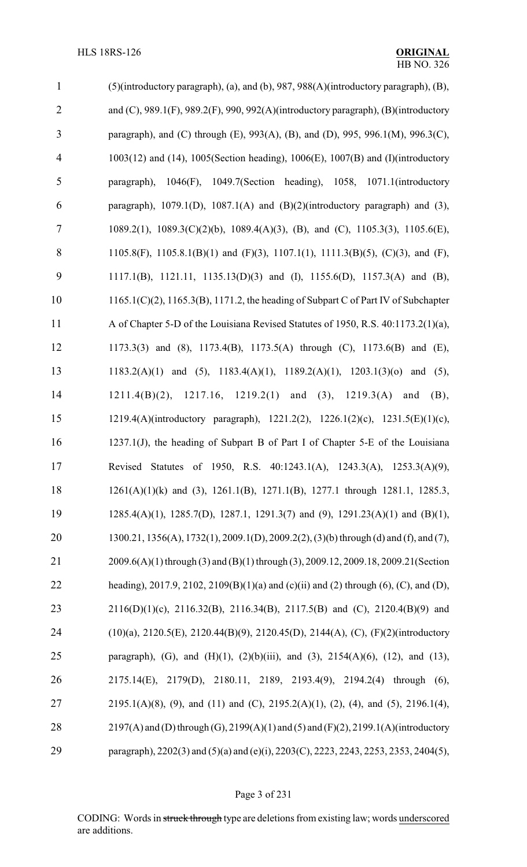| $\mathbf{1}$   | (5)(introductory paragraph), (a), and (b), 987, 988(A)(introductory paragraph), (B),                 |
|----------------|------------------------------------------------------------------------------------------------------|
| $\overline{2}$ | and $(C)$ , 989.1 $(F)$ , 989.2 $(F)$ , 990, 992 $(A)$ (introductory paragraph), $(B)$ (introductory |
| 3              | paragraph), and (C) through (E), 993(A), (B), and (D), 995, 996.1(M), 996.3(C),                      |
| $\overline{4}$ | $1003(12)$ and (14), $1005$ (Section heading), $1006(E)$ , $1007(B)$ and (I)(introductory            |
| $\mathfrak s$  | $1046(F)$ , $1049.7$ (Section heading), 1058, 1071.1(introductory<br>paragraph),                     |
| 6              | paragraph), $1079.1(D)$ , $1087.1(A)$ and $(B)(2)(introductory paragraph)$ and $(3)$ ,               |
| $\tau$         | 1089.2(1), 1089.3(C)(2)(b), 1089.4(A)(3), (B), and (C), 1105.3(3), 1105.6(E),                        |
| 8              | 1105.8(F), 1105.8.1(B)(1) and (F)(3), 1107.1(1), 1111.3(B)(5), (C)(3), and (F),                      |
| 9              | 1117.1(B), 1121.11, 1135.13(D)(3) and (I), 1155.6(D), 1157.3(A) and (B),                             |
| 10             | $1165.1(C)(2)$ , $1165.3(B)$ , $1171.2$ , the heading of Subpart C of Part IV of Subchapter          |
| 11             | A of Chapter 5-D of the Louisiana Revised Statutes of 1950, R.S. 40:1173.2(1)(a),                    |
| 12             | 1173.3(3) and (8), 1173.4(B), 1173.5(A) through (C), 1173.6(B) and (E),                              |
| 13             | 1183.2(A)(1) and (5), 1183.4(A)(1), 1189.2(A)(1), 1203.1(3)(o) and (5),                              |
| 14             | 1211.4(B)(2), 1217.16, 1219.2(1) and (3), 1219.3(A) and<br>(B),                                      |
| 15             | 1219.4(A)(introductory paragraph), 1221.2(2), 1226.1(2)(c), 1231.5(E)(1)(c),                         |
| 16             | 1237.1(J), the heading of Subpart B of Part I of Chapter 5-E of the Louisiana                        |
| 17             | Revised Statutes of 1950, R.S. 40:1243.1(A), 1243.3(A), 1253.3(A)(9),                                |
| 18             | $1261(A)(1)(k)$ and (3), $1261.1(B)$ , $1271.1(B)$ , $1277.1$ through 1281.1, 1285.3,                |
| 19             | $1285.4(A)(1)$ , $1285.7(D)$ , $1287.1$ , $1291.3(7)$ and $(9)$ , $1291.23(A)(1)$ and $(B)(1)$ ,     |
| 20             | 1300.21, 1356(A), 1732(1), 2009.1(D), 2009.2(2), (3)(b) through (d) and (f), and (7),                |
| 21             | 2009.6(A)(1) through (3) and (B)(1) through (3), 2009.12, 2009.18, 2009.21 (Section                  |
| 22             | heading), 2017.9, 2102, 2109(B)(1)(a) and (c)(ii) and (2) through (6), (C), and (D),                 |
| 23             | $2116(D)(1)(c)$ , $2116.32(B)$ , $2116.34(B)$ , $2117.5(B)$ and (C), $2120.4(B)(9)$ and              |
| 24             | (10)(a), 2120.5(E), 2120.44(B)(9), 2120.45(D), 2144(A), (C), (F)(2)(introductory                     |
| 25             | paragraph), (G), and (H)(1), (2)(b)(iii), and (3), 2154(A)(6), (12), and (13),                       |
| 26             | 2175.14(E), 2179(D), 2180.11, 2189, 2193.4(9), 2194.2(4) through (6),                                |
| 27             | $2195.1(A)(8)$ , (9), and (11) and (C), $2195.2(A)(1)$ , (2), (4), and (5), $2196.1(4)$ ,            |
| 28             | $2197(A)$ and (D) through (G), $2199(A)(1)$ and (5) and (F)(2), 2199.1(A)(introductory               |
| 29             | paragraph), 2202(3) and (5)(a) and (e)(i), 2203(C), 2223, 2243, 2253, 2353, 2404(5),                 |

# Page 3 of 231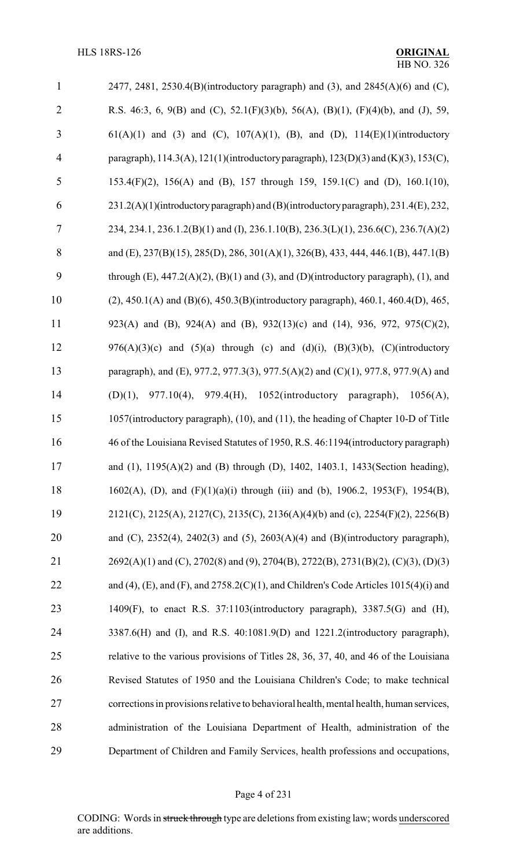| $\mathbf{1}$   | 2477, 2481, 2530.4(B)(introductory paragraph) and (3), and $2845(A)(6)$ and (C),                  |
|----------------|---------------------------------------------------------------------------------------------------|
| $\overline{2}$ | R.S. 46:3, 6, 9(B) and (C), 52.1(F)(3)(b), 56(A), (B)(1), (F)(4)(b), and (J), 59,                 |
| 3              | $61(A)(1)$ and (3) and (C), $107(A)(1)$ , (B), and (D), $114(E)(1)$ (introductory                 |
| $\overline{4}$ | paragraph), 114.3(A), 121(1)(introductory paragraph), 123(D)(3) and (K)(3), 153(C),               |
| 5              | 153.4(F)(2), 156(A) and (B), 157 through 159, 159.1(C) and (D), 160.1(10),                        |
| 6              | 231.2(A)(1)(introductory paragraph) and (B)(introductory paragraph), 231.4(E), 232,               |
| 7              | 234, 234.1, 236.1.2(B)(1) and (I), 236.1.10(B), 236.3(L)(1), 236.6(C), 236.7(A)(2)                |
| 8              | and (E), 237(B)(15), 285(D), 286, 301(A)(1), 326(B), 433, 444, 446.1(B), 447.1(B)                 |
| 9              | through $(E)$ , 447.2(A)(2), $(B)(1)$ and (3), and (D)(introductory paragraph), (1), and          |
| 10             | $(2)$ , 450.1(A) and (B)(6), 450.3(B)(introductory paragraph), 460.1, 460.4(D), 465,              |
| 11             | 923(A) and (B), 924(A) and (B), 932(13)(c) and (14), 936, 972, 975(C)(2),                         |
| 12             | $976(A)(3)(c)$ and $(5)(a)$ through (c) and $(d)(i)$ , $(B)(3)(b)$ , $(C)(introducing$            |
| 13             | paragraph), and (E), 977.2, 977.3(3), 977.5(A)(2) and (C)(1), 977.8, 977.9(A) and                 |
| 14             | 977.10(4), 979.4(H), 1052(introductory paragraph),<br>(D)(1),<br>1056(A),                         |
| 15             | 1057(introductory paragraph), (10), and (11), the heading of Chapter 10-D of Title                |
| 16             | 46 of the Louisiana Revised Statutes of 1950, R.S. 46:1194 (introductory paragraph)               |
| 17             | and (1), 1195(A)(2) and (B) through (D), 1402, 1403.1, 1433(Section heading),                     |
| 18             | 1602(A), (D), and (F)(1)(a)(i) through (iii) and (b), 1906.2, 1953(F), 1954(B),                   |
| 19             | $2121(C)$ , $2125(A)$ , $2127(C)$ , $2135(C)$ , $2136(A)(4)(b)$ and (c), $2254(F)(2)$ , $2256(B)$ |
| 20             | and (C), $2352(4)$ , $2402(3)$ and $(5)$ , $2603(A)(4)$ and $(B)(introductory paragraph)$ ,       |
| 21             | 2692(A)(1) and (C), 2702(8) and (9), 2704(B), 2722(B), 2731(B)(2), (C)(3), (D)(3)                 |
| 22             | and (4), (E), and (F), and $2758.2(C)(1)$ , and Children's Code Articles 1015(4)(i) and           |
| 23             | 1409 $(F)$ , to enact R.S. 37:1103(introductory paragraph), 3387.5 $(G)$ and $(H)$ ,              |
| 24             | 3387.6(H) and (I), and R.S. 40:1081.9(D) and 1221.2(introductory paragraph),                      |
| 25             | relative to the various provisions of Titles 28, 36, 37, 40, and 46 of the Louisiana              |
| 26             | Revised Statutes of 1950 and the Louisiana Children's Code; to make technical                     |
| 27             | corrections in provisions relative to behavioral health, mental health, human services,           |
| 28             | administration of the Louisiana Department of Health, administration of the                       |
| 29             | Department of Children and Family Services, health professions and occupations,                   |

# Page 4 of 231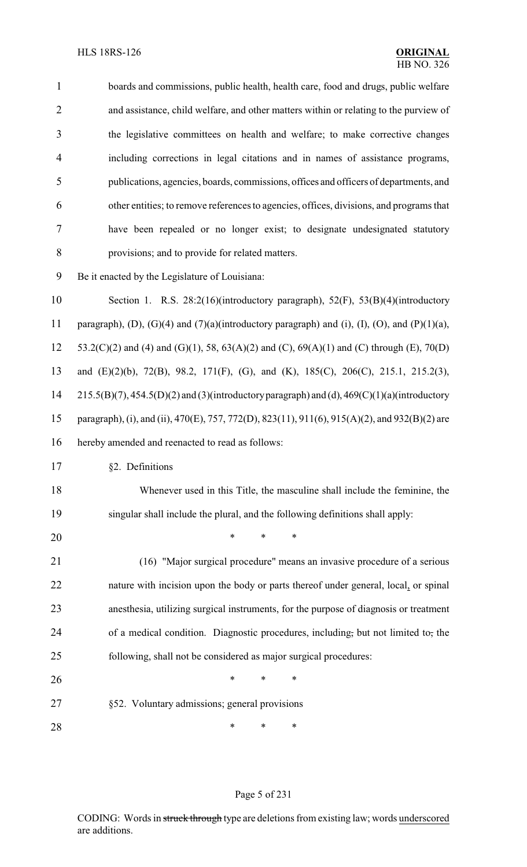| $\mathbf{1}$   | boards and commissions, public health, health care, food and drugs, public welfare             |
|----------------|------------------------------------------------------------------------------------------------|
| $\overline{2}$ | and assistance, child welfare, and other matters within or relating to the purview of          |
| 3              | the legislative committees on health and welfare; to make corrective changes                   |
| 4              | including corrections in legal citations and in names of assistance programs,                  |
| 5              | publications, agencies, boards, commissions, offices and officers of departments, and          |
| 6              | other entities; to remove references to agencies, offices, divisions, and programs that        |
| 7              | have been repealed or no longer exist; to designate undesignated statutory                     |
| 8              | provisions; and to provide for related matters.                                                |
| 9              | Be it enacted by the Legislature of Louisiana:                                                 |
| 10             | Section 1. R.S. 28:2(16)(introductory paragraph), 52(F), 53(B)(4)(introductory                 |
| 11             | paragraph), (D), (G)(4) and (7)(a)(introductory paragraph) and (i), (I), (O), and (P)(1)(a),   |
| 12             | 53.2(C)(2) and (4) and (G)(1), 58, 63(A)(2) and (C), 69(A)(1) and (C) through (E), 70(D)       |
| 13             | and (E)(2)(b), 72(B), 98.2, 171(F), (G), and (K), 185(C), 206(C), 215.1, 215.2(3),             |
| 14             | $215.5(B)(7)$ , 454.5(D)(2) and (3)(introductory paragraph) and (d), 469(C)(1)(a)(introductory |
| 15             | paragraph), (i), and (ii), 470(E), 757, 772(D), 823(11), 911(6), 915(A)(2), and 932(B)(2) are  |
| 16             | hereby amended and reenacted to read as follows:                                               |
| 17             | §2. Definitions                                                                                |
| 18             | Whenever used in this Title, the masculine shall include the feminine, the                     |
| 19             | singular shall include the plural, and the following definitions shall apply:                  |
| 20             | $\ast$<br>*<br>*                                                                               |
| 21             | (16) "Major surgical procedure" means an invasive procedure of a serious                       |
| 22             | nature with incision upon the body or parts thereof under general, local, or spinal            |
| 23             | anesthesia, utilizing surgical instruments, for the purpose of diagnosis or treatment          |
| 24             | of a medical condition. Diagnostic procedures, including, but not limited to, the              |
| 25             | following, shall not be considered as major surgical procedures:                               |
| 26             | *<br>$\ast$<br>∗                                                                               |
| 27             | §52. Voluntary admissions; general provisions                                                  |
| 28             | ∗<br>$\ast$<br>∗                                                                               |

# Page 5 of 231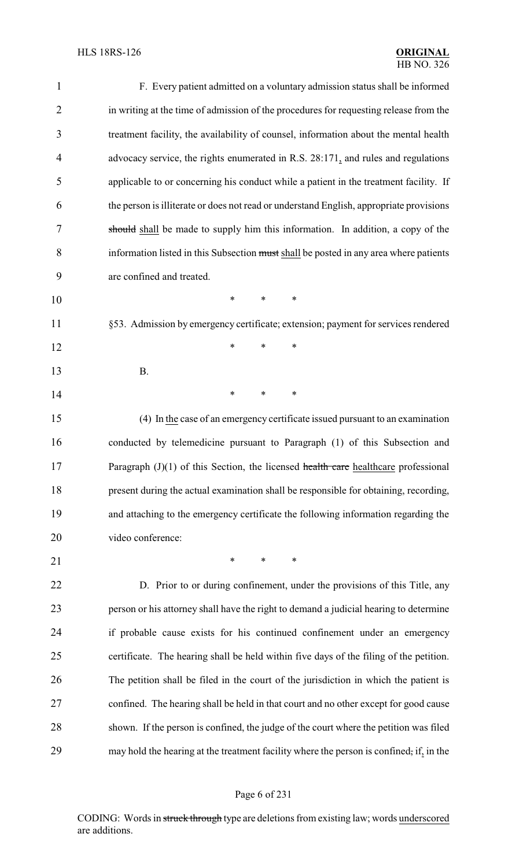| $\mathbf{1}$   | F. Every patient admitted on a voluntary admission status shall be informed             |
|----------------|-----------------------------------------------------------------------------------------|
| $\overline{2}$ | in writing at the time of admission of the procedures for requesting release from the   |
| 3              | treatment facility, the availability of counsel, information about the mental health    |
| 4              | advocacy service, the rights enumerated in R.S. 28:171, and rules and regulations       |
| 5              | applicable to or concerning his conduct while a patient in the treatment facility. If   |
| 6              | the person is illiterate or does not read or understand English, appropriate provisions |
| 7              | should shall be made to supply him this information. In addition, a copy of the         |
| 8              | information listed in this Subsection must shall be posted in any area where patients   |
| 9              | are confined and treated.                                                               |
| 10             | $\ast$<br>∗<br>∗                                                                        |
| 11             | §53. Admission by emergency certificate; extension; payment for services rendered       |
| 12             | *<br>$\ast$<br>$\ast$                                                                   |
| 13             | <b>B.</b>                                                                               |
| 14             | $\ast$<br>∗<br>$\ast$                                                                   |
| 15             | (4) In the case of an emergency certificate issued pursuant to an examination           |
| 16             | conducted by telemedicine pursuant to Paragraph (1) of this Subsection and              |
| 17             | Paragraph $(J)(1)$ of this Section, the licensed health care healthcare professional    |
| 18             | present during the actual examination shall be responsible for obtaining, recording,    |
| 19             | and attaching to the emergency certificate the following information regarding the      |
| 20             | video conference:                                                                       |
| 21             | $\ast$<br>$\ast$<br>∗                                                                   |
| 22             | D. Prior to or during confinement, under the provisions of this Title, any              |
| 23             | person or his attorney shall have the right to demand a judicial hearing to determine   |
| 24             | if probable cause exists for his continued confinement under an emergency               |
| 25             | certificate. The hearing shall be held within five days of the filing of the petition.  |
| 26             | The petition shall be filed in the court of the jurisdiction in which the patient is    |
| 27             | confined. The hearing shall be held in that court and no other except for good cause    |
| 28             | shown. If the person is confined, the judge of the court where the petition was filed   |
| 29             | may hold the hearing at the treatment facility where the person is confined, if, in the |

# Page 6 of 231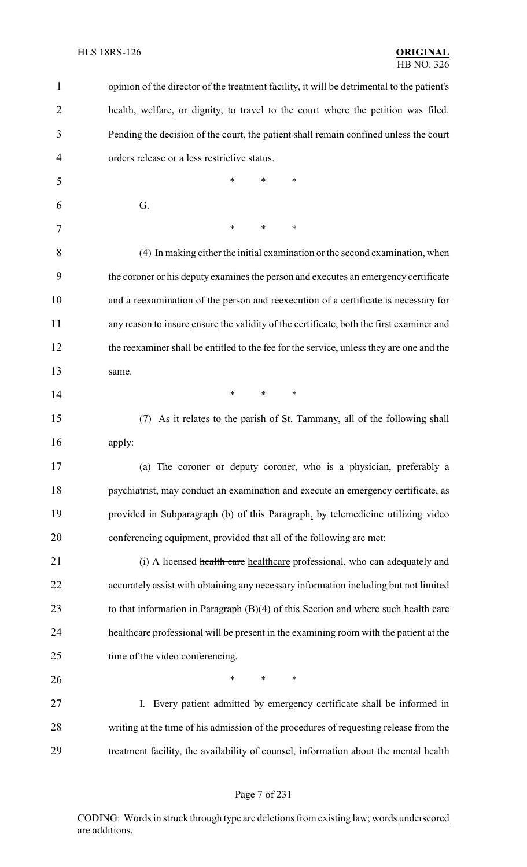| $\mathbf{1}$ | opinion of the director of the treatment facility, it will be detrimental to the patient's |
|--------------|--------------------------------------------------------------------------------------------|
| 2            | health, welfare, or dignity, to travel to the court where the petition was filed.          |
| 3            | Pending the decision of the court, the patient shall remain confined unless the court      |
| 4            | orders release or a less restrictive status.                                               |
| 5            | *<br>*<br>*                                                                                |
| 6            | G.                                                                                         |
| 7            | $\ast$<br>∗<br>*                                                                           |
| 8            | (4) In making either the initial examination or the second examination, when               |
| 9            | the coroner or his deputy examines the person and executes an emergency certificate        |
| 10           | and a reexamination of the person and reexecution of a certificate is necessary for        |
| 11           | any reason to insure ensure the validity of the certificate, both the first examiner and   |
| 12           | the reexaminer shall be entitled to the fee for the service, unless they are one and the   |
| 13           | same.                                                                                      |
| 14           | $\ast$<br>∗<br>*                                                                           |
| 15           | As it relates to the parish of St. Tammany, all of the following shall<br>(7)              |
| 16           | apply:                                                                                     |
| 17           | (a) The coroner or deputy coroner, who is a physician, preferably a                        |
| 18           | psychiatrist, may conduct an examination and execute an emergency certificate, as          |
| 19           | provided in Subparagraph (b) of this Paragraph, by telemedicine utilizing video            |
| 20           | conferencing equipment, provided that all of the following are met:                        |
| 21           | (i) A licensed health care healthcare professional, who can adequately and                 |
| 22           | accurately assist with obtaining any necessary information including but not limited       |
| 23           | to that information in Paragraph $(B)(4)$ of this Section and where such health care       |
| 24           | healthcare professional will be present in the examining room with the patient at the      |
| 25           | time of the video conferencing.                                                            |
| 26           | $\ast$<br>$\ast$<br>∗                                                                      |
| 27           | Every patient admitted by emergency certificate shall be informed in<br>I.                 |
| 28           | writing at the time of his admission of the procedures of requesting release from the      |
| 29           | treatment facility, the availability of counsel, information about the mental health       |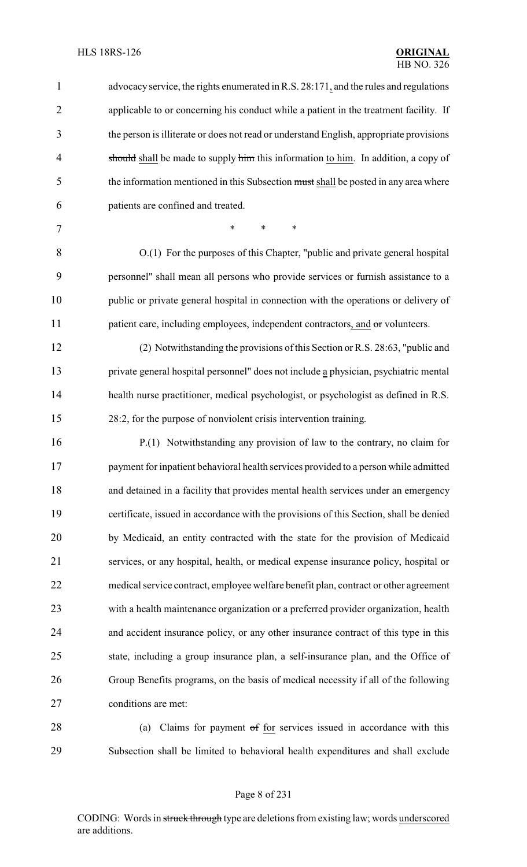advocacyservice, the rights enumerated in R.S. 28:171, and the rules and regulations applicable to or concerning his conduct while a patient in the treatment facility. If the person is illiterate or does not read or understand English, appropriate provisions 4 should shall be made to supply him this information to him. In addition, a copy of 5 the information mentioned in this Subsection must shall be posted in any area where patients are confined and treated. 7 \* \* \* \* O.(1) For the purposes of this Chapter, "public and private general hospital personnel" shall mean all persons who provide services or furnish assistance to a public or private general hospital in connection with the operations or delivery of 11 patient care, including employees, independent contractors, and  $\sigma$ r volunteers. (2) Notwithstanding the provisions of this Section or R.S. 28:63, "public and private general hospital personnel" does not include a physician, psychiatric mental health nurse practitioner, medical psychologist, or psychologist as defined in R.S. 28:2, for the purpose of nonviolent crisis intervention training. P.(1) Notwithstanding any provision of law to the contrary, no claim for payment for inpatient behavioral health services provided to a person while admitted and detained in a facility that provides mental health services under an emergency certificate, issued in accordance with the provisions of this Section, shall be denied by Medicaid, an entity contracted with the state for the provision of Medicaid services, or any hospital, health, or medical expense insurance policy, hospital or medical service contract, employee welfare benefit plan, contract or other agreement with a health maintenance organization or a preferred provider organization, health and accident insurance policy, or any other insurance contract of this type in this state, including a group insurance plan, a self-insurance plan, and the Office of Group Benefits programs, on the basis of medical necessity if all of the following conditions are met:

28 (a) Claims for payment of for services issued in accordance with this Subsection shall be limited to behavioral health expenditures and shall exclude

#### Page 8 of 231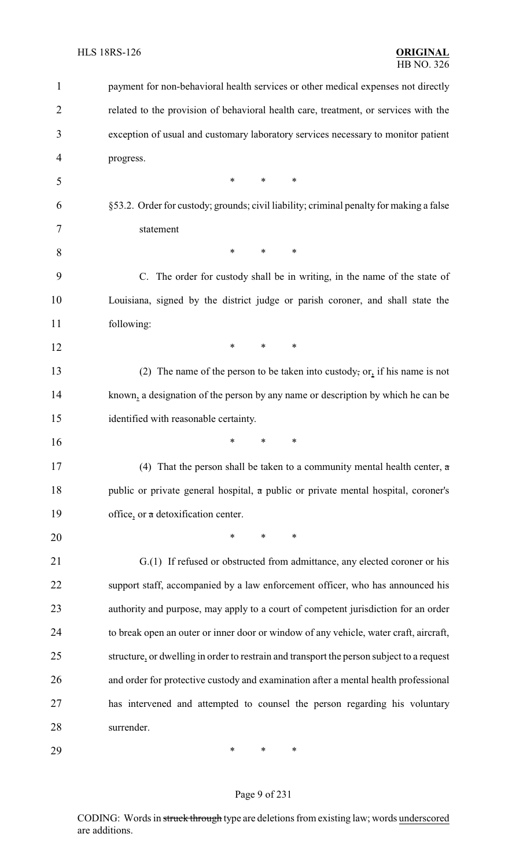| 1              | payment for non-behavioral health services or other medical expenses not directly         |
|----------------|-------------------------------------------------------------------------------------------|
| $\overline{2}$ | related to the provision of behavioral health care, treatment, or services with the       |
| 3              | exception of usual and customary laboratory services necessary to monitor patient         |
| 4              | progress.                                                                                 |
| 5              | ∗<br>*<br>*                                                                               |
| 6              | §53.2. Order for custody; grounds; civil liability; criminal penalty for making a false   |
| 7              | statement                                                                                 |
| 8              | $\ast$<br>*<br>∗                                                                          |
| 9              | C. The order for custody shall be in writing, in the name of the state of                 |
| 10             | Louisiana, signed by the district judge or parish coroner, and shall state the            |
| 11             | following:                                                                                |
| 12             | $\ast$<br>$\ast$<br>∗                                                                     |
| 13             | (2) The name of the person to be taken into custody, or, if his name is not               |
| 14             | known, a designation of the person by any name or description by which he can be          |
| 15             | identified with reasonable certainty.                                                     |
| 16             | ∗<br>*<br>*                                                                               |
| 17             | (4) That the person shall be taken to a community mental health center, $\alpha$          |
| 18             | public or private general hospital, a public or private mental hospital, coroner's        |
| 19             | office, or a detoxification center.                                                       |
| 20             | *<br>*<br>∗                                                                               |
| 21             | G.(1) If refused or obstructed from admittance, any elected coroner or his                |
| 22             | support staff, accompanied by a law enforcement officer, who has announced his            |
| 23             | authority and purpose, may apply to a court of competent jurisdiction for an order        |
| 24             | to break open an outer or inner door or window of any vehicle, water craft, aircraft,     |
| 25             | structure, or dwelling in order to restrain and transport the person subject to a request |
| 26             | and order for protective custody and examination after a mental health professional       |
| 27             | has intervened and attempted to counsel the person regarding his voluntary                |
| 28             | surrender.                                                                                |
| 29             | $\ast$<br>$\ast$<br>∗                                                                     |

# Page 9 of 231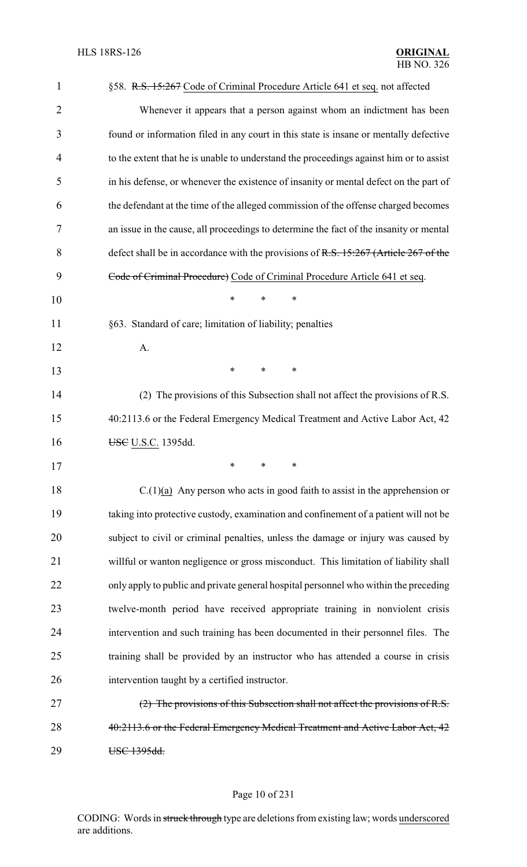| $\mathbf{1}$   | §58. R.S. 15:267 Code of Criminal Procedure Article 641 et seq. not affected           |
|----------------|----------------------------------------------------------------------------------------|
| $\overline{2}$ | Whenever it appears that a person against whom an indictment has been                  |
| 3              | found or information filed in any court in this state is insane or mentally defective  |
| 4              | to the extent that he is unable to understand the proceedings against him or to assist |
| 5              | in his defense, or whenever the existence of insanity or mental defect on the part of  |
| 6              | the defendant at the time of the alleged commission of the offense charged becomes     |
| 7              | an issue in the cause, all proceedings to determine the fact of the insanity or mental |
| 8              | defect shall be in accordance with the provisions of R.S. 15:267 (Article 267 of the   |
| 9              | Code of Criminal Procedure) Code of Criminal Procedure Article 641 et seq.             |
| 10             | *<br>∗<br>*                                                                            |
| 11             | §63. Standard of care; limitation of liability; penalties                              |
| 12             | A.                                                                                     |
| 13             | ∗<br>∗<br>∗                                                                            |
| 14             | (2) The provisions of this Subsection shall not affect the provisions of R.S.          |
| 15             | 40:2113.6 or the Federal Emergency Medical Treatment and Active Labor Act, 42          |
| 16             | USC U.S.C. 1395dd.                                                                     |
| 17             | ∗<br>∗<br>∗                                                                            |
| 18             | $C(1)(a)$ Any person who acts in good faith to assist in the apprehension or           |
| 19             | taking into protective custody, examination and confinement of a patient will not be   |
| 20             | subject to civil or criminal penalties, unless the damage or injury was caused by      |
| 21             | willful or wanton negligence or gross misconduct. This limitation of liability shall   |
| 22             | only apply to public and private general hospital personnel who within the preceding   |
| 23             | twelve-month period have received appropriate training in nonviolent crisis            |
| 24             | intervention and such training has been documented in their personnel files. The       |
| 25             | training shall be provided by an instructor who has attended a course in crisis        |
| 26             | intervention taught by a certified instructor.                                         |
| 27             | (2) The provisions of this Subsection shall not affect the provisions of R.S.          |
| 28             | 40:2113.6 or the Federal Emergency Medical Treatment and Active Labor Act, 42          |
| 29             | USC 1395dd.                                                                            |

# Page 10 of 231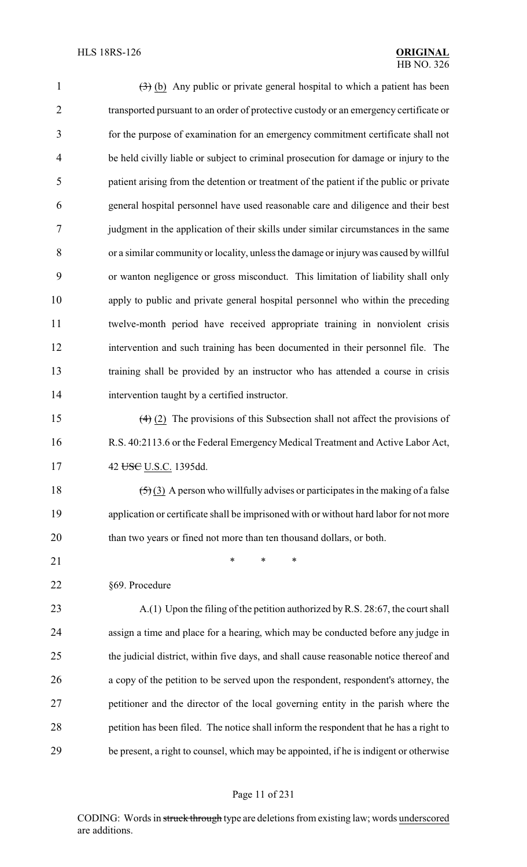| $\mathbf{1}$   | $(3)$ (b) Any public or private general hospital to which a patient has been            |
|----------------|-----------------------------------------------------------------------------------------|
| $\overline{2}$ | transported pursuant to an order of protective custody or an emergency certificate or   |
| 3              | for the purpose of examination for an emergency commitment certificate shall not        |
| 4              | be held civilly liable or subject to criminal prosecution for damage or injury to the   |
| 5              | patient arising from the detention or treatment of the patient if the public or private |
| 6              | general hospital personnel have used reasonable care and diligence and their best       |
| 7              | judgment in the application of their skills under similar circumstances in the same     |
| 8              | or a similar community or locality, unless the damage or injury was caused by willful   |
| 9              | or wanton negligence or gross misconduct. This limitation of liability shall only       |
| 10             | apply to public and private general hospital personnel who within the preceding         |
| 11             | twelve-month period have received appropriate training in nonviolent crisis             |
| 12             | intervention and such training has been documented in their personnel file. The         |
| 13             | training shall be provided by an instructor who has attended a course in crisis         |
| 14             | intervention taught by a certified instructor.                                          |
| 15             | $(4)$ (2) The provisions of this Subsection shall not affect the provisions of          |
| 16             | R.S. 40:2113.6 or the Federal Emergency Medical Treatment and Active Labor Act,         |
| 17             | 42 USC U.S.C. 1395dd.                                                                   |
| 18             | $(5)(3)$ A person who willfully advises or participates in the making of a false        |
| 19             | application or certificate shall be imprisoned with or without hard labor for not more  |
| 20             | than two years or fined not more than ten thousand dollars, or both.                    |
| 21             | *<br>$\ast$<br>∗                                                                        |
| 22             | §69. Procedure                                                                          |
| 23             | A.(1) Upon the filing of the petition authorized by R.S. 28:67, the court shall         |
| 24             | assign a time and place for a hearing, which may be conducted before any judge in       |
| 25             | the judicial district, within five days, and shall cause reasonable notice thereof and  |
| 26             | a copy of the petition to be served upon the respondent, respondent's attorney, the     |
| 27             | petitioner and the director of the local governing entity in the parish where the       |
| 28             | petition has been filed. The notice shall inform the respondent that he has a right to  |
| 29             | be present, a right to counsel, which may be appointed, if he is indigent or otherwise  |
|                |                                                                                         |

# Page 11 of 231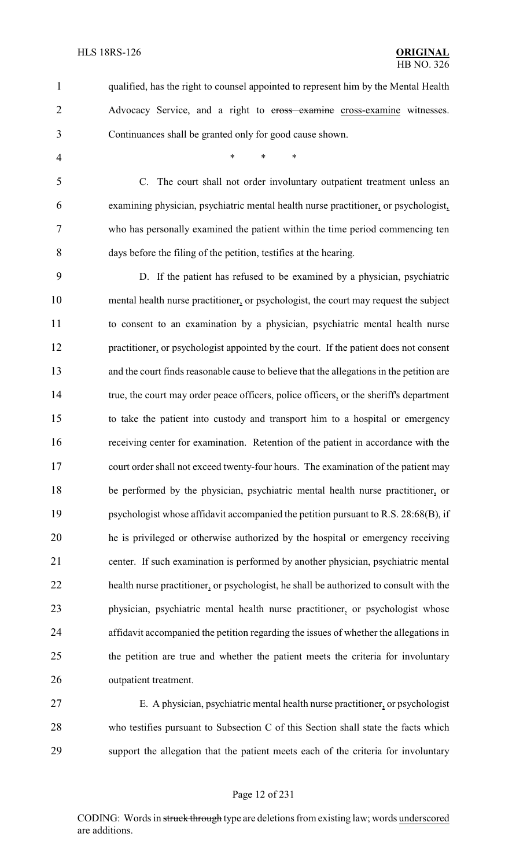qualified, has the right to counsel appointed to represent him by the Mental Health 2 Advocacy Service, and a right to cross examine cross-examine witnesses. Continuances shall be granted only for good cause shown.

4 \* \* \* \*

 C. The court shall not order involuntary outpatient treatment unless an examining physician, psychiatric mental health nurse practitioner, or psychologist, who has personally examined the patient within the time period commencing ten days before the filing of the petition, testifies at the hearing.

 D. If the patient has refused to be examined by a physician, psychiatric mental health nurse practitioner, or psychologist, the court may request the subject to consent to an examination by a physician, psychiatric mental health nurse practitioner, or psychologist appointed by the court. If the patient does not consent and the court finds reasonable cause to believe that the allegations in the petition are 14 true, the court may order peace officers, police officers, or the sheriff's department to take the patient into custody and transport him to a hospital or emergency receiving center for examination. Retention of the patient in accordance with the court order shall not exceed twenty-four hours. The examination of the patient may be performed by the physician, psychiatric mental health nurse practitioner, or psychologist whose affidavit accompanied the petition pursuant to R.S. 28:68(B), if he is privileged or otherwise authorized by the hospital or emergency receiving center. If such examination is performed by another physician, psychiatric mental health nurse practitioner, or psychologist, he shall be authorized to consult with the physician, psychiatric mental health nurse practitioner, or psychologist whose affidavit accompanied the petition regarding the issues of whether the allegations in the petition are true and whether the patient meets the criteria for involuntary outpatient treatment.

 E. A physician, psychiatric mental health nurse practitioner, or psychologist who testifies pursuant to Subsection C of this Section shall state the facts which support the allegation that the patient meets each of the criteria for involuntary

#### Page 12 of 231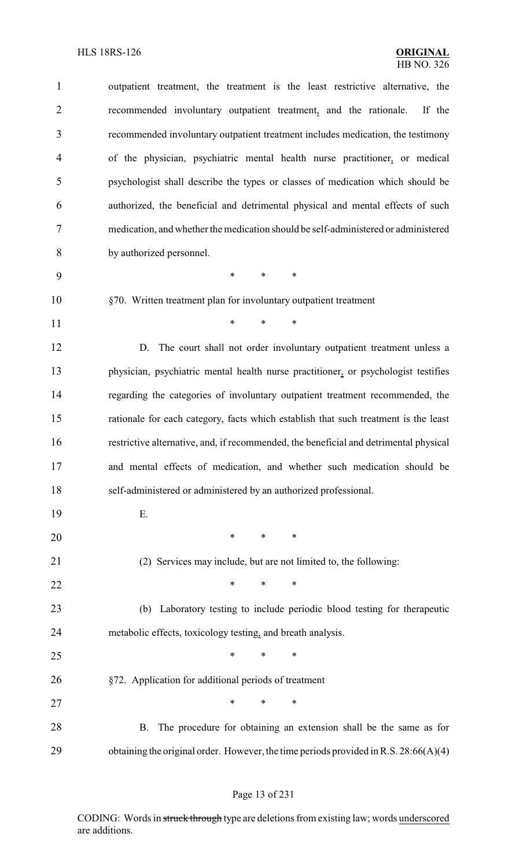| $\mathbf{1}$   | outpatient treatment, the treatment is the least restrictive alternative, the         |
|----------------|---------------------------------------------------------------------------------------|
| $\overline{2}$ | recommended involuntary outpatient treatment, and the rationale.<br>If the            |
| 3              | recommended involuntary outpatient treatment includes medication, the testimony       |
| $\overline{4}$ | of the physician, psychiatric mental health nurse practitioner, or medical            |
| 5              | psychologist shall describe the types or classes of medication which should be        |
| 6              | authorized, the beneficial and detrimental physical and mental effects of such        |
| 7              | medication, and whether the medication should be self-administered or administered    |
| 8              | by authorized personnel.                                                              |
| 9              | $\ast$<br>$\ast$<br>$\ast$                                                            |
| 10             | §70. Written treatment plan for involuntary outpatient treatment                      |
| 11             | $\ast$<br>$\ast$<br>$\ast$                                                            |
| 12             | D. The court shall not order involuntary outpatient treatment unless a                |
| 13             | physician, psychiatric mental health nurse practitioner, or psychologist testifies    |
| 14             | regarding the categories of involuntary outpatient treatment recommended, the         |
| 15             | rationale for each category, facts which establish that such treatment is the least   |
| 16             | restrictive alternative, and, if recommended, the beneficial and detrimental physical |
| 17             | and mental effects of medication, and whether such medication should be               |
| 18             | self-administered or administered by an authorized professional.                      |
| 19             | Ε.                                                                                    |
| 20             | $\ast$<br>$*$ and $*$<br>$\ast$                                                       |
| 21             | (2) Services may include, but are not limited to, the following:                      |
| 22             | ∗<br>∗<br>∗                                                                           |
| 23             | (b) Laboratory testing to include periodic blood testing for therapeutic              |
| 24             | metabolic effects, toxicology testing, and breath analysis.                           |
| 25             | *<br>∗<br>∗                                                                           |
| 26             | §72. Application for additional periods of treatment                                  |
| 27             | *<br>$\ast$<br>*                                                                      |
| 28             | The procedure for obtaining an extension shall be the same as for<br>B.               |
| 29             | obtaining the original order. However, the time periods provided in R.S. 28:66(A)(4)  |

# Page 13 of 231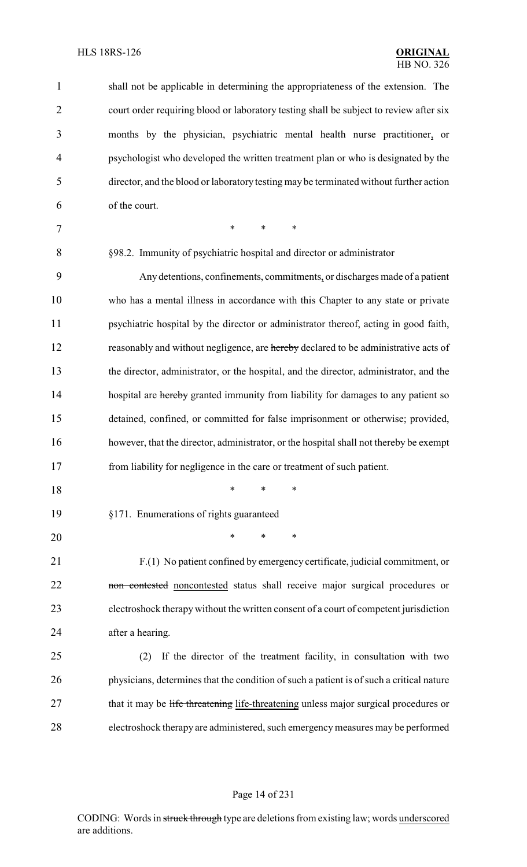| $\mathbf{1}$   | shall not be applicable in determining the appropriateness of the extension. The         |
|----------------|------------------------------------------------------------------------------------------|
| $\overline{2}$ | court order requiring blood or laboratory testing shall be subject to review after six   |
| 3              | months by the physician, psychiatric mental health nurse practitioner, or                |
| 4              | psychologist who developed the written treatment plan or who is designated by the        |
| 5              | director, and the blood or laboratory testing may be terminated without further action   |
| 6              | of the court.                                                                            |
| 7              | $\ast$<br>$\ast$<br>∗                                                                    |
| 8              | §98.2. Immunity of psychiatric hospital and director or administrator                    |
| 9              | Any detentions, confinements, commitments, or discharges made of a patient               |
| 10             | who has a mental illness in accordance with this Chapter to any state or private         |
| 11             | psychiatric hospital by the director or administrator thereof, acting in good faith,     |
| 12             | reasonably and without negligence, are hereby declared to be administrative acts of      |
| 13             | the director, administrator, or the hospital, and the director, administrator, and the   |
| 14             | hospital are hereby granted immunity from liability for damages to any patient so        |
| 15             | detained, confined, or committed for false imprisonment or otherwise; provided,          |
| 16             | however, that the director, administrator, or the hospital shall not thereby be exempt   |
| 17             | from liability for negligence in the care or treatment of such patient.                  |
| 18             | *<br>∗<br>∗                                                                              |
| 19             | §171. Enumerations of rights guaranteed                                                  |
| 20             | $\ast$<br>$\ast$<br>$\ast$                                                               |
| 21             | F.(1) No patient confined by emergency certificate, judicial commitment, or              |
| 22             | non contested noncontested status shall receive major surgical procedures or             |
| 23             | electroshock therapy without the written consent of a court of competent jurisdiction    |
| 24             | after a hearing.                                                                         |
| 25             | If the director of the treatment facility, in consultation with two<br>(2)               |
| 26             | physicians, determines that the condition of such a patient is of such a critical nature |
| 27             | that it may be life threatening life-threatening unless major surgical procedures or     |
| 28             | electroshock therapy are administered, such emergency measures may be performed          |

#### Page 14 of 231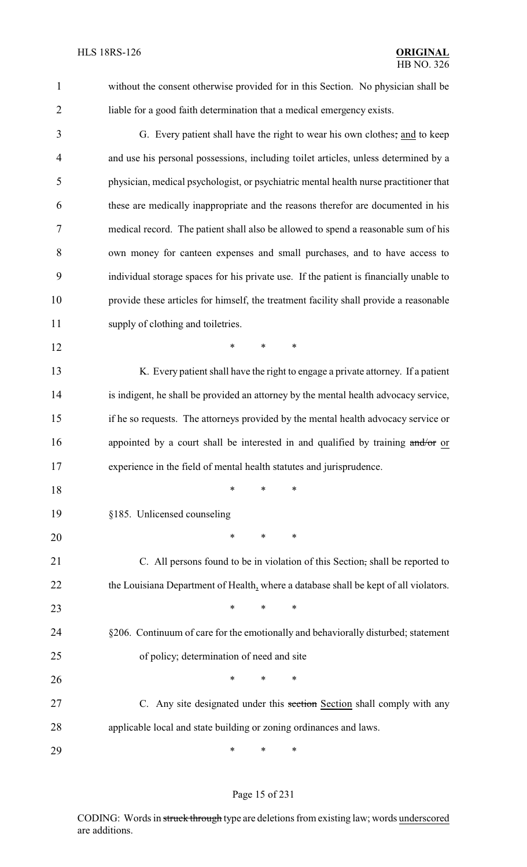without the consent otherwise provided for in this Section. No physician shall be liable for a good faith determination that a medical emergency exists.

- G. Every patient shall have the right to wear his own clothes; and to keep and use his personal possessions, including toilet articles, unless determined by a physician, medical psychologist, or psychiatric mental health nurse practitioner that these are medically inappropriate and the reasons therefor are documented in his medical record. The patient shall also be allowed to spend a reasonable sum of his own money for canteen expenses and small purchases, and to have access to individual storage spaces for his private use. If the patient is financially unable to provide these articles for himself, the treatment facility shall provide a reasonable 11 supply of clothing and toiletries. **\*** \* \* \* 13 K. Every patient shall have the right to engage a private attorney. If a patient is indigent, he shall be provided an attorney by the mental health advocacy service, if he so requests. The attorneys provided by the mental health advocacy service or 16 appointed by a court shall be interested in and qualified by training and/or or
- experience in the field of mental health statutes and jurisprudence.
- \* \* \*
- §185. Unlicensed counseling
- \* \* \*
- C. All persons found to be in violation of this Section, shall be reported to 22 the Louisiana Department of Health, where a database shall be kept of all violators. **\*** \* \* \* §206. Continuum of care for the emotionally and behaviorally disturbed; statement of policy; determination of need and site **\*** \* \* \* 27 C. Any site designated under this section Section shall comply with any applicable local and state building or zoning ordinances and laws.

\* \* \*

#### Page 15 of 231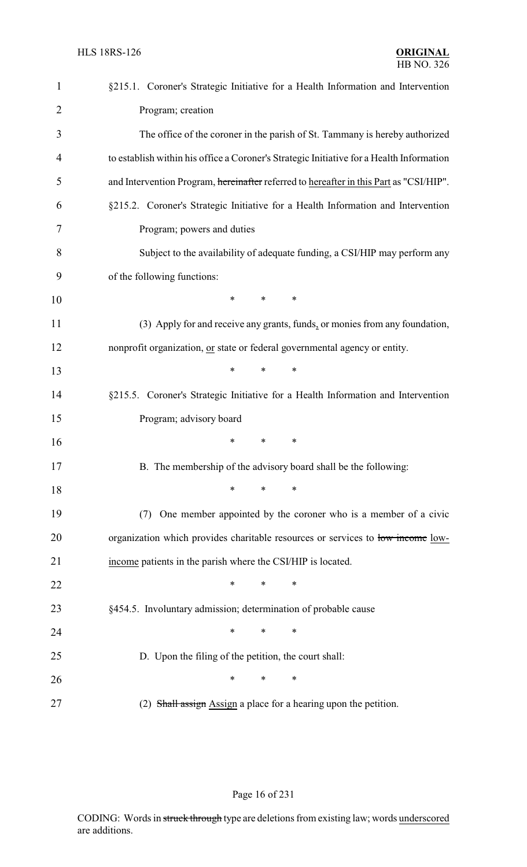| $\mathbf{1}$   | §215.1. Coroner's Strategic Initiative for a Health Information and Intervention         |
|----------------|------------------------------------------------------------------------------------------|
| $\overline{2}$ | Program; creation                                                                        |
| 3              | The office of the coroner in the parish of St. Tammany is hereby authorized              |
| $\overline{4}$ | to establish within his office a Coroner's Strategic Initiative for a Health Information |
| 5              | and Intervention Program, hereinafter referred to hereafter in this Part as "CSI/HIP".   |
| 6              | §215.2. Coroner's Strategic Initiative for a Health Information and Intervention         |
| 7              | Program; powers and duties                                                               |
| 8              | Subject to the availability of adequate funding, a CSI/HIP may perform any               |
| 9              | of the following functions:                                                              |
| 10             | *<br>*<br>$\ast$                                                                         |
| 11             | (3) Apply for and receive any grants, funds, or monies from any foundation,              |
| 12             | nonprofit organization, or state or federal governmental agency or entity.               |
| 13             | *<br>*<br>$\ast$                                                                         |
| 14             | §215.5. Coroner's Strategic Initiative for a Health Information and Intervention         |
| 15             | Program; advisory board                                                                  |
| 16             | $\ast$<br>∗<br>*                                                                         |
| 17             | B. The membership of the advisory board shall be the following:                          |
| 18             | $\ast$<br>$\ast$<br>∗                                                                    |
| 19             | One member appointed by the coroner who is a member of a civic<br>(7)                    |
| 20             | organization which provides charitable resources or services to low income low-          |
| 21             | income patients in the parish where the CSI/HIP is located.                              |
| 22             | $\ast$<br>*<br>∗                                                                         |
| 23             | §454.5. Involuntary admission; determination of probable cause                           |
| 24             | *<br>∗<br>∗                                                                              |
| 25             | D. Upon the filing of the petition, the court shall:                                     |
| 26             | $\ast$<br>∗<br>∗                                                                         |
| 27             | (2) Shall assign Assign a place for a hearing upon the petition.                         |

# Page 16 of 231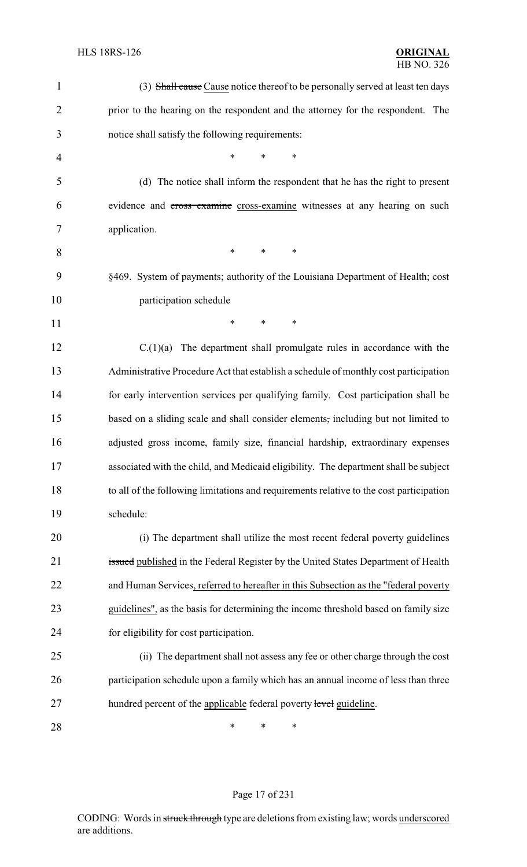| $\mathbf{1}$   | (3) Shall cause Cause notice thereof to be personally served at least ten days          |
|----------------|-----------------------------------------------------------------------------------------|
| $\overline{2}$ | prior to the hearing on the respondent and the attorney for the respondent. The         |
| 3              | notice shall satisfy the following requirements:                                        |
| $\overline{4}$ | $\ast$<br>*<br>$\ast$                                                                   |
| 5              | (d) The notice shall inform the respondent that he has the right to present             |
| 6              | evidence and cross-examine cross-examine witnesses at any hearing on such               |
| 7              | application.                                                                            |
| 8              | ∗<br>∗<br>∗                                                                             |
| 9              | §469. System of payments; authority of the Louisiana Department of Health; cost         |
| 10             | participation schedule                                                                  |
| 11             | $\ast$<br>∗<br>∗                                                                        |
| 12             | The department shall promulgate rules in accordance with the<br>C.(1)(a)                |
| 13             | Administrative Procedure Act that establish a schedule of monthly cost participation    |
| 14             | for early intervention services per qualifying family. Cost participation shall be      |
| 15             | based on a sliding scale and shall consider elements, including but not limited to      |
| 16             | adjusted gross income, family size, financial hardship, extraordinary expenses          |
| 17             | associated with the child, and Medicaid eligibility. The department shall be subject    |
| 18             | to all of the following limitations and requirements relative to the cost participation |
| 19             | schedule:                                                                               |
| 20             | (i) The department shall utilize the most recent federal poverty guidelines             |
| 21             | issued published in the Federal Register by the United States Department of Health      |
| 22             | and Human Services, referred to hereafter in this Subsection as the "federal poverty    |
| 23             | guidelines", as the basis for determining the income threshold based on family size     |
| 24             | for eligibility for cost participation.                                                 |
| 25             | (ii) The department shall not assess any fee or other charge through the cost           |
| 26             | participation schedule upon a family which has an annual income of less than three      |
| 27             | hundred percent of the applicable federal poverty level guideline.                      |
| 28             | ∗<br>∗<br>∗                                                                             |

# Page 17 of 231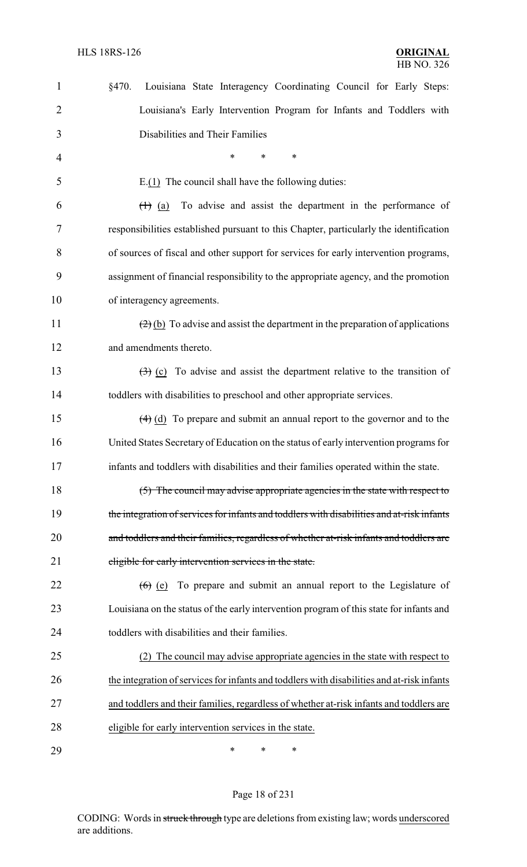| $\mathbf{1}$   | §470.<br>Louisiana State Interagency Coordinating Council for Early Steps:                                         |
|----------------|--------------------------------------------------------------------------------------------------------------------|
| $\overline{2}$ | Louisiana's Early Intervention Program for Infants and Toddlers with                                               |
| 3              | Disabilities and Their Families                                                                                    |
| 4              | $\ast$<br>*<br>*                                                                                                   |
| 5              | $E(1)$ The council shall have the following duties:                                                                |
| 6              | To advise and assist the department in the performance of<br>$\left(\begin{matrix} + \\ 1 \end{matrix}\right)$ (a) |
| 7              | responsibilities established pursuant to this Chapter, particularly the identification                             |
| 8              | of sources of fiscal and other support for services for early intervention programs,                               |
| 9              | assignment of financial responsibility to the appropriate agency, and the promotion                                |
| 10             | of interagency agreements.                                                                                         |
| 11             | $(2)$ (b) To advise and assist the department in the preparation of applications                                   |
| 12             | and amendments thereto.                                                                                            |
| 13             | $\left(\frac{1}{2}\right)$ (c) To advise and assist the department relative to the transition of                   |
| 14             | toddlers with disabilities to preschool and other appropriate services.                                            |
| 15             | $\left(\frac{4}{9}\right)$ (d) To prepare and submit an annual report to the governor and to the                   |
| 16             | United States Secretary of Education on the status of early intervention programs for                              |
| 17             | infants and toddlers with disabilities and their families operated within the state.                               |
| 18             | (5) The council may advise appropriate agencies in the state with respect to                                       |
| 19             | the integration of services for infants and toddlers with disabilities and at-risk infants                         |
| 20             | and toddlers and their families, regardless of whether at-risk infants and toddlers are                            |
| 21             | eligible for early intervention services in the state.                                                             |
| 22             | $(6)$ (e) To prepare and submit an annual report to the Legislature of                                             |
| 23             | Louisiana on the status of the early intervention program of this state for infants and                            |
| 24             | toddlers with disabilities and their families.                                                                     |
| 25             | (2) The council may advise appropriate agencies in the state with respect to                                       |
| 26             | the integration of services for infants and toddlers with disabilities and at-risk infants                         |
| 27             | and toddlers and their families, regardless of whether at-risk infants and toddlers are                            |
| 28             | eligible for early intervention services in the state.                                                             |
| 29             | ∗<br>∗<br>∗                                                                                                        |

# Page 18 of 231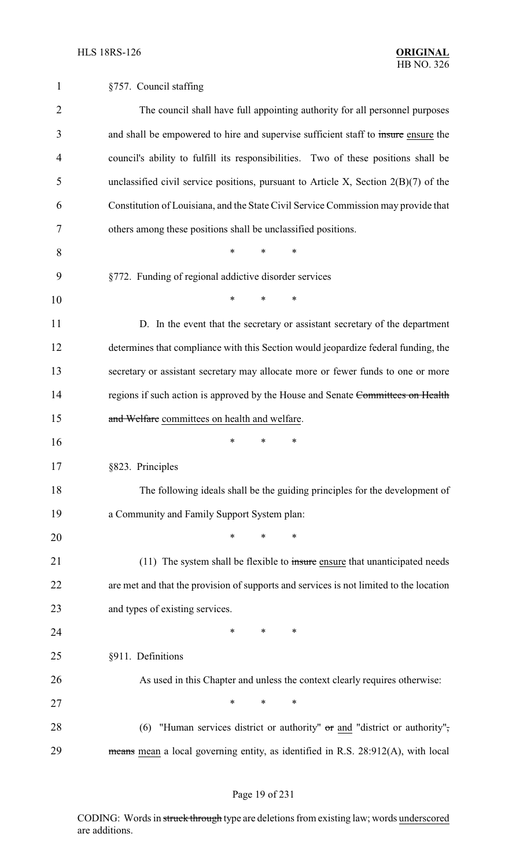| 1              | §757. Council staffing                                                                 |
|----------------|----------------------------------------------------------------------------------------|
| $\overline{2}$ | The council shall have full appointing authority for all personnel purposes            |
| 3              | and shall be empowered to hire and supervise sufficient staff to insure ensure the     |
| 4              | council's ability to fulfill its responsibilities. Two of these positions shall be     |
| 5              | unclassified civil service positions, pursuant to Article X, Section $2(B)(7)$ of the  |
| 6              | Constitution of Louisiana, and the State Civil Service Commission may provide that     |
| 7              | others among these positions shall be unclassified positions.                          |
| 8              | *<br>∗<br>*                                                                            |
| 9              | §772. Funding of regional addictive disorder services                                  |
| 10             | *<br>*<br>*                                                                            |
| 11             | D. In the event that the secretary or assistant secretary of the department            |
| 12             | determines that compliance with this Section would jeopardize federal funding, the     |
| 13             | secretary or assistant secretary may allocate more or fewer funds to one or more       |
| 14             | regions if such action is approved by the House and Senate Committees on Health        |
| 15             | and Welfare committees on health and welfare.                                          |
| 16             | *<br>*<br>*                                                                            |
| 17             | §823. Principles                                                                       |
| 18             | The following ideals shall be the guiding principles for the development of            |
| 19             | a Community and Family Support System plan:                                            |
| 20             | *<br>∗<br>*                                                                            |
| 21             | (11) The system shall be flexible to insure ensure that unanticipated needs            |
| 22             | are met and that the provision of supports and services is not limited to the location |
| 23             | and types of existing services.                                                        |
| 24             | ∗<br>∗<br>∗                                                                            |
| 25             | §911. Definitions                                                                      |
| 26             | As used in this Chapter and unless the context clearly requires otherwise:             |
| 27             | *<br>$\ast$<br>*                                                                       |
| 28             | "Human services district or authority" or and "district or authority",<br>(6)          |
| 29             | means mean a local governing entity, as identified in R.S. 28:912(A), with local       |

# Page 19 of 231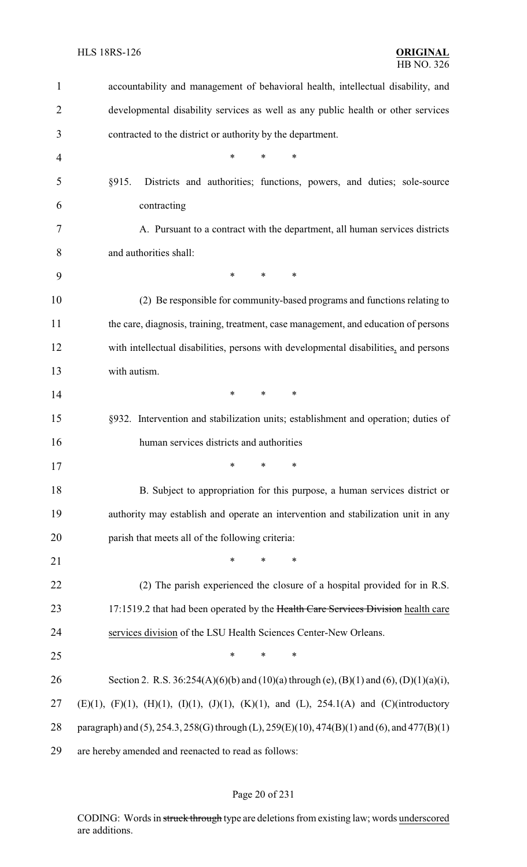| 1              | accountability and management of behavioral health, intellectual disability, and                   |
|----------------|----------------------------------------------------------------------------------------------------|
| $\overline{2}$ | developmental disability services as well as any public health or other services                   |
| 3              | contracted to the district or authority by the department.                                         |
| $\overline{4}$ | *<br>$\ast$<br>$\ast$                                                                              |
| 5              | §915.<br>Districts and authorities; functions, powers, and duties; sole-source                     |
| 6              | contracting                                                                                        |
| 7              | A. Pursuant to a contract with the department, all human services districts                        |
| 8              | and authorities shall:                                                                             |
| 9              | $\ast$<br>$\ast$<br>$\ast$                                                                         |
| 10             | (2) Be responsible for community-based programs and functions relating to                          |
| 11             | the care, diagnosis, training, treatment, case management, and education of persons                |
| 12             | with intellectual disabilities, persons with developmental disabilities, and persons               |
| 13             | with autism.                                                                                       |
| 14             | $\ast$<br>$\ast$<br>$\ast$                                                                         |
| 15             | §932. Intervention and stabilization units; establishment and operation; duties of                 |
| 16             | human services districts and authorities                                                           |
| 17             | $\frac{1}{2}$ $\frac{1}{2}$                                                                        |
| 18             | B. Subject to appropriation for this purpose, a human services district or                         |
| 19             | authority may establish and operate an intervention and stabilization unit in any                  |
| 20             | parish that meets all of the following criteria:                                                   |
| 21             | $\ast$<br>$\ast$<br>∗                                                                              |
| 22             | (2) The parish experienced the closure of a hospital provided for in R.S.                          |
| 23             | 17:1519.2 that had been operated by the Health Care Services Division health care                  |
| 24             | services division of the LSU Health Sciences Center-New Orleans.                                   |
| 25             | $\ast$<br>$\ast$<br>∗                                                                              |
| 26             | Section 2. R.S. $36:254(A)(6)(b)$ and $(10)(a)$ through (e), $(B)(1)$ and $(6)$ , $(D)(1)(a)(i)$ , |
| 27             | (E)(1), (F)(1), (H)(1), (I)(1), (J)(1), (K)(1), and (L), 254.1(A) and (C)(introductory             |
| 28             | paragraph) and (5), 254.3, 258(G) through (L), 259(E)(10), 474(B)(1) and (6), and 477(B)(1)        |
| 29             | are hereby amended and reenacted to read as follows:                                               |

# Page 20 of 231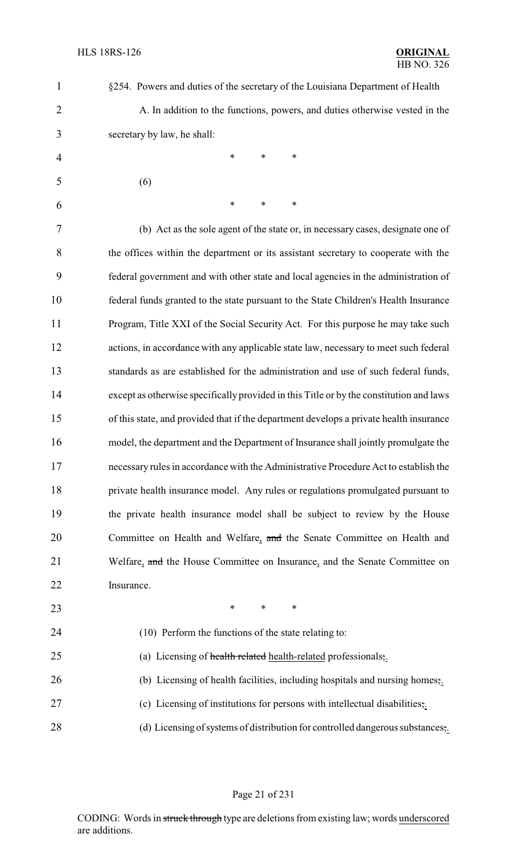| 1              | §254. Powers and duties of the secretary of the Louisiana Department of Health          |
|----------------|-----------------------------------------------------------------------------------------|
| $\overline{2}$ | A. In addition to the functions, powers, and duties otherwise vested in the             |
| 3              | secretary by law, he shall:                                                             |
| $\overline{4}$ | $\ast$<br>$\ast$<br>$\ast$                                                              |
| 5              | (6)                                                                                     |
| 6              | $\ast$<br>$\ast$<br>*                                                                   |
| 7              | (b) Act as the sole agent of the state or, in necessary cases, designate one of         |
| 8              | the offices within the department or its assistant secretary to cooperate with the      |
| 9              | federal government and with other state and local agencies in the administration of     |
| 10             | federal funds granted to the state pursuant to the State Children's Health Insurance    |
| 11             | Program, Title XXI of the Social Security Act. For this purpose he may take such        |
| 12             | actions, in accordance with any applicable state law, necessary to meet such federal    |
| 13             | standards as are established for the administration and use of such federal funds,      |
| 14             | except as otherwise specifically provided in this Title or by the constitution and laws |
| 15             | of this state, and provided that if the department develops a private health insurance  |
| 16             | model, the department and the Department of Insurance shall jointly promulgate the      |
| 17             | necessary rules in accordance with the Administrative Procedure Act to establish the    |
| 18             | private health insurance model. Any rules or regulations promulgated pursuant to        |
| 19             | the private health insurance model shall be subject to review by the House              |
| 20             | Committee on Health and Welfare, and the Senate Committee on Health and                 |
| 21             | Welfare, and the House Committee on Insurance, and the Senate Committee on              |
| 22             | Insurance.                                                                              |
| 23             | $\ast$<br>$\ast$<br>$\ast$                                                              |
| 24             | (10) Perform the functions of the state relating to:                                    |
| 25             | (a) Licensing of health related health-related professionals,.                          |
| 26             | (b) Licensing of health facilities, including hospitals and nursing homes,.             |
| 27             | (c) Licensing of institutions for persons with intellectual disabilities;               |
| 28             | (d) Licensing of systems of distribution for controlled dangerous substances;.          |

Page 21 of 231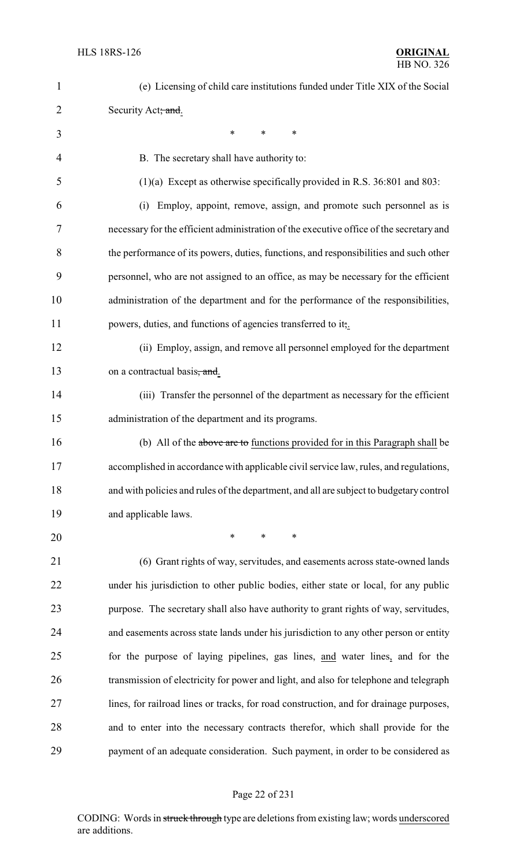| $\mathbf{1}$   | (e) Licensing of child care institutions funded under Title XIX of the Social           |
|----------------|-----------------------------------------------------------------------------------------|
| $\overline{2}$ | Security Act; and.                                                                      |
| 3              | $\ast$<br>$\ast$<br>$\ast$                                                              |
| $\overline{4}$ | B. The secretary shall have authority to:                                               |
| 5              | $(1)(a)$ Except as otherwise specifically provided in R.S. 36:801 and 803:              |
| 6              | Employ, appoint, remove, assign, and promote such personnel as is<br>(i)                |
| 7              | necessary for the efficient administration of the executive office of the secretary and |
| 8              | the performance of its powers, duties, functions, and responsibilities and such other   |
| 9              | personnel, who are not assigned to an office, as may be necessary for the efficient     |
| 10             | administration of the department and for the performance of the responsibilities,       |
| 11             | powers, duties, and functions of agencies transferred to it,.                           |
| 12             | (ii) Employ, assign, and remove all personnel employed for the department               |
| 13             | on a contractual basis, and.                                                            |
| 14             | (iii) Transfer the personnel of the department as necessary for the efficient           |
| 15             | administration of the department and its programs.                                      |
| 16             | (b) All of the above are to functions provided for in this Paragraph shall be           |
| 17             | accomplished in accordance with applicable civil service law, rules, and regulations,   |
| 18             | and with policies and rules of the department, and all are subject to budgetary control |
| 19             | and applicable laws.                                                                    |
| 20             | $\ast$<br>$\ast$<br>∗                                                                   |
| 21             | (6) Grant rights of way, servitudes, and easements across state-owned lands             |
| 22             | under his jurisdiction to other public bodies, either state or local, for any public    |
| 23             | purpose. The secretary shall also have authority to grant rights of way, servitudes,    |
| 24             | and easements across state lands under his jurisdiction to any other person or entity   |
| 25             | for the purpose of laying pipelines, gas lines, and water lines, and for the            |
| 26             | transmission of electricity for power and light, and also for telephone and telegraph   |
| 27             | lines, for railroad lines or tracks, for road construction, and for drainage purposes,  |
| 28             | and to enter into the necessary contracts therefor, which shall provide for the         |
| 29             | payment of an adequate consideration. Such payment, in order to be considered as        |

# Page 22 of 231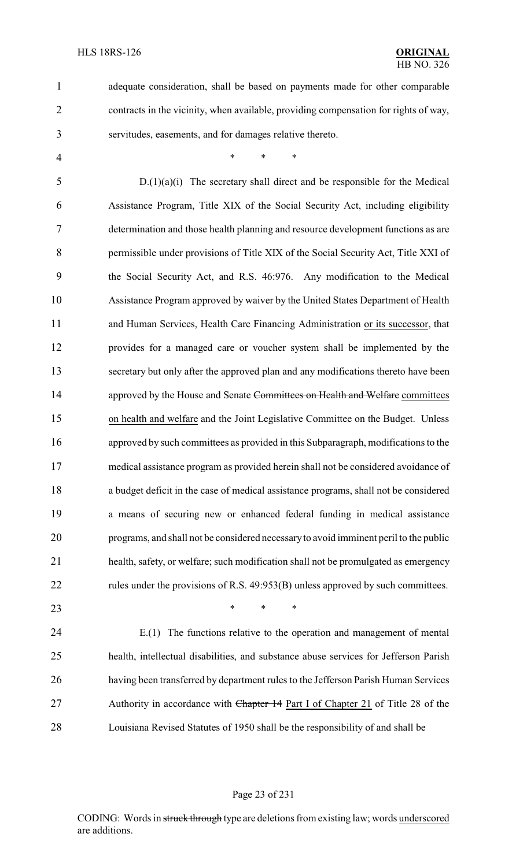4 \* \* \* \*

adequate consideration, shall be based on payments made for other comparable

contracts in the vicinity, when available, providing compensation for rights of way,

servitudes, easements, and for damages relative thereto.

 D.(1)(a)(i) The secretary shall direct and be responsible for the Medical Assistance Program, Title XIX of the Social Security Act, including eligibility determination and those health planning and resource development functions as are permissible under provisions of Title XIX of the Social Security Act, Title XXI of the Social Security Act, and R.S. 46:976. Any modification to the Medical Assistance Program approved by waiver by the United States Department of Health and Human Services, Health Care Financing Administration or its successor, that provides for a managed care or voucher system shall be implemented by the secretary but only after the approved plan and any modifications thereto have been 14 approved by the House and Senate Committees on Health and Welfare committees on health and welfare and the Joint Legislative Committee on the Budget. Unless approved by such committees as provided in this Subparagraph, modifications to the medical assistance program as provided herein shall not be considered avoidance of a budget deficit in the case of medical assistance programs, shall not be considered a means of securing new or enhanced federal funding in medical assistance programs, and shall not be considered necessaryto avoid imminent peril to the public health, safety, or welfare; such modification shall not be promulgated as emergency 22 rules under the provisions of R.S. 49:953(B) unless approved by such committees.

**\*** \* \* \*

 E.(1) The functions relative to the operation and management of mental health, intellectual disabilities, and substance abuse services for Jefferson Parish having been transferred by department rules to the Jefferson Parish Human Services 27 Authority in accordance with Chapter 14 Part I of Chapter 21 of Title 28 of the Louisiana Revised Statutes of 1950 shall be the responsibility of and shall be

#### Page 23 of 231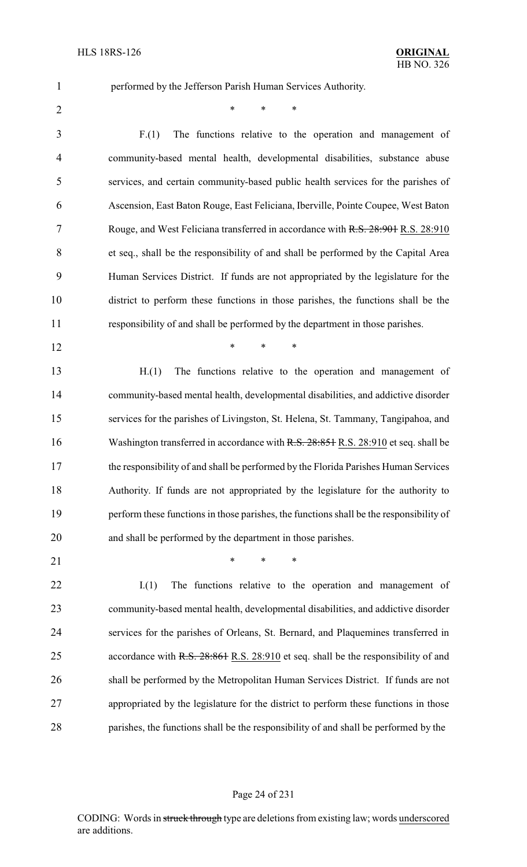performed by the Jefferson Parish Human Services Authority.

 $*$  \* \* \*

 F.(1) The functions relative to the operation and management of community-based mental health, developmental disabilities, substance abuse services, and certain community-based public health services for the parishes of Ascension, East Baton Rouge, East Feliciana, Iberville, Pointe Coupee, West Baton 7 Rouge, and West Feliciana transferred in accordance with R.S. 28:901 R.S. 28:910 et seq., shall be the responsibility of and shall be performed by the Capital Area Human Services District. If funds are not appropriated by the legislature for the district to perform these functions in those parishes, the functions shall be the responsibility of and shall be performed by the department in those parishes.

**\*** \* \* \*

 H.(1) The functions relative to the operation and management of community-based mental health, developmental disabilities, and addictive disorder services for the parishes of Livingston, St. Helena, St. Tammany, Tangipahoa, and 16 Washington transferred in accordance with R.S. 28:851 R.S. 28:910 et seq. shall be the responsibility of and shall be performed by the Florida Parishes Human Services Authority. If funds are not appropriated by the legislature for the authority to perform these functions in those parishes, the functions shall be the responsibility of and shall be performed by the department in those parishes.

21 \* \* \* \*

22 I.(1) The functions relative to the operation and management of community-based mental health, developmental disabilities, and addictive disorder services for the parishes of Orleans, St. Bernard, and Plaquemines transferred in 25 accordance with R.S. 28:861 R.S. 28:910 et seq. shall be the responsibility of and shall be performed by the Metropolitan Human Services District. If funds are not appropriated by the legislature for the district to perform these functions in those parishes, the functions shall be the responsibility of and shall be performed by the

#### Page 24 of 231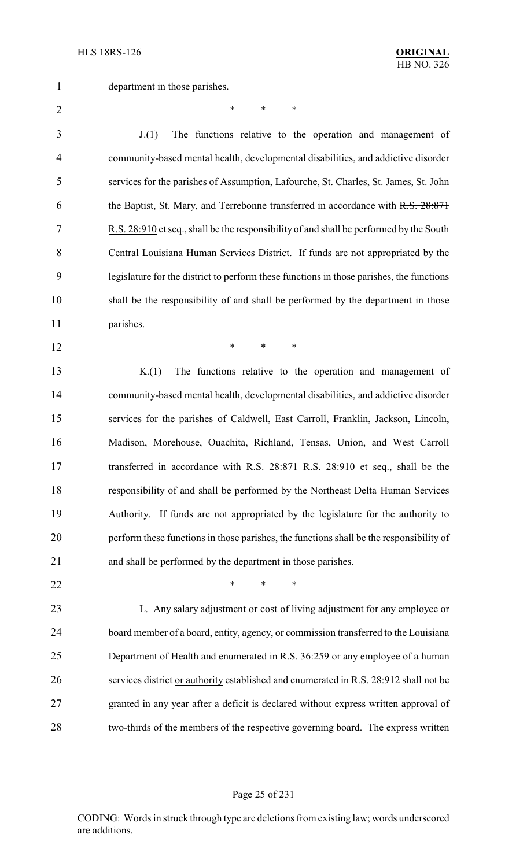department in those parishes.

 $*$  \* \* \*

 J.(1) The functions relative to the operation and management of community-based mental health, developmental disabilities, and addictive disorder services for the parishes of Assumption, Lafourche, St. Charles, St. James, St. John 6 the Baptist, St. Mary, and Terrebonne transferred in accordance with R.S. 28:871 R.S. 28:910 et seq., shall be the responsibility of and shall be performed by the South Central Louisiana Human Services District. If funds are not appropriated by the legislature for the district to perform these functions in those parishes, the functions shall be the responsibility of and shall be performed by the department in those parishes.

**\*** \* \* \*

 K.(1) The functions relative to the operation and management of community-based mental health, developmental disabilities, and addictive disorder services for the parishes of Caldwell, East Carroll, Franklin, Jackson, Lincoln, Madison, Morehouse, Ouachita, Richland, Tensas, Union, and West Carroll 17 transferred in accordance with R.S. 28:871 R.S. 28:910 et seq., shall be the responsibility of and shall be performed by the Northeast Delta Human Services Authority. If funds are not appropriated by the legislature for the authority to perform these functions in those parishes, the functions shall be the responsibility of and shall be performed by the department in those parishes.

**\*** \* \* \*

 L. Any salary adjustment or cost of living adjustment for any employee or board member of a board, entity, agency, or commission transferred to the Louisiana Department of Health and enumerated in R.S. 36:259 or any employee of a human services district or authority established and enumerated in R.S. 28:912 shall not be granted in any year after a deficit is declared without express written approval of two-thirds of the members of the respective governing board. The express written

#### Page 25 of 231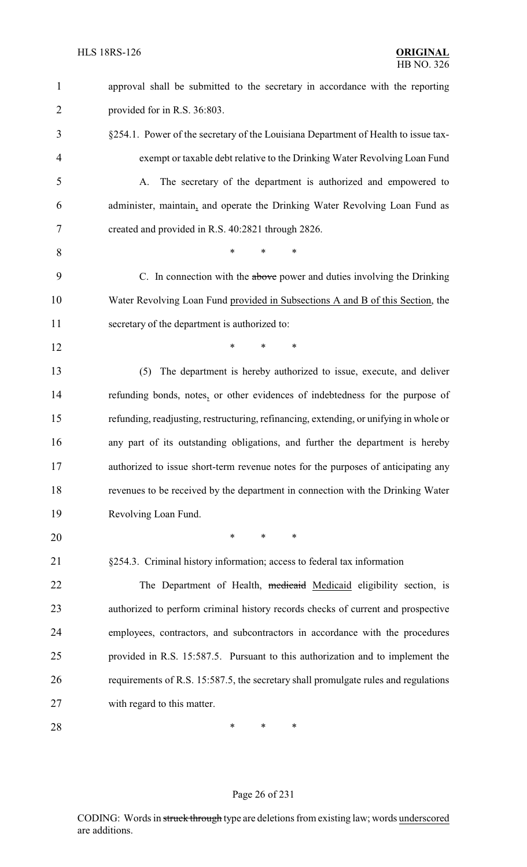| $\mathbf{1}$   | approval shall be submitted to the secretary in accordance with the reporting          |
|----------------|----------------------------------------------------------------------------------------|
| $\overline{2}$ | provided for in R.S. 36:803.                                                           |
| 3              | §254.1. Power of the secretary of the Louisiana Department of Health to issue tax-     |
| 4              | exempt or taxable debt relative to the Drinking Water Revolving Loan Fund              |
| 5              | The secretary of the department is authorized and empowered to<br>А.                   |
| 6              | administer, maintain, and operate the Drinking Water Revolving Loan Fund as            |
| 7              | created and provided in R.S. 40:2821 through 2826.                                     |
| 8              | $\ast$<br>*<br>$\ast$                                                                  |
| 9              | C. In connection with the above power and duties involving the Drinking                |
| 10             | Water Revolving Loan Fund provided in Subsections A and B of this Section, the         |
| 11             | secretary of the department is authorized to:                                          |
| 12             | $\ast$<br>*<br>$\ast$                                                                  |
| 13             | The department is hereby authorized to issue, execute, and deliver<br>(5)              |
| 14             | refunding bonds, notes, or other evidences of indebtedness for the purpose of          |
| 15             | refunding, readjusting, restructuring, refinancing, extending, or unifying in whole or |
| 16             | any part of its outstanding obligations, and further the department is hereby          |
| 17             | authorized to issue short-term revenue notes for the purposes of anticipating any      |
| 18             | revenues to be received by the department in connection with the Drinking Water        |
| 19             | Revolving Loan Fund.                                                                   |
| 20             | $\ast$<br>∗<br>∗                                                                       |
| 21             | §254.3. Criminal history information; access to federal tax information                |
| 22             | The Department of Health, medicaid Medicaid eligibility section, is                    |
| 23             | authorized to perform criminal history records checks of current and prospective       |
| 24             | employees, contractors, and subcontractors in accordance with the procedures           |
| 25             | provided in R.S. 15:587.5. Pursuant to this authorization and to implement the         |
| 26             | requirements of R.S. 15:587.5, the secretary shall promulgate rules and regulations    |
| 27             | with regard to this matter.                                                            |
| 28             | ∗<br>$\ast$<br>∗                                                                       |

# Page 26 of 231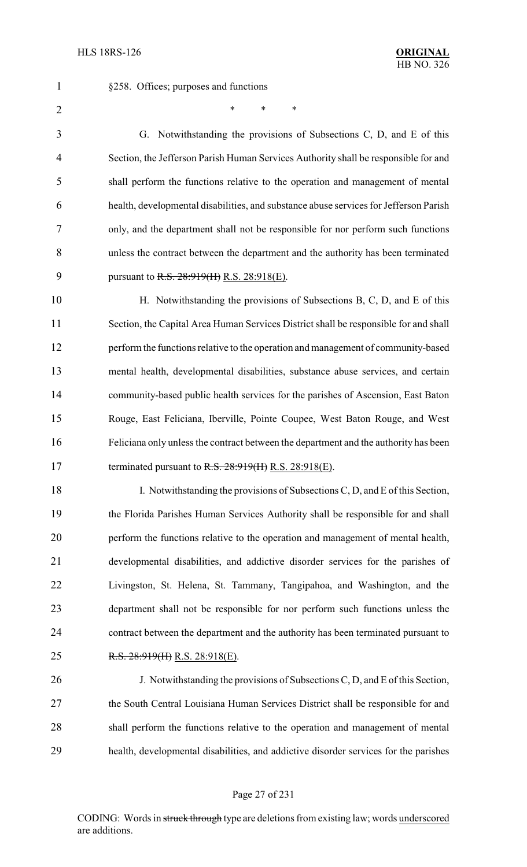§258. Offices; purposes and functions

 $*$  \* \* \*

 G. Notwithstanding the provisions of Subsections C, D, and E of this Section, the Jefferson Parish Human Services Authority shall be responsible for and shall perform the functions relative to the operation and management of mental health, developmental disabilities, and substance abuse services for Jefferson Parish only, and the department shall not be responsible for nor perform such functions unless the contract between the department and the authority has been terminated 9 pursuant to R.S. 28:919(H) R.S. 28:918(E).

10 H. Notwithstanding the provisions of Subsections B, C, D, and E of this Section, the Capital Area Human Services District shall be responsible for and shall perform the functions relative to the operation and management of community-based mental health, developmental disabilities, substance abuse services, and certain community-based public health services for the parishes of Ascension, East Baton Rouge, East Feliciana, Iberville, Pointe Coupee, West Baton Rouge, and West Feliciana only unless the contract between the department and the authority has been 17 terminated pursuant to R.S. 28:919(H) R.S. 28:918(E).

18 I. Notwithstanding the provisions of Subsections C, D, and E of this Section, the Florida Parishes Human Services Authority shall be responsible for and shall perform the functions relative to the operation and management of mental health, developmental disabilities, and addictive disorder services for the parishes of Livingston, St. Helena, St. Tammany, Tangipahoa, and Washington, and the department shall not be responsible for nor perform such functions unless the contract between the department and the authority has been terminated pursuant to R.S. 28:919(H) R.S. 28:918(E).

 J. Notwithstanding the provisions of Subsections C, D, and E of this Section, the South Central Louisiana Human Services District shall be responsible for and shall perform the functions relative to the operation and management of mental health, developmental disabilities, and addictive disorder services for the parishes

#### Page 27 of 231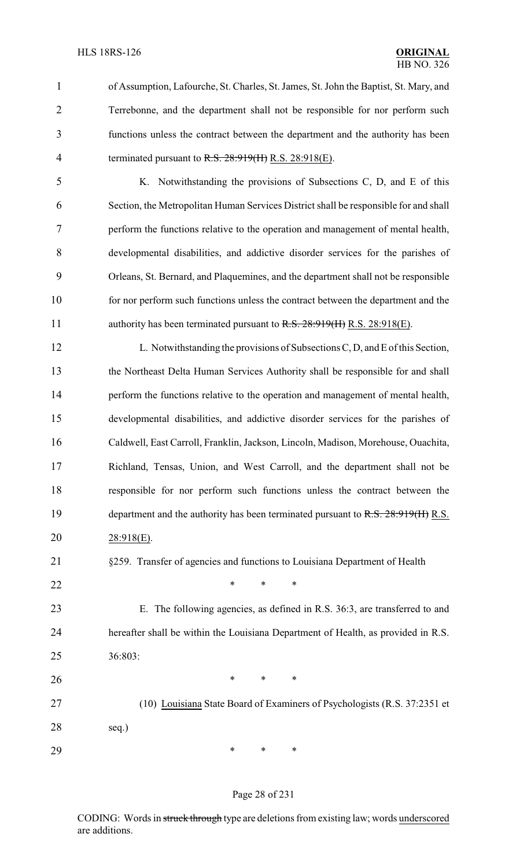of Assumption, Lafourche, St. Charles, St. James, St. John the Baptist, St. Mary, and Terrebonne, and the department shall not be responsible for nor perform such functions unless the contract between the department and the authority has been 4 terminated pursuant to R.S. 28:919(H) R.S. 28:918(E).

 K. Notwithstanding the provisions of Subsections C, D, and E of this Section, the Metropolitan Human Services District shall be responsible for and shall perform the functions relative to the operation and management of mental health, developmental disabilities, and addictive disorder services for the parishes of Orleans, St. Bernard, and Plaquemines, and the department shall not be responsible for nor perform such functions unless the contract between the department and the 11 authority has been terminated pursuant to R.S. 28:919(H) R.S. 28:918(E).

12 L. Notwithstanding the provisions of Subsections C, D, and E of this Section, the Northeast Delta Human Services Authority shall be responsible for and shall perform the functions relative to the operation and management of mental health, developmental disabilities, and addictive disorder services for the parishes of Caldwell, East Carroll, Franklin, Jackson, Lincoln, Madison, Morehouse, Ouachita, Richland, Tensas, Union, and West Carroll, and the department shall not be responsible for nor perform such functions unless the contract between the 19 department and the authority has been terminated pursuant to R.S. 28:919(H) R.S. 28:918(E).

- §259. Transfer of agencies and functions to Louisiana Department of Health
- **\*** \* \* \*
- E. The following agencies, as defined in R.S. 36:3, are transferred to and hereafter shall be within the Louisiana Department of Health, as provided in R.S. 36:803:

**\*** \* \* \* (10) Louisiana State Board of Examiners of Psychologists (R.S. 37:2351 et seq.) \* \* \*

#### Page 28 of 231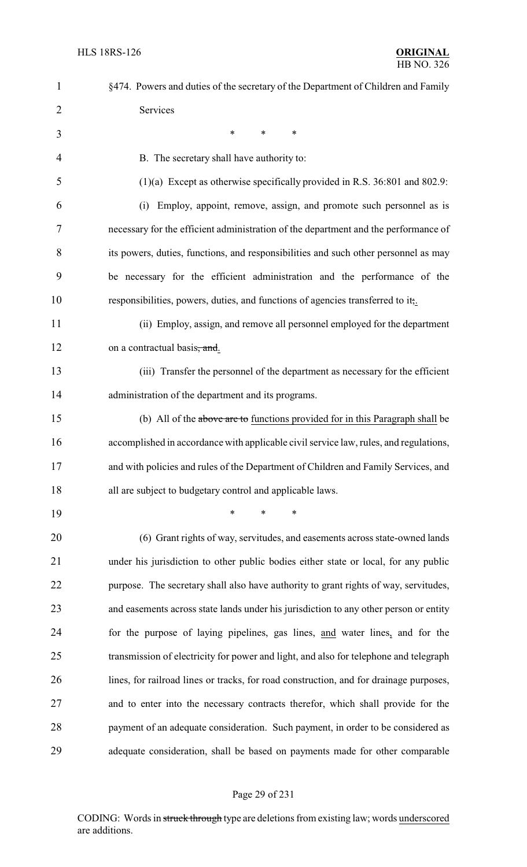| $\mathbf{1}$ | §474. Powers and duties of the secretary of the Department of Children and Family      |
|--------------|----------------------------------------------------------------------------------------|
| 2            | Services                                                                               |
| 3            | ∗<br>∗<br>$\ast$                                                                       |
| 4            | B. The secretary shall have authority to:                                              |
| 5            | $(1)(a)$ Except as otherwise specifically provided in R.S. 36:801 and 802.9:           |
| 6            | Employ, appoint, remove, assign, and promote such personnel as is<br>(i)               |
| 7            | necessary for the efficient administration of the department and the performance of    |
| 8            | its powers, duties, functions, and responsibilities and such other personnel as may    |
| 9            | be necessary for the efficient administration and the performance of the               |
| 10           | responsibilities, powers, duties, and functions of agencies transferred to it,.        |
| 11           | (ii) Employ, assign, and remove all personnel employed for the department              |
| 12           | on a contractual basis, and.                                                           |
| 13           | (iii) Transfer the personnel of the department as necessary for the efficient          |
| 14           | administration of the department and its programs.                                     |
| 15           | (b) All of the above are to functions provided for in this Paragraph shall be          |
| 16           | accomplished in accordance with applicable civil service law, rules, and regulations,  |
| 17           | and with policies and rules of the Department of Children and Family Services, and     |
| 18           | all are subject to budgetary control and applicable laws.                              |
| 19           | $\ast$<br>$\ast$<br>∗                                                                  |
| 20           | (6) Grant rights of way, servitudes, and easements across state-owned lands            |
| 21           | under his jurisdiction to other public bodies either state or local, for any public    |
| 22           | purpose. The secretary shall also have authority to grant rights of way, servitudes,   |
| 23           | and easements across state lands under his jurisdiction to any other person or entity  |
| 24           | for the purpose of laying pipelines, gas lines, and water lines, and for the           |
| 25           | transmission of electricity for power and light, and also for telephone and telegraph  |
| 26           | lines, for railroad lines or tracks, for road construction, and for drainage purposes, |
| 27           | and to enter into the necessary contracts therefor, which shall provide for the        |
| 28           | payment of an adequate consideration. Such payment, in order to be considered as       |
| 29           | adequate consideration, shall be based on payments made for other comparable           |
|              |                                                                                        |

# Page 29 of 231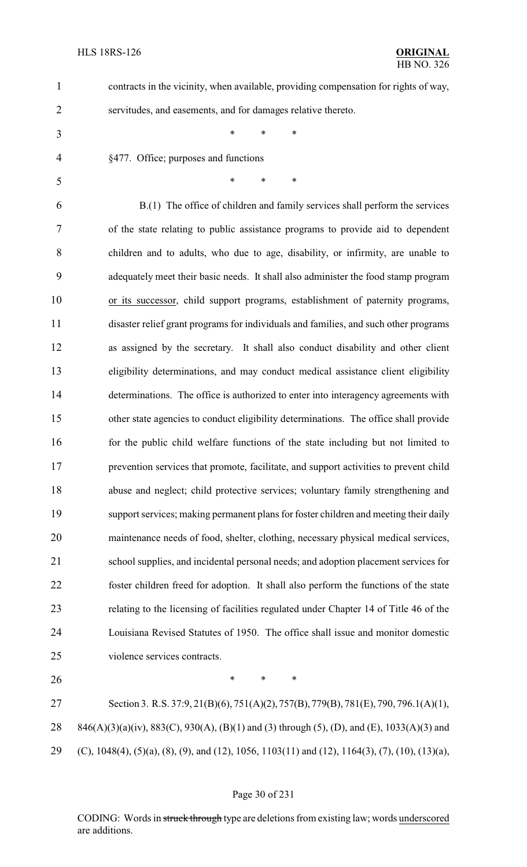| $\mathbf{1}$   | contracts in the vicinity, when available, providing compensation for rights of way,            |
|----------------|-------------------------------------------------------------------------------------------------|
| $\overline{2}$ | servitudes, and easements, and for damages relative thereto.                                    |
| 3              | $\ast$<br>*<br>$\ast$                                                                           |
| 4              | §477. Office; purposes and functions                                                            |
| 5              | *<br>*<br>$\ast$                                                                                |
| 6              | B.(1) The office of children and family services shall perform the services                     |
| 7              | of the state relating to public assistance programs to provide aid to dependent                 |
| 8              | children and to adults, who due to age, disability, or infirmity, are unable to                 |
| 9              | adequately meet their basic needs. It shall also administer the food stamp program              |
| 10             | or its successor, child support programs, establishment of paternity programs,                  |
| 11             | disaster relief grant programs for individuals and families, and such other programs            |
| 12             | as assigned by the secretary. It shall also conduct disability and other client                 |
| 13             | eligibility determinations, and may conduct medical assistance client eligibility               |
| 14             | determinations. The office is authorized to enter into interagency agreements with              |
| 15             | other state agencies to conduct eligibility determinations. The office shall provide            |
| 16             | for the public child welfare functions of the state including but not limited to                |
| 17             | prevention services that promote, facilitate, and support activities to prevent child           |
| 18             | abuse and neglect; child protective services; voluntary family strengthening and                |
| 19             | support services; making permanent plans for foster children and meeting their daily            |
| 20             | maintenance needs of food, shelter, clothing, necessary physical medical services,              |
| 21             | school supplies, and incidental personal needs; and adoption placement services for             |
| 22             | foster children freed for adoption. It shall also perform the functions of the state            |
| 23             | relating to the licensing of facilities regulated under Chapter 14 of Title 46 of the           |
| 24             | Louisiana Revised Statutes of 1950. The office shall issue and monitor domestic                 |
| 25             | violence services contracts.                                                                    |
| 26             | $\ast$<br>*<br>∗                                                                                |
| 27             | Section 3. R.S. 37:9, 21(B)(6), 751(A)(2), 757(B), 779(B), 781(E), 790, 796.1(A)(1),            |
| 28             | 846(A)(3)(a)(iv), 883(C), 930(A), (B)(1) and (3) through (5), (D), and (E), 1033(A)(3) and      |
| 29             | (C), 1048(4), (5)(a), (8), (9), and (12), 1056, 1103(11) and (12), 1164(3), (7), (10), (13)(a), |
|                |                                                                                                 |

# Page 30 of 231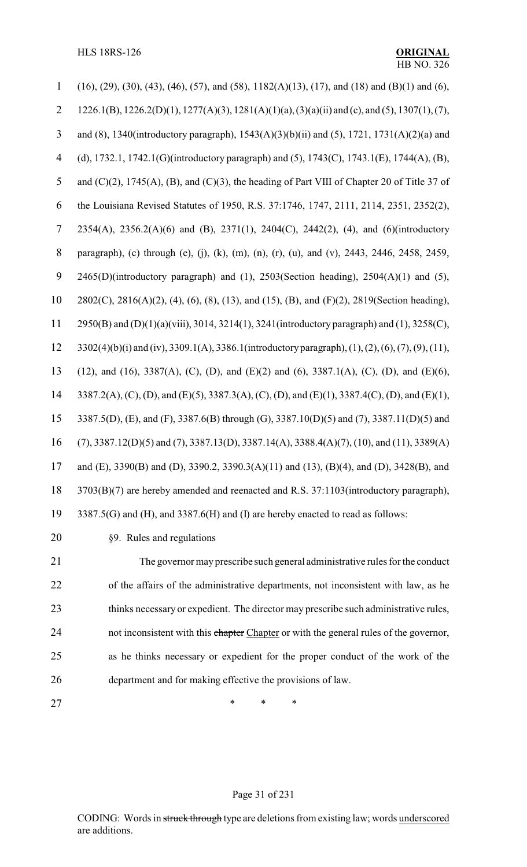HLS 18RS-126 **ORIGINAL**

| $(16)$ , $(29)$ , $(30)$ , $(43)$ , $(46)$ , $(57)$ , and $(58)$ , $1182(A)(13)$ , $(17)$ , and $(18)$ and $(B)(1)$ and $(6)$ , |
|---------------------------------------------------------------------------------------------------------------------------------|
| 1226.1(B), 1226.2(D)(1), 1277(A)(3), 1281(A)(1)(a), (3)(a)(ii) and (c), and (5), 1307(1), (7),                                  |
| and (8), 1340(introductory paragraph), 1543(A)(3)(b)(ii) and (5), 1721, 1731(A)(2)(a) and                                       |
| (d), 1732.1, 1742.1(G)(introductory paragraph) and (5), 1743(C), 1743.1(E), 1744(A), (B),                                       |
| and $(C)(2)$ , 1745(A), (B), and $(C)(3)$ , the heading of Part VIII of Chapter 20 of Title 37 of                               |
| the Louisiana Revised Statutes of 1950, R.S. 37:1746, 1747, 2111, 2114, 2351, 2352(2),                                          |
| 2354(A), 2356.2(A)(6) and (B), 2371(1), 2404(C), 2442(2), (4), and (6)(introductory                                             |
| paragraph), (c) through (e), (j), (k), (m), (n), (r), (u), and (v), 2443, 2446, 2458, 2459,                                     |
| $2465(D)$ (introductory paragraph) and (1), $2503$ (Section heading), $2504(A)(1)$ and (5),                                     |
| 2802(C), 2816(A)(2), (4), (6), (8), (13), and (15), (B), and (F)(2), 2819(Section heading),                                     |
| 2950(B) and (D)(1)(a)(viii), 3014, 3214(1), 3241(introductory paragraph) and (1), 3258(C),                                      |
| 3302(4)(b)(i) and (iv), 3309.1(A), 3386.1(introductory paragraph), (1), (2), (6), (7), (9), (11),                               |
| (12), and (16), 3387(A), (C), (D), and (E)(2) and (6), 3387.1(A), (C), (D), and (E)(6),                                         |
| 3387.2(A), (C), (D), and (E)(5), 3387.3(A), (C), (D), and (E)(1), 3387.4(C), (D), and (E)(1),                                   |
| 3387.5(D), (E), and (F), 3387.6(B) through (G), 3387.10(D)(5) and (7), 3387.11(D)(5) and                                        |
| $(7),$ 3387.12(D)(5) and (7), 3387.13(D), 3387.14(A), 3388.4(A)(7), (10), and (11), 3389(A)                                     |
| and (E), 3390(B) and (D), 3390.2, 3390.3(A)(11) and (13), (B)(4), and (D), 3428(B), and                                         |
| 3703(B)(7) are hereby amended and reenacted and R.S. 37:1103(introductory paragraph),                                           |
| 3387.5(G) and (H), and 3387.6(H) and (I) are hereby enacted to read as follows:                                                 |
| §9. Rules and regulations                                                                                                       |
| The governor may prescribe such general administrative rules for the conduct                                                    |
| of the affairs of the administrative departments, not inconsistent with law, as he                                              |
|                                                                                                                                 |

23 thinks necessary or expedient. The director may prescribe such administrative rules, 24 not inconsistent with this chapter Chapter or with the general rules of the governor, as he thinks necessary or expedient for the proper conduct of the work of the department and for making effective the provisions of law.

27 \* \* \* \*

#### Page 31 of 231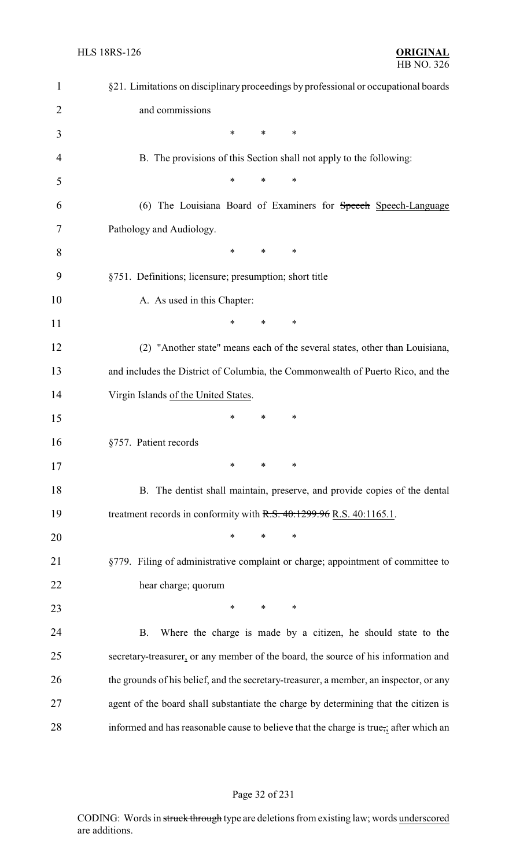| $\mathbf{1}$   | §21. Limitations on disciplinary proceedings by professional or occupational boards    |
|----------------|----------------------------------------------------------------------------------------|
| $\overline{2}$ | and commissions                                                                        |
| 3              | *<br>∗<br>∗                                                                            |
| 4              | B. The provisions of this Section shall not apply to the following:                    |
| 5              | *<br>*<br>∗                                                                            |
| 6              | (6) The Louisiana Board of Examiners for Speech Speech-Language                        |
| 7              | Pathology and Audiology.                                                               |
| 8              | ∗<br>$\ast$<br>∗                                                                       |
| 9              | §751. Definitions; licensure; presumption; short title                                 |
| 10             | A. As used in this Chapter:                                                            |
| 11             | $\ast$<br>$\ast$<br>∗                                                                  |
| 12             | (2) "Another state" means each of the several states, other than Louisiana,            |
| 13             | and includes the District of Columbia, the Commonwealth of Puerto Rico, and the        |
| 14             | Virgin Islands of the United States.                                                   |
| 15             | *<br>∗<br>∗                                                                            |
| 16             | §757. Patient records                                                                  |
| 17             | $\ast$<br>∗                                                                            |
| 18             | B. The dentist shall maintain, preserve, and provide copies of the dental              |
| 19             | treatment records in conformity with $R.S. 40:1299.96 R.S. 40:1165.1$ .                |
| 20             | $\ast$<br>∗                                                                            |
| 21             | §779. Filing of administrative complaint or charge; appointment of committee to        |
| 22             | hear charge; quorum                                                                    |
| 23             | $*$ *<br>$\ast$                                                                        |
| 24             | Where the charge is made by a citizen, he should state to the<br><b>B.</b>             |
| 25             | secretary-treasurer, or any member of the board, the source of his information and     |
| 26             | the grounds of his belief, and the secretary-treasurer, a member, an inspector, or any |
| 27             | agent of the board shall substantiate the charge by determining that the citizen is    |
| 28             | informed and has reasonable cause to believe that the charge is true,; after which an  |

# Page 32 of 231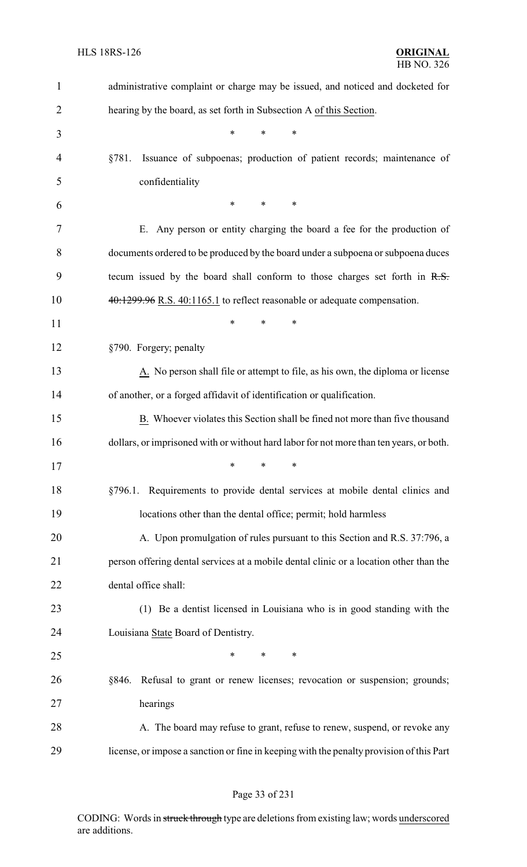| $\mathbf{1}$   | administrative complaint or charge may be issued, and noticed and docketed for                |
|----------------|-----------------------------------------------------------------------------------------------|
| $\overline{2}$ | hearing by the board, as set forth in Subsection A of this Section.                           |
| 3              | *<br>$\ast$<br>$\ast$                                                                         |
| 4              | Issuance of subpoenas; production of patient records; maintenance of<br>§781.                 |
| 5              | confidentiality                                                                               |
| 6              | $\ast$<br>$\ast$<br>$\ast$                                                                    |
| 7              | E. Any person or entity charging the board a fee for the production of                        |
| 8              | documents ordered to be produced by the board under a subpoena or subpoena duces              |
| 9              | tecum issued by the board shall conform to those charges set forth in R.S.                    |
| 10             | 40:1299.96 R.S. 40:1165.1 to reflect reasonable or adequate compensation.                     |
| 11             | $\ast$<br>*<br>*                                                                              |
| 12             | §790. Forgery; penalty                                                                        |
| 13             | $\underline{A}$ . No person shall file or attempt to file, as his own, the diploma or license |
| 14             | of another, or a forged affidavit of identification or qualification.                         |
| 15             | B. Whoever violates this Section shall be fined not more than five thousand                   |
| 16             | dollars, or imprisoned with or without hard labor for not more than ten years, or both.       |
| 17             | $\ast$ and $\ast$<br>$\ast$ . The set of $\ast$<br>∗                                          |
| 18             | §796.1. Requirements to provide dental services at mobile dental clinics and                  |
| 19             | locations other than the dental office; permit; hold harmless                                 |
| 20             | A. Upon promulgation of rules pursuant to this Section and R.S. 37:796, a                     |
| 21             | person offering dental services at a mobile dental clinic or a location other than the        |
| 22             | dental office shall:                                                                          |
| 23             | (1) Be a dentist licensed in Louisiana who is in good standing with the                       |
| 24             | Louisiana State Board of Dentistry.                                                           |
| 25             | *<br>$\ast$<br>∗                                                                              |
| 26             | Refusal to grant or renew licenses; revocation or suspension; grounds;<br>§846.               |
| 27             | hearings                                                                                      |
| 28             | A. The board may refuse to grant, refuse to renew, suspend, or revoke any                     |
| 29             | license, or impose a sanction or fine in keeping with the penalty provision of this Part      |

# Page 33 of 231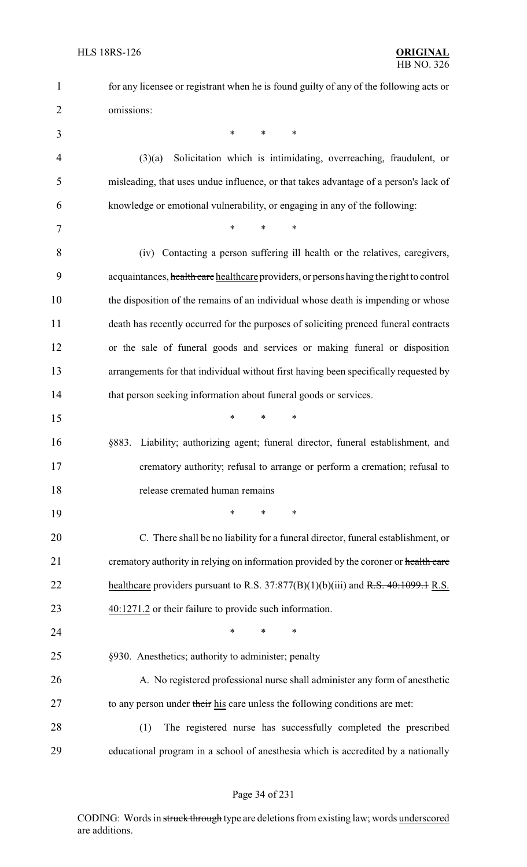| $\mathbf{1}$   | for any licensee or registrant when he is found guilty of any of the following acts or  |
|----------------|-----------------------------------------------------------------------------------------|
| $\overline{2}$ | omissions:                                                                              |
| 3              | $\ast$<br>$\ast$<br>*                                                                   |
| $\overline{4}$ | Solicitation which is intimidating, overreaching, fraudulent, or<br>(3)(a)              |
| 5              | misleading, that uses undue influence, or that takes advantage of a person's lack of    |
| 6              | knowledge or emotional vulnerability, or engaging in any of the following:              |
| 7              | $\ast$<br>$\ast$<br>$\ast$                                                              |
| 8              | (iv) Contacting a person suffering ill health or the relatives, caregivers,             |
| 9              | acquaintances, health care healthcare providers, or persons having the right to control |
| 10             | the disposition of the remains of an individual whose death is impending or whose       |
| 11             | death has recently occurred for the purposes of soliciting preneed funeral contracts    |
| 12             | or the sale of funeral goods and services or making funeral or disposition              |
| 13             | arrangements for that individual without first having been specifically requested by    |
| 14             | that person seeking information about funeral goods or services.                        |
| 15             | $\ast$<br>*<br>*                                                                        |
| 16             | Liability; authorizing agent; funeral director, funeral establishment, and<br>§883.     |
| 17             | crematory authority; refusal to arrange or perform a cremation; refusal to              |
| 18             | release cremated human remains                                                          |
| 19             | *<br>*<br>∗                                                                             |
| 20             | C. There shall be no liability for a funeral director, funeral establishment, or        |
| 21             | crematory authority in relying on information provided by the coroner or health care    |
| 22             | healthcare providers pursuant to R.S. $37:877(B)(1)(b)(iii)$ and R.S. $40:1099.1$ R.S.  |
| 23             | $40:1271.2$ or their failure to provide such information.                               |
| 24             | *<br>*<br>*                                                                             |
| 25             | §930. Anesthetics; authority to administer; penalty                                     |
| 26             | A. No registered professional nurse shall administer any form of anesthetic             |
| 27             | to any person under their his care unless the following conditions are met:             |
| 28             | The registered nurse has successfully completed the prescribed<br>(1)                   |
| 29             | educational program in a school of anesthesia which is accredited by a nationally       |

Page 34 of 231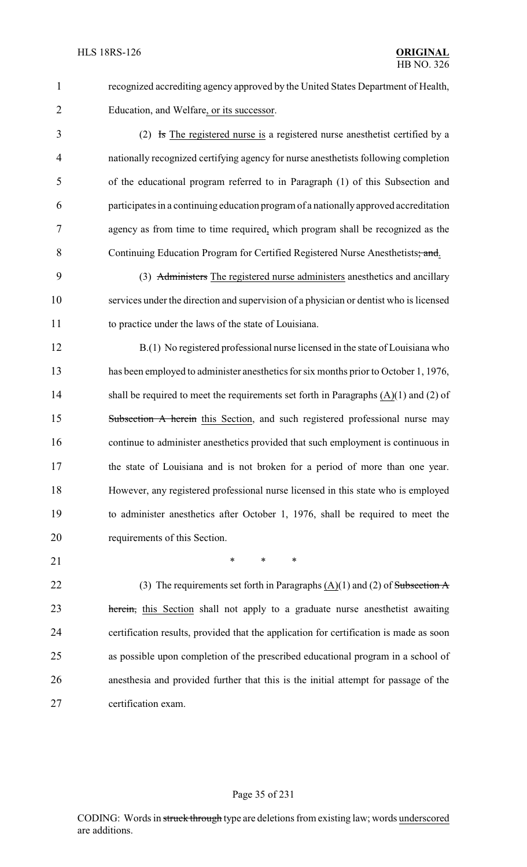recognized accrediting agency approved by the United States Department of Health, Education, and Welfare, or its successor.

 (2) Is The registered nurse is a registered nurse anesthetist certified by a nationally recognized certifying agency for nurse anesthetists following completion of the educational program referred to in Paragraph (1) of this Subsection and participates in a continuing education program of a nationally approved accreditation agency as from time to time required, which program shall be recognized as the 8 Continuing Education Program for Certified Registered Nurse Anesthetists; and.

 (3) Administers The registered nurse administers anesthetics and ancillary services under the direction and supervision of a physician or dentist who is licensed to practice under the laws of the state of Louisiana.

 B.(1) No registered professional nurse licensed in the state of Louisiana who has been employed to administer anesthetics for six months prior to October 1, 1976, 14 shall be required to meet the requirements set forth in Paragraphs (A)(1) and (2) of 15 Subsection A herein this Section, and such registered professional nurse may continue to administer anesthetics provided that such employment is continuous in the state of Louisiana and is not broken for a period of more than one year. However, any registered professional nurse licensed in this state who is employed to administer anesthetics after October 1, 1976, shall be required to meet the requirements of this Section.

21 \* \* \* \*

22 (3) The requirements set forth in Paragraphs  $(A)(1)$  and  $(2)$  of Subsection A 23 herein, this Section shall not apply to a graduate nurse anesthetist awaiting certification results, provided that the application for certification is made as soon as possible upon completion of the prescribed educational program in a school of anesthesia and provided further that this is the initial attempt for passage of the certification exam.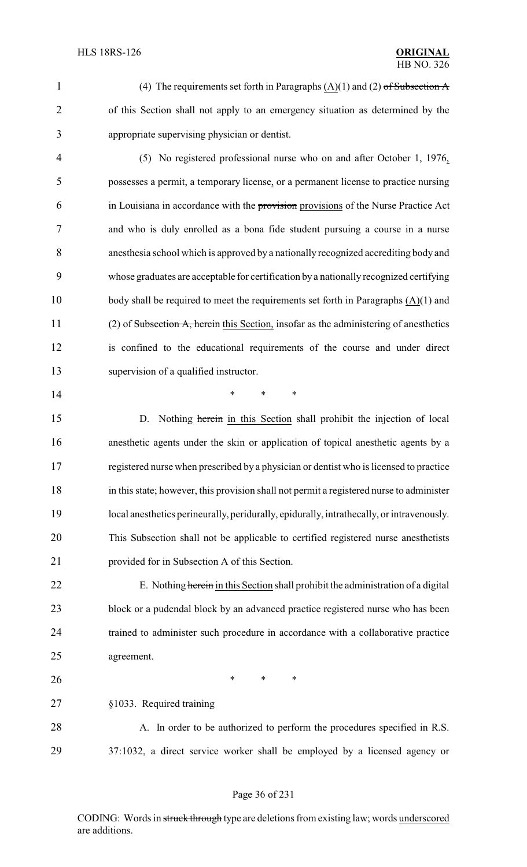1 (4) The requirements set forth in Paragraphs  $(A)(1)$  and  $(2)$  of Subsection A of this Section shall not apply to an emergency situation as determined by the appropriate supervising physician or dentist.

 (5) No registered professional nurse who on and after October 1, 1976, possesses a permit, a temporary license, or a permanent license to practice nursing in Louisiana in accordance with the provision provisions of the Nurse Practice Act and who is duly enrolled as a bona fide student pursuing a course in a nurse anesthesia school which is approved by a nationally recognized accrediting body and whose graduates are acceptable for certification by a nationally recognized certifying body shall be required to meet the requirements set forth in Paragraphs (A)(1) and (2) of Subsection A, herein this Section, insofar as the administering of anesthetics is confined to the educational requirements of the course and under direct supervision of a qualified instructor.

**\*** \* \* \*

15 D. Nothing herein in this Section shall prohibit the injection of local anesthetic agents under the skin or application of topical anesthetic agents by a registered nurse when prescribed by a physician or dentist who is licensed to practice in this state; however, this provision shall not permit a registered nurse to administer local anesthetics perineurally, peridurally, epidurally, intrathecally, or intravenously. This Subsection shall not be applicable to certified registered nurse anesthetists provided for in Subsection A of this Section.

22 E. Nothing herein in this Section shall prohibit the administration of a digital block or a pudendal block by an advanced practice registered nurse who has been trained to administer such procedure in accordance with a collaborative practice agreement.

§1033. Required training

**\*** \* \* \*

 A. In order to be authorized to perform the procedures specified in R.S. 37:1032, a direct service worker shall be employed by a licensed agency or

#### Page 36 of 231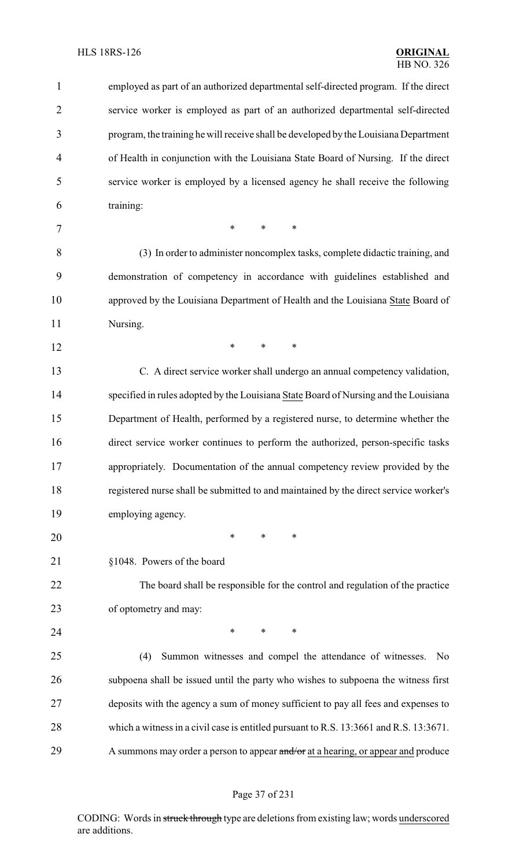| $\mathbf{1}$   | employed as part of an authorized departmental self-directed program. If the direct    |
|----------------|----------------------------------------------------------------------------------------|
| $\overline{2}$ | service worker is employed as part of an authorized departmental self-directed         |
| 3              | program, the training he will receive shall be developed by the Louisiana Department   |
| 4              | of Health in conjunction with the Louisiana State Board of Nursing. If the direct      |
| 5              | service worker is employed by a licensed agency he shall receive the following         |
| 6              | training:                                                                              |
| 7              | $\ast$<br>$\ast$<br>$\ast$                                                             |
| 8              | (3) In order to administer noncomplex tasks, complete didactic training, and           |
| 9              | demonstration of competency in accordance with guidelines established and              |
| 10             | approved by the Louisiana Department of Health and the Louisiana State Board of        |
| 11             | Nursing.                                                                               |
| 12             | $\ast$<br>$\ast$<br>$\ast$                                                             |
| 13             | C. A direct service worker shall undergo an annual competency validation,              |
| 14             | specified in rules adopted by the Louisiana State Board of Nursing and the Louisiana   |
| 15             | Department of Health, performed by a registered nurse, to determine whether the        |
| 16             | direct service worker continues to perform the authorized, person-specific tasks       |
| 17             | appropriately. Documentation of the annual competency review provided by the           |
| 18             | registered nurse shall be submitted to and maintained by the direct service worker's   |
| 19             | employing agency.                                                                      |
| 20             | $\ast$<br>*<br>∗                                                                       |
| 21             | §1048. Powers of the board                                                             |
| 22             | The board shall be responsible for the control and regulation of the practice          |
| 23             | of optometry and may:                                                                  |
| 24             | $\ast$<br>$\ast$<br>$\ast$                                                             |
| 25             | Summon witnesses and compel the attendance of witnesses.<br>(4)<br>N <sub>o</sub>      |
| 26             | subpoena shall be issued until the party who wishes to subpoena the witness first      |
| 27             | deposits with the agency a sum of money sufficient to pay all fees and expenses to     |
| 28             | which a witness in a civil case is entitled pursuant to R.S. 13:3661 and R.S. 13:3671. |
| 29             | A summons may order a person to appear and/or at a hearing, or appear and produce      |
|                |                                                                                        |

# Page 37 of 231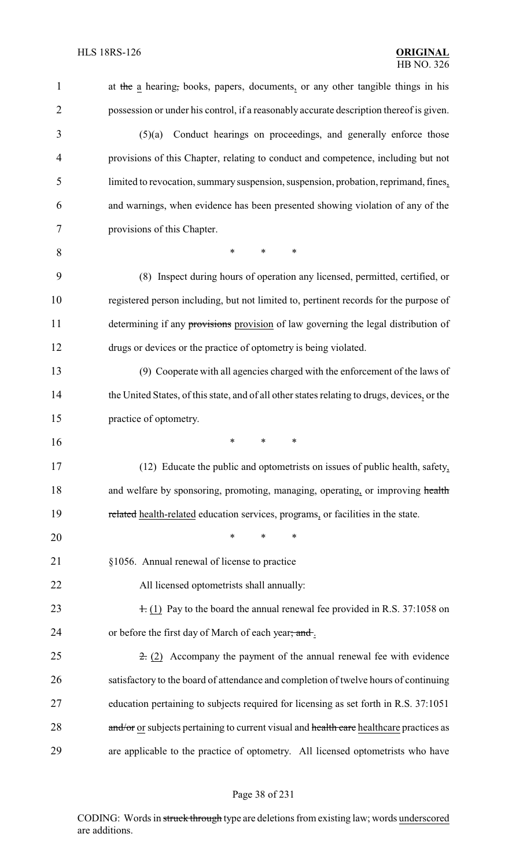| 1              | at the a hearing, books, papers, documents, or any other tangible things in his              |
|----------------|----------------------------------------------------------------------------------------------|
| $\overline{2}$ | possession or under his control, if a reasonably accurate description thereof is given.      |
| 3              | Conduct hearings on proceedings, and generally enforce those<br>(5)(a)                       |
| $\overline{4}$ | provisions of this Chapter, relating to conduct and competence, including but not            |
| 5              | limited to revocation, summary suspension, suspension, probation, reprimand, fines,          |
| 6              | and warnings, when evidence has been presented showing violation of any of the               |
| 7              | provisions of this Chapter.                                                                  |
| 8              | $\ast$<br>$\ast$<br>$\ast$                                                                   |
| 9              | (8) Inspect during hours of operation any licensed, permitted, certified, or                 |
| 10             | registered person including, but not limited to, pertinent records for the purpose of        |
| 11             | determining if any provisions provision of law governing the legal distribution of           |
| 12             | drugs or devices or the practice of optometry is being violated.                             |
| 13             | (9) Cooperate with all agencies charged with the enforcement of the laws of                  |
| 14             | the United States, of this state, and of all other states relating to drugs, devices, or the |
| 15             | practice of optometry.                                                                       |
| 16             | $\ast$<br>$\ast$<br>$\ast$                                                                   |
| 17             | (12) Educate the public and optometrists on issues of public health, safety,                 |
| 18             | and welfare by sponsoring, promoting, managing, operating, or improving health               |
| 19             | related health-related education services, programs, or facilities in the state.             |
| 20             | $\ast$<br>$\ast$<br>$\ast$                                                                   |
| 21             | §1056. Annual renewal of license to practice                                                 |
| 22             | All licensed optometrists shall annually:                                                    |
| 23             | $\pm$ (1) Pay to the board the annual renewal fee provided in R.S. 37:1058 on                |
| 24             | or before the first day of March of each year; and.                                          |
| 25             | $\pm$ (2) Accompany the payment of the annual renewal fee with evidence                      |
| 26             | satisfactory to the board of attendance and completion of twelve hours of continuing         |
| 27             | education pertaining to subjects required for licensing as set forth in R.S. 37:1051         |
| 28             | and/or or subjects pertaining to current visual and health care healthcare practices as      |
| 29             | are applicable to the practice of optometry. All licensed optometrists who have              |

# Page 38 of 231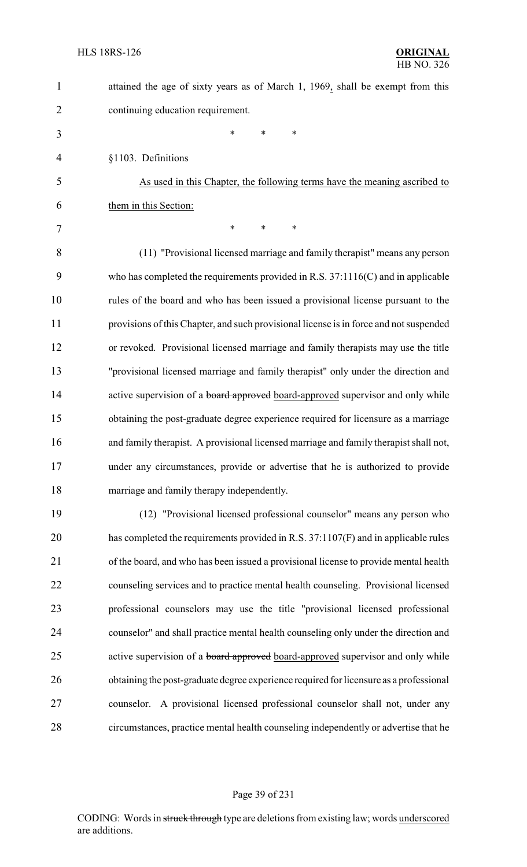1 attained the age of sixty years as of March 1, 1969, shall be exempt from this continuing education requirement. \* \* \* §1103. Definitions As used in this Chapter, the following terms have the meaning ascribed to them in this Section: 7 \* \* \* \* (11) "Provisional licensed marriage and family therapist" means any person who has completed the requirements provided in R.S. 37:1116(C) and in applicable rules of the board and who has been issued a provisional license pursuant to the provisions of this Chapter, and such provisional license is in force and not suspended or revoked. Provisional licensed marriage and family therapists may use the title "provisional licensed marriage and family therapist" only under the direction and 14 active supervision of a **board approved** board-approved supervisor and only while obtaining the post-graduate degree experience required for licensure as a marriage

 and family therapist. A provisional licensed marriage and family therapist shall not, under any circumstances, provide or advertise that he is authorized to provide marriage and family therapy independently.

 (12) "Provisional licensed professional counselor" means any person who has completed the requirements provided in R.S. 37:1107(F) and in applicable rules of the board, and who has been issued a provisional license to provide mental health counseling services and to practice mental health counseling. Provisional licensed professional counselors may use the title "provisional licensed professional counselor" and shall practice mental health counseling only under the direction and 25 active supervision of a **board approved** board-approved supervisor and only while obtaining the post-graduate degree experience required for licensure as a professional counselor. A provisional licensed professional counselor shall not, under any circumstances, practice mental health counseling independently or advertise that he

#### Page 39 of 231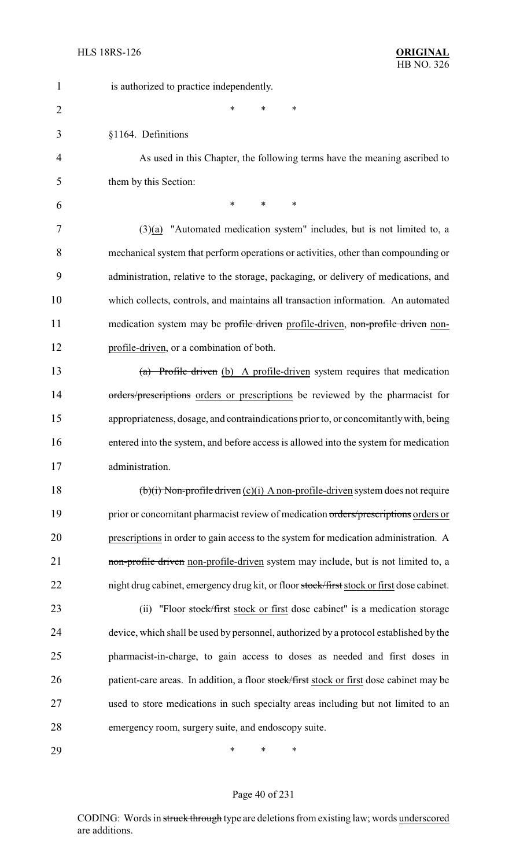| $\mathbf{1}$   | is authorized to practice independently.                                                  |
|----------------|-------------------------------------------------------------------------------------------|
| $\overline{2}$ | *<br>*<br>*                                                                               |
| 3              | §1164. Definitions                                                                        |
| 4              | As used in this Chapter, the following terms have the meaning ascribed to                 |
| 5              | them by this Section:                                                                     |
| 6              | $\ast$<br>*<br>∗                                                                          |
| 7              | $(3)(a)$ "Automated medication system" includes, but is not limited to, a                 |
| 8              | mechanical system that perform operations or activities, other than compounding or        |
| 9              | administration, relative to the storage, packaging, or delivery of medications, and       |
| 10             | which collects, controls, and maintains all transaction information. An automated         |
| 11             | medication system may be profile driven profile-driven, non-profile driven non-           |
| 12             | profile-driven, or a combination of both.                                                 |
| 13             | (a) Profile driven (b) A profile-driven system requires that medication                   |
| 14             | orders/prescriptions orders or prescriptions be reviewed by the pharmacist for            |
| 15             | appropriateness, dosage, and contraindications prior to, or concomitantly with, being     |
| 16             | entered into the system, and before access is allowed into the system for medication      |
| 17             | administration.                                                                           |
| 18             | $(b)(i)$ Non-profile driven $(c)(i)$ A non-profile-driven system does not require         |
| 19             | prior or concomitant pharmacist review of medication orders/prescriptions orders or       |
| 20             | prescriptions in order to gain access to the system for medication administration. A      |
| 21             | non-profile driven non-profile-driven system may include, but is not limited to, a        |
| 22             | night drug cabinet, emergency drug kit, or floor stock/first stock or first dose cabinet. |
| 23             | "Floor stock/first stock or first dose cabinet" is a medication storage<br>(ii)           |
| 24             | device, which shall be used by personnel, authorized by a protocol established by the     |
| 25             | pharmacist-in-charge, to gain access to doses as needed and first doses in                |
| 26             | patient-care areas. In addition, a floor stock/first stock or first dose cabinet may be   |
| 27             | used to store medications in such specialty areas including but not limited to an         |
| 28             | emergency room, surgery suite, and endoscopy suite.                                       |
| 29             | ∗<br>∗<br>∗                                                                               |

Page 40 of 231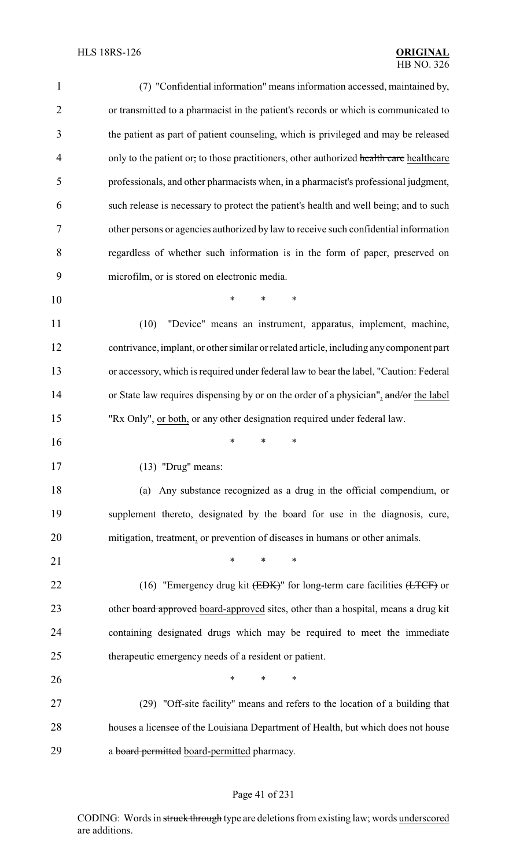| $\mathbf{1}$   | (7) "Confidential information" means information accessed, maintained by,                          |
|----------------|----------------------------------------------------------------------------------------------------|
| $\overline{2}$ | or transmitted to a pharmacist in the patient's records or which is communicated to                |
| 3              | the patient as part of patient counseling, which is privileged and may be released                 |
| $\overline{4}$ | only to the patient or, to those practitioners, other authorized health care healthcare            |
| 5              | professionals, and other pharmacists when, in a pharmacist's professional judgment,                |
| 6              | such release is necessary to protect the patient's health and well being; and to such              |
| 7              | other persons or agencies authorized by law to receive such confidential information               |
| 8              | regardless of whether such information is in the form of paper, preserved on                       |
| 9              | microfilm, or is stored on electronic media.                                                       |
| 10             | *<br>$\ast$<br>∗                                                                                   |
| 11             | (10)<br>"Device" means an instrument, apparatus, implement, machine,                               |
| 12             | contrivance, implant, or other similar or related article, including any component part            |
| 13             | or accessory, which is required under federal law to bear the label, "Caution: Federal             |
| 14             | or State law requires dispensing by or on the order of a physician", and/or the label              |
| 15             | "Rx Only", or both, or any other designation required under federal law.                           |
| 16             | *<br>$\ast$<br>$\ast$                                                                              |
| 17             | $(13)$ "Drug" means:                                                                               |
| 18             | (a) Any substance recognized as a drug in the official compendium, or                              |
| 19             | supplement thereto, designated by the board for use in the diagnosis, cure,                        |
| 20             | mitigation, treatment, or prevention of diseases in humans or other animals.                       |
| 21             | $\ast$<br>$\ast$<br>*                                                                              |
| 22             | (16) "Emergency drug kit $(\overline{EBK})$ " for long-term care facilities $(\overline{LTCF})$ or |
| 23             | other board approved board-approved sites, other than a hospital, means a drug kit                 |
| 24             | containing designated drugs which may be required to meet the immediate                            |
| 25             | therapeutic emergency needs of a resident or patient.                                              |
| 26             | *<br>*<br>$\ast$                                                                                   |
| 27             | (29) "Off-site facility" means and refers to the location of a building that                       |
| 28             | houses a licensee of the Louisiana Department of Health, but which does not house                  |
| 29             | a board permitted board-permitted pharmacy.                                                        |

# Page 41 of 231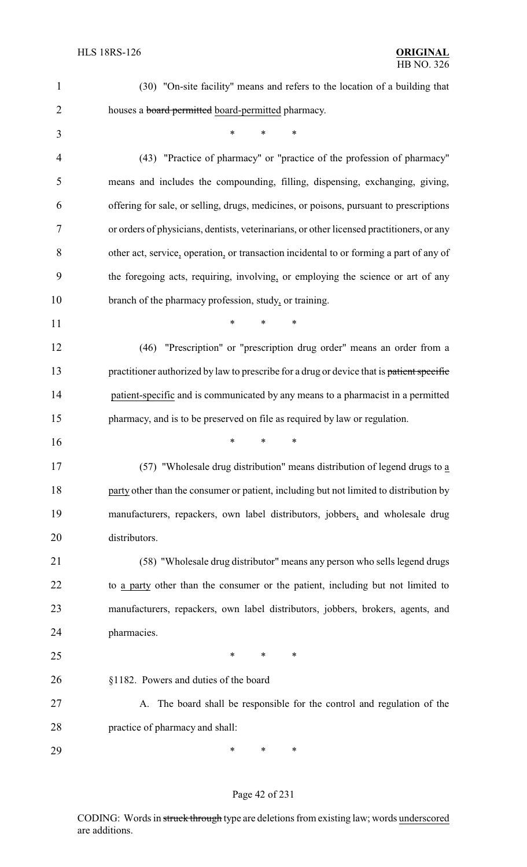| 1              | (30) "On-site facility" means and refers to the location of a building that               |
|----------------|-------------------------------------------------------------------------------------------|
| $\overline{2}$ | houses a <b>board permitted</b> board-permitted pharmacy.                                 |
| 3              | $\ast$<br>$\ast$<br>*                                                                     |
| $\overline{4}$ | (43) "Practice of pharmacy" or "practice of the profession of pharmacy"                   |
| 5              | means and includes the compounding, filling, dispensing, exchanging, giving,              |
| 6              | offering for sale, or selling, drugs, medicines, or poisons, pursuant to prescriptions    |
| 7              | or orders of physicians, dentists, veterinarians, or other licensed practitioners, or any |
| 8              | other act, service, operation, or transaction incidental to or forming a part of any of   |
| 9              | the foregoing acts, requiring, involving, or employing the science or art of any          |
| 10             | branch of the pharmacy profession, study, or training.                                    |
| 11             | $\ast$<br>$\ast$<br>∗                                                                     |
| 12             | "Prescription" or "prescription drug order" means an order from a<br>(46)                 |
| 13             | practitioner authorized by law to prescribe for a drug or device that is patient specific |
| 14             | patient-specific and is communicated by any means to a pharmacist in a permitted          |
| 15             | pharmacy, and is to be preserved on file as required by law or regulation.                |
| 16             | ∗<br>*<br>∗                                                                               |
| 17             | (57) "Wholesale drug distribution" means distribution of legend drugs to a                |
| 18             | party other than the consumer or patient, including but not limited to distribution by    |
| 19             | manufacturers, repackers, own label distributors, jobbers, and wholesale drug             |
| 20             | distributors.                                                                             |
| 21             | (58) "Wholesale drug distributor" means any person who sells legend drugs                 |
| 22             | to a party other than the consumer or the patient, including but not limited to           |
| 23             | manufacturers, repackers, own label distributors, jobbers, brokers, agents, and           |
| 24             | pharmacies.                                                                               |
| 25             | ∗<br>∗<br>∗                                                                               |
| 26             | §1182. Powers and duties of the board                                                     |
| 27             | A. The board shall be responsible for the control and regulation of the                   |
| 28             | practice of pharmacy and shall:                                                           |
| 29             | ∗<br>∗<br>∗                                                                               |

# Page 42 of 231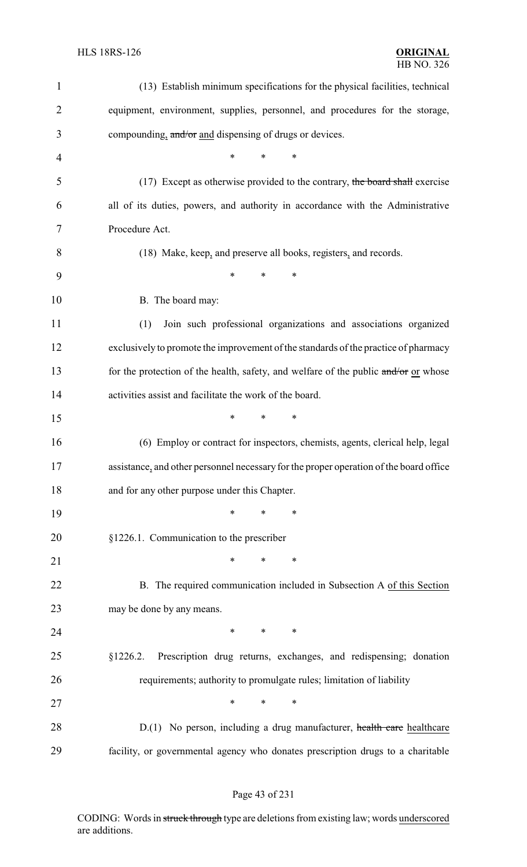| $\mathbf{1}$   | (13) Establish minimum specifications for the physical facilities, technical           |
|----------------|----------------------------------------------------------------------------------------|
| $\overline{2}$ | equipment, environment, supplies, personnel, and procedures for the storage,           |
| 3              | compounding, and/or and dispensing of drugs or devices.                                |
| 4              | $\ast$<br>$\ast$<br>$\ast$                                                             |
| 5              | (17) Except as otherwise provided to the contrary, the board shall exercise            |
| 6              | all of its duties, powers, and authority in accordance with the Administrative         |
| 7              | Procedure Act.                                                                         |
| 8              | (18) Make, keep, and preserve all books, registers, and records.                       |
| 9              | $\ast$<br>$\ast$<br>$\ast$                                                             |
| 10             | B. The board may:                                                                      |
| 11             | (1)<br>Join such professional organizations and associations organized                 |
| 12             | exclusively to promote the improvement of the standards of the practice of pharmacy    |
| 13             | for the protection of the health, safety, and welfare of the public and/or or whose    |
| 14             | activities assist and facilitate the work of the board.                                |
| 15             | $\ast$<br>$\ast$<br>$\ast$                                                             |
| 16             | (6) Employ or contract for inspectors, chemists, agents, clerical help, legal          |
| 17             | assistance, and other personnel necessary for the proper operation of the board office |
| 18             | and for any other purpose under this Chapter.                                          |
| 19             | $\ast$<br>∗<br>$\ast$                                                                  |
| 20             | §1226.1. Communication to the prescriber                                               |
| 21             | $\ast$<br>$\ast$<br>$\ast$                                                             |
| 22             | B. The required communication included in Subsection A of this Section                 |
| 23             | may be done by any means.                                                              |
| 24             | $*$ and $*$<br>$\ast$<br>$\ast$                                                        |
| 25             | Prescription drug returns, exchanges, and redispensing; donation<br>§1226.2.           |
| 26             | requirements; authority to promulgate rules; limitation of liability                   |
| 27             | $\ast$<br>$\ast$<br>$\ast$                                                             |
| 28             | D.(1) No person, including a drug manufacturer, health care healthcare                 |
| 29             | facility, or governmental agency who donates prescription drugs to a charitable        |

# Page 43 of 231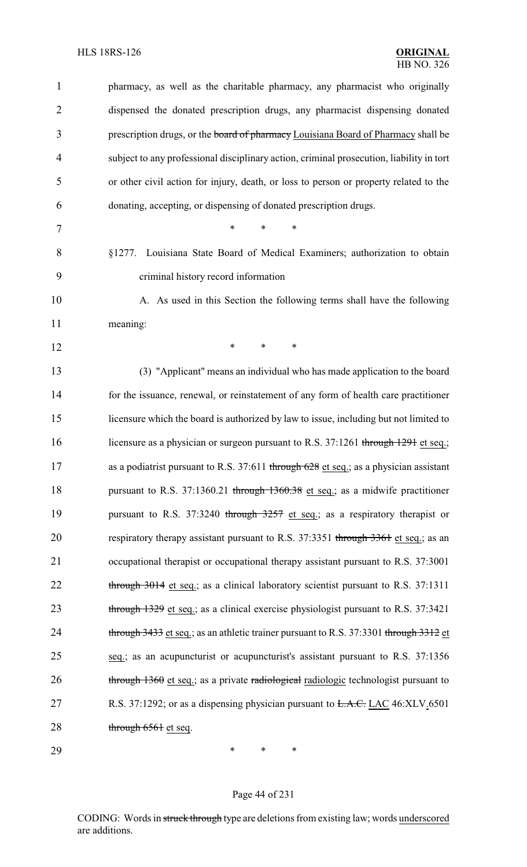| 1              | pharmacy, as well as the charitable pharmacy, any pharmacist who originally              |
|----------------|------------------------------------------------------------------------------------------|
| $\overline{2}$ | dispensed the donated prescription drugs, any pharmacist dispensing donated              |
| 3              | prescription drugs, or the board of pharmacy Louisiana Board of Pharmacy shall be        |
| $\overline{4}$ | subject to any professional disciplinary action, criminal prosecution, liability in tort |
| 5              | or other civil action for injury, death, or loss to person or property related to the    |
| 6              | donating, accepting, or dispensing of donated prescription drugs.                        |
| 7              | $\ast$<br>$\ast$<br>$\ast$                                                               |
| 8              | §1277. Louisiana State Board of Medical Examiners; authorization to obtain               |
| 9              | criminal history record information                                                      |
| 10             | A. As used in this Section the following terms shall have the following                  |
| 11             | meaning:                                                                                 |
| 12             | $\ast$<br>$\ast$<br>∗                                                                    |
| 13             | (3) "Applicant" means an individual who has made application to the board                |
| 14             | for the issuance, renewal, or reinstatement of any form of health care practitioner      |
| 15             | licensure which the board is authorized by law to issue, including but not limited to    |
| 16             | licensure as a physician or surgeon pursuant to R.S. 37:1261 through 1291 et seq.;       |
| 17             | as a podiatrist pursuant to R.S. 37:611 through 628 et seq.; as a physician assistant    |
| 18             | pursuant to R.S. 37:1360.21 through 1360.38 et seq.; as a midwife practitioner           |
| 19             | pursuant to R.S. 37:3240 through 3257 et seq.; as a respiratory therapist or             |
| 20             | respiratory therapy assistant pursuant to R.S. 37:3351 through 3361 et seq.; as an       |
| 21             | occupational therapist or occupational therapy assistant pursuant to R.S. 37:3001        |
| 22             | through 3014 et seq.; as a clinical laboratory scientist pursuant to R.S. 37:1311        |
| 23             | through 1329 et seq.; as a clinical exercise physiologist pursuant to R.S. 37:3421       |
| 24             | through 3433 et seq.; as an athletic trainer pursuant to R.S. 37:3301 through 3312 et    |
| 25             | seq.; as an acupuncturist or acupuncturist's assistant pursuant to R.S. 37:1356          |
| 26             | through 1360 et seq.; as a private radiological radiologic technologist pursuant to      |
| 27             | R.S. 37:1292; or as a dispensing physician pursuant to <del>L.A.C.</del> LAC 46:XLV.6501 |
| 28             | through 6561 et seq.                                                                     |
| 29             | *<br>∗<br>∗                                                                              |

Page 44 of 231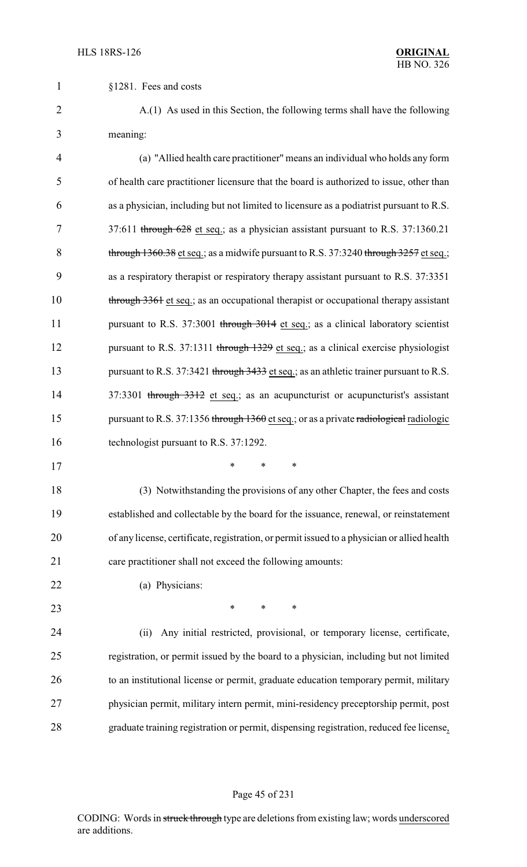§1281. Fees and costs

 A.(1) As used in this Section, the following terms shall have the following meaning:

| $\overline{4}$ | (a) "Allied health care practitioner" means an individual who holds any form            |
|----------------|-----------------------------------------------------------------------------------------|
| 5              | of health care practitioner licensure that the board is authorized to issue, other than |
| 6              | as a physician, including but not limited to licensure as a podiatrist pursuant to R.S. |
| 7              | 37:611 through 628 et seq.; as a physician assistant pursuant to R.S. 37:1360.21        |
| 8              | through 1360.38 et seq.; as a midwife pursuant to R.S. 37:3240 through 3257 et seq.;    |
| 9              | as a respiratory therapist or respiratory therapy assistant pursuant to R.S. 37:3351    |
| 10             | through 3361 et seq.; as an occupational therapist or occupational therapy assistant    |
| 11             | pursuant to R.S. 37:3001 through 3014 et seq.; as a clinical laboratory scientist       |
| 12             | pursuant to R.S. 37:1311 through 1329 et seq.; as a clinical exercise physiologist      |
| 13             | pursuant to R.S. 37:3421 through 3433 et seq.; as an athletic trainer pursuant to R.S.  |
| 14             | 37:3301 through 3312 et seq.; as an acupuncturist or acupuncturist's assistant          |
| 15             | pursuant to R.S. 37:1356 through 1360 et seq.; or as a private radiological radiologic  |
| 16             | technologist pursuant to R.S. 37:1292.                                                  |
| 17             | $\ast$<br>$\ast$<br>$\ast$                                                              |
| 18             | (3) Notwithstanding the provisions of any other Chapter, the fees and costs             |
| 19             | established and collectable by the board for the issuance, renewal, or reinstatement    |

 of any license, certificate, registration, or permit issued to a physician or allied health care practitioner shall not exceed the following amounts:

#### (a) Physicians:

**\*** \* \* \*

 (ii) Any initial restricted, provisional, or temporary license, certificate, registration, or permit issued by the board to a physician, including but not limited to an institutional license or permit, graduate education temporary permit, military physician permit, military intern permit, mini-residency preceptorship permit, post graduate training registration or permit, dispensing registration, reduced fee license,

#### Page 45 of 231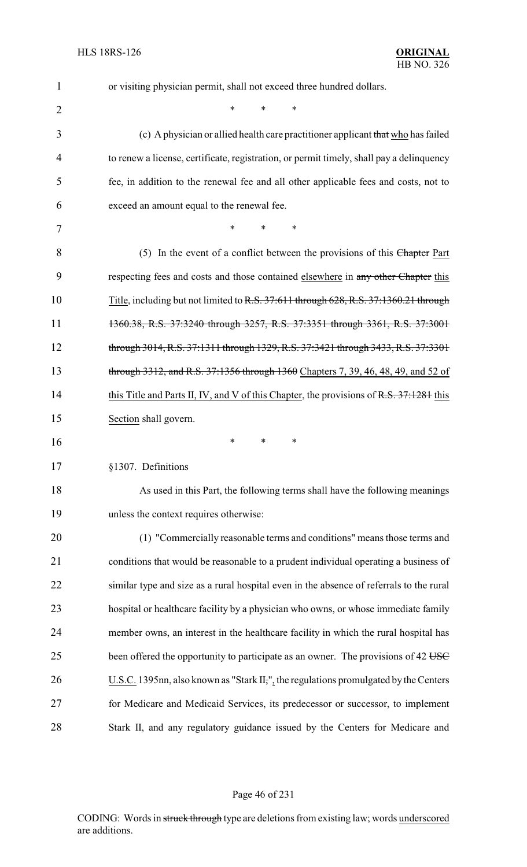| $\mathbf{1}$   | or visiting physician permit, shall not exceed three hundred dollars.                    |
|----------------|------------------------------------------------------------------------------------------|
| $\overline{2}$ | *<br>∗<br>*                                                                              |
| 3              | (c) A physician or allied health care practitioner applicant that who has failed         |
| 4              | to renew a license, certificate, registration, or permit timely, shall pay a delinquency |
| 5              | fee, in addition to the renewal fee and all other applicable fees and costs, not to      |
| 6              | exceed an amount equal to the renewal fee.                                               |
| 7              | *<br>∗<br>*                                                                              |
| 8              | (5) In the event of a conflict between the provisions of this Chapter Part               |
| 9              | respecting fees and costs and those contained elsewhere in any other Chapter this        |
| 10             | Title, including but not limited to R.S. 37:611 through 628, R.S. 37:1360.21 through     |
| 11             | 1360.38, R.S. 37:3240 through 3257, R.S. 37:3351 through 3361, R.S. 37:3001              |
| 12             | through 3014, R.S. 37:1311 through 1329, R.S. 37:3421 through 3433, R.S. 37:3301         |
| 13             | through 3312, and R.S. 37:1356 through 1360 Chapters 7, 39, 46, 48, 49, and 52 of        |
| 14             | this Title and Parts II, IV, and V of this Chapter, the provisions of R.S. 37:1281 this  |
| 15             | Section shall govern.                                                                    |
| 16             | ∗<br>∗<br>∗                                                                              |
| 17             | §1307. Definitions                                                                       |
| 18             | As used in this Part, the following terms shall have the following meanings              |
| 19             | unless the context requires otherwise:                                                   |
| 20             | (1) "Commercially reasonable terms and conditions" means those terms and                 |
| 21             | conditions that would be reasonable to a prudent individual operating a business of      |
| 22             | similar type and size as a rural hospital even in the absence of referrals to the rural  |
| 23             | hospital or healthcare facility by a physician who owns, or whose immediate family       |
| 24             | member owns, an interest in the healthcare facility in which the rural hospital has      |
| 25             | been offered the opportunity to participate as an owner. The provisions of 42 USC        |
| 26             | U.S.C. 1395nn, also known as "Stark II,", the regulations promulgated by the Centers     |
| 27             | for Medicare and Medicaid Services, its predecessor or successor, to implement           |
| 28             | Stark II, and any regulatory guidance issued by the Centers for Medicare and             |

# Page 46 of 231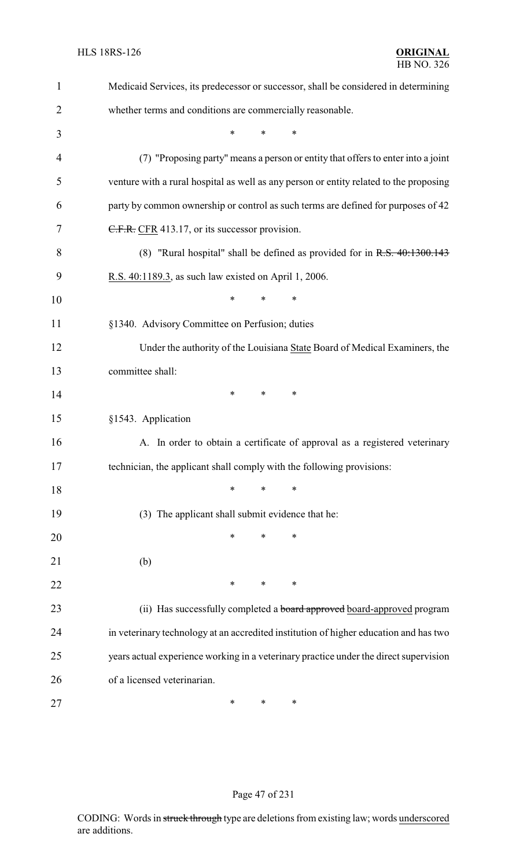| 1              | Medicaid Services, its predecessor or successor, shall be considered in determining    |
|----------------|----------------------------------------------------------------------------------------|
| $\overline{2}$ | whether terms and conditions are commercially reasonable.                              |
| 3              | $\ast$<br>$\ast$<br>*                                                                  |
| $\overline{4}$ | (7) "Proposing party" means a person or entity that offers to enter into a joint       |
| 5              | venture with a rural hospital as well as any person or entity related to the proposing |
| 6              | party by common ownership or control as such terms are defined for purposes of 42      |
| 7              | C.F.R. CFR 413.17, or its successor provision.                                         |
| 8              | (8) "Rural hospital" shall be defined as provided for in $R.S. 40:1300.143$            |
| 9              | R.S. 40:1189.3, as such law existed on April 1, 2006.                                  |
| 10             | $\ast$<br>$\ast$<br>*                                                                  |
| 11             | §1340. Advisory Committee on Perfusion; duties                                         |
| 12             | Under the authority of the Louisiana State Board of Medical Examiners, the             |
| 13             | committee shall:                                                                       |
| 14             | $\ast$<br>$\ast$<br>$\ast$                                                             |
| 15             | §1543. Application                                                                     |
| 16             | A. In order to obtain a certificate of approval as a registered veterinary             |
| 17             | technician, the applicant shall comply with the following provisions:                  |
| 18             | $\ast$<br>$\ast$<br>$\ast$                                                             |
| 19             | (3) The applicant shall submit evidence that he:                                       |
| 20             | $\ast$<br>*<br>∗                                                                       |
| 21             | (b)                                                                                    |
| 22             | $\ast$<br>$\ast$<br>$\ast$                                                             |
| 23             | (ii) Has successfully completed a board approved board-approved program                |
| 24             | in veterinary technology at an accredited institution of higher education and has two  |
| 25             | years actual experience working in a veterinary practice under the direct supervision  |
| 26             | of a licensed veterinarian.                                                            |
| 27             | ∗<br>∗<br>∗                                                                            |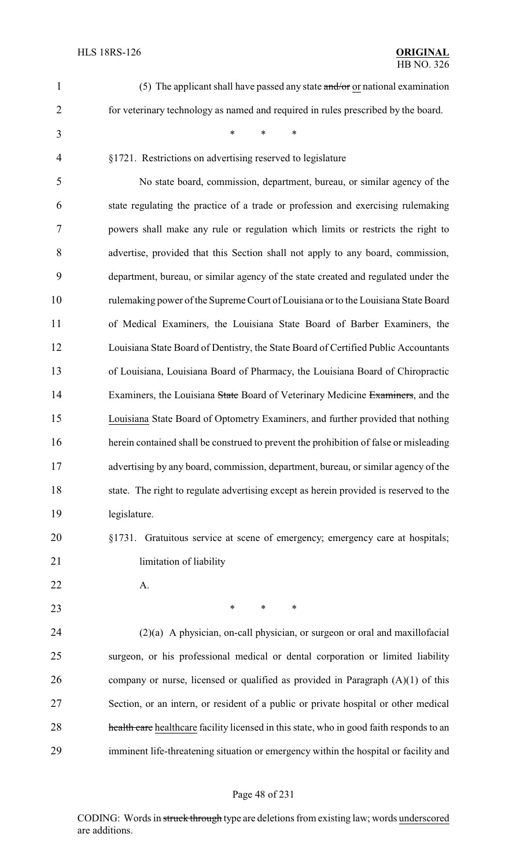| $\mathbf{1}$   | (5) The applicant shall have passed any state $\frac{and}{or}$ or national examination   |
|----------------|------------------------------------------------------------------------------------------|
| $\overline{2}$ | for veterinary technology as named and required in rules prescribed by the board.        |
| 3              | *<br>$\ast$<br>*                                                                         |
| $\overline{4}$ | §1721. Restrictions on advertising reserved to legislature                               |
| 5              | No state board, commission, department, bureau, or similar agency of the                 |
| 6              | state regulating the practice of a trade or profession and exercising rulemaking         |
| $\overline{7}$ | powers shall make any rule or regulation which limits or restricts the right to          |
| 8              | advertise, provided that this Section shall not apply to any board, commission,          |
| 9              | department, bureau, or similar agency of the state created and regulated under the       |
| 10             | rulemaking power of the Supreme Court of Louisiana or to the Louisiana State Board       |
| 11             | of Medical Examiners, the Louisiana State Board of Barber Examiners, the                 |
| 12             | Louisiana State Board of Dentistry, the State Board of Certified Public Accountants      |
| 13             | of Louisiana, Louisiana Board of Pharmacy, the Louisiana Board of Chiropractic           |
| 14             | Examiners, the Louisiana State Board of Veterinary Medicine Examiners, and the           |
| 15             | Louisiana State Board of Optometry Examiners, and further provided that nothing          |
| 16             | herein contained shall be construed to prevent the prohibition of false or misleading    |
| 17             | advertising by any board, commission, department, bureau, or similar agency of the       |
| 18             | state. The right to regulate advertising except as herein provided is reserved to the    |
| 19             | legislature.                                                                             |
| 20             | §1731. Gratuitous service at scene of emergency; emergency care at hospitals;            |
| 21             | limitation of liability                                                                  |
| 22             | A.                                                                                       |
| 23             | $\ast$<br>∗<br>$\ast$                                                                    |
| 24             | $(2)(a)$ A physician, on-call physician, or surgeon or oral and maxillofacial            |
| 25             | surgeon, or his professional medical or dental corporation or limited liability          |
| 26             | company or nurse, licensed or qualified as provided in Paragraph $(A)(1)$ of this        |
| 27             | Section, or an intern, or resident of a public or private hospital or other medical      |
| 28             | health care healthcare facility licensed in this state, who in good faith responds to an |
| 29             | imminent life-threatening situation or emergency within the hospital or facility and     |

# Page 48 of 231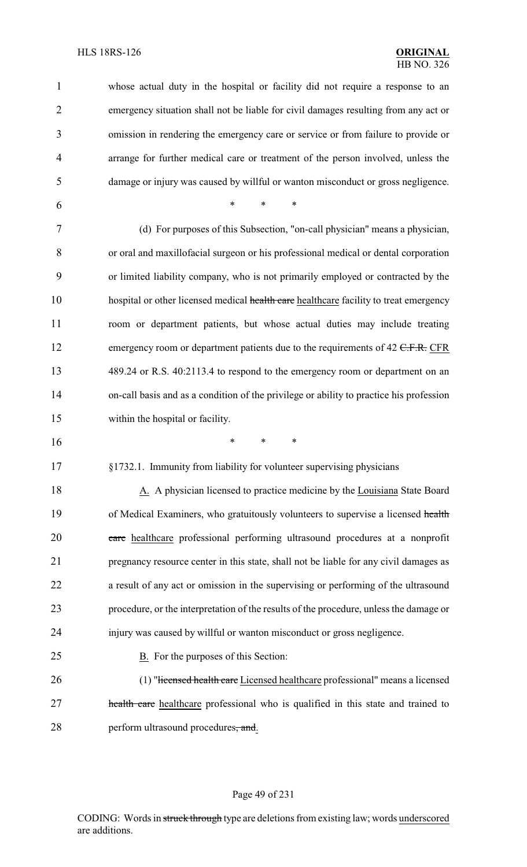| $\mathbf{1}$   | whose actual duty in the hospital or facility did not require a response to an          |
|----------------|-----------------------------------------------------------------------------------------|
| $\overline{2}$ | emergency situation shall not be liable for civil damages resulting from any act or     |
| 3              | omission in rendering the emergency care or service or from failure to provide or       |
| $\overline{4}$ | arrange for further medical care or treatment of the person involved, unless the        |
| 5              | damage or injury was caused by willful or wanton misconduct or gross negligence.        |
| 6              | *<br>*<br>$\ast$                                                                        |
| 7              | (d) For purposes of this Subsection, "on-call physician" means a physician,             |
| 8              | or oral and maxillofacial surgeon or his professional medical or dental corporation     |
| 9              | or limited liability company, who is not primarily employed or contracted by the        |
| 10             | hospital or other licensed medical health care healthcare facility to treat emergency   |
| 11             | room or department patients, but whose actual duties may include treating               |
| 12             | emergency room or department patients due to the requirements of $42$ C.F.R. CFR        |
| 13             | 489.24 or R.S. 40:2113.4 to respond to the emergency room or department on an           |
| 14             | on-call basis and as a condition of the privilege or ability to practice his profession |
| 15             | within the hospital or facility.                                                        |
| 16             | $\ast$<br>∗<br>∗                                                                        |
| 17             | §1732.1. Immunity from liability for volunteer supervising physicians                   |
| 18             | A. A physician licensed to practice medicine by the Louisiana State Board               |
| 19             | of Medical Examiners, who gratuitously volunteers to supervise a licensed health        |
| 20             | eare healthcare professional performing ultrasound procedures at a nonprofit            |
| 21             | pregnancy resource center in this state, shall not be liable for any civil damages as   |
| 22             | a result of any act or omission in the supervising or performing of the ultrasound      |
| 23             | procedure, or the interpretation of the results of the procedure, unless the damage or  |
| 24             | injury was caused by willful or wanton misconduct or gross negligence.                  |
| 25             | B. For the purposes of this Section:                                                    |
| 26             | (1) "Hicensed health care Licensed healthcare professional" means a licensed            |
| 27             | health care healthcare professional who is qualified in this state and trained to       |
| 28             | perform ultrasound procedures, and.                                                     |

# Page 49 of 231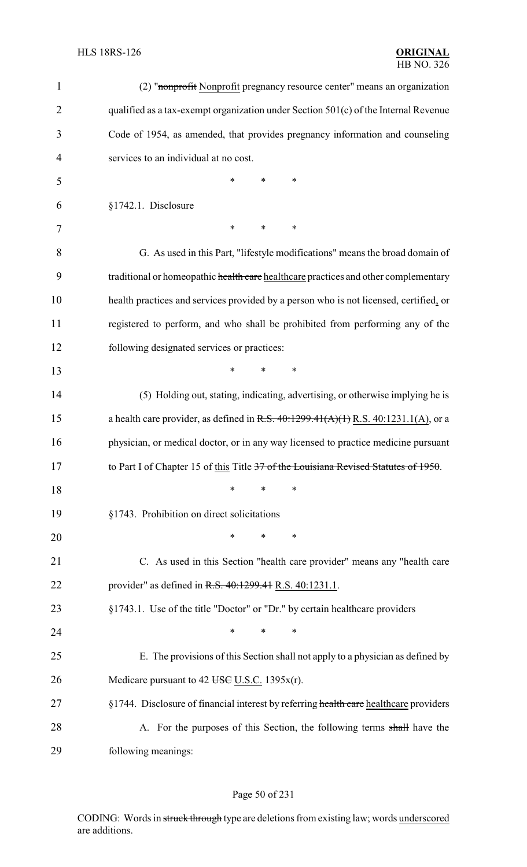| $\mathbf{1}$   | (2) "nonprofit Nonprofit pregnancy resource center" means an organization                |
|----------------|------------------------------------------------------------------------------------------|
| $\overline{2}$ | qualified as a tax-exempt organization under Section $501(c)$ of the Internal Revenue    |
| 3              | Code of 1954, as amended, that provides pregnancy information and counseling             |
| 4              | services to an individual at no cost.                                                    |
| 5              | *<br>$\ast$<br>*                                                                         |
| 6              | §1742.1. Disclosure                                                                      |
| 7              | $\ast$<br>*<br>∗                                                                         |
| 8              | G. As used in this Part, "lifestyle modifications" means the broad domain of             |
| 9              | traditional or homeopathic health care healthcare practices and other complementary      |
| 10             | health practices and services provided by a person who is not licensed, certified, or    |
| 11             | registered to perform, and who shall be prohibited from performing any of the            |
| 12             | following designated services or practices:                                              |
| 13             | $\ast$<br>*<br>*                                                                         |
| 14             | (5) Holding out, stating, indicating, advertising, or otherwise implying he is           |
| 15             | a health care provider, as defined in R.S. $40:1299.41(A)(1)$ R.S. $40:1231.1(A)$ , or a |
| 16             | physician, or medical doctor, or in any way licensed to practice medicine pursuant       |
| 17             | to Part I of Chapter 15 of this Title 37 of the Louisiana Revised Statutes of 1950.      |
| 18             | *<br>*<br>∗                                                                              |
| 19             | §1743. Prohibition on direct solicitations                                               |
| 20             | $\ast$<br>$\ast$<br>∗                                                                    |
| 21             | C. As used in this Section "health care provider" means any "health care                 |
| 22             | provider" as defined in R.S. 40:1299.41 R.S. 40:1231.1.                                  |
| 23             | §1743.1. Use of the title "Doctor" or "Dr." by certain healthcare providers              |
| 24             | $\ast$<br>$\ast$<br>*                                                                    |
| 25             | E. The provisions of this Section shall not apply to a physician as defined by           |
| 26             | Medicare pursuant to 42 USC U.S.C. 1395x(r).                                             |
| 27             | §1744. Disclosure of financial interest by referring health care healthcare providers    |
| 28             | A. For the purposes of this Section, the following terms shall have the                  |
| 29             | following meanings:                                                                      |

# Page 50 of 231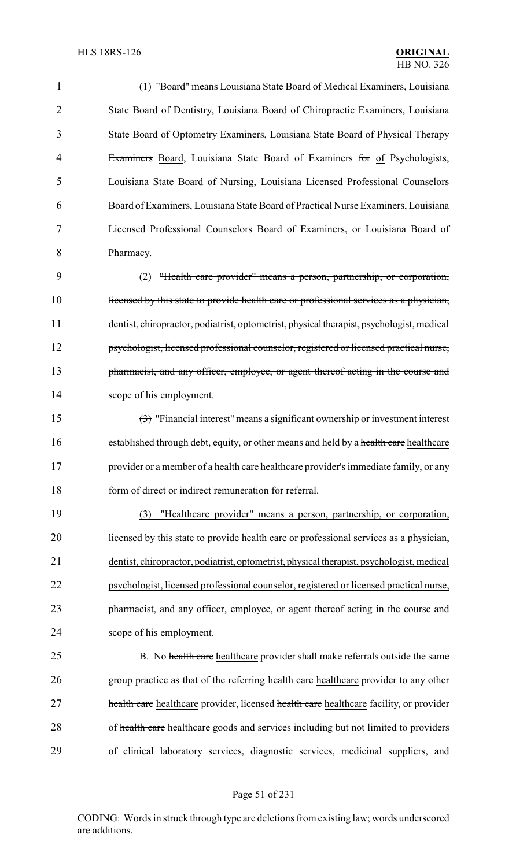| 1              | (1) "Board" means Louisiana State Board of Medical Examiners, Louisiana                              |
|----------------|------------------------------------------------------------------------------------------------------|
| $\overline{2}$ | State Board of Dentistry, Louisiana Board of Chiropractic Examiners, Louisiana                       |
| 3              | State Board of Optometry Examiners, Louisiana State Board of Physical Therapy                        |
| 4              | Examiners Board, Louisiana State Board of Examiners for of Psychologists,                            |
| 5              | Louisiana State Board of Nursing, Louisiana Licensed Professional Counselors                         |
| 6              | Board of Examiners, Louisiana State Board of Practical Nurse Examiners, Louisiana                    |
| 7              | Licensed Professional Counselors Board of Examiners, or Louisiana Board of                           |
| 8              | Pharmacy.                                                                                            |
| 9              | "Health care provider" means a person, partnership, or corporation,<br>(2)                           |
| 10             | licensed by this state to provide health care or professional services as a physician,               |
| 11             | dentist, chiropractor, podiatrist, optometrist, physical therapist, psychologist, medical            |
| 12             | psychologist, licensed professional counselor, registered or licensed practical nurse,               |
| 13             | pharmacist, and any officer, employee, or agent thereof acting in the course and                     |
| 14             | scope of his employment.                                                                             |
| 15             | $\left(\frac{1}{2}\right)$ "Financial interest" means a significant ownership or investment interest |
| 16             | established through debt, equity, or other means and held by a health care healthcare                |
| 17             | provider or a member of a health care healthcare provider's immediate family, or any                 |
| 18             | form of direct or indirect remuneration for referral.                                                |
| 19             | "Healthcare provider" means a person, partnership, or corporation,<br>(3)                            |
| 20             | licensed by this state to provide health care or professional services as a physician,               |
| 21             | dentist, chiropractor, podiatrist, optometrist, physical therapist, psychologist, medical            |
| 22             | psychologist, licensed professional counselor, registered or licensed practical nurse,               |
| 23             | pharmacist, and any officer, employee, or agent thereof acting in the course and                     |
| 24             | scope of his employment.                                                                             |
| 25             | B. No health care healthcare provider shall make referrals outside the same                          |
| 26             | group practice as that of the referring health care healthcare provider to any other                 |
| 27             | health care healthcare provider, licensed health care healthcare facility, or provider               |
| 28             | of health care healthcare goods and services including but not limited to providers                  |
| 29             | of clinical laboratory services, diagnostic services, medicinal suppliers, and                       |
|                |                                                                                                      |

# Page 51 of 231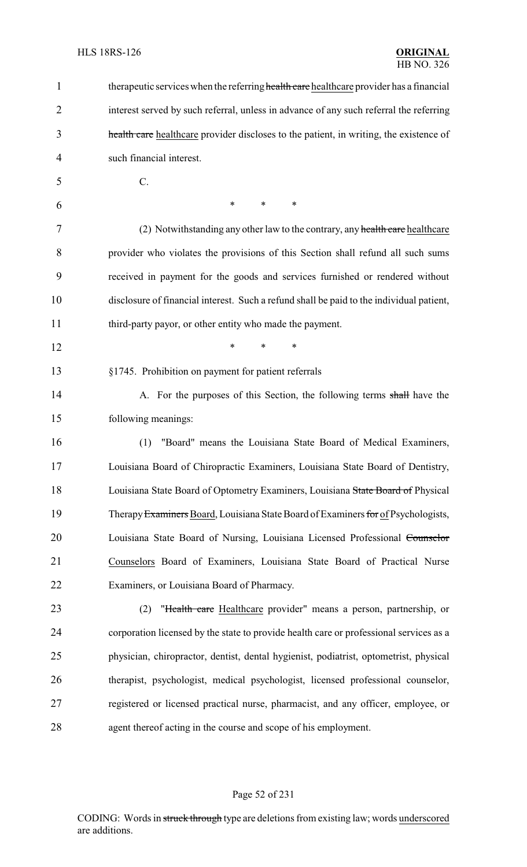| 1  | therapeutic services when the referring health care healthcare provider has a financial  |
|----|------------------------------------------------------------------------------------------|
| 2  | interest served by such referral, unless in advance of any such referral the referring   |
| 3  | health care healthcare provider discloses to the patient, in writing, the existence of   |
| 4  | such financial interest.                                                                 |
| 5  | $C$ .                                                                                    |
| 6  | $\ast$<br>*<br>∗                                                                         |
| 7  | (2) Notwithstanding any other law to the contrary, any health care healthcare            |
| 8  | provider who violates the provisions of this Section shall refund all such sums          |
| 9  | received in payment for the goods and services furnished or rendered without             |
| 10 | disclosure of financial interest. Such a refund shall be paid to the individual patient, |
| 11 | third-party payor, or other entity who made the payment.                                 |
| 12 | *<br>*<br>∗                                                                              |
| 13 | §1745. Prohibition on payment for patient referrals                                      |
| 14 | A. For the purposes of this Section, the following terms shall have the                  |
| 15 | following meanings:                                                                      |
| 16 | "Board" means the Louisiana State Board of Medical Examiners,<br>(1)                     |
| 17 | Louisiana Board of Chiropractic Examiners, Louisiana State Board of Dentistry,           |
| 18 | Louisiana State Board of Optometry Examiners, Louisiana State Board of Physical          |
| 19 | Therapy Examiners Board, Louisiana State Board of Examiners for of Psychologists,        |
| 20 | Louisiana State Board of Nursing, Louisiana Licensed Professional Counselor              |
| 21 | Counselors Board of Examiners, Louisiana State Board of Practical Nurse                  |
| 22 | Examiners, or Louisiana Board of Pharmacy.                                               |
| 23 | "Health care Healthcare provider" means a person, partnership, or<br>(2)                 |
| 24 | corporation licensed by the state to provide health care or professional services as a   |
| 25 | physician, chiropractor, dentist, dental hygienist, podiatrist, optometrist, physical    |
| 26 | therapist, psychologist, medical psychologist, licensed professional counselor,          |
| 27 | registered or licensed practical nurse, pharmacist, and any officer, employee, or        |
| 28 | agent thereof acting in the course and scope of his employment.                          |

# Page 52 of 231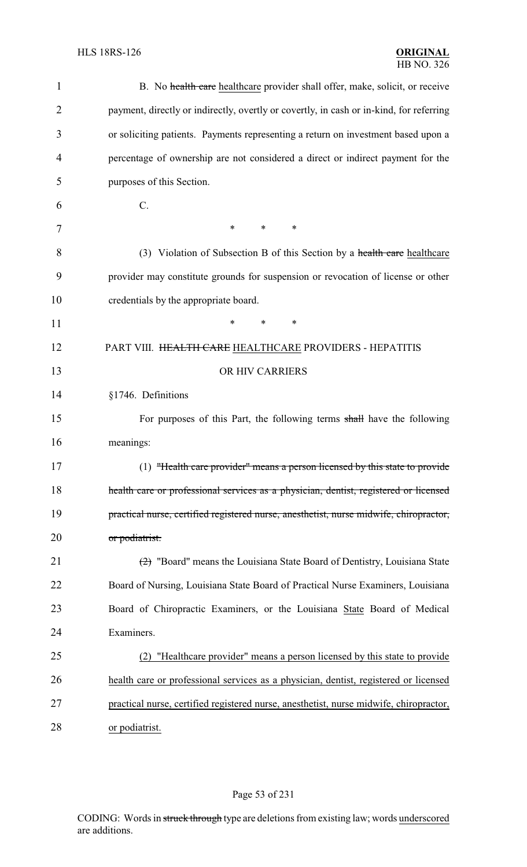| $\mathbf 1$    | B. No health care healthcare provider shall offer, make, solicit, or receive            |
|----------------|-----------------------------------------------------------------------------------------|
| $\overline{2}$ | payment, directly or indirectly, overtly or covertly, in cash or in-kind, for referring |
| 3              | or soliciting patients. Payments representing a return on investment based upon a       |
| 4              | percentage of ownership are not considered a direct or indirect payment for the         |
| 5              | purposes of this Section.                                                               |
| 6              | $C$ .                                                                                   |
| 7              | *<br>*<br>∗                                                                             |
| 8              | (3) Violation of Subsection B of this Section by a health care healthcare               |
| 9              | provider may constitute grounds for suspension or revocation of license or other        |
| 10             | credentials by the appropriate board.                                                   |
| 11             | ∗<br>*<br>∗                                                                             |
| 12             | PART VIII. HEALTH CARE HEALTHCARE PROVIDERS - HEPATITIS                                 |
| 13             | OR HIV CARRIERS                                                                         |
| 14             | §1746. Definitions                                                                      |
| 15             | For purposes of this Part, the following terms shall have the following                 |
| 16             | meanings:                                                                               |
| 17             | (1) "Health care provider" means a person licensed by this state to provide             |
| 18             | health care or professional services as a physician, dentist, registered or licensed    |
| 19             | practical nurse, certified registered nurse, anesthetist, nurse midwife, chiropractor,  |
| 20             | or podiatrist.                                                                          |
| 21             | $\left(2\right)$ "Board" means the Louisiana State Board of Dentistry, Louisiana State  |
| 22             | Board of Nursing, Louisiana State Board of Practical Nurse Examiners, Louisiana         |
| 23             | Board of Chiropractic Examiners, or the Louisiana State Board of Medical                |
| 24             | Examiners.                                                                              |
| 25             | "Healthcare provider" means a person licensed by this state to provide<br>(2)           |
| 26             | health care or professional services as a physician, dentist, registered or licensed    |
| 27             | practical nurse, certified registered nurse, anesthetist, nurse midwife, chiropractor,  |
| 28             | or podiatrist.                                                                          |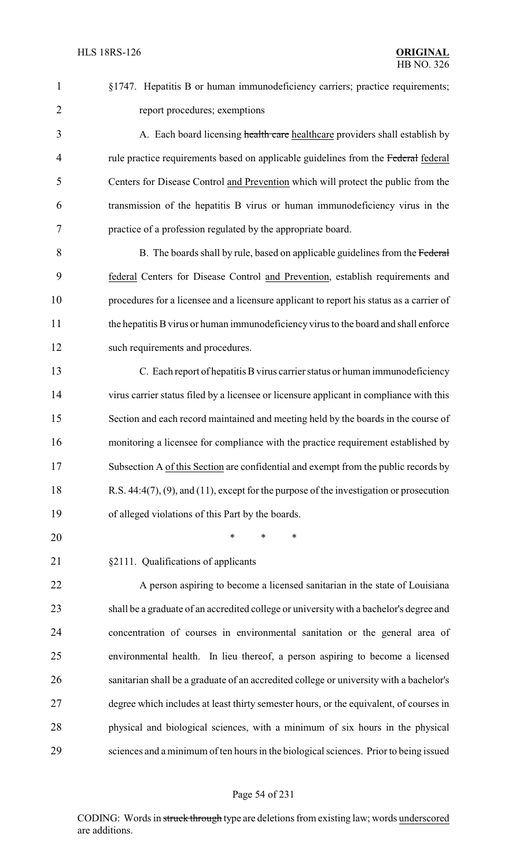§1747. Hepatitis B or human immunodeficiency carriers; practice requirements; report procedures; exemptions 3 A. Each board licensing health care healthcare providers shall establish by 4 rule practice requirements based on applicable guidelines from the Federal federal Centers for Disease Control and Prevention which will protect the public from the transmission of the hepatitis B virus or human immunodeficiency virus in the practice of a profession regulated by the appropriate board. B. The boards shall by rule, based on applicable guidelines from the Federal federal Centers for Disease Control and Prevention, establish requirements and procedures for a licensee and a licensure applicant to report his status as a carrier of the hepatitis Bvirus or human immunodeficiency virus to the board and shall enforce 12 such requirements and procedures. C. Each report of hepatitis Bvirus carrier status or human immunodeficiency virus carrier status filed by a licensee or licensure applicant in compliance with this Section and each record maintained and meeting held by the boards in the course of monitoring a licensee for compliance with the practice requirement established by Subsection A of this Section are confidential and exempt from the public records by R.S. 44:4(7), (9), and (11), except for the purpose of the investigation or prosecution of alleged violations of this Part by the boards. \* \* \* §2111. Qualifications of applicants A person aspiring to become a licensed sanitarian in the state of Louisiana shall be a graduate of an accredited college or university with a bachelor's degree and concentration of courses in environmental sanitation or the general area of environmental health. In lieu thereof, a person aspiring to become a licensed sanitarian shall be a graduate of an accredited college or university with a bachelor's degree which includes at least thirty semester hours, or the equivalent, of courses in physical and biological sciences, with a minimum of six hours in the physical

sciences and a minimum of ten hours in the biological sciences. Prior to being issued

#### Page 54 of 231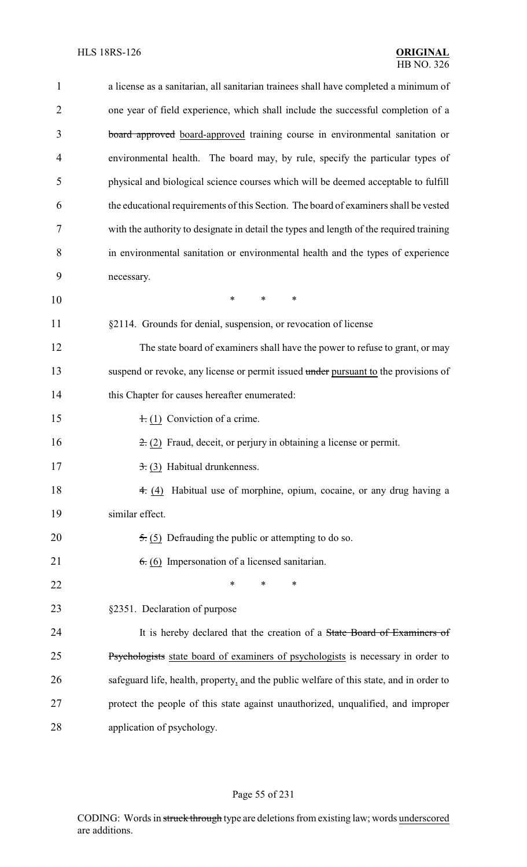| $\mathbf{1}$   | a license as a sanitarian, all sanitarian trainees shall have completed a minimum of    |
|----------------|-----------------------------------------------------------------------------------------|
| $\overline{2}$ | one year of field experience, which shall include the successful completion of a        |
| 3              | board approved board-approved training course in environmental sanitation or            |
| $\overline{4}$ | environmental health. The board may, by rule, specify the particular types of           |
| 5              | physical and biological science courses which will be deemed acceptable to fulfill      |
| 6              | the educational requirements of this Section. The board of examiners shall be vested    |
| 7              | with the authority to designate in detail the types and length of the required training |
| 8              | in environmental sanitation or environmental health and the types of experience         |
| 9              | necessary.                                                                              |
| 10             | $\ast$<br>$\ast$<br>$\ast$                                                              |
| 11             | §2114. Grounds for denial, suspension, or revocation of license                         |
| 12             | The state board of examiners shall have the power to refuse to grant, or may            |
| 13             | suspend or revoke, any license or permit issued under pursuant to the provisions of     |
| 14             | this Chapter for causes hereafter enumerated:                                           |
| 15             | $\pm$ (1) Conviction of a crime.                                                        |
| 16             | $\pm$ (2) Fraud, deceit, or perjury in obtaining a license or permit.                   |
| 17             | $\overline{3}$ : (3) Habitual drunkenness.                                              |
| 18             | Habitual use of morphine, opium, cocaine, or any drug having a<br>4. (4)                |
| 19             | similar effect.                                                                         |
| 20             | $\overline{5}$ . (5) Defrauding the public or attempting to do so.                      |
| 21             | $6.6$ (6) Impersonation of a licensed sanitarian.                                       |
| 22             | $\ast$<br>∗<br>∗                                                                        |
| 23             | §2351. Declaration of purpose                                                           |
| 24             | It is hereby declared that the creation of a State Board of Examiners of                |
| 25             | Psychologists state board of examiners of psychologists is necessary in order to        |
| 26             | safeguard life, health, property, and the public welfare of this state, and in order to |
| 27             | protect the people of this state against unauthorized, unqualified, and improper        |
| 28             | application of psychology.                                                              |

# Page 55 of 231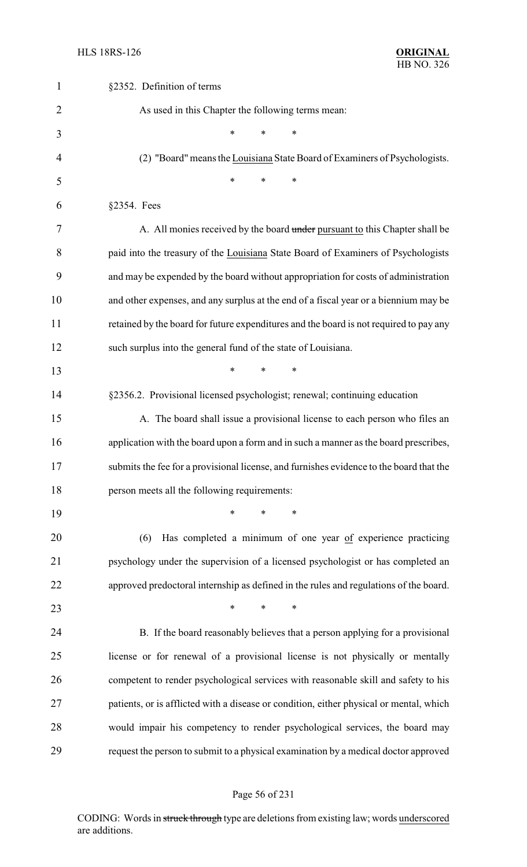| $\mathbf{1}$   | §2352. Definition of terms                                                              |
|----------------|-----------------------------------------------------------------------------------------|
| $\overline{2}$ | As used in this Chapter the following terms mean:                                       |
| 3              | $\ast$<br>*<br>∗                                                                        |
| $\overline{4}$ | (2) "Board" means the Louisiana State Board of Examiners of Psychologists.              |
| 5              | $\ast$<br>*<br>*                                                                        |
| 6              | §2354. Fees                                                                             |
| 7              | A. All monies received by the board under pursuant to this Chapter shall be             |
| 8              | paid into the treasury of the Louisiana State Board of Examiners of Psychologists       |
| 9              | and may be expended by the board without appropriation for costs of administration      |
| 10             | and other expenses, and any surplus at the end of a fiscal year or a biennium may be    |
| 11             | retained by the board for future expenditures and the board is not required to pay any  |
| 12             | such surplus into the general fund of the state of Louisiana.                           |
| 13             | $\ast$<br>*<br>*                                                                        |
| 14             | §2356.2. Provisional licensed psychologist; renewal; continuing education               |
| 15             | A. The board shall issue a provisional license to each person who files an              |
| 16             | application with the board upon a form and in such a manner as the board prescribes,    |
| 17             | submits the fee for a provisional license, and furnishes evidence to the board that the |
| 18             | person meets all the following requirements:                                            |
| 19             | $\ast$<br>∗                                                                             |
| 20             | Has completed a minimum of one year of experience practicing<br>(6)                     |
| 21             | psychology under the supervision of a licensed psychologist or has completed an         |
| 22             | approved predoctoral internship as defined in the rules and regulations of the board.   |
| 23             | *<br>$\ast$<br>$\ast$                                                                   |
| 24             | B. If the board reasonably believes that a person applying for a provisional            |
| 25             | license or for renewal of a provisional license is not physically or mentally           |
| 26             | competent to render psychological services with reasonable skill and safety to his      |
| 27             | patients, or is afflicted with a disease or condition, either physical or mental, which |
| 28             | would impair his competency to render psychological services, the board may             |
| 29             | request the person to submit to a physical examination by a medical doctor approved     |

# Page 56 of 231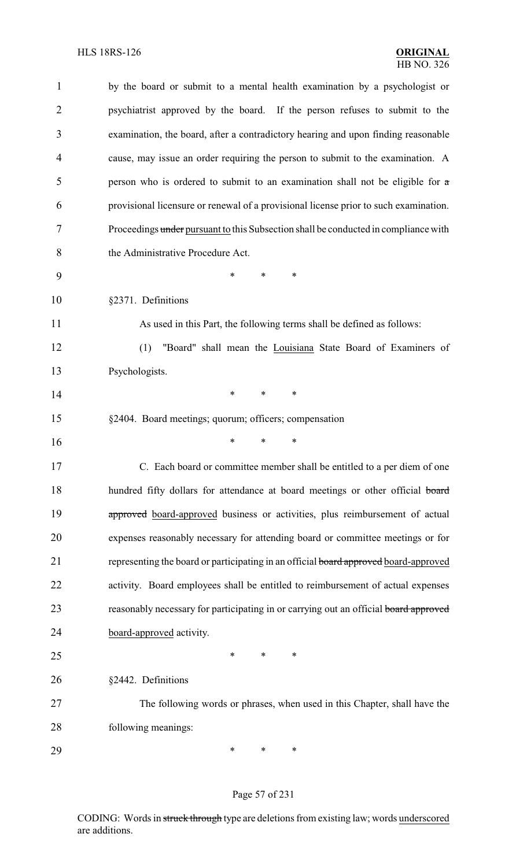| $\mathbf{1}$   | by the board or submit to a mental health examination by a psychologist or           |
|----------------|--------------------------------------------------------------------------------------|
| $\overline{2}$ | psychiatrist approved by the board. If the person refuses to submit to the           |
| 3              | examination, the board, after a contradictory hearing and upon finding reasonable    |
| 4              | cause, may issue an order requiring the person to submit to the examination. A       |
| 5              | person who is ordered to submit to an examination shall not be eligible for $\alpha$ |
| 6              | provisional licensure or renewal of a provisional license prior to such examination. |
| 7              | Proceedings under pursuant to this Subsection shall be conducted in compliance with  |
| 8              | the Administrative Procedure Act.                                                    |
| 9              | *<br>*<br>∗                                                                          |
| 10             | §2371. Definitions                                                                   |
| 11             | As used in this Part, the following terms shall be defined as follows:               |
| 12             | "Board" shall mean the Louisiana State Board of Examiners of<br>(1)                  |
| 13             | Psychologists.                                                                       |
| 14             | $\ast$<br>∗<br>*                                                                     |
| 15             | §2404. Board meetings; quorum; officers; compensation                                |
| 16             | *<br>∗<br>*                                                                          |
| 17             | C. Each board or committee member shall be entitled to a per diem of one             |
| 18             | hundred fifty dollars for attendance at board meetings or other official board       |
| 19             | approved board-approved business or activities, plus reimbursement of actual         |
| 20             | expenses reasonably necessary for attending board or committee meetings or for       |
| 21             | representing the board or participating in an official board approved board-approved |
| 22             | activity. Board employees shall be entitled to reimbursement of actual expenses      |
| 23             | reasonably necessary for participating in or carrying out an official board approved |
| 24             | board-approved activity.                                                             |
| 25             | *<br>*<br>∗                                                                          |
| 26             | §2442. Definitions                                                                   |
| 27             | The following words or phrases, when used in this Chapter, shall have the            |
| 28             | following meanings:                                                                  |
| 29             | ∗<br>∗<br>∗                                                                          |

# Page 57 of 231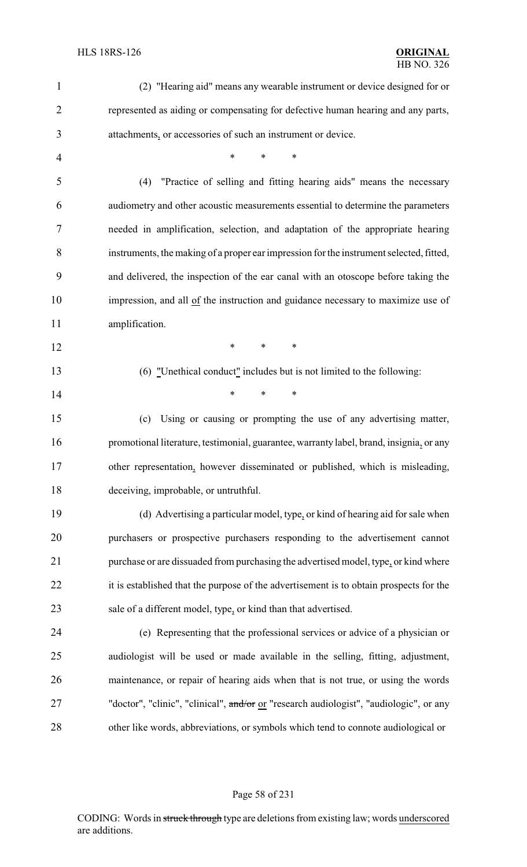| $\mathbf{1}$   | (2) "Hearing aid" means any wearable instrument or device designed for or               |
|----------------|-----------------------------------------------------------------------------------------|
| $\overline{2}$ | represented as aiding or compensating for defective human hearing and any parts,        |
| 3              | attachments, or accessories of such an instrument or device.                            |
| 4              | *<br>*<br>*                                                                             |
| 5              | "Practice of selling and fitting hearing aids" means the necessary<br>(4)               |
| 6              | audiometry and other acoustic measurements essential to determine the parameters        |
| 7              | needed in amplification, selection, and adaptation of the appropriate hearing           |
| 8              | instruments, the making of a proper ear impression for the instrument selected, fitted, |
| 9              | and delivered, the inspection of the ear canal with an otoscope before taking the       |
| 10             | impression, and all of the instruction and guidance necessary to maximize use of        |
| 11             | amplification.                                                                          |
| 12             | $\ast$<br>∗<br>$\ast$                                                                   |
| 13             | (6) "Unethical conduct" includes but is not limited to the following:                   |
| 14             | *<br>*<br>*                                                                             |
| 15             | Using or causing or prompting the use of any advertising matter,<br>(c)                 |
| 16             | promotional literature, testimonial, guarantee, warranty label, brand, insignia, or any |
| 17             | other representation, however disseminated or published, which is misleading,           |
| 18             | deceiving, improbable, or untruthful.                                                   |
| 19             | (d) Advertising a particular model, type, or kind of hearing aid for sale when          |
| 20             | purchasers or prospective purchasers responding to the advertisement cannot             |
| 21             | purchase or are dissuaded from purchasing the advertised model, type, or kind where     |
| 22             | it is established that the purpose of the advertisement is to obtain prospects for the  |
| 23             | sale of a different model, type, or kind than that advertised.                          |
| 24             | (e) Representing that the professional services or advice of a physician or             |
| 25             | audiologist will be used or made available in the selling, fitting, adjustment,         |
| 26             | maintenance, or repair of hearing aids when that is not true, or using the words        |
| 27             | "doctor", "clinic", "clinical", and/or or "research audiologist", "audiologic", or any  |
| 28             | other like words, abbreviations, or symbols which tend to connote audiological or       |

# Page 58 of 231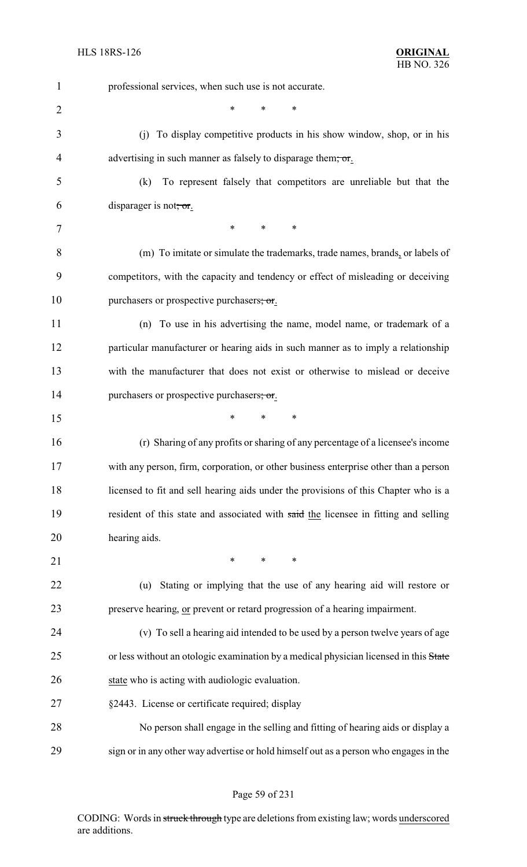| $\mathbf{1}$   | professional services, when such use is not accurate.                                 |
|----------------|---------------------------------------------------------------------------------------|
| $\overline{2}$ | $\ast$<br>∗<br>*                                                                      |
| 3              | (i) To display competitive products in his show window, shop, or in his               |
| 4              | advertising in such manner as falsely to disparage them, or.                          |
| 5              | To represent falsely that competitors are unreliable but that the<br>(k)              |
| 6              | disparager is not, or.                                                                |
| 7              | $\ast$<br>$\ast$<br>∗                                                                 |
| 8              | (m) To imitate or simulate the trademarks, trade names, brands, or labels of          |
| 9              | competitors, with the capacity and tendency or effect of misleading or deceiving      |
| 10             | purchasers or prospective purchasers; or.                                             |
| 11             | (n) To use in his advertising the name, model name, or trademark of a                 |
| 12             | particular manufacturer or hearing aids in such manner as to imply a relationship     |
| 13             | with the manufacturer that does not exist or otherwise to mislead or deceive          |
| 14             | purchasers or prospective purchasers; or.                                             |
| 15             | $\ast$<br>∗<br>$\ast$                                                                 |
| 16             | (r) Sharing of any profits or sharing of any percentage of a licensee's income        |
| 17             | with any person, firm, corporation, or other business enterprise other than a person  |
| 18             | licensed to fit and sell hearing aids under the provisions of this Chapter who is a   |
| 19             | resident of this state and associated with said the licensee in fitting and selling   |
| 20             | hearing aids.                                                                         |
| 21             | $\ast$<br>$\ast$<br>$\ast$                                                            |
| 22             | Stating or implying that the use of any hearing aid will restore or<br>(u)            |
| 23             | preserve hearing, or prevent or retard progression of a hearing impairment.           |
| 24             | (v) To sell a hearing aid intended to be used by a person twelve years of age         |
| 25             | or less without an otologic examination by a medical physician licensed in this State |
| 26             | state who is acting with audiologic evaluation.                                       |
| 27             | §2443. License or certificate required; display                                       |
| 28             | No person shall engage in the selling and fitting of hearing aids or display a        |
| 29             | sign or in any other way advertise or hold himself out as a person who engages in the |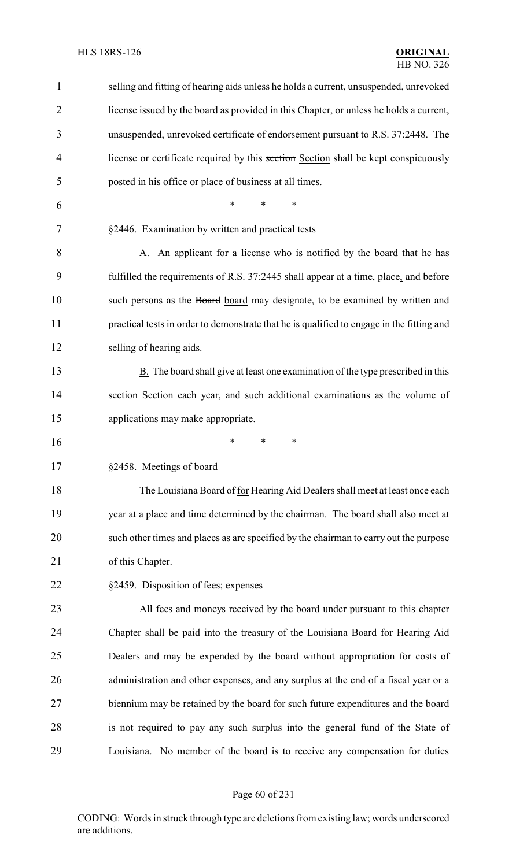| $\mathbf{1}$ | selling and fitting of hearing aids unless he holds a current, unsuspended, unrevoked          |
|--------------|------------------------------------------------------------------------------------------------|
| 2            | license issued by the board as provided in this Chapter, or unless he holds a current,         |
| 3            | unsuspended, unrevoked certificate of endorsement pursuant to R.S. 37:2448. The                |
| 4            | license or certificate required by this section Section shall be kept conspicuously            |
| 5            | posted in his office or place of business at all times.                                        |
| 6            | *<br>$\ast$<br>∗                                                                               |
| 7            | §2446. Examination by written and practical tests                                              |
| 8            | A. An applicant for a license who is notified by the board that he has                         |
| 9            | fulfilled the requirements of R.S. 37:2445 shall appear at a time, place, and before           |
| 10           | such persons as the Board board may designate, to be examined by written and                   |
| 11           | practical tests in order to demonstrate that he is qualified to engage in the fitting and      |
| 12           | selling of hearing aids.                                                                       |
| 13           | $\underline{B}$ . The board shall give at least one examination of the type prescribed in this |
| 14           | section Section each year, and such additional examinations as the volume of                   |
| 15           | applications may make appropriate.                                                             |
| 16           | *<br>∗<br>*                                                                                    |
| 17           | §2458. Meetings of board                                                                       |
| 18           | The Louisiana Board of for Hearing Aid Dealers shall meet at least once each                   |
| 19           | year at a place and time determined by the chairman. The board shall also meet at              |
| 20           | such other times and places as are specified by the chairman to carry out the purpose          |
| 21           | of this Chapter.                                                                               |
| 22           | §2459. Disposition of fees; expenses                                                           |
| 23           | All fees and moneys received by the board under pursuant to this chapter                       |
| 24           | Chapter shall be paid into the treasury of the Louisiana Board for Hearing Aid                 |
| 25           | Dealers and may be expended by the board without appropriation for costs of                    |
| 26           | administration and other expenses, and any surplus at the end of a fiscal year or a            |
| 27           | biennium may be retained by the board for such future expenditures and the board               |
| 28           | is not required to pay any such surplus into the general fund of the State of                  |
| 29           | Louisiana. No member of the board is to receive any compensation for duties                    |

# Page 60 of 231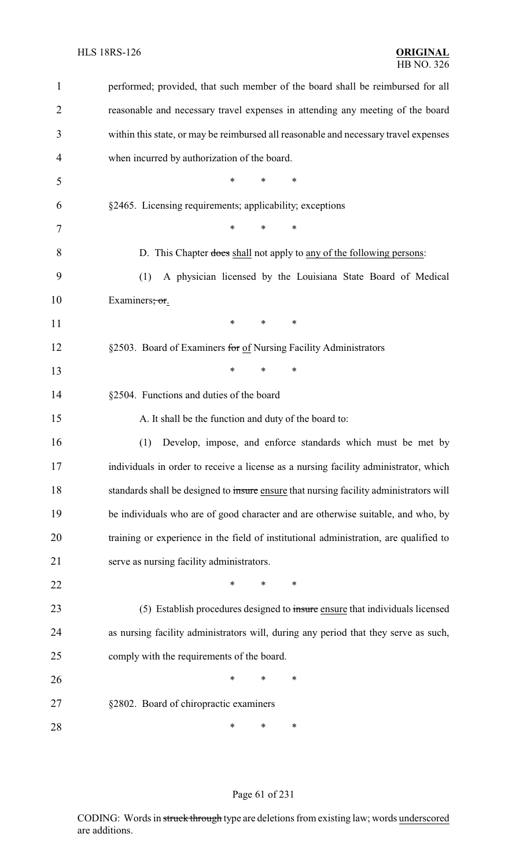| 1  | performed; provided, that such member of the board shall be reimbursed for all         |
|----|----------------------------------------------------------------------------------------|
| 2  | reasonable and necessary travel expenses in attending any meeting of the board         |
| 3  | within this state, or may be reimbursed all reasonable and necessary travel expenses   |
| 4  | when incurred by authorization of the board.                                           |
| 5  | *<br>*                                                                                 |
| 6  | §2465. Licensing requirements; applicability; exceptions                               |
| 7  | *<br>*<br>*                                                                            |
| 8  | D. This Chapter does shall not apply to any of the following persons:                  |
| 9  | A physician licensed by the Louisiana State Board of Medical<br>(1)                    |
| 10 | Examiners; or.                                                                         |
| 11 | $\ast$<br>*<br>$\ast$                                                                  |
| 12 | §2503. Board of Examiners for of Nursing Facility Administrators                       |
| 13 | ∗<br>∗<br>∗                                                                            |
| 14 | §2504. Functions and duties of the board                                               |
|    |                                                                                        |
| 15 | A. It shall be the function and duty of the board to:                                  |
| 16 | (1)<br>Develop, impose, and enforce standards which must be met by                     |
| 17 | individuals in order to receive a license as a nursing facility administrator, which   |
| 18 | standards shall be designed to insure ensure that nursing facility administrators will |
| 19 | be individuals who are of good character and are otherwise suitable, and who, by       |
| 20 | training or experience in the field of institutional administration, are qualified to  |
| 21 | serve as nursing facility administrators.                                              |
| 22 | ∗<br>∗<br>∗                                                                            |
| 23 | (5) Establish procedures designed to insure ensure that individuals licensed           |
| 24 | as nursing facility administrators will, during any period that they serve as such,    |
| 25 | comply with the requirements of the board.                                             |
| 26 | ∗<br>*<br>*                                                                            |
| 27 | §2802. Board of chiropractic examiners                                                 |

# Page 61 of 231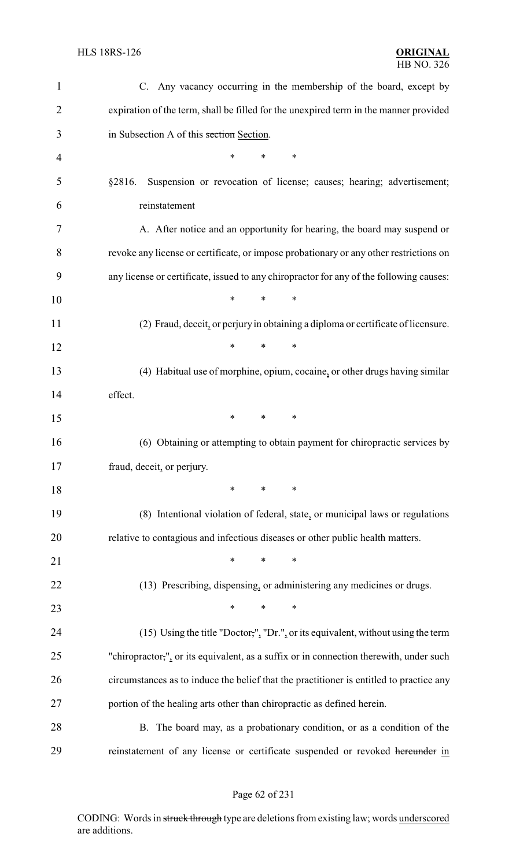| $\mathbf{1}$   | C. Any vacancy occurring in the membership of the board, except by                      |
|----------------|-----------------------------------------------------------------------------------------|
| $\overline{2}$ | expiration of the term, shall be filled for the unexpired term in the manner provided   |
| 3              | in Subsection A of this section Section.                                                |
| $\overline{4}$ | ∗<br>*<br>$\ast$                                                                        |
| 5              | Suspension or revocation of license; causes; hearing; advertisement;<br>§2816.          |
| 6              | reinstatement                                                                           |
| 7              | A. After notice and an opportunity for hearing, the board may suspend or                |
| 8              | revoke any license or certificate, or impose probationary or any other restrictions on  |
| 9              | any license or certificate, issued to any chiropractor for any of the following causes: |
| 10             | $\ast$<br>$\ast$<br>*                                                                   |
| 11             | (2) Fraud, deceit, or perjury in obtaining a diploma or certificate of licensure.       |
| 12             | *<br>$\ast$<br>$\ast$                                                                   |
| 13             | (4) Habitual use of morphine, opium, cocaine, or other drugs having similar             |
| 14             | effect.                                                                                 |
| 15             | $\ast$<br>∗<br>∗                                                                        |
| 16             | (6) Obtaining or attempting to obtain payment for chiropractic services by              |
| 17             | fraud, deceit, or perjury.                                                              |
| 18             | $\ast$<br>*<br>∗                                                                        |
| 19             | (8) Intentional violation of federal, state, or municipal laws or regulations           |
| 20             | relative to contagious and infectious diseases or other public health matters.          |
| 21             | ∗<br>*<br>∗                                                                             |
| 22             | (13) Prescribing, dispensing, or administering any medicines or drugs.                  |
| 23             | $\ast$<br>*<br>∗                                                                        |
| 24             | (15) Using the title "Doctor,", "Dr.", or its equivalent, without using the term        |
| 25             | "chiropractor,", or its equivalent, as a suffix or in connection therewith, under such  |
| 26             | circumstances as to induce the belief that the practitioner is entitled to practice any |
| 27             | portion of the healing arts other than chiropractic as defined herein.                  |
| 28             | B. The board may, as a probationary condition, or as a condition of the                 |
| 29             | reinstatement of any license or certificate suspended or revoked hereunder in           |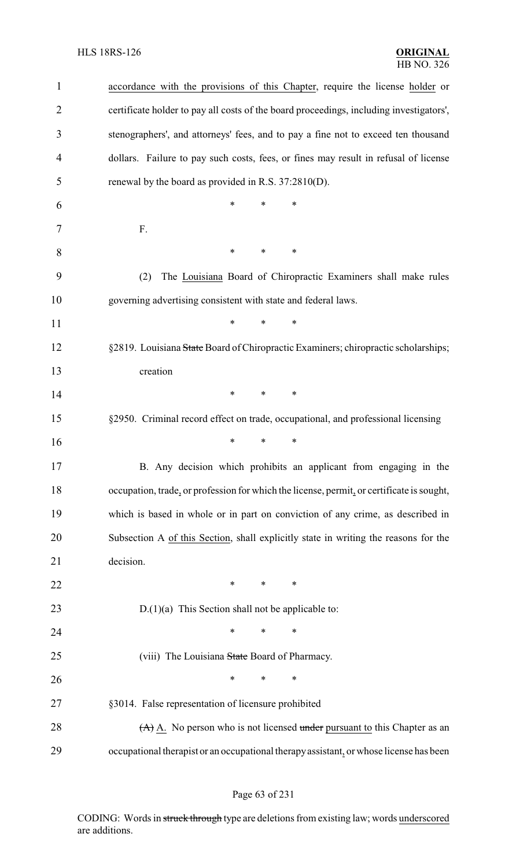| $\mathbf{1}$   | accordance with the provisions of this Chapter, require the license holder or             |
|----------------|-------------------------------------------------------------------------------------------|
| $\overline{2}$ | certificate holder to pay all costs of the board proceedings, including investigators',   |
| 3              | stenographers', and attorneys' fees, and to pay a fine not to exceed ten thousand         |
| 4              | dollars. Failure to pay such costs, fees, or fines may result in refusal of license       |
| 5              | renewal by the board as provided in R.S. 37:2810(D).                                      |
| 6              | *<br>*<br>∗                                                                               |
| 7              | F.                                                                                        |
| 8              | $\ast$<br>*<br>*                                                                          |
| 9              | The Louisiana Board of Chiropractic Examiners shall make rules<br>(2)                     |
| 10             | governing advertising consistent with state and federal laws.                             |
| 11             | *<br>*<br>*                                                                               |
| 12             | §2819. Louisiana State Board of Chiropractic Examiners; chiropractic scholarships;        |
| 13             | creation                                                                                  |
| 14             | *<br>∗<br>∗                                                                               |
| 15             | §2950. Criminal record effect on trade, occupational, and professional licensing          |
| 16             | *<br>*<br>*                                                                               |
| 17             | B. Any decision which prohibits an applicant from engaging in the                         |
| 18             | occupation, trade, or profession for which the license, permit, or certificate is sought, |
| 19             | which is based in whole or in part on conviction of any crime, as described in            |
| 20             | Subsection A of this Section, shall explicitly state in writing the reasons for the       |
| 21             | decision.                                                                                 |
| 22             | ∗<br>$\ast$<br>∗                                                                          |
| 23             | $D(1)(a)$ This Section shall not be applicable to:                                        |
| 24             | *<br>*<br>∗                                                                               |
| 25             | (viii) The Louisiana State Board of Pharmacy.                                             |
| 26             | $\ast$<br>*<br>*                                                                          |
| 27             | §3014. False representation of licensure prohibited                                       |
| 28             | $(A)$ $\overline{A}$ . No person who is not licensed under pursuant to this Chapter as an |
| 29             | occupational therapist or an occupational therapy assistant, or whose license has been    |

# Page 63 of 231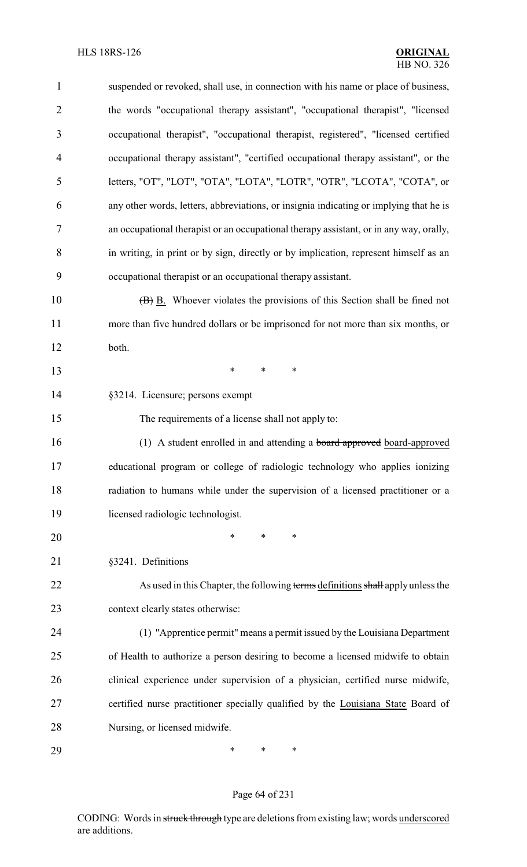| $\mathbf{1}$   | suspended or revoked, shall use, in connection with his name or place of business,     |
|----------------|----------------------------------------------------------------------------------------|
| $\overline{2}$ | the words "occupational therapy assistant", "occupational therapist", "licensed        |
| 3              | occupational therapist", "occupational therapist, registered", "licensed certified     |
| 4              | occupational therapy assistant", "certified occupational therapy assistant", or the    |
| 5              | letters, "OT", "LOT", "OTA", "LOTA", "LOTR", "OTR", "LCOTA", "COTA", or                |
| 6              | any other words, letters, abbreviations, or insignia indicating or implying that he is |
| 7              | an occupational therapist or an occupational therapy assistant, or in any way, orally, |
| 8              | in writing, in print or by sign, directly or by implication, represent himself as an   |
| 9              | occupational therapist or an occupational therapy assistant.                           |
| 10             | (B) B. Whoever violates the provisions of this Section shall be fined not              |
| 11             | more than five hundred dollars or be imprisoned for not more than six months, or       |
| 12             | both.                                                                                  |
| 13             | ∗<br>∗<br>∗                                                                            |
| 14             | §3214. Licensure; persons exempt                                                       |
| 15             | The requirements of a license shall not apply to:                                      |
| 16             | (1) A student enrolled in and attending a board approved board-approved                |
| 17             | educational program or college of radiologic technology who applies ionizing           |
| 18             | radiation to humans while under the supervision of a licensed practitioner or a        |
| 19             | licensed radiologic technologist.                                                      |
| 20             | *<br>*<br>$\ast$                                                                       |
| 21             | §3241. Definitions                                                                     |
| 22             | As used in this Chapter, the following terms definitions shall apply unless the        |
| 23             | context clearly states otherwise:                                                      |
| 24             | (1) "Apprentice permit" means a permit issued by the Louisiana Department              |
| 25             | of Health to authorize a person desiring to become a licensed midwife to obtain        |
| 26             | clinical experience under supervision of a physician, certified nurse midwife,         |
| 27             | certified nurse practitioner specially qualified by the Louisiana State Board of       |
| 28             | Nursing, or licensed midwife.                                                          |
| 29             | ∗<br>*<br>∗                                                                            |

# Page 64 of 231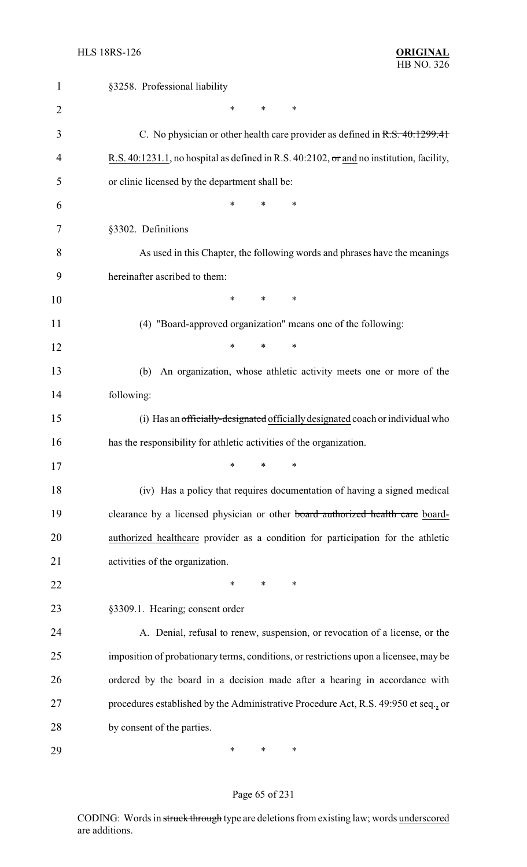| 1              | §3258. Professional liability                                                                  |
|----------------|------------------------------------------------------------------------------------------------|
| $\overline{2}$ | $\ast$<br>$\ast$<br>∗                                                                          |
| 3              | C. No physician or other health care provider as defined in $R.S. 40:1299.41$                  |
| 4              | R.S. 40:1231.1, no hospital as defined in R.S. 40:2102, $\sigma$ and no institution, facility, |
| 5              | or clinic licensed by the department shall be:                                                 |
| 6              | *<br>*<br>∗                                                                                    |
| 7              | §3302. Definitions                                                                             |
| 8              | As used in this Chapter, the following words and phrases have the meanings                     |
| 9              | hereinafter ascribed to them:                                                                  |
| 10             | *<br>$\ast$<br>∗                                                                               |
| 11             | (4) "Board-approved organization" means one of the following:                                  |
| 12             | *<br>$\ast$<br>∗                                                                               |
| 13             | An organization, whose athletic activity meets one or more of the<br>(b)                       |
| 14             | following:                                                                                     |
| 15             | (i) Has an officially-designated officially designated coach or individual who                 |
| 16             | has the responsibility for athletic activities of the organization.                            |
| 17             | ∗<br>∗<br>∗                                                                                    |
| 18             | (iv) Has a policy that requires documentation of having a signed medical                       |
| 19             | clearance by a licensed physician or other board authorized health care board-                 |
| 20             | authorized healthcare provider as a condition for participation for the athletic               |
| 21             | activities of the organization.                                                                |
| 22             | $\ast$<br>∗<br>∗                                                                               |
| 23             | §3309.1. Hearing; consent order                                                                |
| 24             | A. Denial, refusal to renew, suspension, or revocation of a license, or the                    |
| 25             | imposition of probationary terms, conditions, or restrictions upon a licensee, may be          |
| 26             | ordered by the board in a decision made after a hearing in accordance with                     |
| 27             | procedures established by the Administrative Procedure Act, R.S. 49:950 et seq., or            |
| 28             | by consent of the parties.                                                                     |
| 29             | ∗<br>∗<br>∗                                                                                    |

# Page 65 of 231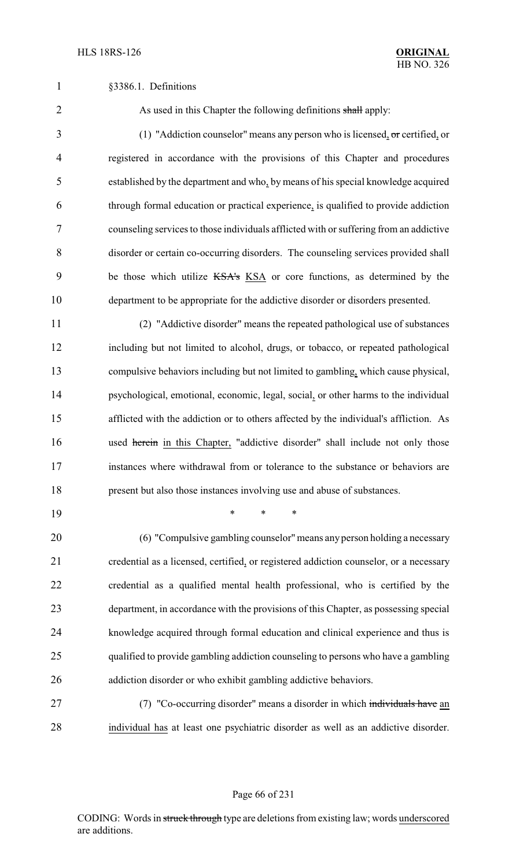2 As used in this Chapter the following definitions shall apply:

 (1) "Addiction counselor" means any person who is licensed, or certified, or registered in accordance with the provisions of this Chapter and procedures established by the department and who, by means of his special knowledge acquired through formal education or practical experience, is qualified to provide addiction counseling services to those individuals afflicted with or suffering from an addictive disorder or certain co-occurring disorders. The counseling services provided shall be those which utilize KSA's KSA or core functions, as determined by the department to be appropriate for the addictive disorder or disorders presented.

 (2) "Addictive disorder" means the repeated pathological use of substances including but not limited to alcohol, drugs, or tobacco, or repeated pathological compulsive behaviors including but not limited to gambling, which cause physical, psychological, emotional, economic, legal, social, or other harms to the individual afflicted with the addiction or to others affected by the individual's affliction. As 16 used herein in this Chapter, "addictive disorder" shall include not only those instances where withdrawal from or tolerance to the substance or behaviors are present but also those instances involving use and abuse of substances.

\* \* \*

 (6) "Compulsive gambling counselor"means any person holding a necessary credential as a licensed, certified, or registered addiction counselor, or a necessary credential as a qualified mental health professional, who is certified by the department, in accordance with the provisions of this Chapter, as possessing special knowledge acquired through formal education and clinical experience and thus is qualified to provide gambling addiction counseling to persons who have a gambling addiction disorder or who exhibit gambling addictive behaviors.

27 (7) "Co-occurring disorder" means a disorder in which individuals have an individual has at least one psychiatric disorder as well as an addictive disorder.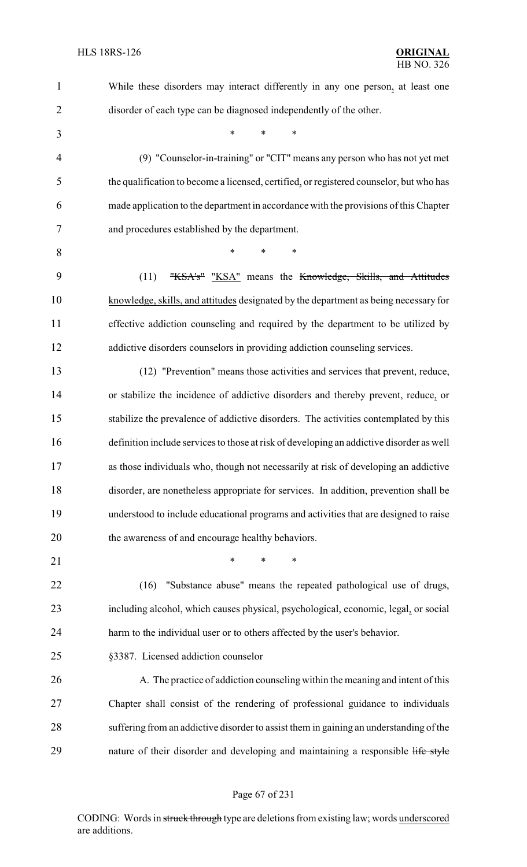| $\mathbf{1}$   | While these disorders may interact differently in any one person, at least one           |
|----------------|------------------------------------------------------------------------------------------|
| $\overline{2}$ | disorder of each type can be diagnosed independently of the other.                       |
| 3              | *<br>*<br>*                                                                              |
| $\overline{4}$ | (9) "Counselor-in-training" or "CIT" means any person who has not yet met                |
| 5              | the qualification to become a licensed, certified, or registered counselor, but who has  |
| 6              | made application to the department in accordance with the provisions of this Chapter     |
| 7              | and procedures established by the department.                                            |
| 8              | $\ast$<br>∗<br>*                                                                         |
| 9              | (11)<br>"KSA's" "KSA" means the Knowledge, Skills, and Attitudes                         |
| 10             | knowledge, skills, and attitudes designated by the department as being necessary for     |
| 11             | effective addiction counseling and required by the department to be utilized by          |
| 12             | addictive disorders counselors in providing addiction counseling services.               |
| 13             | (12) "Prevention" means those activities and services that prevent, reduce,              |
| 14             | or stabilize the incidence of addictive disorders and thereby prevent, reduce, or        |
| 15             | stabilize the prevalence of addictive disorders. The activities contemplated by this     |
| 16             | definition include services to those at risk of developing an addictive disorder as well |
| 17             | as those individuals who, though not necessarily at risk of developing an addictive      |
| 18             | disorder, are nonetheless appropriate for services. In addition, prevention shall be     |
| 19             | understood to include educational programs and activities that are designed to raise     |
| 20             | the awareness of and encourage healthy behaviors.                                        |
| 21             | *<br>$\ast$<br>*                                                                         |
| 22             | "Substance abuse" means the repeated pathological use of drugs,<br>(16)                  |
| 23             | including alcohol, which causes physical, psychological, economic, legal, or social      |
| 24             | harm to the individual user or to others affected by the user's behavior.                |
| 25             | §3387. Licensed addiction counselor                                                      |
| 26             | A. The practice of addiction counseling within the meaning and intent of this            |
| 27             | Chapter shall consist of the rendering of professional guidance to individuals           |
| 28             | suffering from an addictive disorder to assist them in gaining an understanding of the   |
| 29             | nature of their disorder and developing and maintaining a responsible life style         |
|                |                                                                                          |

# Page 67 of 231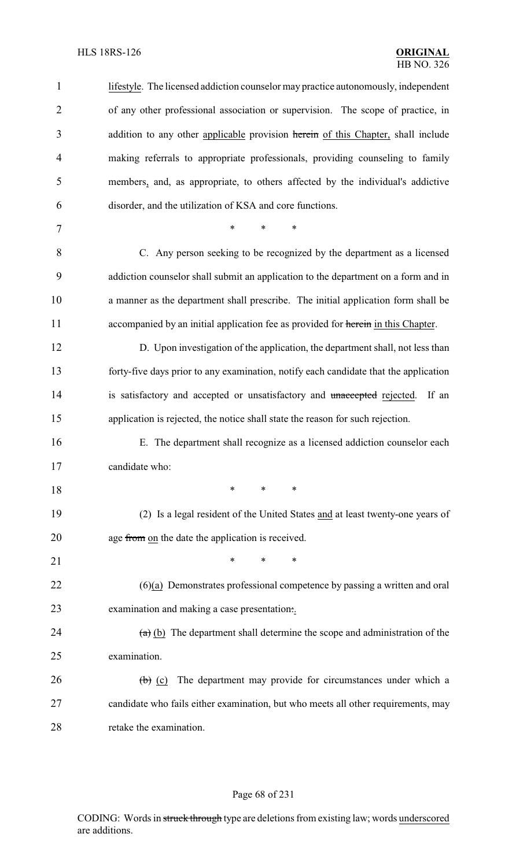#### HLS 18RS-126 **ORIGINAL**

| $\mathbf{1}$   | lifestyle. The licensed addiction counselor may practice autonomously, independent      |
|----------------|-----------------------------------------------------------------------------------------|
| $\overline{2}$ | of any other professional association or supervision. The scope of practice, in         |
| 3              | addition to any other applicable provision herein of this Chapter, shall include        |
| $\overline{4}$ | making referrals to appropriate professionals, providing counseling to family           |
| 5              | members, and, as appropriate, to others affected by the individual's addictive          |
| 6              | disorder, and the utilization of KSA and core functions.                                |
| 7              | $\ast$<br>$\ast$<br>$\ast$                                                              |
| 8              | C. Any person seeking to be recognized by the department as a licensed                  |
| 9              | addiction counselor shall submit an application to the department on a form and in      |
| 10             | a manner as the department shall prescribe. The initial application form shall be       |
| 11             | accompanied by an initial application fee as provided for herein in this Chapter.       |
| 12             | D. Upon investigation of the application, the department shall, not less than           |
| 13             | forty-five days prior to any examination, notify each candidate that the application    |
| 14             | is satisfactory and accepted or unsatisfactory and unaccepted rejected.<br>If an        |
| 15             | application is rejected, the notice shall state the reason for such rejection.          |
| 16             | E. The department shall recognize as a licensed addiction counselor each                |
| 17             | candidate who:                                                                          |
| 18             | ∗<br>*<br>∗                                                                             |
| 19             | (2) Is a legal resident of the United States and at least twenty-one years of           |
| 20             | age from on the date the application is received.                                       |
| 21             | *<br>*<br>∗                                                                             |
| 22             | $(6)(a)$ Demonstrates professional competence by passing a written and oral             |
| 23             | examination and making a case presentation                                              |
| 24             | $(a)$ (b) The department shall determine the scope and administration of the            |
| 25             | examination.                                                                            |
| 26             | The department may provide for circumstances under which a<br>$\left(\theta\right)$ (c) |
| 27             | candidate who fails either examination, but who meets all other requirements, may       |
| 28             | retake the examination.                                                                 |

# Page 68 of 231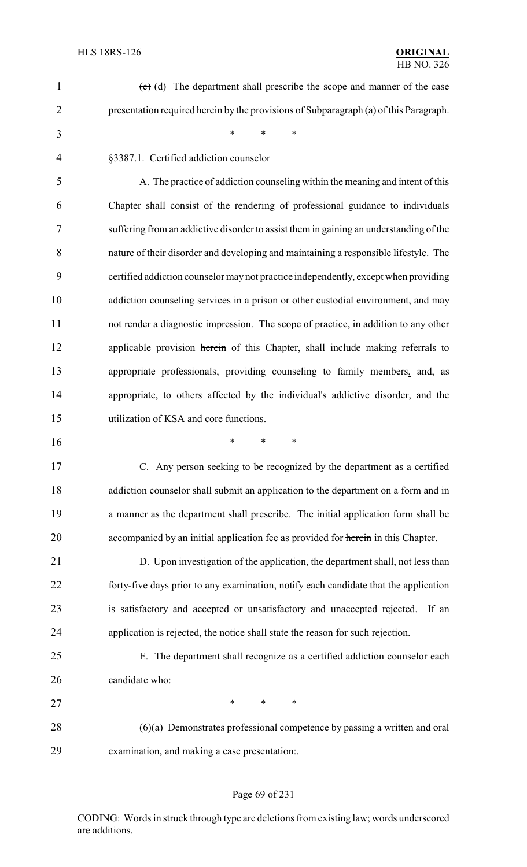| 1  | $\overline{(e)}$ (d) The department shall prescribe the scope and manner of the case   |
|----|----------------------------------------------------------------------------------------|
| 2  | presentation required herein by the provisions of Subparagraph (a) of this Paragraph.  |
| 3  | $\ast$<br>$\ast$<br>$\ast$                                                             |
| 4  | §3387.1. Certified addiction counselor                                                 |
| 5  | A. The practice of addiction counseling within the meaning and intent of this          |
| 6  | Chapter shall consist of the rendering of professional guidance to individuals         |
| 7  | suffering from an addictive disorder to assist them in gaining an understanding of the |
| 8  | nature of their disorder and developing and maintaining a responsible lifestyle. The   |
| 9  | certified addiction counselor may not practice independently, except when providing    |
| 10 | addiction counseling services in a prison or other custodial environment, and may      |
| 11 | not render a diagnostic impression. The scope of practice, in addition to any other    |
| 12 | applicable provision herein of this Chapter, shall include making referrals to         |
| 13 | appropriate professionals, providing counseling to family members, and, as             |
| 14 | appropriate, to others affected by the individual's addictive disorder, and the        |
| 15 | utilization of KSA and core functions.                                                 |
| 16 | $\ast$<br>$\ast$<br>*                                                                  |
| 17 | C. Any person seeking to be recognized by the department as a certified                |
| 18 | addiction counselor shall submit an application to the department on a form and in     |
| 19 | a manner as the department shall prescribe. The initial application form shall be      |
| 20 | accompanied by an initial application fee as provided for herein in this Chapter.      |
| 21 | D. Upon investigation of the application, the department shall, not less than          |
| 22 | forty-five days prior to any examination, notify each candidate that the application   |
| 23 | is satisfactory and accepted or unsatisfactory and unaccepted rejected.<br>If an       |
| 24 | application is rejected, the notice shall state the reason for such rejection.         |
| 25 | E. The department shall recognize as a certified addiction counselor each              |
| 26 | candidate who:                                                                         |
| 27 | $\ast$<br>∗<br>∗                                                                       |
| 28 | $(6)(a)$ Demonstrates professional competence by passing a written and oral            |
| 29 | examination, and making a case presentation                                            |

# Page 69 of 231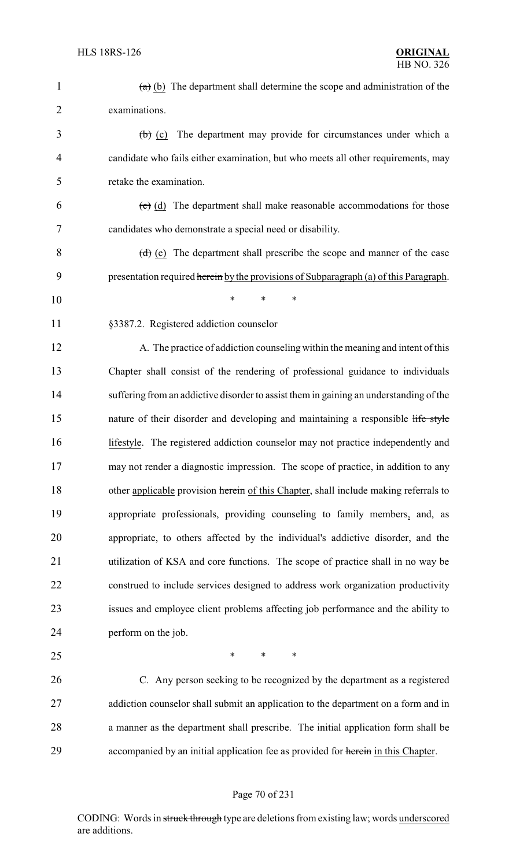| $\mathbf{1}$   | $(a)$ (b) The department shall determine the scope and administration of the           |
|----------------|----------------------------------------------------------------------------------------|
| $\overline{2}$ | examinations.                                                                          |
| 3              | $(b)$ (c) The department may provide for circumstances under which a                   |
| $\overline{4}$ | candidate who fails either examination, but who meets all other requirements, may      |
| 5              | retake the examination.                                                                |
| 6              | $\overline{(e)}$ (d) The department shall make reasonable accommodations for those     |
| 7              | candidates who demonstrate a special need or disability.                               |
| 8              | $(d)$ (e) The department shall prescribe the scope and manner of the case              |
| 9              | presentation required herein by the provisions of Subparagraph (a) of this Paragraph.  |
| 10             | *<br>*<br>*                                                                            |
| 11             | §3387.2. Registered addiction counselor                                                |
| 12             | A. The practice of addiction counseling within the meaning and intent of this          |
| 13             | Chapter shall consist of the rendering of professional guidance to individuals         |
| 14             | suffering from an addictive disorder to assist them in gaining an understanding of the |
| 15             | nature of their disorder and developing and maintaining a responsible life style       |
| 16             | lifestyle. The registered addiction counselor may not practice independently and       |
| 17             | may not render a diagnostic impression. The scope of practice, in addition to any      |
| 18             | other applicable provision herein of this Chapter, shall include making referrals to   |
| 19             | appropriate professionals, providing counseling to family members, and, as             |
| 20             | appropriate, to others affected by the individual's addictive disorder, and the        |
| 21             | utilization of KSA and core functions. The scope of practice shall in no way be        |
| 22             | construed to include services designed to address work organization productivity       |
| 23             | issues and employee client problems affecting job performance and the ability to       |
| 24             | perform on the job.                                                                    |
| 25             | ∗<br>∗<br>∗                                                                            |
| 26             | C. Any person seeking to be recognized by the department as a registered               |
| 27             | addiction counselor shall submit an application to the department on a form and in     |
| 28             | a manner as the department shall prescribe. The initial application form shall be      |
| 29             | accompanied by an initial application fee as provided for herein in this Chapter.      |
|                |                                                                                        |

# Page 70 of 231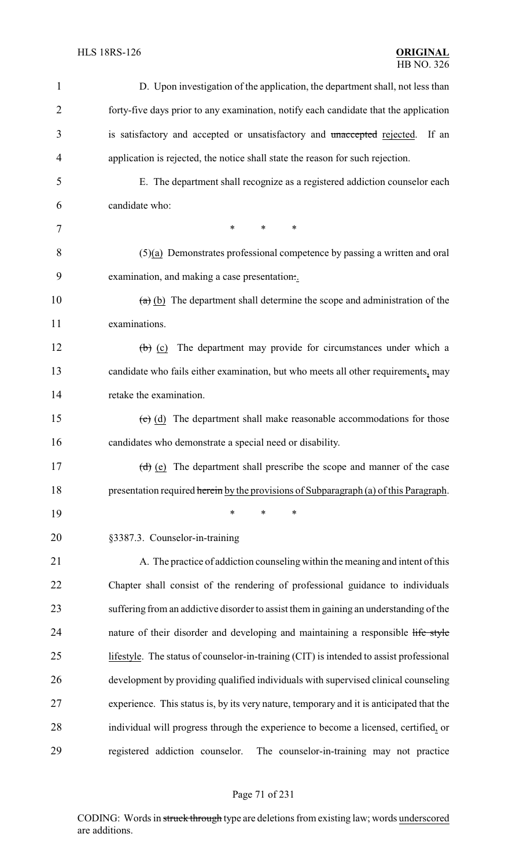| $\mathbf{1}$   | D. Upon investigation of the application, the department shall, not less than             |
|----------------|-------------------------------------------------------------------------------------------|
| $\overline{2}$ | forty-five days prior to any examination, notify each candidate that the application      |
| 3              | is satisfactory and accepted or unsatisfactory and unaccepted rejected.<br>If an          |
| 4              | application is rejected, the notice shall state the reason for such rejection.            |
| 5              | E. The department shall recognize as a registered addiction counselor each                |
| 6              | candidate who:                                                                            |
| 7              | $\ast$<br>*<br>$\ast$                                                                     |
| 8              | $(5)(a)$ Demonstrates professional competence by passing a written and oral               |
| 9              | examination, and making a case presentation                                               |
| 10             | $(a)$ (b) The department shall determine the scope and administration of the              |
| 11             | examinations.                                                                             |
| 12             | $\left(\frac{b}{c}\right)$ (c) The department may provide for circumstances under which a |
| 13             | candidate who fails either examination, but who meets all other requirements, may         |
| 14             | retake the examination.                                                                   |
| 15             | $(e)$ (d) The department shall make reasonable accommodations for those                   |
| 16             | candidates who demonstrate a special need or disability.                                  |
| 17             | $(d)$ (e) The department shall prescribe the scope and manner of the case                 |
| 18             | presentation required herein by the provisions of Subparagraph (a) of this Paragraph.     |
| 19             | $\ast$<br>∗<br>∗                                                                          |
| 20             | §3387.3. Counselor-in-training                                                            |
| 21             | A. The practice of addiction counseling within the meaning and intent of this             |
| 22             | Chapter shall consist of the rendering of professional guidance to individuals            |
| 23             | suffering from an addictive disorder to assist them in gaining an understanding of the    |
| 24             | nature of their disorder and developing and maintaining a responsible life style          |
| 25             | lifestyle. The status of counselor-in-training (CIT) is intended to assist professional   |
| 26             | development by providing qualified individuals with supervised clinical counseling        |
| 27             | experience. This status is, by its very nature, temporary and it is anticipated that the  |
| 28             | individual will progress through the experience to become a licensed, certified, or       |
| 29             | registered addiction counselor.<br>The counselor-in-training may not practice             |

# Page 71 of 231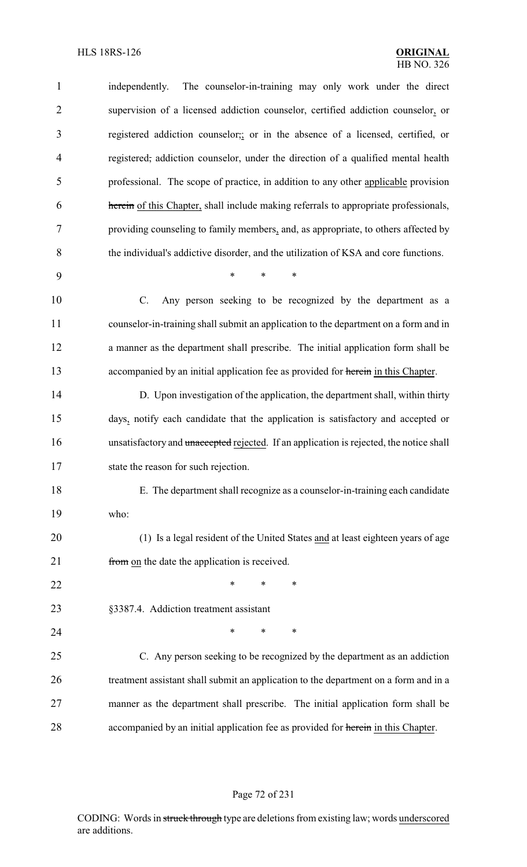| $\mathbf{1}$   | The counselor-in-training may only work under the direct<br>independently.              |
|----------------|-----------------------------------------------------------------------------------------|
| $\overline{2}$ | supervision of a licensed addiction counselor, certified addiction counselor, or        |
| 3              | registered addiction counselor; or in the absence of a licensed, certified, or          |
| $\overline{4}$ | registered, addiction counselor, under the direction of a qualified mental health       |
| 5              | professional. The scope of practice, in addition to any other applicable provision      |
| 6              | herein of this Chapter, shall include making referrals to appropriate professionals,    |
| 7              | providing counseling to family members, and, as appropriate, to others affected by      |
| 8              | the individual's addictive disorder, and the utilization of KSA and core functions.     |
| 9              | $\ast$<br>$\ast$<br>$\ast$                                                              |
| 10             | $C$ .<br>Any person seeking to be recognized by the department as a                     |
| 11             | counselor-in-training shall submit an application to the department on a form and in    |
| 12             | a manner as the department shall prescribe. The initial application form shall be       |
| 13             | accompanied by an initial application fee as provided for herein in this Chapter.       |
| 14             | D. Upon investigation of the application, the department shall, within thirty           |
| 15             | days, notify each candidate that the application is satisfactory and accepted or        |
| 16             | unsatisfactory and unaccepted rejected. If an application is rejected, the notice shall |
| 17             | state the reason for such rejection.                                                    |
| 18             | E. The department shall recognize as a counselor-in-training each candidate             |
| 19             | who:                                                                                    |
| 20             | (1) Is a legal resident of the United States and at least eighteen years of age         |
| 21             | from on the date the application is received.                                           |
| 22             | ∗<br>∗<br>∗                                                                             |
| 23             | §3387.4. Addiction treatment assistant                                                  |
| 24             | ∗<br>∗<br>∗                                                                             |
| 25             | C. Any person seeking to be recognized by the department as an addiction                |
| 26             | treatment assistant shall submit an application to the department on a form and in a    |
| 27             | manner as the department shall prescribe. The initial application form shall be         |
| 28             | accompanied by an initial application fee as provided for herein in this Chapter.       |

# Page 72 of 231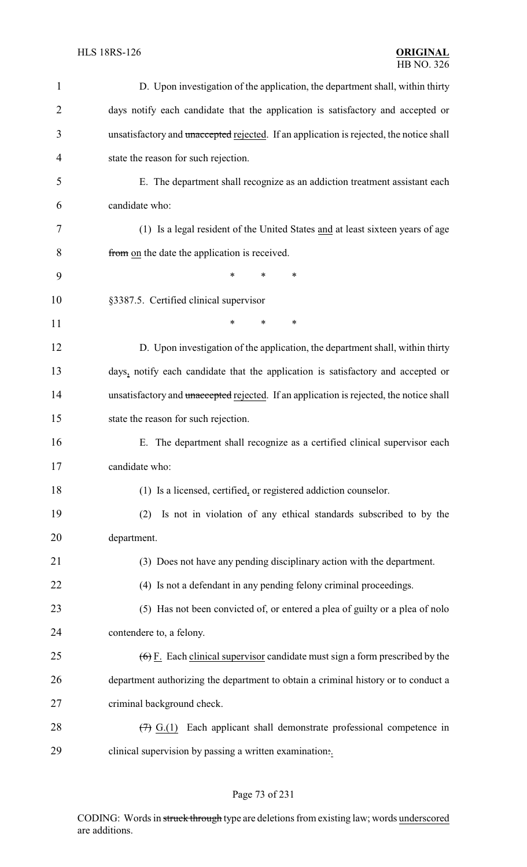| $\mathbf{1}$   | D. Upon investigation of the application, the department shall, within thirty             |
|----------------|-------------------------------------------------------------------------------------------|
| $\overline{2}$ | days notify each candidate that the application is satisfactory and accepted or           |
| 3              | unsatisfactory and unaccepted rejected. If an application is rejected, the notice shall   |
| $\overline{4}$ | state the reason for such rejection.                                                      |
| 5              | E. The department shall recognize as an addiction treatment assistant each                |
| 6              | candidate who:                                                                            |
| 7              | (1) Is a legal resident of the United States and at least sixteen years of age            |
| 8              | from on the date the application is received.                                             |
| 9              | $\ast$<br>*<br>*                                                                          |
| 10             | §3387.5. Certified clinical supervisor                                                    |
| 11             | $\ast$<br>*<br>∗                                                                          |
| 12             | D. Upon investigation of the application, the department shall, within thirty             |
| 13             | days, notify each candidate that the application is satisfactory and accepted or          |
| 14             | unsatisfactory and unaccepted rejected. If an application is rejected, the notice shall   |
| 15             | state the reason for such rejection.                                                      |
| 16             | E. The department shall recognize as a certified clinical supervisor each                 |
| 17             | candidate who:                                                                            |
| 18             | (1) Is a licensed, certified, or registered addiction counselor.                          |
| 19             | Is not in violation of any ethical standards subscribed to by the<br>(2)                  |
| 20             | department.                                                                               |
| 21             | (3) Does not have any pending disciplinary action with the department.                    |
| 22             | (4) Is not a defendant in any pending felony criminal proceedings.                        |
| 23             | (5) Has not been convicted of, or entered a plea of guilty or a plea of nolo              |
| 24             | contendere to, a felony.                                                                  |
| 25             | $\overline{(6)}$ E. Each clinical supervisor candidate must sign a form prescribed by the |
| 26             | department authorizing the department to obtain a criminal history or to conduct a        |
| 27             | criminal background check.                                                                |
| 28             | Each applicant shall demonstrate professional competence in<br>$(7)$ G.(1)                |
| 29             | clinical supervision by passing a written examination.                                    |

# Page 73 of 231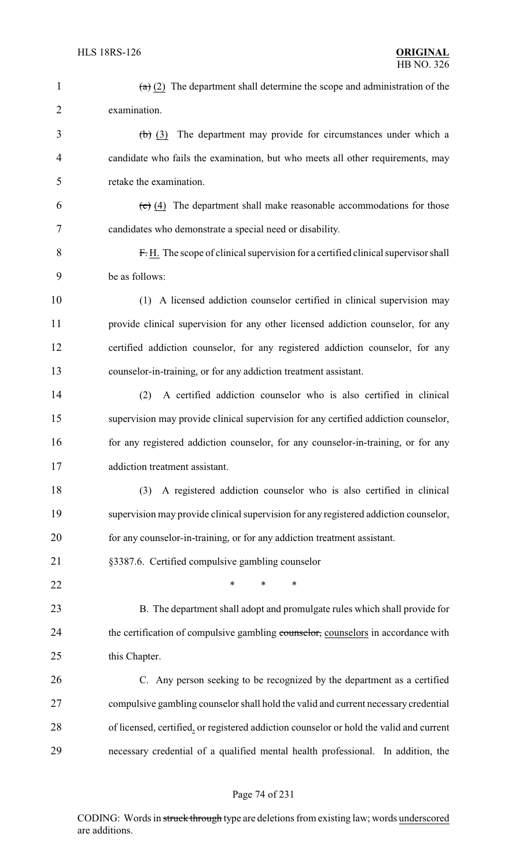| $\mathbf{1}$   | $(a)$ (2) The department shall determine the scope and administration of the                 |
|----------------|----------------------------------------------------------------------------------------------|
| $\overline{2}$ | examination.                                                                                 |
| 3              | $(b)$ (3) The department may provide for circumstances under which a                         |
| $\overline{4}$ | candidate who fails the examination, but who meets all other requirements, may               |
| 5              | retake the examination.                                                                      |
| 6              | $\left(\frac{c}{c}\right)$ (4) The department shall make reasonable accommodations for those |
| 7              | candidates who demonstrate a special need or disability.                                     |
| 8              | $F.H.$ The scope of clinical supervision for a certified clinical supervisor shall           |
| 9              | be as follows:                                                                               |
| 10             | (1) A licensed addiction counselor certified in clinical supervision may                     |
| 11             | provide clinical supervision for any other licensed addiction counselor, for any             |
| 12             | certified addiction counselor, for any registered addiction counselor, for any               |
| 13             | counselor-in-training, or for any addiction treatment assistant.                             |
| 14             | A certified addiction counselor who is also certified in clinical<br>(2)                     |
| 15             | supervision may provide clinical supervision for any certified addiction counselor,          |
| 16             | for any registered addiction counselor, for any counselor-in-training, or for any            |
| 17             | addiction treatment assistant.                                                               |
| 18             | A registered addiction counselor who is also certified in clinical<br>(3)                    |
| 19             | supervision may provide clinical supervision for any registered addiction counselor,         |
| 20             | for any counselor-in-training, or for any addiction treatment assistant.                     |
| 21             | §3387.6. Certified compulsive gambling counselor                                             |
| 22             | $\ast$<br>∗<br>∗                                                                             |
| 23             | B. The department shall adopt and promulgate rules which shall provide for                   |
| 24             | the certification of compulsive gambling counselor, counselors in accordance with            |
| 25             | this Chapter.                                                                                |
| 26             | C. Any person seeking to be recognized by the department as a certified                      |
| 27             | compulsive gambling counselor shall hold the valid and current necessary credential          |
| 28             | of licensed, certified, or registered addiction counselor or hold the valid and current      |
| 29             | necessary credential of a qualified mental health professional. In addition, the             |
|                |                                                                                              |

# Page 74 of 231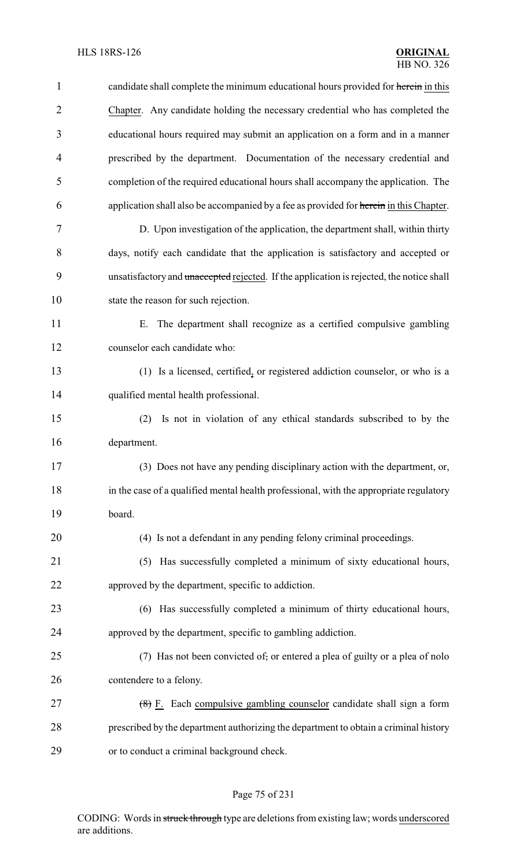| $\mathbf{1}$   | candidate shall complete the minimum educational hours provided for herein in this       |
|----------------|------------------------------------------------------------------------------------------|
| $\overline{2}$ | Chapter. Any candidate holding the necessary credential who has completed the            |
| 3              | educational hours required may submit an application on a form and in a manner           |
| $\overline{4}$ | prescribed by the department. Documentation of the necessary credential and              |
| 5              | completion of the required educational hours shall accompany the application. The        |
| 6              | application shall also be accompanied by a fee as provided for herein in this Chapter.   |
| 7              | D. Upon investigation of the application, the department shall, within thirty            |
| 8              | days, notify each candidate that the application is satisfactory and accepted or         |
| 9              | unsatisfactory and unaccepted rejected. If the application is rejected, the notice shall |
| 10             | state the reason for such rejection.                                                     |
| 11             | The department shall recognize as a certified compulsive gambling<br>Е.                  |
| 12             | counselor each candidate who:                                                            |
| 13             | (1) Is a licensed, certified, or registered addiction counselor, or who is a             |
| 14             | qualified mental health professional.                                                    |
| 15             | Is not in violation of any ethical standards subscribed to by the<br>(2)                 |
| 16             | department.                                                                              |
| 17             | (3) Does not have any pending disciplinary action with the department, or,               |
| 18             | in the case of a qualified mental health professional, with the appropriate regulatory   |
| 19             | board.                                                                                   |
| 20             | (4) Is not a defendant in any pending felony criminal proceedings.                       |
| 21             | (5) Has successfully completed a minimum of sixty educational hours,                     |
| 22             | approved by the department, specific to addiction.                                       |
| 23             | (6) Has successfully completed a minimum of thirty educational hours,                    |
| 24             | approved by the department, specific to gambling addiction.                              |
| 25             | (7) Has not been convicted of, or entered a plea of guilty or a plea of nolo             |
| 26             | contendere to a felony.                                                                  |
| 27             | (8) F. Each compulsive gambling counselor candidate shall sign a form                    |
| 28             | prescribed by the department authorizing the department to obtain a criminal history     |
| 29             | or to conduct a criminal background check.                                               |

# Page 75 of 231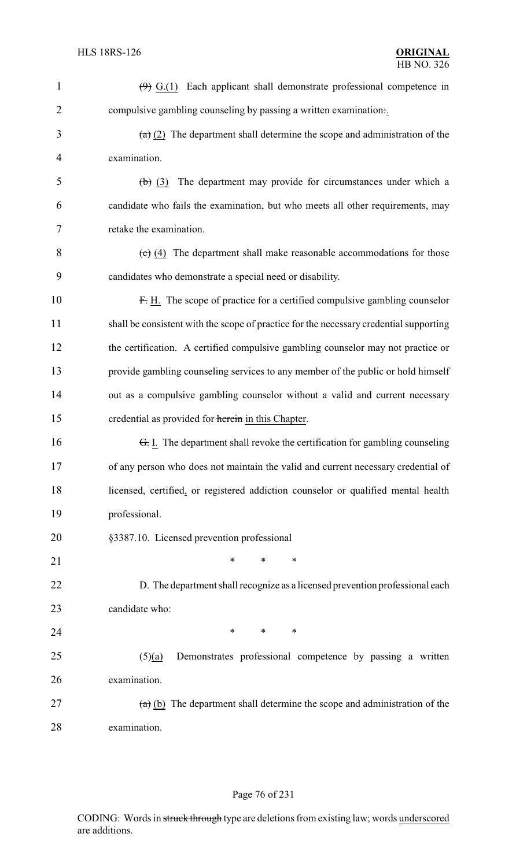| $\mathbf{1}$   | $(9)$ G.(1) Each applicant shall demonstrate professional competence in                           |
|----------------|---------------------------------------------------------------------------------------------------|
| $\overline{2}$ | compulsive gambling counseling by passing a written examination                                   |
| 3              | $\left(\frac{a}{b}\right)$ (2) The department shall determine the scope and administration of the |
| $\overline{4}$ | examination.                                                                                      |
| 5              | The department may provide for circumstances under which a<br>(b) (3)                             |
| 6              | candidate who fails the examination, but who meets all other requirements, may                    |
| 7              | retake the examination.                                                                           |
| 8              | $\overline{(c)}$ (4) The department shall make reasonable accommodations for those                |
| 9              | candidates who demonstrate a special need or disability.                                          |
| 10             | F. H. The scope of practice for a certified compulsive gambling counselor                         |
| 11             | shall be consistent with the scope of practice for the necessary credential supporting            |
| 12             | the certification. A certified compulsive gambling counselor may not practice or                  |
| 13             | provide gambling counseling services to any member of the public or hold himself                  |
| 14             | out as a compulsive gambling counselor without a valid and current necessary                      |
| 15             | credential as provided for herein in this Chapter.                                                |
| 16             | <del>G.</del> I. The department shall revoke the certification for gambling counseling            |
| 17             | of any person who does not maintain the valid and current necessary credential of                 |
| 18             | licensed, certified, or registered addiction counselor or qualified mental health                 |
| 19             | professional.                                                                                     |
| 20             | §3387.10. Licensed prevention professional                                                        |
| 21             | $\ast$<br>$\ast$<br>$\ast$                                                                        |
| 22             | D. The department shall recognize as a licensed prevention professional each                      |
| 23             | candidate who:                                                                                    |
| 24             | $*$<br>$\ast$<br>$\ast$                                                                           |
| 25             | Demonstrates professional competence by passing a written<br>(5)(a)                               |
| 26             | examination.                                                                                      |
| 27             | $(a)$ (b) The department shall determine the scope and administration of the                      |
| 28             | examination.                                                                                      |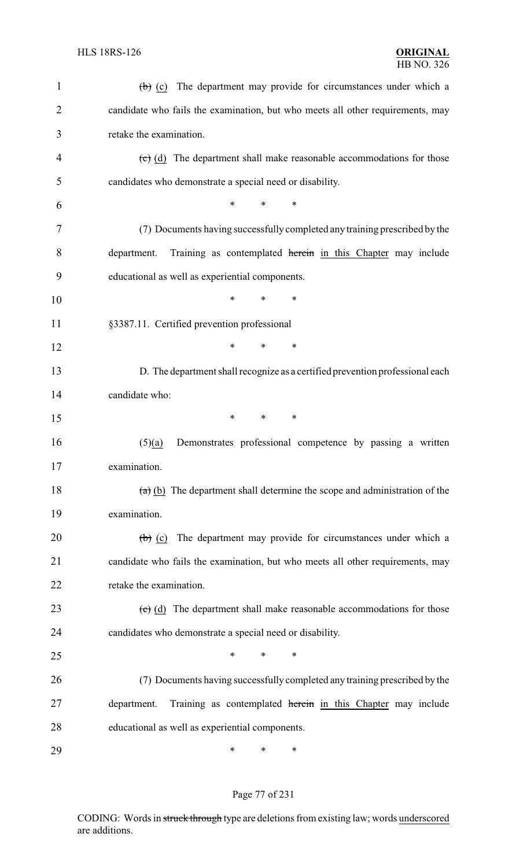| $\mathbf{1}$   | The department may provide for circumstances under which a<br>$\left(\mathbf{b}\right)$ (c)  |
|----------------|----------------------------------------------------------------------------------------------|
| $\overline{2}$ | candidate who fails the examination, but who meets all other requirements, may               |
| 3              | retake the examination.                                                                      |
| 4              | $\overline{c}$ (d) The department shall make reasonable accommodations for those             |
| 5              | candidates who demonstrate a special need or disability.                                     |
| 6              | *<br>*<br>*                                                                                  |
| 7              | (7) Documents having successfully completed any training prescribed by the                   |
| 8              | Training as contemplated herein in this Chapter may include<br>department.                   |
| 9              | educational as well as experiential components.                                              |
| 10             | $\ast$<br>∗<br>∗                                                                             |
| 11             | §3387.11. Certified prevention professional                                                  |
| 12             | $\ast$<br>$\ast$<br>$\ast$                                                                   |
| 13             | D. The department shall recognize as a certified prevention professional each                |
| 14             | candidate who:                                                                               |
| 15             | $\ast$<br>$\ast$<br>∗                                                                        |
| 16             | Demonstrates professional competence by passing a written<br>(5)(a)                          |
| 17             | examination.                                                                                 |
| 18             | $\overline{a}$ (b) The department shall determine the scope and administration of the        |
| 19             | examination.                                                                                 |
| 20             | The department may provide for circumstances under which a<br>$\left(\frac{1}{b}\right)$ (c) |
| 21             | candidate who fails the examination, but who meets all other requirements, may               |
| 22             | retake the examination.                                                                      |
| 23             | $\overline{(c)}$ (d) The department shall make reasonable accommodations for those           |
| 24             | candidates who demonstrate a special need or disability.                                     |
| 25             | *<br>*<br>∗                                                                                  |
| 26             | (7) Documents having successfully completed any training prescribed by the                   |
| 27             | Training as contemplated herein in this Chapter may include<br>department.                   |
| 28             | educational as well as experiential components.                                              |
| 29             | ∗<br>∗<br>∗                                                                                  |

# Page 77 of 231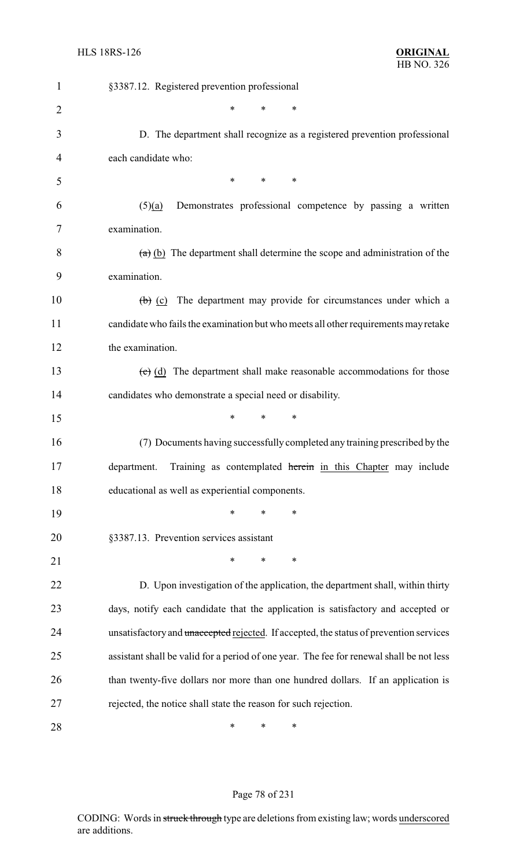| 1              | §3387.12. Registered prevention professional                                              |
|----------------|-------------------------------------------------------------------------------------------|
| $\overline{2}$ | *<br>$\ast$<br>*                                                                          |
| 3              | D. The department shall recognize as a registered prevention professional                 |
| 4              | each candidate who:                                                                       |
| 5              | $\ast$<br>*<br>$\ast$                                                                     |
| 6              | Demonstrates professional competence by passing a written<br>(5)(a)                       |
| 7              | examination.                                                                              |
| 8              | $(a)$ (b) The department shall determine the scope and administration of the              |
| 9              | examination.                                                                              |
| 10             | $\left(\frac{b}{c}\right)$ (c) The department may provide for circumstances under which a |
| 11             | candidate who fails the examination but who meets all other requirements may retake       |
| 12             | the examination.                                                                          |
| 13             | $\overline{(c)}$ (d) The department shall make reasonable accommodations for those        |
| 14             | candidates who demonstrate a special need or disability.                                  |
| 15             | $\ast$<br>*<br>*                                                                          |
| 16             | (7) Documents having successfully completed any training prescribed by the                |
| 17             | department. Training as contemplated herein in this Chapter may include                   |
| 18             | educational as well as experiential components.                                           |
| 19             | $\ast$<br>*<br>*                                                                          |
| 20             | §3387.13. Prevention services assistant                                                   |
| 21             | *<br>∗<br>*                                                                               |
| 22             | D. Upon investigation of the application, the department shall, within thirty             |
| 23             | days, notify each candidate that the application is satisfactory and accepted or          |
| 24             | unsatisfactory and unaccepted rejected. If accepted, the status of prevention services    |
| 25             | assistant shall be valid for a period of one year. The fee for renewal shall be not less  |
| 26             | than twenty-five dollars nor more than one hundred dollars. If an application is          |
| 27             | rejected, the notice shall state the reason for such rejection.                           |
| 28             | ∗<br>∗<br>∗                                                                               |

# Page 78 of 231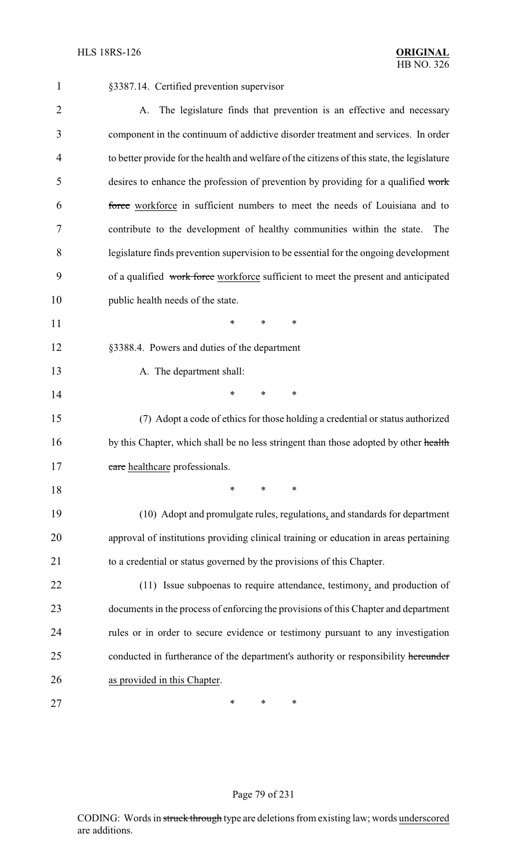| $\mathbf{1}$   | §3387.14. Certified prevention supervisor                                                   |
|----------------|---------------------------------------------------------------------------------------------|
| $\overline{2}$ | The legislature finds that prevention is an effective and necessary<br>A.                   |
| 3              | component in the continuum of addictive disorder treatment and services. In order           |
| 4              | to better provide for the health and welfare of the citizens of this state, the legislature |
| 5              | desires to enhance the profession of prevention by providing for a qualified work           |
| 6              | force workforce in sufficient numbers to meet the needs of Louisiana and to                 |
| 7              | contribute to the development of healthy communities within the state.<br>The               |
| 8              | legislature finds prevention supervision to be essential for the ongoing development        |
| 9              | of a qualified work force workforce sufficient to meet the present and anticipated          |
| 10             | public health needs of the state.                                                           |
| 11             | *<br>∗<br>$\ast$                                                                            |
| 12             | §3388.4. Powers and duties of the department                                                |
| 13             | A. The department shall:                                                                    |
| 14             | *<br>∗<br>$\ast$                                                                            |
| 15             | (7) Adopt a code of ethics for those holding a credential or status authorized              |
| 16             | by this Chapter, which shall be no less stringent than those adopted by other health        |
| 17             | care healthcare professionals.                                                              |
| 18             | ∗<br>*<br>∗                                                                                 |
| 19             | (10) Adopt and promulgate rules, regulations, and standards for department                  |
| 20             | approval of institutions providing clinical training or education in areas pertaining       |
| 21             | to a credential or status governed by the provisions of this Chapter.                       |
| 22             | (11) Issue subpoenas to require attendance, testimony, and production of                    |
| 23             | documents in the process of enforcing the provisions of this Chapter and department         |
| 24             | rules or in order to secure evidence or testimony pursuant to any investigation             |
| 25             | conducted in furtherance of the department's authority or responsibility hereunder          |
| 26             | as provided in this Chapter.                                                                |
| 27             | ∗<br>∗<br>∗                                                                                 |

# Page 79 of 231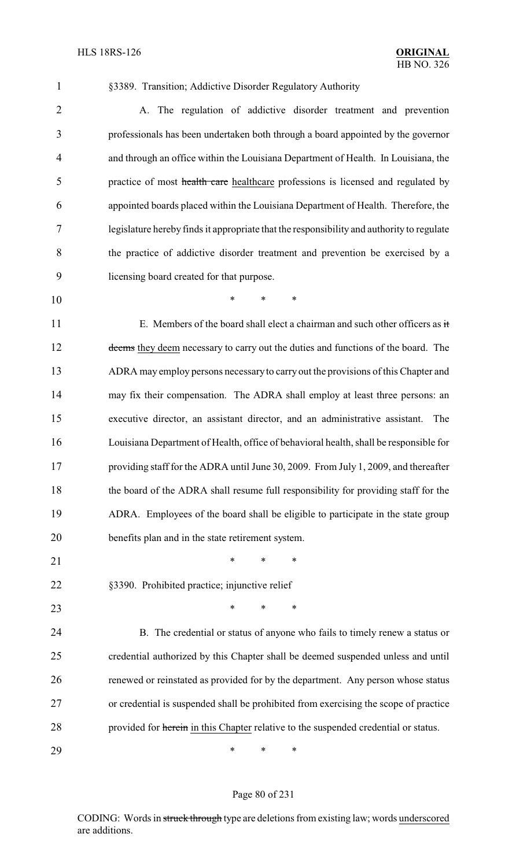§3389. Transition; Addictive Disorder Regulatory Authority

 A. The regulation of addictive disorder treatment and prevention professionals has been undertaken both through a board appointed by the governor and through an office within the Louisiana Department of Health. In Louisiana, the 5 practice of most health care healthcare professions is licensed and regulated by appointed boards placed within the Louisiana Department of Health. Therefore, the legislature hereby finds it appropriate that the responsibility and authority to regulate the practice of addictive disorder treatment and prevention be exercised by a licensing board created for that purpose.

\* \* \*

11 E. Members of the board shall elect a chairman and such other officers as it 12 deems they deem necessary to carry out the duties and functions of the board. The ADRA may employ persons necessaryto carry out the provisions of this Chapter and may fix their compensation. The ADRA shall employ at least three persons: an executive director, an assistant director, and an administrative assistant. The Louisiana Department of Health, office of behavioral health, shall be responsible for providing staff for the ADRA until June 30, 2009. From July 1, 2009, and thereafter the board of the ADRA shall resume full responsibility for providing staff for the ADRA. Employees of the board shall be eligible to participate in the state group benefits plan and in the state retirement system.

21 \* \* \* \*

§3390. Prohibited practice; injunctive relief

**\*** \* \* \*

 B. The credential or status of anyone who fails to timely renew a status or credential authorized by this Chapter shall be deemed suspended unless and until renewed or reinstated as provided for by the department. Any person whose status or credential is suspended shall be prohibited from exercising the scope of practice 28 provided for herein in this Chapter relative to the suspended credential or status.

\* \* \*

#### Page 80 of 231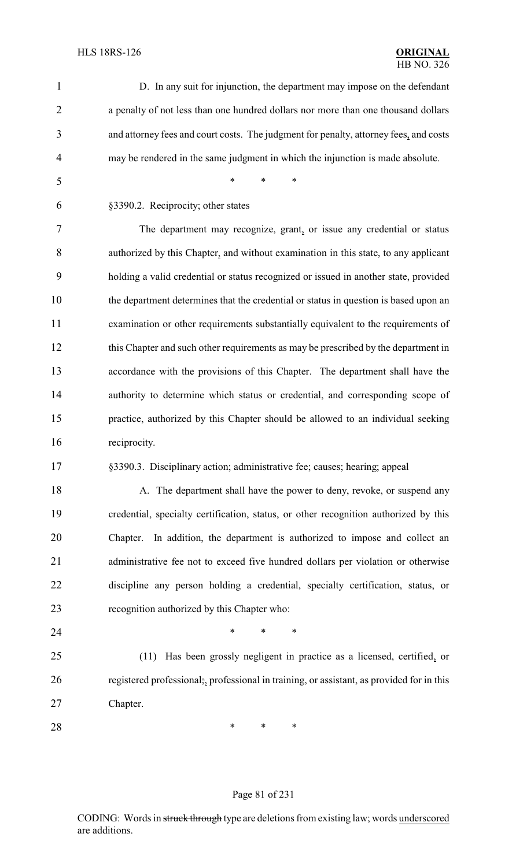| $\mathbf{1}$   | D. In any suit for injunction, the department may impose on the defendant                 |
|----------------|-------------------------------------------------------------------------------------------|
| $\overline{2}$ | a penalty of not less than one hundred dollars nor more than one thousand dollars         |
| 3              | and attorney fees and court costs. The judgment for penalty, attorney fees, and costs     |
| 4              | may be rendered in the same judgment in which the injunction is made absolute.            |
| 5              | $\ast$<br>∗<br>*                                                                          |
| 6              | §3390.2. Reciprocity; other states                                                        |
| 7              | The department may recognize, grant, or issue any credential or status                    |
| 8              | authorized by this Chapter, and without examination in this state, to any applicant       |
| 9              | holding a valid credential or status recognized or issued in another state, provided      |
| 10             | the department determines that the credential or status in question is based upon an      |
| 11             | examination or other requirements substantially equivalent to the requirements of         |
| 12             | this Chapter and such other requirements as may be prescribed by the department in        |
| 13             | accordance with the provisions of this Chapter. The department shall have the             |
| 14             | authority to determine which status or credential, and corresponding scope of             |
| 15             | practice, authorized by this Chapter should be allowed to an individual seeking           |
| 16             | reciprocity.                                                                              |
| 17             | §3390.3. Disciplinary action; administrative fee; causes; hearing; appeal                 |
| 18             | A. The department shall have the power to deny, revoke, or suspend any                    |
| 19             | credential, specialty certification, status, or other recognition authorized by this      |
| 20             | In addition, the department is authorized to impose and collect an<br>Chapter.            |
| 21             | administrative fee not to exceed five hundred dollars per violation or otherwise          |
| 22             | discipline any person holding a credential, specialty certification, status, or           |
| 23             | recognition authorized by this Chapter who:                                               |
| 24             | *<br>∗<br>∗                                                                               |
| 25             | Has been grossly negligent in practice as a licensed, certified, or<br>(11)               |
| 26             | registered professional;, professional in training, or assistant, as provided for in this |
| 27             | Chapter.                                                                                  |
| 28             | ∗<br>∗<br>∗                                                                               |
|                |                                                                                           |

# Page 81 of 231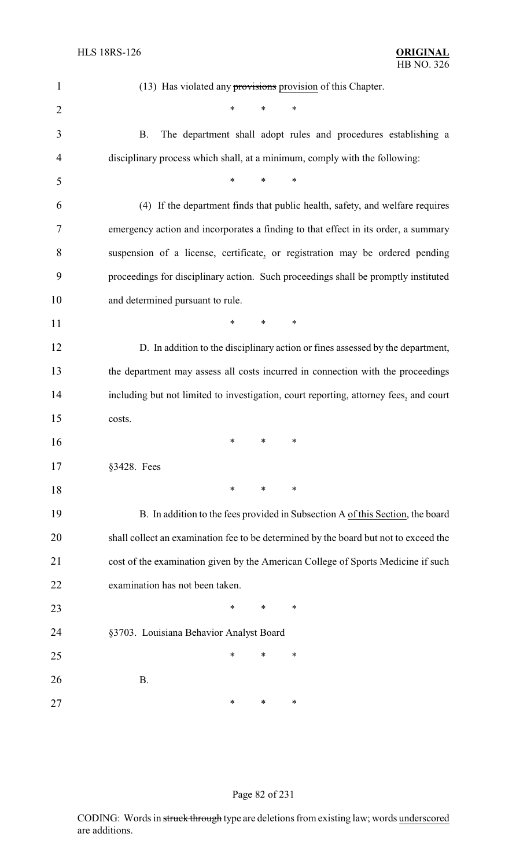| $\mathbf{1}$   | $(13)$ Has violated any provisions provision of this Chapter.                         |
|----------------|---------------------------------------------------------------------------------------|
| $\overline{2}$ | $\ast$<br>*<br>∗                                                                      |
| 3              | The department shall adopt rules and procedures establishing a<br><b>B.</b>           |
| 4              | disciplinary process which shall, at a minimum, comply with the following:            |
| 5              | $\ast$<br>*<br>*                                                                      |
| 6              | (4) If the department finds that public health, safety, and welfare requires          |
| 7              | emergency action and incorporates a finding to that effect in its order, a summary    |
| 8              | suspension of a license, certificate, or registration may be ordered pending          |
| 9              | proceedings for disciplinary action. Such proceedings shall be promptly instituted    |
| 10             | and determined pursuant to rule.                                                      |
| 11             | ∗<br>∗<br>∗                                                                           |
| 12             | D. In addition to the disciplinary action or fines assessed by the department,        |
| 13             | the department may assess all costs incurred in connection with the proceedings       |
| 14             | including but not limited to investigation, court reporting, attorney fees, and court |
| 15             | costs.                                                                                |
| 16             | ∗<br>∗<br>∗                                                                           |
| 17             | §3428. Fees                                                                           |
| 18             | ∗<br>∗<br>∗                                                                           |
| 19             | B. In addition to the fees provided in Subsection A of this Section, the board        |
| 20             | shall collect an examination fee to be determined by the board but not to exceed the  |
| 21             | cost of the examination given by the American College of Sports Medicine if such      |
| 22             | examination has not been taken.                                                       |
| 23             | *<br>∗<br>∗                                                                           |
| 24             | §3703. Louisiana Behavior Analyst Board                                               |
| 25             | ∗<br>∗<br>∗                                                                           |
| 26             | <b>B.</b>                                                                             |
| 27             | ∗<br>∗<br>∗                                                                           |

#### Page 82 of 231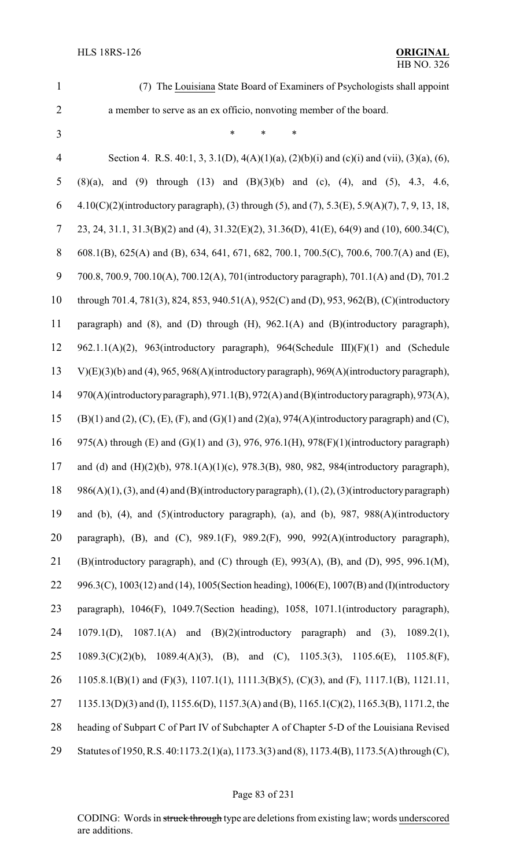(7) The Louisiana State Board of Examiners of Psychologists shall appoint a member to serve as an ex officio, nonvoting member of the board.

\* \* \*

 Section 4. R.S. 40:1, 3, 3.1(D), 4(A)(1)(a), (2)(b)(i) and (c)(i) and (vii), (3)(a), (6), (8)(a), and (9) through (13) and (B)(3)(b) and (c), (4), and (5), 4.3, 4.6, 4.10(C)(2)(introductory paragraph), (3) through (5), and (7), 5.3(E), 5.9(A)(7), 7, 9, 13, 18, 23, 24, 31.1, 31.3(B)(2) and (4), 31.32(E)(2), 31.36(D), 41(E), 64(9) and (10), 600.34(C), 608.1(B), 625(A) and (B), 634, 641, 671, 682, 700.1, 700.5(C), 700.6, 700.7(A) and (E), 700.8, 700.9, 700.10(A), 700.12(A), 701(introductory paragraph), 701.1(A) and (D), 701.2 through 701.4, 781(3), 824, 853, 940.51(A), 952(C) and (D), 953, 962(B), (C)(introductory paragraph) and (8), and (D) through (H), 962.1(A) and (B)(introductory paragraph), 962.1.1(A)(2), 963(introductory paragraph), 964(Schedule III)(F)(1) and (Schedule V)(E)(3)(b) and (4), 965, 968(A)(introductory paragraph), 969(A)(introductory paragraph), 970(A)(introductoryparagraph), 971.1(B), 972(A) and (B)(introductoryparagraph), 973(A), (B)(1) and (2), (C), (E), (F), and (G)(1) and (2)(a), 974(A)(introductory paragraph) and (C), 975(A) through (E) and (G)(1) and (3), 976, 976.1(H), 978(F)(1)(introductory paragraph) and (d) and (H)(2)(b), 978.1(A)(1)(c), 978.3(B), 980, 982, 984(introductory paragraph), 18 986(A)(1), (3), and (4) and (B)(introductory paragraph), (1), (2), (3)(introductory paragraph) and (b), (4), and (5)(introductory paragraph), (a), and (b), 987, 988(A)(introductory paragraph), (B), and (C), 989.1(F), 989.2(F), 990, 992(A)(introductory paragraph), (B)(introductory paragraph), and (C) through (E), 993(A), (B), and (D), 995, 996.1(M), 996.3(C), 1003(12) and (14), 1005(Section heading), 1006(E), 1007(B) and (I)(introductory paragraph), 1046(F), 1049.7(Section heading), 1058, 1071.1(introductory paragraph), 1079.1(D), 1087.1(A) and (B)(2)(introductory paragraph) and (3), 1089.2(1), 1089.3(C)(2)(b), 1089.4(A)(3), (B), and (C), 1105.3(3), 1105.6(E), 1105.8(F), 1105.8.1(B)(1) and (F)(3), 1107.1(1), 1111.3(B)(5), (C)(3), and (F), 1117.1(B), 1121.11, 1135.13(D)(3) and (I), 1155.6(D), 1157.3(A) and (B), 1165.1(C)(2), 1165.3(B), 1171.2, the heading of Subpart C of Part IV of Subchapter A of Chapter 5-D of the Louisiana Revised Statutes of 1950, R.S. 40:1173.2(1)(a), 1173.3(3) and (8), 1173.4(B), 1173.5(A) through (C),

#### Page 83 of 231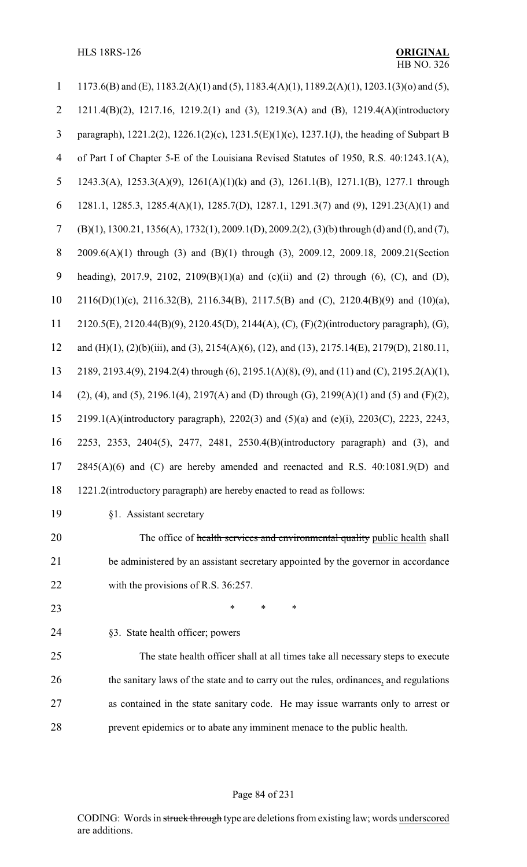HLS 18RS-126 **ORIGINAL**

| 1              | 1173.6(B) and (E), 1183.2(A)(1) and (5), 1183.4(A)(1), 1189.2(A)(1), 1203.1(3)(o) and (5),                          |
|----------------|---------------------------------------------------------------------------------------------------------------------|
| $\overline{2}$ | 1211.4(B)(2), 1217.16, 1219.2(1) and (3), 1219.3(A) and (B), 1219.4(A)(introductory                                 |
| 3              | paragraph), 1221.2(2), 1226.1(2)(c), 1231.5(E)(1)(c), 1237.1(J), the heading of Subpart B                           |
| 4              | of Part I of Chapter 5-E of the Louisiana Revised Statutes of 1950, R.S. 40:1243.1(A),                              |
| 5              | 1243.3(A), 1253.3(A)(9), 1261(A)(1)(k) and (3), 1261.1(B), 1271.1(B), 1277.1 through                                |
| 6              | 1281.1, 1285.3, 1285.4(A)(1), 1285.7(D), 1287.1, 1291.3(7) and (9), 1291.23(A)(1) and                               |
| 7              | (B)(1), 1300.21, 1356(A), 1732(1), 2009.1(D), 2009.2(2), (3)(b) through (d) and (f), and (7),                       |
| $8\,$          | 2009.6(A)(1) through (3) and (B)(1) through (3), 2009.12, 2009.18, 2009.21(Section                                  |
| 9              | heading), 2017.9, 2102, 2109(B)(1)(a) and (c)(ii) and (2) through (6), (C), and (D),                                |
| 10             | 2116(D)(1)(c), 2116.32(B), 2116.34(B), 2117.5(B) and (C), 2120.4(B)(9) and (10)(a),                                 |
| 11             | 2120.5(E), 2120.44(B)(9), 2120.45(D), 2144(A), (C), (F)(2)(introductory paragraph), (G),                            |
| 12             | and (H)(1), (2)(b)(iii), and (3), 2154(A)(6), (12), and (13), 2175.14(E), 2179(D), 2180.11,                         |
| 13             | 2189, 2193.4(9), 2194.2(4) through (6), 2195.1(A)(8), (9), and (11) and (C), 2195.2(A)(1),                          |
| 14             | $(2)$ , $(4)$ , and $(5)$ , $2196.1(4)$ , $2197(A)$ and $(D)$ through $(G)$ , $2199(A)(1)$ and $(5)$ and $(F)(2)$ , |
| 15             | 2199.1(A)(introductory paragraph), 2202(3) and (5)(a) and (e)(i), 2203(C), 2223, 2243,                              |
| 16             | 2253, 2353, 2404(5), 2477, 2481, 2530.4(B)(introductory paragraph) and (3), and                                     |
| 17             | $2845(A)(6)$ and (C) are hereby amended and reenacted and R.S. $40:1081.9(D)$ and                                   |
| 18             | 1221.2(introductory paragraph) are hereby enacted to read as follows:                                               |
| 19             | §1. Assistant secretary                                                                                             |
| 20             | The office of health services and environmental quality public health shall                                         |
| 21             | be administered by an assistant secretary appointed by the governor in accordance                                   |
| 22             | with the provisions of R.S. $36:257$ .                                                                              |
| 23             | *<br>*<br>∗                                                                                                         |
| 24             | §3. State health officer; powers                                                                                    |
| 25             | The state health officer shall at all times take all necessary steps to execute                                     |
| 26             | the sanitary laws of the state and to carry out the rules, ordinances, and regulations                              |
| 27             | as contained in the state sanitary code. He may issue warrants only to arrest or                                    |
| 28             | prevent epidemics or to abate any imminent menace to the public health.                                             |

# Page 84 of 231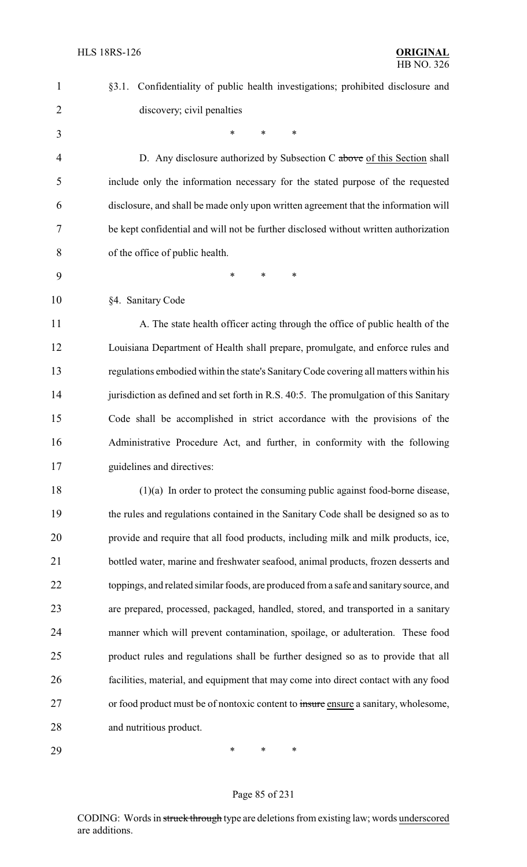| $\mathbf{1}$   | §3.1. Confidentiality of public health investigations; prohibited disclosure and       |
|----------------|----------------------------------------------------------------------------------------|
| $\overline{2}$ | discovery; civil penalties                                                             |
| 3              | $\ast$<br>*<br>*                                                                       |
| $\overline{4}$ | D. Any disclosure authorized by Subsection C above of this Section shall               |
| 5              | include only the information necessary for the stated purpose of the requested         |
| 6              | disclosure, and shall be made only upon written agreement that the information will    |
| 7              | be kept confidential and will not be further disclosed without written authorization   |
| 8              | of the office of public health.                                                        |
| 9              | ∗<br>*<br>∗                                                                            |
| 10             | §4. Sanitary Code                                                                      |
| 11             | A. The state health officer acting through the office of public health of the          |
| 12             | Louisiana Department of Health shall prepare, promulgate, and enforce rules and        |
| 13             | regulations embodied within the state's Sanitary Code covering all matters within his  |
| 14             | jurisdiction as defined and set forth in R.S. 40:5. The promulgation of this Sanitary  |
| 15             | Code shall be accomplished in strict accordance with the provisions of the             |
| 16             | Administrative Procedure Act, and further, in conformity with the following            |
| 17             | guidelines and directives:                                                             |
| 18             | $(1)(a)$ In order to protect the consuming public against food-borne disease,          |
| 19             | the rules and regulations contained in the Sanitary Code shall be designed so as to    |
| 20             | provide and require that all food products, including milk and milk products, ice,     |
| 21             | bottled water, marine and freshwater seafood, animal products, frozen desserts and     |
| 22             | toppings, and related similar foods, are produced from a safe and sanitary source, and |
| 23             | are prepared, processed, packaged, handled, stored, and transported in a sanitary      |
| 24             | manner which will prevent contamination, spoilage, or adulteration. These food         |
| 25             | product rules and regulations shall be further designed so as to provide that all      |
| 26             | facilities, material, and equipment that may come into direct contact with any food    |
| 27             | or food product must be of nontoxic content to insure ensure a sanitary, wholesome,    |
| 28             | and nutritious product.                                                                |
|                |                                                                                        |

Page 85 of 231

\* \* \*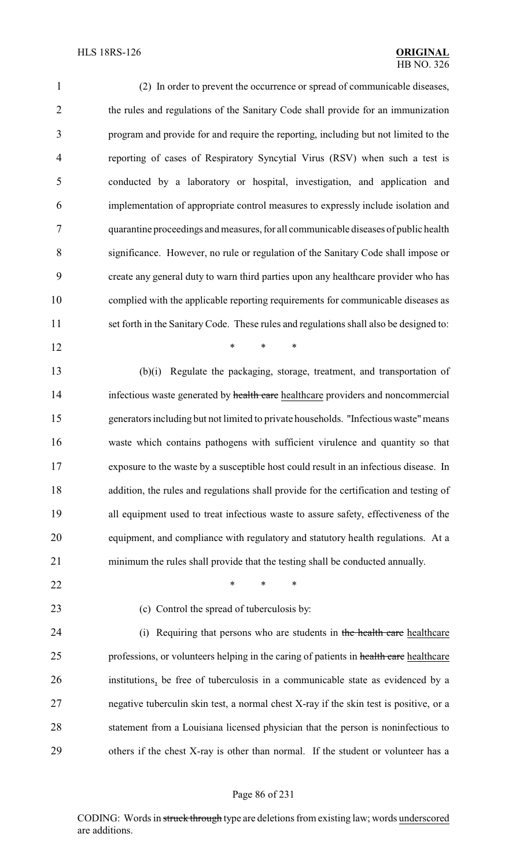(2) In order to prevent the occurrence or spread of communicable diseases, the rules and regulations of the Sanitary Code shall provide for an immunization program and provide for and require the reporting, including but not limited to the reporting of cases of Respiratory Syncytial Virus (RSV) when such a test is conducted by a laboratory or hospital, investigation, and application and implementation of appropriate control measures to expressly include isolation and quarantine proceedings and measures, for all communicable diseases of public health significance. However, no rule or regulation of the Sanitary Code shall impose or create any general duty to warn third parties upon any healthcare provider who has complied with the applicable reporting requirements for communicable diseases as set forth in the Sanitary Code. These rules and regulations shall also be designed to:

 (b)(i) Regulate the packaging, storage, treatment, and transportation of 14 infectious waste generated by health care healthcare providers and noncommercial generators including but not limited to private households. "Infectious waste"means waste which contains pathogens with sufficient virulence and quantity so that exposure to the waste by a susceptible host could result in an infectious disease. In addition, the rules and regulations shall provide for the certification and testing of all equipment used to treat infectious waste to assure safety, effectiveness of the equipment, and compliance with regulatory and statutory health regulations. At a minimum the rules shall provide that the testing shall be conducted annually.

**\*** \* \* \*

- **\*** \* \* \*
- 

(c) Control the spread of tuberculosis by:

24 (i) Requiring that persons who are students in the health care healthcare 25 professions, or volunteers helping in the caring of patients in health care healthcare institutions, be free of tuberculosis in a communicable state as evidenced by a negative tuberculin skin test, a normal chest X-ray if the skin test is positive, or a statement from a Louisiana licensed physician that the person is noninfectious to others if the chest X-ray is other than normal. If the student or volunteer has a

#### Page 86 of 231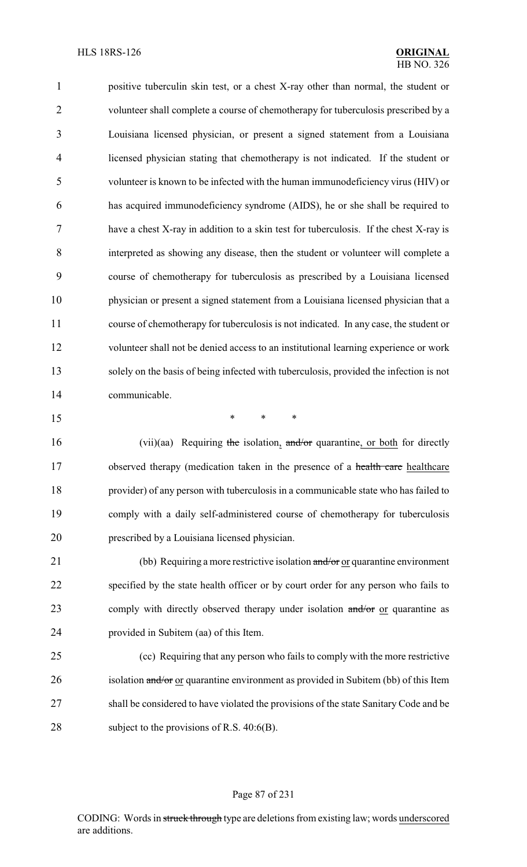positive tuberculin skin test, or a chest X-ray other than normal, the student or volunteer shall complete a course of chemotherapy for tuberculosis prescribed by a Louisiana licensed physician, or present a signed statement from a Louisiana licensed physician stating that chemotherapy is not indicated. If the student or volunteer is known to be infected with the human immunodeficiency virus (HIV) or has acquired immunodeficiency syndrome (AIDS), he or she shall be required to have a chest X-ray in addition to a skin test for tuberculosis. If the chest X-ray is interpreted as showing any disease, then the student or volunteer will complete a course of chemotherapy for tuberculosis as prescribed by a Louisiana licensed physician or present a signed statement from a Louisiana licensed physician that a course of chemotherapy for tuberculosis is not indicated. In any case, the student or volunteer shall not be denied access to an institutional learning experience or work solely on the basis of being infected with tuberculosis, provided the infection is not communicable.

\* \* \*

16 (vii)(aa) Requiring the isolation, and/or quarantine, or both for directly 17 observed therapy (medication taken in the presence of a health care healthcare provider) of any person with tuberculosis in a communicable state who has failed to comply with a daily self-administered course of chemotherapy for tuberculosis prescribed by a Louisiana licensed physician.

21 (bb) Requiring a more restrictive isolation and/or or quarantine environment specified by the state health officer or by court order for any person who fails to 23 comply with directly observed therapy under isolation and/or or quarantine as provided in Subitem (aa) of this Item.

 (cc) Requiring that any person who fails to comply with the more restrictive 26 isolation and/or or quarantine environment as provided in Subitem (bb) of this Item shall be considered to have violated the provisions of the state Sanitary Code and be 28 subject to the provisions of R.S. 40:6(B).

#### Page 87 of 231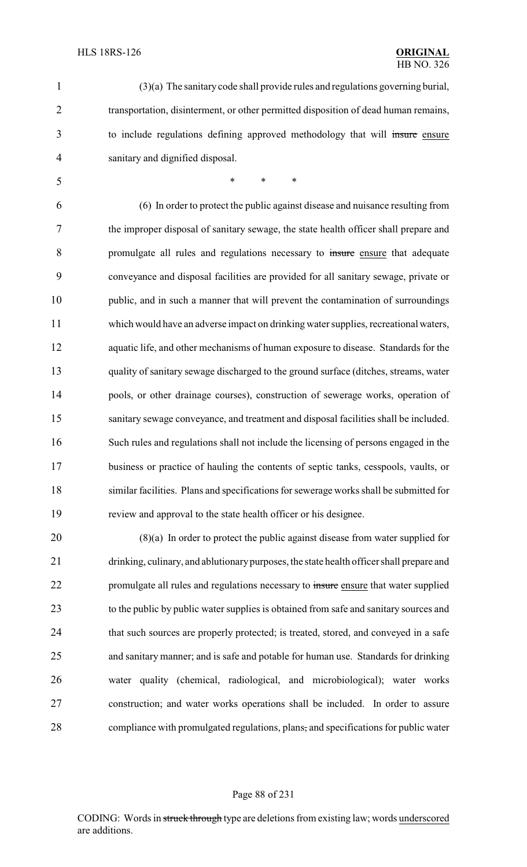(3)(a) The sanitary code shall provide rules and regulations governing burial, transportation, disinterment, or other permitted disposition of dead human remains, to include regulations defining approved methodology that will insure ensure sanitary and dignified disposal.

\* \* \*

 (6) In order to protect the public against disease and nuisance resulting from the improper disposal of sanitary sewage, the state health officer shall prepare and promulgate all rules and regulations necessary to insure ensure that adequate conveyance and disposal facilities are provided for all sanitary sewage, private or public, and in such a manner that will prevent the contamination of surroundings which would have an adverse impact on drinking water supplies, recreational waters, aquatic life, and other mechanisms of human exposure to disease. Standards for the quality of sanitary sewage discharged to the ground surface (ditches, streams, water pools, or other drainage courses), construction of sewerage works, operation of sanitary sewage conveyance, and treatment and disposal facilities shall be included. Such rules and regulations shall not include the licensing of persons engaged in the business or practice of hauling the contents of septic tanks, cesspools, vaults, or similar facilities. Plans and specifications for sewerage works shall be submitted for review and approval to the state health officer or his designee.

 (8)(a) In order to protect the public against disease from water supplied for drinking, culinary, and ablutionarypurposes, the state health officer shall prepare and 22 promulgate all rules and regulations necessary to insure ensure that water supplied to the public by public water supplies is obtained from safe and sanitary sources and 24 that such sources are properly protected; is treated, stored, and conveyed in a safe and sanitary manner; and is safe and potable for human use. Standards for drinking water quality (chemical, radiological, and microbiological); water works construction; and water works operations shall be included. In order to assure compliance with promulgated regulations, plans, and specifications for public water

#### Page 88 of 231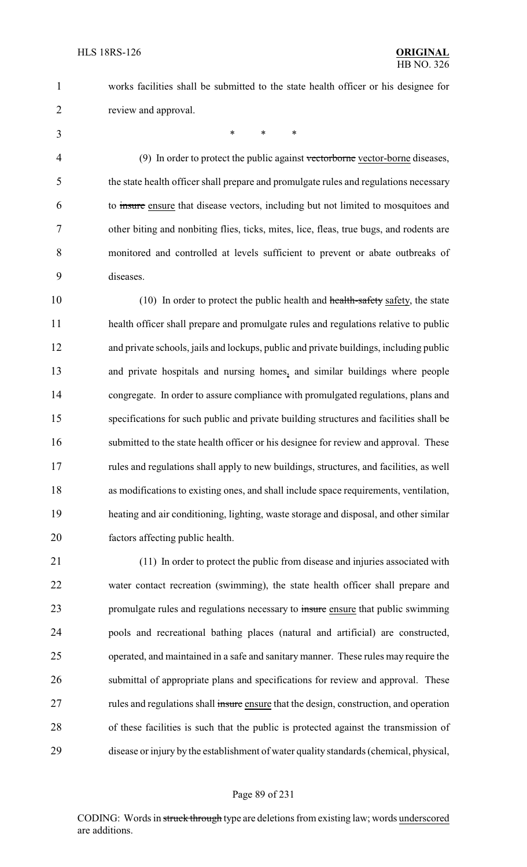works facilities shall be submitted to the state health officer or his designee for review and approval.

\* \* \*

4 (9) In order to protect the public against vectorborne vector-borne diseases, the state health officer shall prepare and promulgate rules and regulations necessary to insure ensure that disease vectors, including but not limited to mosquitoes and other biting and nonbiting flies, ticks, mites, lice, fleas, true bugs, and rodents are monitored and controlled at levels sufficient to prevent or abate outbreaks of diseases.

10 (10) In order to protect the public health and health-safety safety, the state health officer shall prepare and promulgate rules and regulations relative to public and private schools, jails and lockups, public and private buildings, including public and private hospitals and nursing homes, and similar buildings where people congregate. In order to assure compliance with promulgated regulations, plans and specifications for such public and private building structures and facilities shall be 16 submitted to the state health officer or his designee for review and approval. These rules and regulations shall apply to new buildings, structures, and facilities, as well as modifications to existing ones, and shall include space requirements, ventilation, heating and air conditioning, lighting, waste storage and disposal, and other similar factors affecting public health.

 (11) In order to protect the public from disease and injuries associated with water contact recreation (swimming), the state health officer shall prepare and 23 promulgate rules and regulations necessary to insure ensure that public swimming pools and recreational bathing places (natural and artificial) are constructed, operated, and maintained in a safe and sanitary manner. These rules may require the submittal of appropriate plans and specifications for review and approval. These rules and regulations shall insure ensure that the design, construction, and operation of these facilities is such that the public is protected against the transmission of disease or injury by the establishment of water quality standards (chemical, physical,

#### Page 89 of 231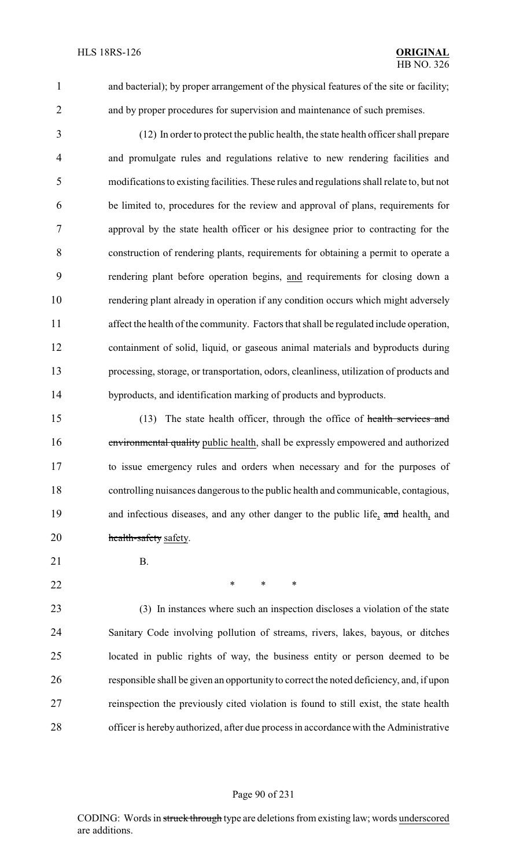and bacterial); by proper arrangement of the physical features of the site or facility; and by proper procedures for supervision and maintenance of such premises.

 (12) In order to protect the public health, the state health officer shall prepare and promulgate rules and regulations relative to new rendering facilities and modifications to existing facilities. These rules and regulations shall relate to, but not be limited to, procedures for the review and approval of plans, requirements for approval by the state health officer or his designee prior to contracting for the construction of rendering plants, requirements for obtaining a permit to operate a rendering plant before operation begins, and requirements for closing down a rendering plant already in operation if any condition occurs which might adversely affect the health of the community. Factors that shall be regulated include operation, containment of solid, liquid, or gaseous animal materials and byproducts during processing, storage, or transportation, odors, cleanliness, utilization of products and byproducts, and identification marking of products and byproducts.

15 (13) The state health officer, through the office of health services and environmental quality public health, shall be expressly empowered and authorized to issue emergency rules and orders when necessary and for the purposes of controlling nuisances dangerous to the public health and communicable, contagious, 19 and infectious diseases, and any other danger to the public life, and health, and 20 health-safety safety.

- 21 B.
	-

**\*** \* \* \*

 (3) In instances where such an inspection discloses a violation of the state Sanitary Code involving pollution of streams, rivers, lakes, bayous, or ditches located in public rights of way, the business entity or person deemed to be responsible shall be given an opportunity to correct the noted deficiency, and, if upon reinspection the previously cited violation is found to still exist, the state health officer is hereby authorized, after due process in accordance with the Administrative

#### Page 90 of 231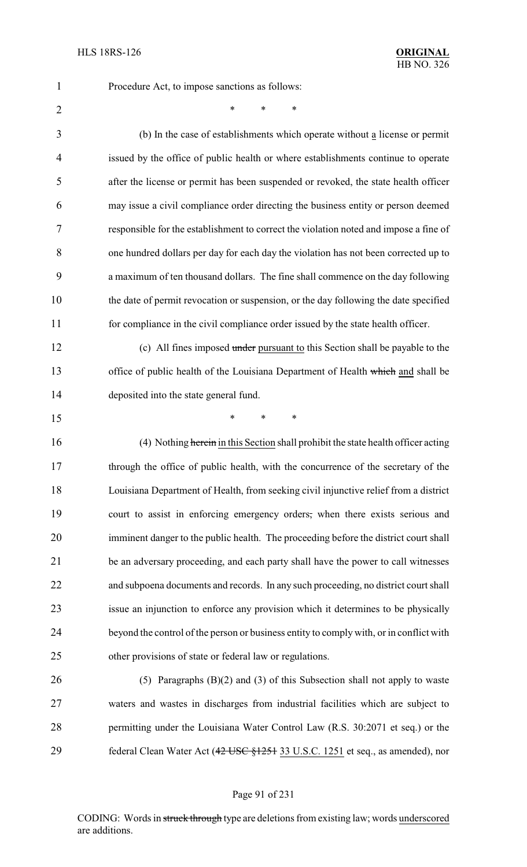Procedure Act, to impose sanctions as follows:

 $*$  \* \* \*

 (b) In the case of establishments which operate without a license or permit issued by the office of public health or where establishments continue to operate after the license or permit has been suspended or revoked, the state health officer may issue a civil compliance order directing the business entity or person deemed responsible for the establishment to correct the violation noted and impose a fine of one hundred dollars per day for each day the violation has not been corrected up to a maximum of ten thousand dollars. The fine shall commence on the day following the date of permit revocation or suspension, or the day following the date specified for compliance in the civil compliance order issued by the state health officer. 12 (c) All fines imposed under pursuant to this Section shall be payable to the office of public health of the Louisiana Department of Health which and shall be deposited into the state general fund. \* \* \* (4) Nothing herein in this Section shall prohibit the state health officer acting through the office of public health, with the concurrence of the secretary of the Louisiana Department of Health, from seeking civil injunctive relief from a district court to assist in enforcing emergency orders, when there exists serious and imminent danger to the public health. The proceeding before the district court shall be an adversary proceeding, and each party shall have the power to call witnesses and subpoena documents and records. In any such proceeding, no district court shall

 issue an injunction to enforce any provision which it determines to be physically beyond the control of the person or business entity to comply with, or in conflict with other provisions of state or federal law or regulations.

 (5) Paragraphs (B)(2) and (3) of this Subsection shall not apply to waste waters and wastes in discharges from industrial facilities which are subject to permitting under the Louisiana Water Control Law (R.S. 30:2071 et seq.) or the 29 federal Clean Water Act (42 USC §1251 33 U.S.C. 1251 et seq., as amended), nor

#### Page 91 of 231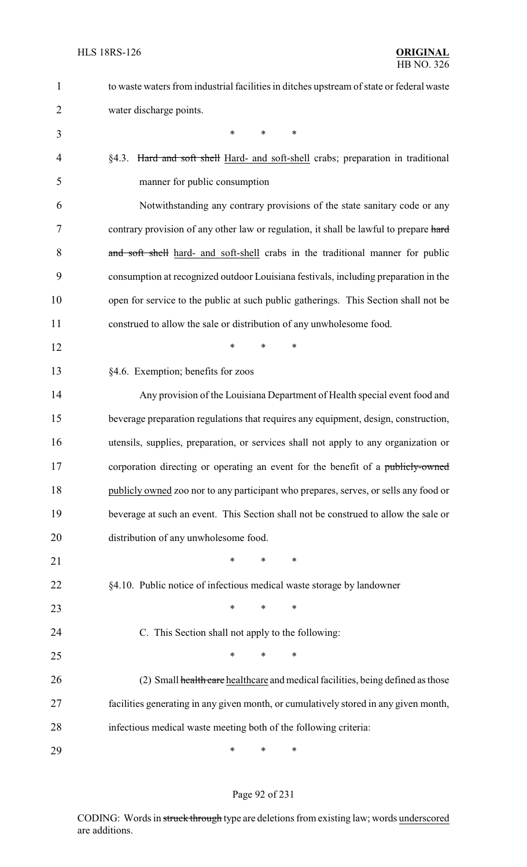| $\mathbf{1}$   | to waste waters from industrial facilities in ditches upstream of state or federal waste |
|----------------|------------------------------------------------------------------------------------------|
| $\overline{2}$ | water discharge points.                                                                  |
| 3              | *<br>$\ast$<br>*                                                                         |
| $\overline{4}$ | §4.3. Hard and soft shell Hard- and soft-shell crabs; preparation in traditional         |
| 5              | manner for public consumption                                                            |
| 6              | Notwithstanding any contrary provisions of the state sanitary code or any                |
| 7              | contrary provision of any other law or regulation, it shall be lawful to prepare hard    |
| 8              | and soft shell hard- and soft-shell crabs in the traditional manner for public           |
| 9              | consumption at recognized outdoor Louisiana festivals, including preparation in the      |
| 10             | open for service to the public at such public gatherings. This Section shall not be      |
| 11             | construed to allow the sale or distribution of any unwholesome food.                     |
| 12             | *<br>*<br>*                                                                              |
| 13             | §4.6. Exemption; benefits for zoos                                                       |
| 14             | Any provision of the Louisiana Department of Health special event food and               |
| 15             | beverage preparation regulations that requires any equipment, design, construction,      |
| 16             | utensils, supplies, preparation, or services shall not apply to any organization or      |
| 17             | corporation directing or operating an event for the benefit of a publicly-owned          |
| 18             | publicly owned zoo nor to any participant who prepares, serves, or sells any food or     |
| 19             | beverage at such an event. This Section shall not be construed to allow the sale or      |
| 20             | distribution of any unwholesome food.                                                    |
| 21             | *<br>*<br>∗                                                                              |
| 22             | §4.10. Public notice of infectious medical waste storage by landowner                    |
| 23             | $\ast$<br>∗<br>∗                                                                         |
| 24             | C. This Section shall not apply to the following:                                        |
| 25             | ∗<br>*<br>∗                                                                              |
| 26             | (2) Small health care healthcare and medical facilities, being defined as those          |
| 27             | facilities generating in any given month, or cumulatively stored in any given month,     |
| 28             | infectious medical waste meeting both of the following criteria:                         |
| 29             | ∗<br>∗<br>∗                                                                              |

# Page 92 of 231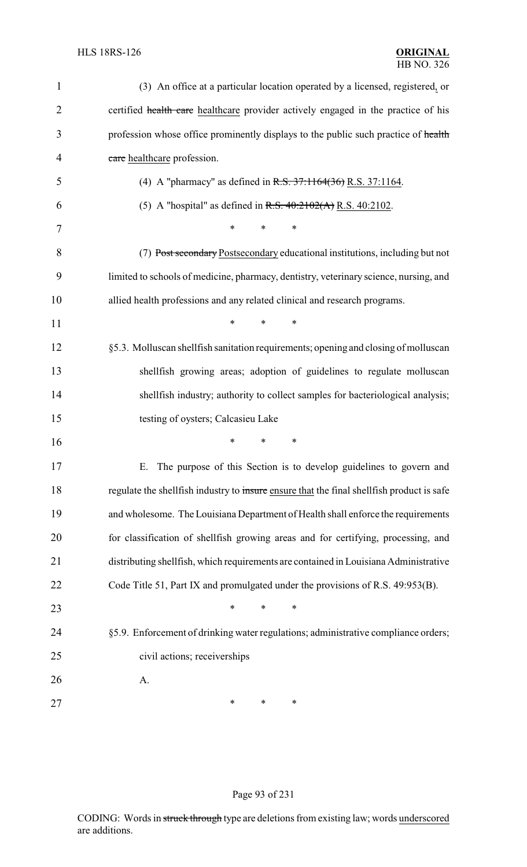| $\mathbf{1}$   | (3) An office at a particular location operated by a licensed, registered, or             |
|----------------|-------------------------------------------------------------------------------------------|
| 2              | certified health care healthcare provider actively engaged in the practice of his         |
| 3              | profession whose office prominently displays to the public such practice of health        |
| $\overline{4}$ | care healthcare profession.                                                               |
| 5              | (4) A "pharmacy" as defined in R.S. $37:1164(36)$ R.S. $37:1164$ .                        |
| 6              | (5) A "hospital" as defined in R.S. $40:2102(A)$ R.S. 40:2102.                            |
| 7              | $\ast$<br>*                                                                               |
| 8              | (7) Post secondary Postsecondary educational institutions, including but not              |
| 9              | limited to schools of medicine, pharmacy, dentistry, veterinary science, nursing, and     |
| 10             | allied health professions and any related clinical and research programs.                 |
| 11             | *<br>$\ast$<br>∗                                                                          |
| 12             | §5.3. Molluscan shellfish sanitation requirements; opening and closing of molluscan       |
| 13             | shellfish growing areas; adoption of guidelines to regulate molluscan                     |
| 14             | shellfish industry; authority to collect samples for bacteriological analysis;            |
| 15             | testing of oysters; Calcasieu Lake                                                        |
| 16             | *<br>∗<br>*                                                                               |
| 17             | The purpose of this Section is to develop guidelines to govern and                        |
| 18             | regulate the shellfish industry to insure ensure that the final shellfish product is safe |
| 19             | and wholesome. The Louisiana Department of Health shall enforce the requirements          |
| 20             | for classification of shellfish growing areas and for certifying, processing, and         |
| 21             | distributing shellfish, which requirements are contained in Louisiana Administrative      |
| 22             | Code Title 51, Part IX and promulgated under the provisions of R.S. 49:953(B).            |
| 23             | *<br>*<br>∗                                                                               |
| 24             | §5.9. Enforcement of drinking water regulations; administrative compliance orders;        |
| 25             | civil actions; receiverships                                                              |
| 26             | A.                                                                                        |
| 27             | ∗<br>∗<br>∗                                                                               |

# Page 93 of 231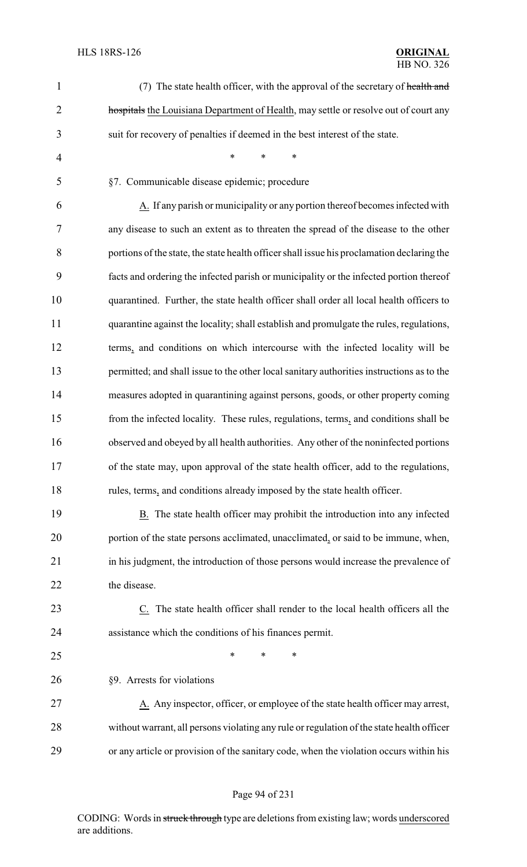| $\mathbf{1}$   | (7) The state health officer, with the approval of the secretary of health and             |
|----------------|--------------------------------------------------------------------------------------------|
| $\overline{2}$ | hospitals the Louisiana Department of Health, may settle or resolve out of court any       |
| 3              | suit for recovery of penalties if deemed in the best interest of the state.                |
| $\overline{4}$ | $\ast$<br>$\ast$<br>$\ast$                                                                 |
| 5              | §7. Communicable disease epidemic; procedure                                               |
| 6              | A. If any parish or municipality or any portion thereof becomes infected with              |
| 7              | any disease to such an extent as to threaten the spread of the disease to the other        |
| 8              | portions of the state, the state health officer shall issue his proclamation declaring the |
| 9              | facts and ordering the infected parish or municipality or the infected portion thereof     |
| 10             | quarantined. Further, the state health officer shall order all local health officers to    |
| 11             | quarantine against the locality; shall establish and promulgate the rules, regulations,    |
| 12             | terms, and conditions on which intercourse with the infected locality will be              |
| 13             | permitted; and shall issue to the other local sanitary authorities instructions as to the  |
| 14             | measures adopted in quarantining against persons, goods, or other property coming          |
| 15             | from the infected locality. These rules, regulations, terms, and conditions shall be       |
| 16             | observed and obeyed by all health authorities. Any other of the noninfected portions       |
| 17             | of the state may, upon approval of the state health officer, add to the regulations,       |
| 18             | rules, terms, and conditions already imposed by the state health officer.                  |
| 19             | B. The state health officer may prohibit the introduction into any infected                |
| 20             | portion of the state persons acclimated, unacclimated, or said to be immune, when,         |
| 21             | in his judgment, the introduction of those persons would increase the prevalence of        |
| 22             | the disease.                                                                               |
| 23             | $Cz$ . The state health officer shall render to the local health officers all the          |
| 24             | assistance which the conditions of his finances permit.                                    |
| 25             | ∗<br>*<br>∗                                                                                |
| 26             | §9. Arrests for violations                                                                 |
| 27             | A. Any inspector, officer, or employee of the state health officer may arrest,             |
| 28             | without warrant, all persons violating any rule or regulation of the state health officer  |
| 29             | or any article or provision of the sanitary code, when the violation occurs within his     |
|                |                                                                                            |

# Page 94 of 231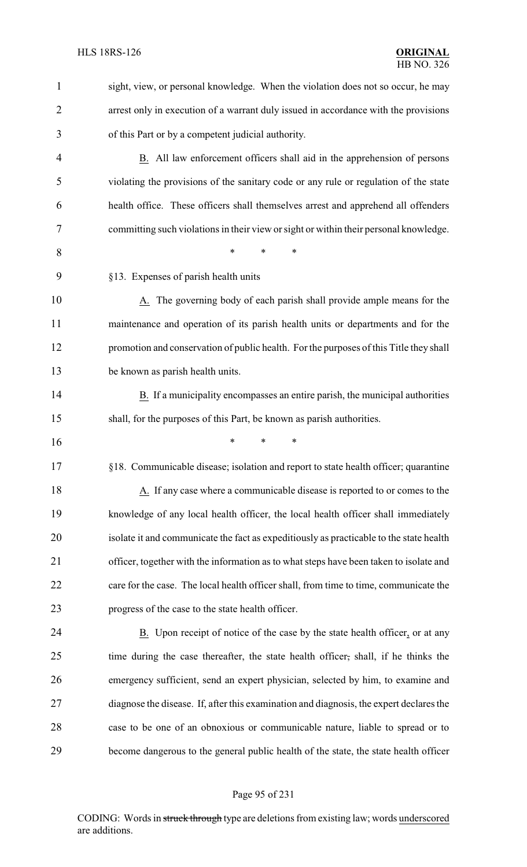| $\mathbf{1}$   | sight, view, or personal knowledge. When the violation does not so occur, he may        |
|----------------|-----------------------------------------------------------------------------------------|
| $\overline{2}$ | arrest only in execution of a warrant duly issued in accordance with the provisions     |
| 3              | of this Part or by a competent judicial authority.                                      |
| $\overline{4}$ | B. All law enforcement officers shall aid in the apprehension of persons                |
| 5              | violating the provisions of the sanitary code or any rule or regulation of the state    |
| 6              | health office. These officers shall themselves arrest and apprehend all offenders       |
| 7              | committing such violations in their view or sight or within their personal knowledge.   |
| 8              | *<br>$\ast$<br>∗                                                                        |
| 9              | §13. Expenses of parish health units                                                    |
| 10             | A. The governing body of each parish shall provide ample means for the                  |
| 11             | maintenance and operation of its parish health units or departments and for the         |
| 12             | promotion and conservation of public health. For the purposes of this Title they shall  |
| 13             | be known as parish health units.                                                        |
| 14             | B. If a municipality encompasses an entire parish, the municipal authorities            |
| 15             | shall, for the purposes of this Part, be known as parish authorities.                   |
| 16             | *<br>∗                                                                                  |
| 17             | §18. Communicable disease; isolation and report to state health officer; quarantine     |
| 18             | A. If any case where a communicable disease is reported to or comes to the              |
| 19             | knowledge of any local health officer, the local health officer shall immediately       |
| 20             | isolate it and communicate the fact as expeditiously as practicable to the state health |
| 21             | officer, together with the information as to what steps have been taken to isolate and  |
| 22             | care for the case. The local health officer shall, from time to time, communicate the   |
| 23             | progress of the case to the state health officer.                                       |
| 24             | B. Upon receipt of notice of the case by the state health officer, or at any            |
| 25             | time during the case thereafter, the state health officer, shall, if he thinks the      |
| 26             | emergency sufficient, send an expert physician, selected by him, to examine and         |
| 27             | diagnose the disease. If, after this examination and diagnosis, the expert declares the |
| 28             | case to be one of an obnoxious or communicable nature, liable to spread or to           |
| 29             | become dangerous to the general public health of the state, the state health officer    |
|                |                                                                                         |

# Page 95 of 231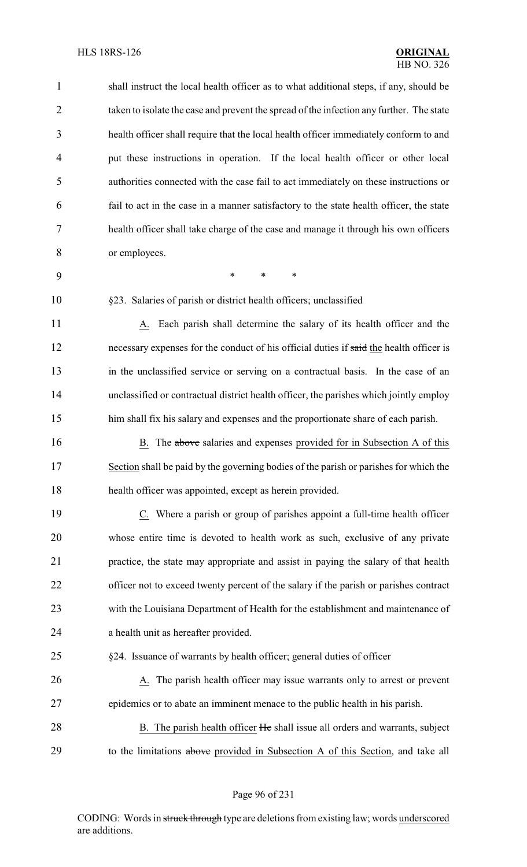| $\mathbf{1}$ | shall instruct the local health officer as to what additional steps, if any, should be   |
|--------------|------------------------------------------------------------------------------------------|
| 2            | taken to isolate the case and prevent the spread of the infection any further. The state |
| 3            | health officer shall require that the local health officer immediately conform to and    |
| 4            | put these instructions in operation. If the local health officer or other local          |
| 5            | authorities connected with the case fail to act immediately on these instructions or     |
| 6            | fail to act in the case in a manner satisfactory to the state health officer, the state  |
| 7            | health officer shall take charge of the case and manage it through his own officers      |
| 8            | or employees.                                                                            |
| 9            | $\ast$<br>$\ast$<br>∗                                                                    |
| 10           | §23. Salaries of parish or district health officers; unclassified                        |
| 11           | Each parish shall determine the salary of its health officer and the<br>А.               |
| 12           | necessary expenses for the conduct of his official duties if said the health officer is  |
| 13           | in the unclassified service or serving on a contractual basis. In the case of an         |
| 14           | unclassified or contractual district health officer, the parishes which jointly employ   |
| 15           | him shall fix his salary and expenses and the proportionate share of each parish.        |
| 16           | The above salaries and expenses provided for in Subsection A of this<br>B.               |
| 17           | Section shall be paid by the governing bodies of the parish or parishes for which the    |
| 18           | health officer was appointed, except as herein provided.                                 |
| 19           | C. Where a parish or group of parishes appoint a full-time health officer                |
| 20           | whose entire time is devoted to health work as such, exclusive of any private            |
| 21           | practice, the state may appropriate and assist in paying the salary of that health       |
| 22           | officer not to exceed twenty percent of the salary if the parish or parishes contract    |
| 23           | with the Louisiana Department of Health for the establishment and maintenance of         |
| 24           | a health unit as hereafter provided.                                                     |
| 25           | §24. Issuance of warrants by health officer; general duties of officer                   |
| 26           | The parish health officer may issue warrants only to arrest or prevent<br>A.             |
| 27           | epidemics or to abate an imminent menace to the public health in his parish.             |
| 28           | B. The parish health officer He shall issue all orders and warrants, subject             |
| 29           | to the limitations above provided in Subsection A of this Section, and take all          |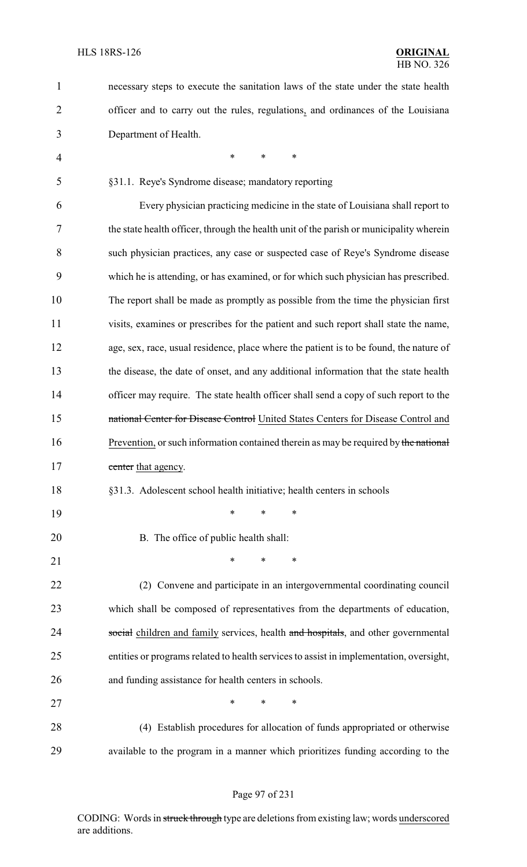| 1              | necessary steps to execute the sanitation laws of the state under the state health      |
|----------------|-----------------------------------------------------------------------------------------|
| 2              | officer and to carry out the rules, regulations, and ordinances of the Louisiana        |
| 3              | Department of Health.                                                                   |
| $\overline{4}$ | $\ast$<br>∗<br>*                                                                        |
| 5              | §31.1. Reye's Syndrome disease; mandatory reporting                                     |
| 6              | Every physician practicing medicine in the state of Louisiana shall report to           |
| 7              | the state health officer, through the health unit of the parish or municipality wherein |
| 8              | such physician practices, any case or suspected case of Reye's Syndrome disease         |
| 9              | which he is attending, or has examined, or for which such physician has prescribed.     |
| 10             | The report shall be made as promptly as possible from the time the physician first      |
| 11             | visits, examines or prescribes for the patient and such report shall state the name,    |
| 12             | age, sex, race, usual residence, place where the patient is to be found, the nature of  |
| 13             | the disease, the date of onset, and any additional information that the state health    |
| 14             | officer may require. The state health officer shall send a copy of such report to the   |
| 15             | national Center for Disease Control United States Centers for Disease Control and       |
| 16             | Prevention, or such information contained therein as may be required by the national    |
| 17             | center that agency.                                                                     |
| 18             | §31.3. Adolescent school health initiative; health centers in schools                   |
| 19             | $\ast$<br>*<br>∗                                                                        |
| 20             | B. The office of public health shall:                                                   |
| 21             | *<br>*<br>∗                                                                             |
| 22             | (2) Convene and participate in an intergovernmental coordinating council                |
| 23             | which shall be composed of representatives from the departments of education,           |
| 24             | social children and family services, health and hospitals, and other governmental       |
| 25             | entities or programs related to health services to assist in implementation, oversight, |
| 26             | and funding assistance for health centers in schools.                                   |
| 27             | $\ast$<br>*<br>*                                                                        |
| 28             | (4) Establish procedures for allocation of funds appropriated or otherwise              |
| 29             | available to the program in a manner which prioritizes funding according to the         |

# Page 97 of 231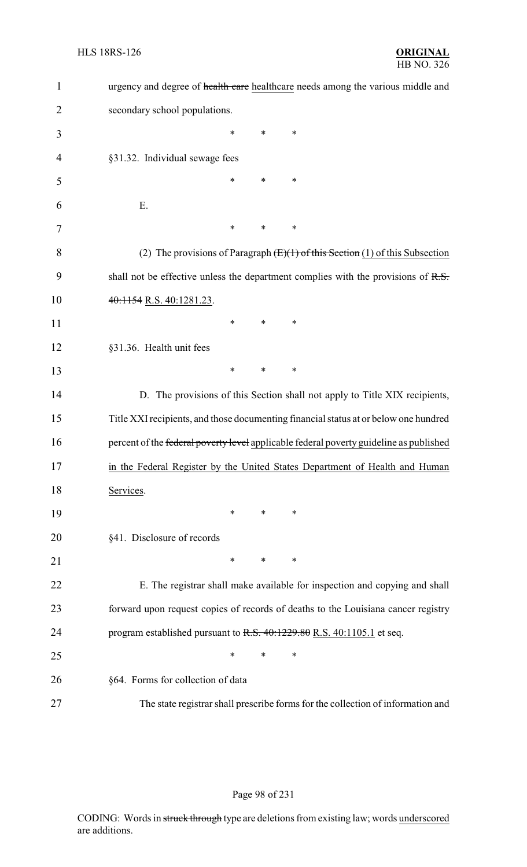| $\mathbf{1}$   | urgency and degree of health care healthcare needs among the various middle and        |
|----------------|----------------------------------------------------------------------------------------|
| $\overline{2}$ | secondary school populations.                                                          |
| 3              | *<br>∗<br>∗                                                                            |
| 4              | §31.32. Individual sewage fees                                                         |
| 5              | ∗<br>*<br>∗                                                                            |
| 6              | Ε.                                                                                     |
| 7              | *<br>*<br>∗                                                                            |
| 8              | (2) The provisions of Paragraph $(E)(1)$ of this Section (1) of this Subsection        |
| 9              | shall not be effective unless the department complies with the provisions of $R.S.$    |
| 10             | 40:1154 R.S. 40:1281.23.                                                               |
| 11             | *<br>*<br>∗                                                                            |
| 12             | §31.36. Health unit fees                                                               |
| 13             | ∗<br>∗<br>∗                                                                            |
| 14             | D. The provisions of this Section shall not apply to Title XIX recipients,             |
| 15             | Title XXI recipients, and those documenting financial status at or below one hundred   |
| 16             | percent of the federal poverty level applicable federal poverty guideline as published |
| 17             | in the Federal Register by the United States Department of Health and Human            |
| 18             | Services.                                                                              |
| 19             | *<br>$\ast$<br>∗                                                                       |
| 20             | §41. Disclosure of records                                                             |
| 21             | *<br>*<br>∗                                                                            |
| 22             | E. The registrar shall make available for inspection and copying and shall             |
| 23             | forward upon request copies of records of deaths to the Louisiana cancer registry      |
| 24             | program established pursuant to $R.S. 40:1229.80 R.S. 40:1105.1$ et seq.               |
| 25             | *<br>$\ast$<br>*                                                                       |
| 26             | §64. Forms for collection of data                                                      |
| 27             | The state registrar shall prescribe forms for the collection of information and        |

# Page 98 of 231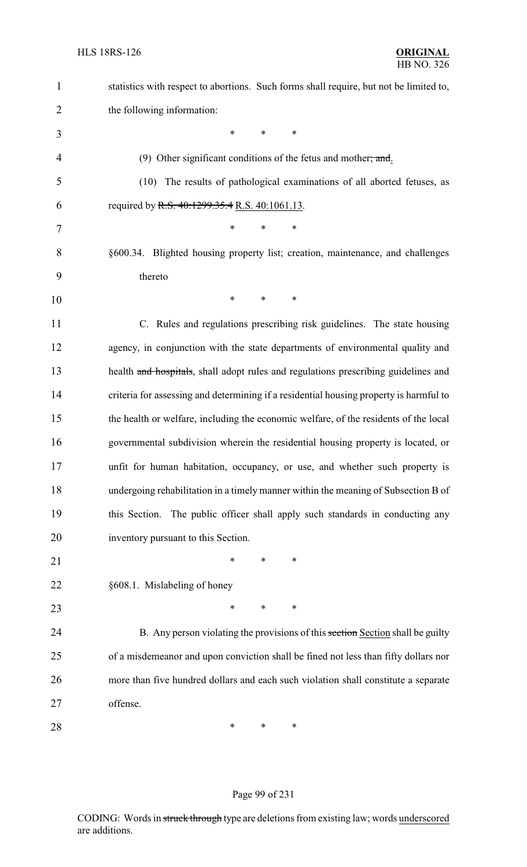| $\mathbf{1}$   | statistics with respect to abortions. Such forms shall require, but not be limited to, |
|----------------|----------------------------------------------------------------------------------------|
| $\overline{2}$ | the following information:                                                             |
| 3              | *<br>*<br>∗                                                                            |
| 4              | (9) Other significant conditions of the fetus and mother, and.                         |
| 5              | The results of pathological examinations of all aborted fetuses, as<br>(10)            |
| 6              | required by R.S. 40:1299.35.4 R.S. 40:1061.13.                                         |
| 7              | $\ast$<br>*<br>*                                                                       |
| 8              | §600.34. Blighted housing property list; creation, maintenance, and challenges         |
| 9              | thereto                                                                                |
| 10             | $\ast$<br>*<br>*                                                                       |
| 11             | C. Rules and regulations prescribing risk guidelines. The state housing                |
| 12             | agency, in conjunction with the state departments of environmental quality and         |
| 13             | health and hospitals, shall adopt rules and regulations prescribing guidelines and     |
| 14             | criteria for assessing and determining if a residential housing property is harmful to |
| 15             | the health or welfare, including the economic welfare, of the residents of the local   |
| 16             | governmental subdivision wherein the residential housing property is located, or       |
| 17             | unfit for human habitation, occupancy, or use, and whether such property is            |
| 18             | undergoing rehabilitation in a timely manner within the meaning of Subsection B of     |
| 19             | this Section. The public officer shall apply such standards in conducting any          |
| 20             | inventory pursuant to this Section.                                                    |
| 21             | *<br>∗<br>∗                                                                            |
| 22             | §608.1. Mislabeling of honey                                                           |
| 23             | ∗<br>∗<br>∗                                                                            |
| 24             | B. Any person violating the provisions of this section Section shall be guilty         |
| 25             | of a misdemeanor and upon conviction shall be fined not less than fifty dollars nor    |
| 26             | more than five hundred dollars and each such violation shall constitute a separate     |
| 27             | offense.                                                                               |
| 28             | ∗<br>∗<br>∗                                                                            |

# Page 99 of 231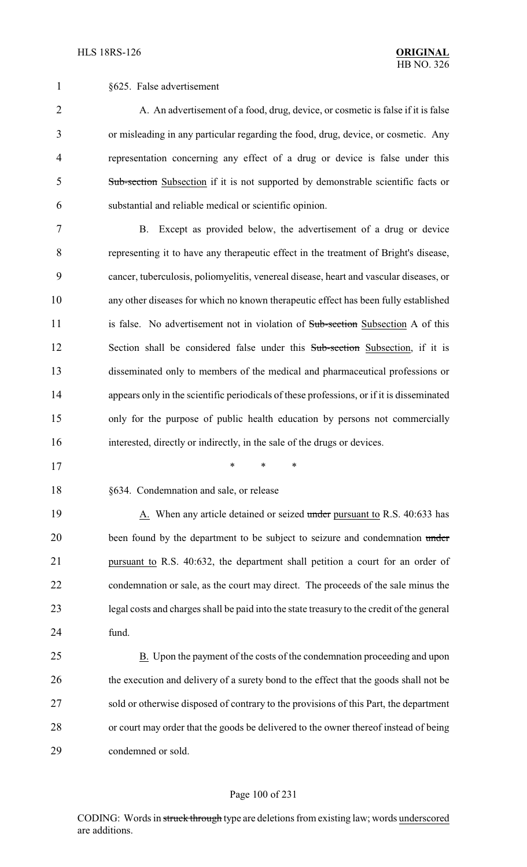§625. False advertisement

2 A. An advertisement of a food, drug, device, or cosmetic is false if it is false or misleading in any particular regarding the food, drug, device, or cosmetic. Any representation concerning any effect of a drug or device is false under this Sub-section Subsection if it is not supported by demonstrable scientific facts or substantial and reliable medical or scientific opinion.

 B. Except as provided below, the advertisement of a drug or device representing it to have any therapeutic effect in the treatment of Bright's disease, cancer, tuberculosis, poliomyelitis, venereal disease, heart and vascular diseases, or any other diseases for which no known therapeutic effect has been fully established 11 is false. No advertisement not in violation of Sub-section Subsection A of this 12 Section shall be considered false under this Sub-section Subsection, if it is disseminated only to members of the medical and pharmaceutical professions or appears only in the scientific periodicals of these professions, or if it is disseminated only for the purpose of public health education by persons not commercially interested, directly or indirectly, in the sale of the drugs or devices.

- \* \* \*
	-

§634. Condemnation and sale, or release

19 A. When any article detained or seized under pursuant to R.S. 40:633 has 20 been found by the department to be subject to seizure and condemnation under pursuant to R.S. 40:632, the department shall petition a court for an order of condemnation or sale, as the court may direct. The proceeds of the sale minus the legal costs and charges shall be paid into the state treasury to the credit of the general fund.

 B. Upon the payment of the costs of the condemnation proceeding and upon 26 the execution and delivery of a surety bond to the effect that the goods shall not be sold or otherwise disposed of contrary to the provisions of this Part, the department or court may order that the goods be delivered to the owner thereof instead of being condemned or sold.

#### Page 100 of 231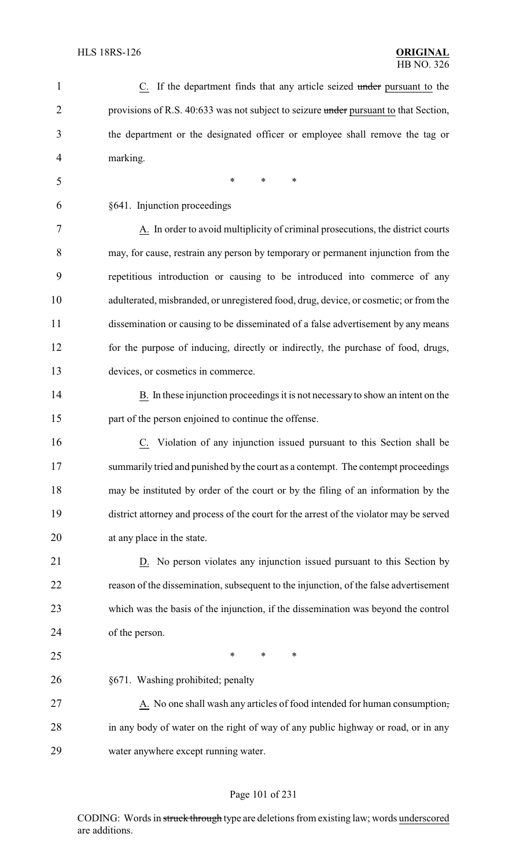| $\mathbf{1}$   | C. If the department finds that any article seized under pursuant to the                |
|----------------|-----------------------------------------------------------------------------------------|
| $\overline{2}$ | provisions of R.S. 40:633 was not subject to seizure under pursuant to that Section,    |
| 3              | the department or the designated officer or employee shall remove the tag or            |
| 4              | marking.                                                                                |
| 5              | $\ast$<br>*<br>*                                                                        |
| 6              | §641. Injunction proceedings                                                            |
| 7              | A. In order to avoid multiplicity of criminal prosecutions, the district courts         |
| 8              | may, for cause, restrain any person by temporary or permanent injunction from the       |
| 9              | repetitious introduction or causing to be introduced into commerce of any               |
| 10             | adulterated, misbranded, or unregistered food, drug, device, or cosmetic; or from the   |
| 11             | dissemination or causing to be disseminated of a false advertisement by any means       |
| 12             | for the purpose of inducing, directly or indirectly, the purchase of food, drugs,       |
| 13             | devices, or cosmetics in commerce.                                                      |
| 14             | B. In these injunction proceedings it is not necessary to show an intent on the         |
| 15             | part of the person enjoined to continue the offense.                                    |
| 16             | C. Violation of any injunction issued pursuant to this Section shall be                 |
| 17             | summarily tried and punished by the court as a contempt. The contempt proceedings       |
| 18             | may be instituted by order of the court or by the filing of an information by the       |
| 19             | district attorney and process of the court for the arrest of the violator may be served |
| 20             | at any place in the state.                                                              |
| 21             | D. No person violates any injunction issued pursuant to this Section by                 |
| 22             | reason of the dissemination, subsequent to the injunction, of the false advertisement   |
| 23             | which was the basis of the injunction, if the dissemination was beyond the control      |
| 24             | of the person.                                                                          |
| 25             | $\ast$<br>∗<br>∗                                                                        |
| 26             | §671. Washing prohibited; penalty                                                       |
| 27             | A. No one shall wash any articles of food intended for human consumption,               |
| 28             | in any body of water on the right of way of any public highway or road, or in any       |
| 29             | water anywhere except running water.                                                    |
|                |                                                                                         |

# Page 101 of 231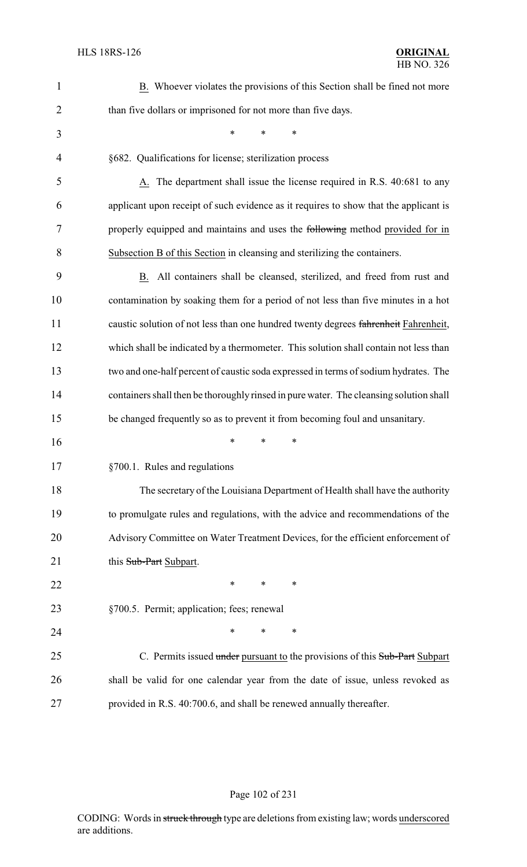| $\mathbf{1}$   | B. Whoever violates the provisions of this Section shall be fined not more             |
|----------------|----------------------------------------------------------------------------------------|
| $\overline{2}$ | than five dollars or imprisoned for not more than five days.                           |
| 3              | *<br>*<br>∗                                                                            |
| $\overline{4}$ | §682. Qualifications for license; sterilization process                                |
| 5              | A. The department shall issue the license required in R.S. 40:681 to any               |
| 6              | applicant upon receipt of such evidence as it requires to show that the applicant is   |
| 7              | properly equipped and maintains and uses the following method provided for in          |
| 8              | Subsection B of this Section in cleansing and sterilizing the containers.              |
| 9              | B. All containers shall be cleansed, sterilized, and freed from rust and               |
| 10             | contamination by soaking them for a period of not less than five minutes in a hot      |
| 11             | caustic solution of not less than one hundred twenty degrees fahrenheit Fahrenheit,    |
| 12             | which shall be indicated by a thermometer. This solution shall contain not less than   |
| 13             | two and one-half percent of caustic soda expressed in terms of sodium hydrates. The    |
| 14             | containers shall then be thoroughly rinsed in pure water. The cleansing solution shall |
| 15             | be changed frequently so as to prevent it from becoming foul and unsanitary.           |
| 16             | ∗<br>*<br>∗                                                                            |
| 17             | §700.1. Rules and regulations                                                          |
| 18             | The secretary of the Louisiana Department of Health shall have the authority           |
| 19             | to promulgate rules and regulations, with the advice and recommendations of the        |
| 20             | Advisory Committee on Water Treatment Devices, for the efficient enforcement of        |
| 21             | this Sub-Part Subpart.                                                                 |
| 22             | $\ast$<br>*<br>∗                                                                       |
| 23             | §700.5. Permit; application; fees; renewal                                             |
| 24             | *<br>∗<br>∗                                                                            |
| 25             | C. Permits issued under pursuant to the provisions of this Sub-Part Subpart            |
| 26             | shall be valid for one calendar year from the date of issue, unless revoked as         |
| 27             | provided in R.S. 40:700.6, and shall be renewed annually thereafter.                   |

# Page 102 of 231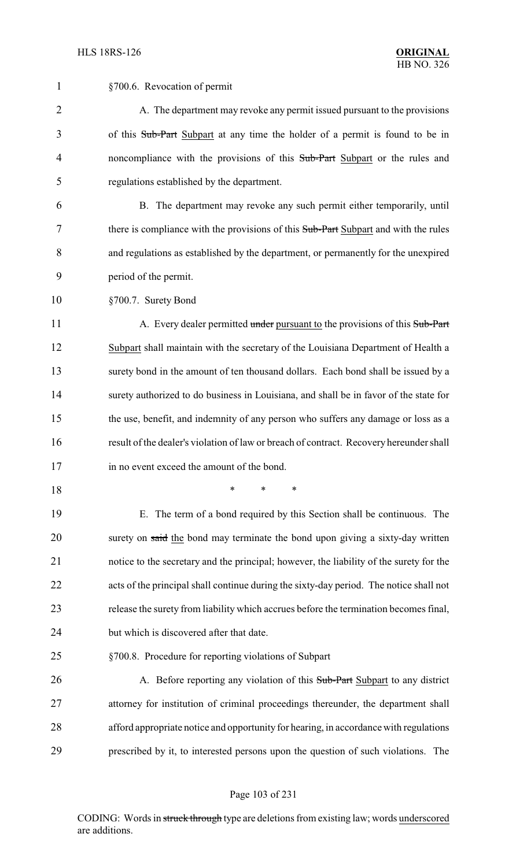| $\mathbf{1}$   | §700.6. Revocation of permit                                                            |
|----------------|-----------------------------------------------------------------------------------------|
| $\overline{2}$ | A. The department may revoke any permit issued pursuant to the provisions               |
| 3              | of this Sub-Part Subpart at any time the holder of a permit is found to be in           |
| 4              | noncompliance with the provisions of this Sub-Part Subpart or the rules and             |
| 5              | regulations established by the department.                                              |
| 6              | B. The department may revoke any such permit either temporarily, until                  |
| 7              | there is compliance with the provisions of this Sub-Part Subpart and with the rules     |
| 8              | and regulations as established by the department, or permanently for the unexpired      |
| 9              | period of the permit.                                                                   |
| 10             | §700.7. Surety Bond                                                                     |
| 11             | A. Every dealer permitted under pursuant to the provisions of this Sub-Part             |
| 12             | Subpart shall maintain with the secretary of the Louisiana Department of Health a       |
| 13             | surety bond in the amount of ten thousand dollars. Each bond shall be issued by a       |
| 14             | surety authorized to do business in Louisiana, and shall be in favor of the state for   |
| 15             | the use, benefit, and indemnity of any person who suffers any damage or loss as a       |
| 16             | result of the dealer's violation of law or breach of contract. Recovery hereunder shall |
| 17             | in no event exceed the amount of the bond.                                              |
| 18             | *<br>*<br>*                                                                             |
| 19             | E. The term of a bond required by this Section shall be continuous. The                 |
| 20             | surety on said the bond may terminate the bond upon giving a sixty-day written          |
| 21             | notice to the secretary and the principal; however, the liability of the surety for the |
| 22             | acts of the principal shall continue during the sixty-day period. The notice shall not  |
| 23             | release the surety from liability which accrues before the termination becomes final,   |
| 24             | but which is discovered after that date.                                                |
| 25             | §700.8. Procedure for reporting violations of Subpart                                   |
| 26             | A. Before reporting any violation of this Sub-Part Subpart to any district              |
| 27             | attorney for institution of criminal proceedings thereunder, the department shall       |
| 28             | afford appropriate notice and opportunity for hearing, in accordance with regulations   |
| 29             | prescribed by it, to interested persons upon the question of such violations. The       |
|                |                                                                                         |

# Page 103 of 231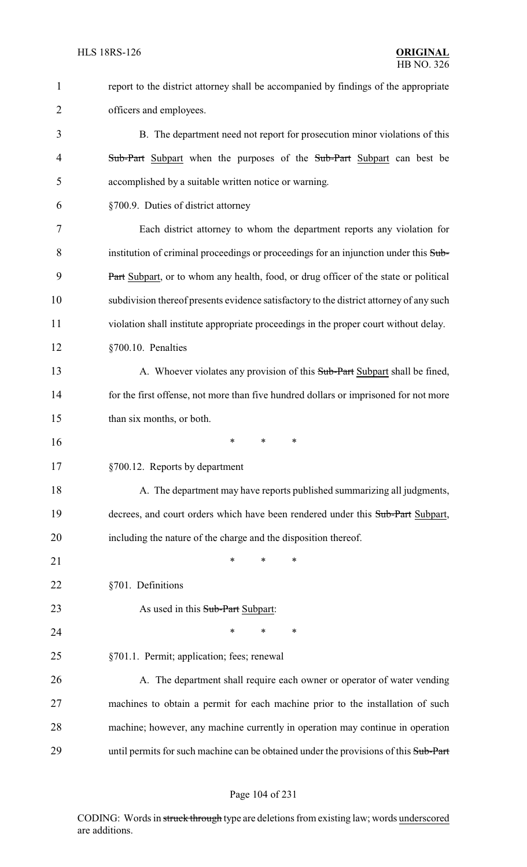| $\mathbf{1}$   | report to the district attorney shall be accompanied by findings of the appropriate     |
|----------------|-----------------------------------------------------------------------------------------|
| 2              | officers and employees.                                                                 |
| 3              | B. The department need not report for prosecution minor violations of this              |
| $\overline{4}$ | Sub-Part Subpart when the purposes of the Sub-Part Subpart can best be                  |
| 5              | accomplished by a suitable written notice or warning.                                   |
| 6              | §700.9. Duties of district attorney                                                     |
| 7              | Each district attorney to whom the department reports any violation for                 |
| 8              | institution of criminal proceedings or proceedings for an injunction under this Sub-    |
| 9              | Part Subpart, or to whom any health, food, or drug officer of the state or political    |
| 10             | subdivision thereof presents evidence satisfactory to the district attorney of any such |
| 11             | violation shall institute appropriate proceedings in the proper court without delay.    |
| 12             | §700.10. Penalties                                                                      |
| 13             | A. Whoever violates any provision of this Sub-Part Subpart shall be fined,              |
| 14             | for the first offense, not more than five hundred dollars or imprisoned for not more    |
| 15             | than six months, or both.                                                               |
| 16             | ∗<br>*<br>∗                                                                             |
| 17             | §700.12. Reports by department                                                          |
| 18             | A. The department may have reports published summarizing all judgments,                 |
| 19             | decrees, and court orders which have been rendered under this Sub-Part Subpart,         |
| 20             | including the nature of the charge and the disposition thereof.                         |
| 21             | $\ast$<br>∗<br>*                                                                        |
| 22             | §701. Definitions                                                                       |
| 23             | As used in this Sub-Part Subpart:                                                       |
| 24             | *<br>*<br>∗                                                                             |
| 25             | §701.1. Permit; application; fees; renewal                                              |
| 26             | A. The department shall require each owner or operator of water vending                 |
| 27             | machines to obtain a permit for each machine prior to the installation of such          |
| 28             | machine; however, any machine currently in operation may continue in operation          |
| 29             | until permits for such machine can be obtained under the provisions of this Sub-Part    |

# Page 104 of 231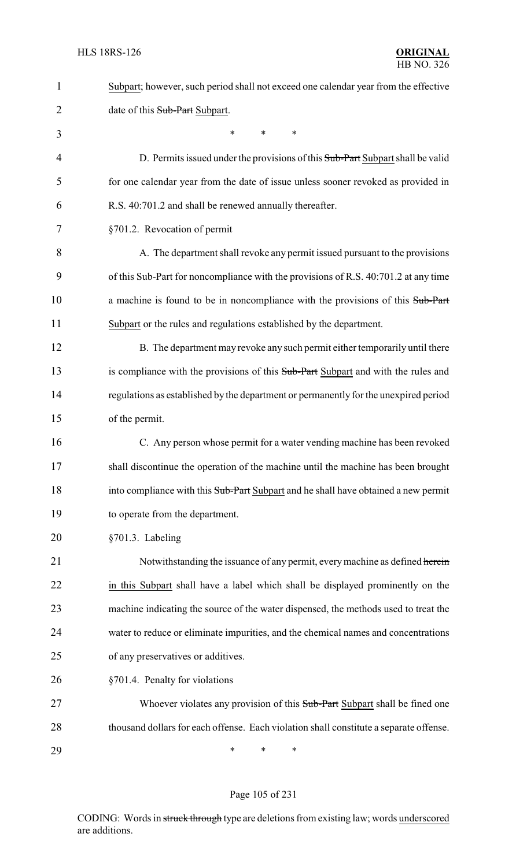| 1  | Subpart; however, such period shall not exceed one calendar year from the effective    |
|----|----------------------------------------------------------------------------------------|
| 2  | date of this Sub-Part Subpart.                                                         |
| 3  | $\ast$<br>$\ast$<br>$\ast$                                                             |
| 4  | D. Permits issued under the provisions of this Sub-Part Subpart shall be valid         |
| 5  | for one calendar year from the date of issue unless sooner revoked as provided in      |
| 6  | R.S. 40:701.2 and shall be renewed annually thereafter.                                |
| 7  | §701.2. Revocation of permit                                                           |
| 8  | A. The department shall revoke any permit issued pursuant to the provisions            |
| 9  | of this Sub-Part for noncompliance with the provisions of R.S. 40:701.2 at any time    |
| 10 | a machine is found to be in noncompliance with the provisions of this Sub-Part         |
| 11 | Subpart or the rules and regulations established by the department.                    |
| 12 | B. The department may revoke any such permit either temporarily until there            |
| 13 | is compliance with the provisions of this Sub-Part Subpart and with the rules and      |
| 14 | regulations as established by the department or permanently for the unexpired period   |
| 15 | of the permit.                                                                         |
| 16 | C. Any person whose permit for a water vending machine has been revoked                |
| 17 | shall discontinue the operation of the machine until the machine has been brought      |
| 18 | into compliance with this Sub-Part Subpart and he shall have obtained a new permit     |
| 19 | to operate from the department.                                                        |
| 20 | §701.3. Labeling                                                                       |
| 21 | Notwithstanding the issuance of any permit, every machine as defined herein            |
| 22 | in this Subpart shall have a label which shall be displayed prominently on the         |
| 23 | machine indicating the source of the water dispensed, the methods used to treat the    |
| 24 | water to reduce or eliminate impurities, and the chemical names and concentrations     |
| 25 | of any preservatives or additives.                                                     |
| 26 | §701.4. Penalty for violations                                                         |
| 27 | Whoever violates any provision of this Sub-Part Subpart shall be fined one             |
| 28 | thousand dollars for each offense. Each violation shall constitute a separate offense. |
| 29 | ∗<br>∗<br>∗                                                                            |

Page 105 of 231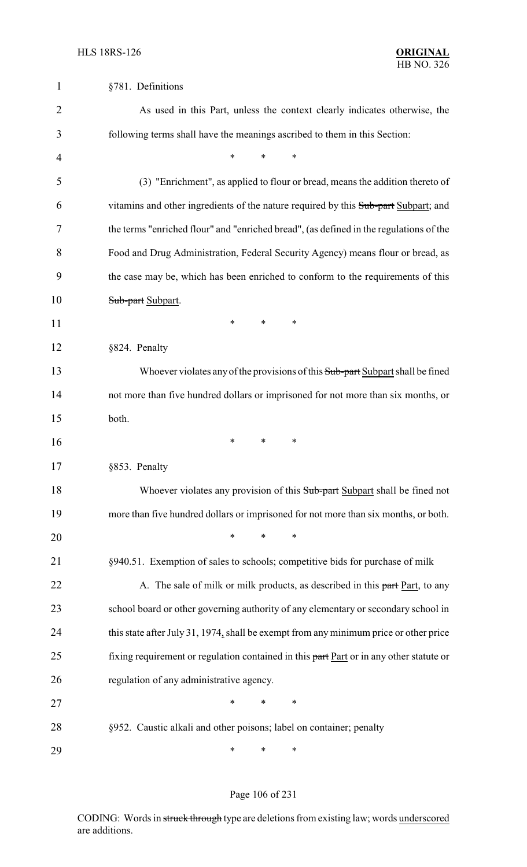| $\mathbf 1$    | §781. Definitions                                                                       |
|----------------|-----------------------------------------------------------------------------------------|
| $\overline{2}$ | As used in this Part, unless the context clearly indicates otherwise, the               |
| 3              | following terms shall have the meanings ascribed to them in this Section:               |
| $\overline{4}$ | $\ast$<br>∗<br>*                                                                        |
| 5              | (3) "Enrichment", as applied to flour or bread, means the addition thereto of           |
| 6              | vitamins and other ingredients of the nature required by this Sub-part Subpart; and     |
| 7              | the terms "enriched flour" and "enriched bread", (as defined in the regulations of the  |
| 8              | Food and Drug Administration, Federal Security Agency) means flour or bread, as         |
| 9              | the case may be, which has been enriched to conform to the requirements of this         |
| 10             | Sub-part Subpart.                                                                       |
| 11             | ∗<br>∗<br>∗                                                                             |
| 12             | §824. Penalty                                                                           |
| 13             | Whoever violates any of the provisions of this Sub-part Subpart shall be fined          |
| 14             | not more than five hundred dollars or imprisoned for not more than six months, or       |
| 15             | both.                                                                                   |
| 16             | ∗<br>∗<br>∗                                                                             |
| 17             | §853. Penalty                                                                           |
| 18             | Whoever violates any provision of this Sub-part Subpart shall be fined not              |
| 19             | more than five hundred dollars or imprisoned for not more than six months, or both.     |
| 20             | $\ast$<br>$\ast$<br>$\ast$                                                              |
| 21             | §940.51. Exemption of sales to schools; competitive bids for purchase of milk           |
| 22             | A. The sale of milk or milk products, as described in this part Part, to any            |
| 23             | school board or other governing authority of any elementary or secondary school in      |
| 24             | this state after July 31, 1974, shall be exempt from any minimum price or other price   |
| 25             | fixing requirement or regulation contained in this part Part or in any other statute or |
| 26             | regulation of any administrative agency.                                                |
| 27             | $\ast$<br>$\ast$<br>$\ast$                                                              |
| 28             | §952. Caustic alkali and other poisons; label on container; penalty                     |
| 29             | ∗<br>$\ast$<br>∗                                                                        |

# Page 106 of 231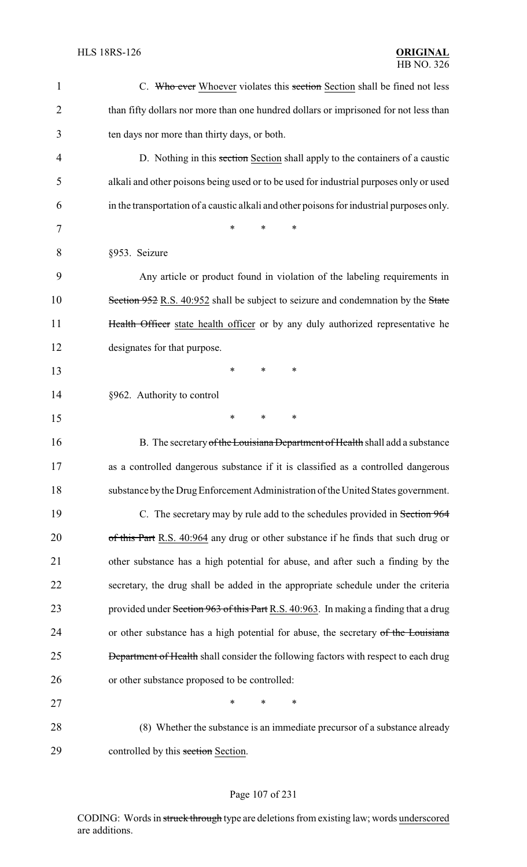| $\mathbf{1}$   | C. Who ever Whoever violates this section Section shall be fined not less                  |
|----------------|--------------------------------------------------------------------------------------------|
| $\overline{2}$ | than fifty dollars nor more than one hundred dollars or imprisoned for not less than       |
| 3              | ten days nor more than thirty days, or both.                                               |
| 4              | D. Nothing in this section Section shall apply to the containers of a caustic              |
| 5              | alkali and other poisons being used or to be used for industrial purposes only or used     |
| 6              | in the transportation of a caustic alkali and other poisons for industrial purposes only.  |
| 7              | *<br>*<br>*                                                                                |
| 8              | §953. Seizure                                                                              |
| 9              | Any article or product found in violation of the labeling requirements in                  |
| 10             | Section 952 R.S. 40:952 shall be subject to seizure and condemnation by the State          |
| 11             | Health Officer state health officer or by any duly authorized representative he            |
| 12             | designates for that purpose.                                                               |
| 13             | $\ast$<br>∗<br>∗                                                                           |
| 14             | §962. Authority to control                                                                 |
| 15             | *<br>*<br>∗                                                                                |
| 16             | B. The secretary of the Louisiana Department of Health shall add a substance               |
| 17             | as a controlled dangerous substance if it is classified as a controlled dangerous          |
| 18             | substance by the Drug Enforcement Administration of the United States government.          |
| 19             | C. The secretary may by rule add to the schedules provided in Section 964                  |
| 20             | of this Part R.S. 40:964 any drug or other substance if he finds that such drug or         |
| 21             | other substance has a high potential for abuse, and after such a finding by the            |
| 22             | secretary, the drug shall be added in the appropriate schedule under the criteria          |
| 23             | provided under Section 963 of this Part R.S. 40:963. In making a finding that a drug       |
| 24             | or other substance has a high potential for abuse, the secretary of the Louisiana          |
| 25             | <b>Department of Health</b> shall consider the following factors with respect to each drug |
| 26             | or other substance proposed to be controlled:                                              |
| 27             | *<br>*<br>∗                                                                                |
| 28             | (8) Whether the substance is an immediate precursor of a substance already                 |
| 29             | controlled by this section Section.                                                        |

# Page 107 of 231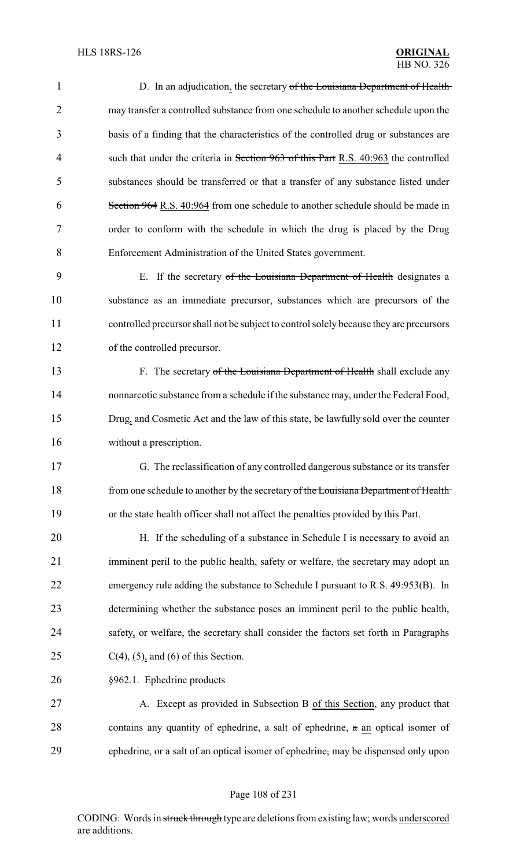| $\mathbf{1}$   | D. In an adjudication, the secretary of the Louisiana Department of Health              |
|----------------|-----------------------------------------------------------------------------------------|
| $\overline{c}$ | may transfer a controlled substance from one schedule to another schedule upon the      |
| 3              | basis of a finding that the characteristics of the controlled drug or substances are    |
| 4              | such that under the criteria in Section 963 of this Part R.S. 40:963 the controlled     |
| 5              | substances should be transferred or that a transfer of any substance listed under       |
| 6              | Section 964 R.S. 40:964 from one schedule to another schedule should be made in         |
| 7              | order to conform with the schedule in which the drug is placed by the Drug              |
| 8              | Enforcement Administration of the United States government.                             |
| 9              | E. If the secretary of the Louisiana Department of Health designates a                  |
| 10             | substance as an immediate precursor, substances which are precursors of the             |
| 11             | controlled precursor shall not be subject to control solely because they are precursors |
| 12             | of the controlled precursor.                                                            |
| 13             | F. The secretary of the Louisiana Department of Health shall exclude any                |
| 14             | nonnarcotic substance from a schedule if the substance may, under the Federal Food,     |
| 15             | Drug, and Cosmetic Act and the law of this state, be lawfully sold over the counter     |
| 16             | without a prescription.                                                                 |
| 17             | G. The reclassification of any controlled dangerous substance or its transfer           |
| 18             | from one schedule to another by the secretary of the Louisiana Department of Health     |
| 19             | or the state health officer shall not affect the penalties provided by this Part.       |
| 20             | H. If the scheduling of a substance in Schedule I is necessary to avoid an              |
| 21             | imminent peril to the public health, safety or welfare, the secretary may adopt an      |
| 22             | emergency rule adding the substance to Schedule I pursuant to R.S. 49:953(B). In        |
| 23             | determining whether the substance poses an imminent peril to the public health,         |
| 24             | safety, or welfare, the secretary shall consider the factors set forth in Paragraphs    |
| 25             | $C(4)$ , (5), and (6) of this Section.                                                  |
| 26             | §962.1. Ephedrine products                                                              |
| 27             | A. Except as provided in Subsection B of this Section, any product that                 |
| 28             | contains any quantity of ephedrine, a salt of ephedrine, a an optical isomer of         |
| 29             | ephedrine, or a salt of an optical isomer of ephedrine, may be dispensed only upon      |

# Page 108 of 231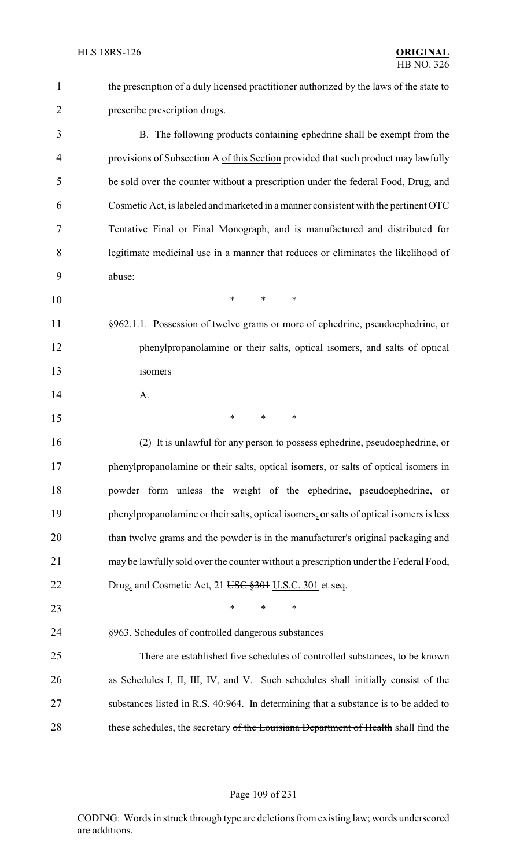| $\mathbf{1}$   | the prescription of a duly licensed practitioner authorized by the laws of the state to  |
|----------------|------------------------------------------------------------------------------------------|
| $\overline{2}$ | prescribe prescription drugs.                                                            |
| 3              | B. The following products containing ephedrine shall be exempt from the                  |
| $\overline{4}$ | provisions of Subsection A of this Section provided that such product may lawfully       |
| 5              | be sold over the counter without a prescription under the federal Food, Drug, and        |
| 6              | Cosmetic Act, is labeled and marketed in a manner consistent with the pertinent OTC      |
| 7              | Tentative Final or Final Monograph, and is manufactured and distributed for              |
| 8              | legitimate medicinal use in a manner that reduces or eliminates the likelihood of        |
| 9              | abuse:                                                                                   |
| 10             | $\ast$<br>$\ast$<br>*                                                                    |
| 11             | §962.1.1. Possession of twelve grams or more of ephedrine, pseudoephedrine, or           |
| 12             | phenylpropanolamine or their salts, optical isomers, and salts of optical                |
| 13             | isomers                                                                                  |
| 14             | A.                                                                                       |
| 15             | $\ast$<br>∗<br>∗                                                                         |
| 16             | (2) It is unlawful for any person to possess ephedrine, pseudoephedrine, or              |
| 17             | phenylpropanolamine or their salts, optical isomers, or salts of optical isomers in      |
| 18             | powder form unless the weight of the ephedrine, pseudoephedrine, or                      |
| 19             | phenylpropanolamine or their salts, optical isomers, or salts of optical isomers is less |
| 20             | than twelve grams and the powder is in the manufacturer's original packaging and         |
| 21             | may be lawfully sold over the counter without a prescription under the Federal Food,     |
| 22             | Drug, and Cosmetic Act, 21 USC §301 U.S.C. 301 et seq.                                   |
| 23             | $\ast$<br>∗<br>∗                                                                         |
| 24             | §963. Schedules of controlled dangerous substances                                       |
| 25             | There are established five schedules of controlled substances, to be known               |
| 26             | as Schedules I, II, III, IV, and V. Such schedules shall initially consist of the        |
| 27             | substances listed in R.S. 40:964. In determining that a substance is to be added to      |
| 28             | these schedules, the secretary of the Louisiana Department of Health shall find the      |

# Page 109 of 231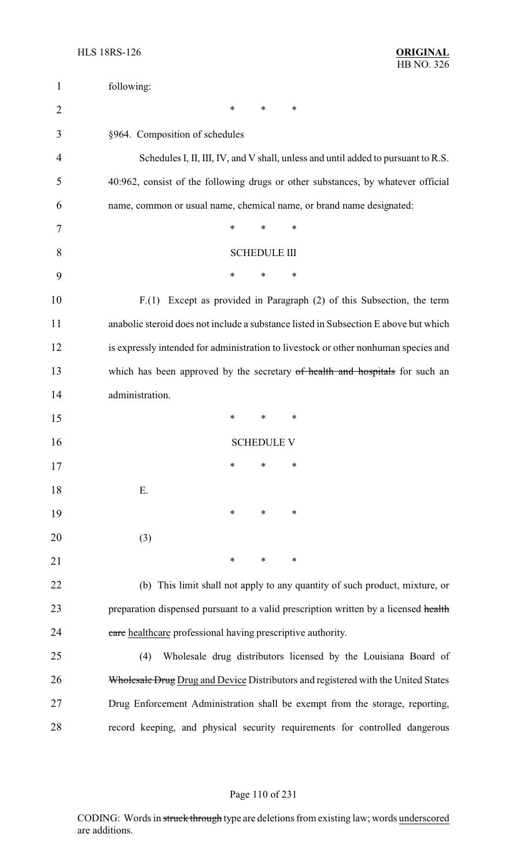| $\mathbf{1}$   | following:                                                                           |
|----------------|--------------------------------------------------------------------------------------|
| $\overline{2}$ | ∗<br>∗<br>∗                                                                          |
| 3              | §964. Composition of schedules                                                       |
| 4              | Schedules I, II, III, IV, and V shall, unless and until added to pursuant to R.S.    |
| 5              | 40:962, consist of the following drugs or other substances, by whatever official     |
| 6              | name, common or usual name, chemical name, or brand name designated:                 |
| 7              | *<br>$\ast$<br>$\ast$                                                                |
| 8              | <b>SCHEDULE III</b>                                                                  |
| 9              | ∗<br>∗<br>∗                                                                          |
| 10             | F.(1) Except as provided in Paragraph (2) of this Subsection, the term               |
| 11             | anabolic steroid does not include a substance listed in Subsection E above but which |
| 12             | is expressly intended for administration to livestock or other nonhuman species and  |
| 13             | which has been approved by the secretary of health and hospitals for such an         |
| 14             | administration.                                                                      |
| 15             | $\ast$<br>∗<br>∗                                                                     |
| 16             | <b>SCHEDULE V</b>                                                                    |
| 17             | ∗<br>∗<br>∗                                                                          |
| 18             | Ε.                                                                                   |
| 19             | $\ast$<br>∗<br>∗                                                                     |
| 20             | (3)                                                                                  |
| 21             | $\ast$<br>$\ast$<br>∗                                                                |
| 22             | (b) This limit shall not apply to any quantity of such product, mixture, or          |
| 23             | preparation dispensed pursuant to a valid prescription written by a licensed health  |
| 24             | care healthcare professional having prescriptive authority.                          |
| 25             | Wholesale drug distributors licensed by the Louisiana Board of<br>(4)                |
| 26             | Wholesale Drug Drug and Device Distributors and registered with the United States    |
| 27             | Drug Enforcement Administration shall be exempt from the storage, reporting,         |
| 28             | record keeping, and physical security requirements for controlled dangerous          |

# Page 110 of 231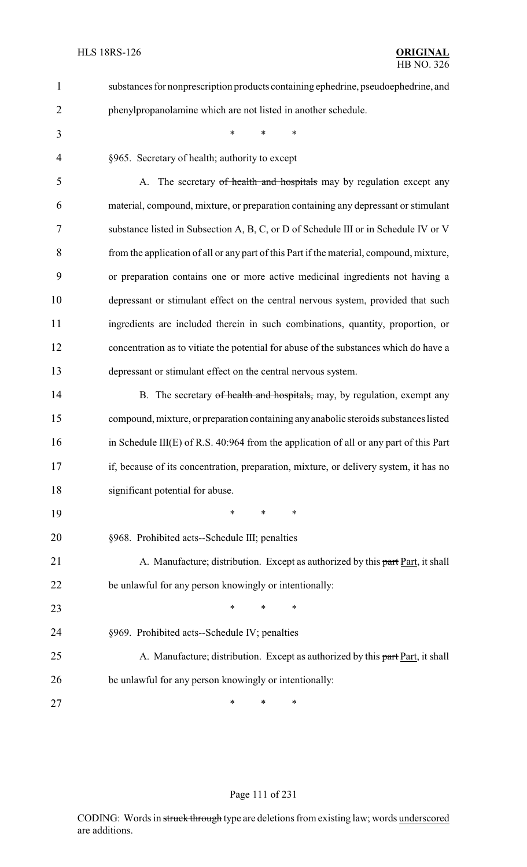| $\mathbf{1}$   | substances for nonprescription products containing ephedrine, pseudoephedrine, and       |
|----------------|------------------------------------------------------------------------------------------|
| $\overline{2}$ | phenylpropanolamine which are not listed in another schedule.                            |
| 3              | $\ast$<br>*                                                                              |
| 4              | §965. Secretary of health; authority to except                                           |
| 5              | A. The secretary of health and hospitals may by regulation except any                    |
| 6              | material, compound, mixture, or preparation containing any depressant or stimulant       |
| 7              | substance listed in Subsection A, B, C, or D of Schedule III or in Schedule IV or V      |
| 8              | from the application of all or any part of this Part if the material, compound, mixture, |
| 9              | or preparation contains one or more active medicinal ingredients not having a            |
| 10             | depressant or stimulant effect on the central nervous system, provided that such         |
| 11             | ingredients are included therein in such combinations, quantity, proportion, or          |
| 12             | concentration as to vitiate the potential for abuse of the substances which do have a    |
| 13             | depressant or stimulant effect on the central nervous system.                            |
| 14             | B. The secretary of health and hospitals, may, by regulation, exempt any                 |
| 15             | compound, mixture, or preparation containing any anabolic steroids substances listed     |
| 16             | in Schedule III(E) of R.S. $40:964$ from the application of all or any part of this Part |
| 17             | if, because of its concentration, preparation, mixture, or delivery system, it has no    |
| 18             | significant potential for abuse.                                                         |
| 19             | *<br>*<br>∗                                                                              |
| 20             | §968. Prohibited acts--Schedule III; penalties                                           |
| 21             | A. Manufacture; distribution. Except as authorized by this part Part, it shall           |
| 22             | be unlawful for any person knowingly or intentionally:                                   |
| 23             | ∗<br>∗<br>*                                                                              |
| 24             | §969. Prohibited acts--Schedule IV; penalties                                            |
| 25             | A. Manufacture; distribution. Except as authorized by this part Part, it shall           |
| 26             | be unlawful for any person knowingly or intentionally:                                   |
| 27             | ∗<br>∗<br>∗                                                                              |

# Page 111 of 231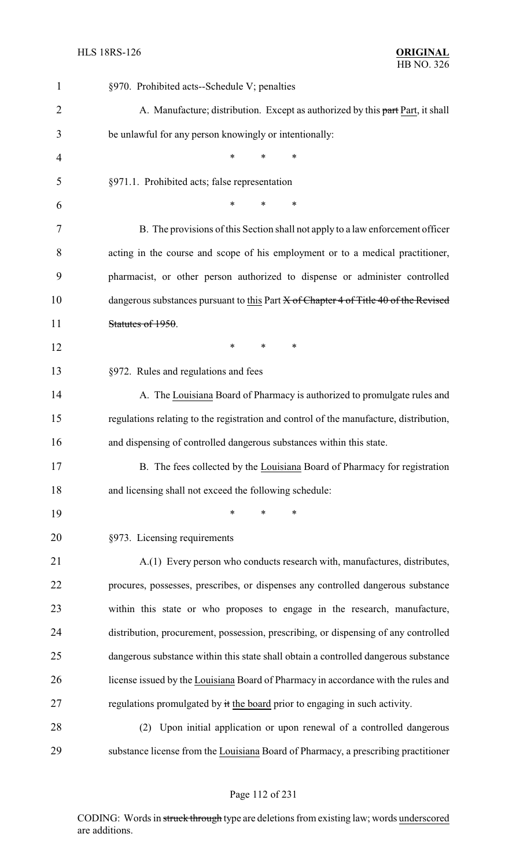| $\mathbf{1}$   | §970. Prohibited acts--Schedule V; penalties                                           |
|----------------|----------------------------------------------------------------------------------------|
| $\overline{2}$ | A. Manufacture; distribution. Except as authorized by this part Part, it shall         |
| 3              | be unlawful for any person knowingly or intentionally:                                 |
| $\overline{4}$ | $\ast$<br>∗                                                                            |
| 5              | §971.1. Prohibited acts; false representation                                          |
| 6              | *<br>*                                                                                 |
| 7              | B. The provisions of this Section shall not apply to a law enforcement officer         |
| 8              | acting in the course and scope of his employment or to a medical practitioner,         |
| 9              | pharmacist, or other person authorized to dispense or administer controlled            |
| 10             | dangerous substances pursuant to this Part X of Chapter 4 of Title 40 of the Revised   |
| 11             | Statutes of 1950.                                                                      |
| 12             | $\ast$<br>*<br>∗                                                                       |
| 13             | §972. Rules and regulations and fees                                                   |
| 14             | A. The Louisiana Board of Pharmacy is authorized to promulgate rules and               |
| 15             | regulations relating to the registration and control of the manufacture, distribution, |
| 16             | and dispensing of controlled dangerous substances within this state.                   |
| 17             | B. The fees collected by the Louisiana Board of Pharmacy for registration              |
| 18             | and licensing shall not exceed the following schedule:                                 |
| 19             | *<br>*<br>∗                                                                            |
| 20             | §973. Licensing requirements                                                           |
| 21             | A.(1) Every person who conducts research with, manufactures, distributes,              |
| 22             | procures, possesses, prescribes, or dispenses any controlled dangerous substance       |
| 23             | within this state or who proposes to engage in the research, manufacture,              |
| 24             | distribution, procurement, possession, prescribing, or dispensing of any controlled    |
| 25             | dangerous substance within this state shall obtain a controlled dangerous substance    |
| 26             | license issued by the Louisiana Board of Pharmacy in accordance with the rules and     |
| 27             | regulations promulgated by it the board prior to engaging in such activity.            |
| 28             | (2) Upon initial application or upon renewal of a controlled dangerous                 |
| 29             | substance license from the Louisiana Board of Pharmacy, a prescribing practitioner     |

#### Page 112 of 231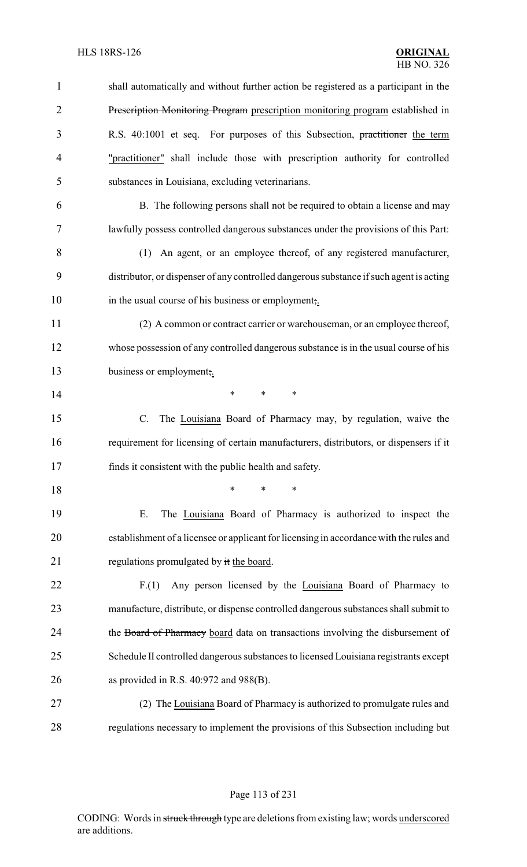| $\mathbf{1}$   | shall automatically and without further action be registered as a participant in the    |
|----------------|-----------------------------------------------------------------------------------------|
| $\overline{2}$ | Prescription Monitoring Program prescription monitoring program established in          |
| 3              | R.S. 40:1001 et seq. For purposes of this Subsection, practitioner the term             |
| $\overline{4}$ | "practitioner" shall include those with prescription authority for controlled           |
| 5              | substances in Louisiana, excluding veterinarians.                                       |
| 6              | B. The following persons shall not be required to obtain a license and may              |
| 7              | lawfully possess controlled dangerous substances under the provisions of this Part:     |
| 8              | (1) An agent, or an employee thereof, of any registered manufacturer,                   |
| 9              | distributor, or dispenser of any controlled dangerous substance if such agent is acting |
| 10             | in the usual course of his business or employment,.                                     |
| 11             | (2) A common or contract carrier or warehouseman, or an employee thereof,               |
| 12             | whose possession of any controlled dangerous substance is in the usual course of his    |
| 13             | business or employment,.                                                                |
| 14             | $\ast$<br>*<br>*                                                                        |
| 15             | The Louisiana Board of Pharmacy may, by regulation, waive the<br>$C_{\cdot}$            |
| 16             | requirement for licensing of certain manufacturers, distributors, or dispensers if it   |
| 17             | finds it consistent with the public health and safety.                                  |
| 18             | $\ast$<br>*<br>*                                                                        |
| 19             | The Louisiana Board of Pharmacy is authorized to inspect the<br>Ε.                      |
| 20             | establishment of a licensee or applicant for licensing in accordance with the rules and |
| 21             | regulations promulgated by it the board.                                                |
| 22             | Any person licensed by the Louisiana Board of Pharmacy to<br>F(1)                       |
| 23             | manufacture, distribute, or dispense controlled dangerous substances shall submit to    |
| 24             | the Board of Pharmacy board data on transactions involving the disbursement of          |
| 25             | Schedule II controlled dangerous substances to licensed Louisiana registrants except    |
| 26             | as provided in R.S. $40:972$ and $988(B)$ .                                             |
| 27             | (2) The Louisiana Board of Pharmacy is authorized to promulgate rules and               |
| 28             | regulations necessary to implement the provisions of this Subsection including but      |

Page 113 of 231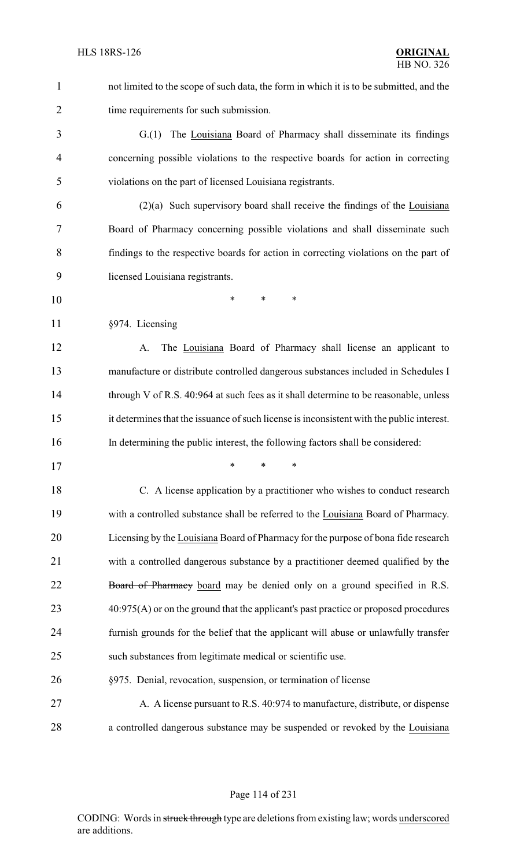not limited to the scope of such data, the form in which it is to be submitted, and the time requirements for such submission.

 G.(1) The Louisiana Board of Pharmacy shall disseminate its findings concerning possible violations to the respective boards for action in correcting violations on the part of licensed Louisiana registrants.

 (2)(a) Such supervisory board shall receive the findings of the Louisiana Board of Pharmacy concerning possible violations and shall disseminate such findings to the respective boards for action in correcting violations on the part of licensed Louisiana registrants.

\* \* \*

§974. Licensing

 A. The Louisiana Board of Pharmacy shall license an applicant to manufacture or distribute controlled dangerous substances included in Schedules I 14 through V of R.S. 40:964 at such fees as it shall determine to be reasonable, unless it determines that the issuance of such license is inconsistent with the public interest. In determining the public interest, the following factors shall be considered:

\* \* \*

 C. A license application by a practitioner who wishes to conduct research with a controlled substance shall be referred to the Louisiana Board of Pharmacy. Licensing by the Louisiana Board of Pharmacy for the purpose of bona fide research with a controlled dangerous substance by a practitioner deemed qualified by the 22 Board of Pharmacy board may be denied only on a ground specified in R.S. 23 40:975(A) or on the ground that the applicant's past practice or proposed procedures furnish grounds for the belief that the applicant will abuse or unlawfully transfer such substances from legitimate medical or scientific use.

#### §975. Denial, revocation, suspension, or termination of license

27 A. A license pursuant to R.S. 40:974 to manufacture, distribute, or dispense a controlled dangerous substance may be suspended or revoked by the Louisiana

Page 114 of 231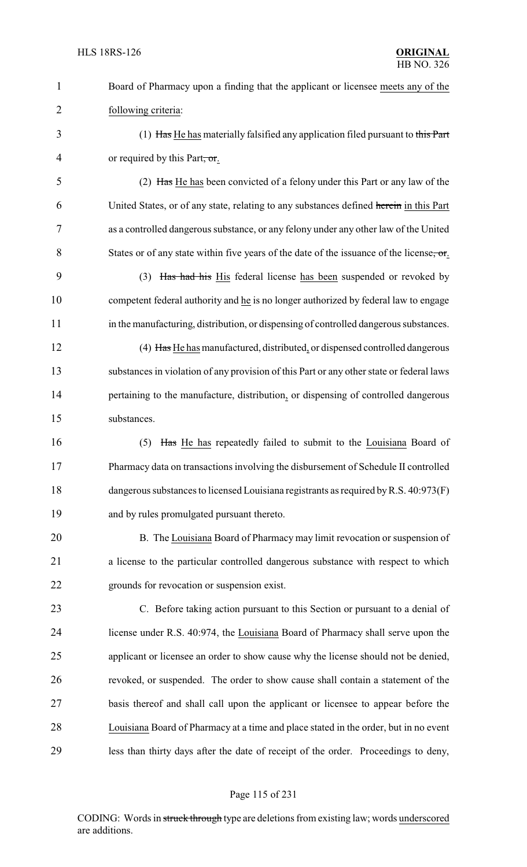| $\mathbf{1}$   | Board of Pharmacy upon a finding that the applicant or licensee meets any of the         |
|----------------|------------------------------------------------------------------------------------------|
| $\overline{2}$ | following criteria:                                                                      |
| 3              | (1) Has He has materially falsified any application filed pursuant to this Part          |
| 4              | or required by this Part, or.                                                            |
| 5              | (2) Has He has been convicted of a felony under this Part or any law of the              |
| 6              | United States, or of any state, relating to any substances defined herein in this Part   |
| 7              | as a controlled dangerous substance, or any felony under any other law of the United     |
| 8              | States or of any state within five years of the date of the issuance of the license, or  |
| 9              | (3) Has had his His federal license has been suspended or revoked by                     |
| 10             | competent federal authority and he is no longer authorized by federal law to engage      |
| 11             | in the manufacturing, distribution, or dispensing of controlled dangerous substances.    |
| 12             | (4) Has He has manufactured, distributed, or dispensed controlled dangerous              |
| 13             | substances in violation of any provision of this Part or any other state or federal laws |
| 14             | pertaining to the manufacture, distribution, or dispensing of controlled dangerous       |
| 15             | substances.                                                                              |
| 16             | Has He has repeatedly failed to submit to the Louisiana Board of<br>(5)                  |
| 17             | Pharmacy data on transactions involving the disbursement of Schedule II controlled       |
| 18             | dangerous substances to licensed Louisiana registrants as required by R.S. 40:973(F)     |
| 19             | and by rules promulgated pursuant thereto.                                               |
| 20             | B. The Louisiana Board of Pharmacy may limit revocation or suspension of                 |
| 21             | a license to the particular controlled dangerous substance with respect to which         |
| 22             | grounds for revocation or suspension exist.                                              |
| 23             | C. Before taking action pursuant to this Section or pursuant to a denial of              |
| 24             | license under R.S. 40:974, the Louisiana Board of Pharmacy shall serve upon the          |
| 25             | applicant or licensee an order to show cause why the license should not be denied,       |
| 26             | revoked, or suspended. The order to show cause shall contain a statement of the          |
| 27             | basis thereof and shall call upon the applicant or licensee to appear before the         |
| 28             | Louisiana Board of Pharmacy at a time and place stated in the order, but in no event     |
| 29             | less than thirty days after the date of receipt of the order. Proceedings to deny,       |

# Page 115 of 231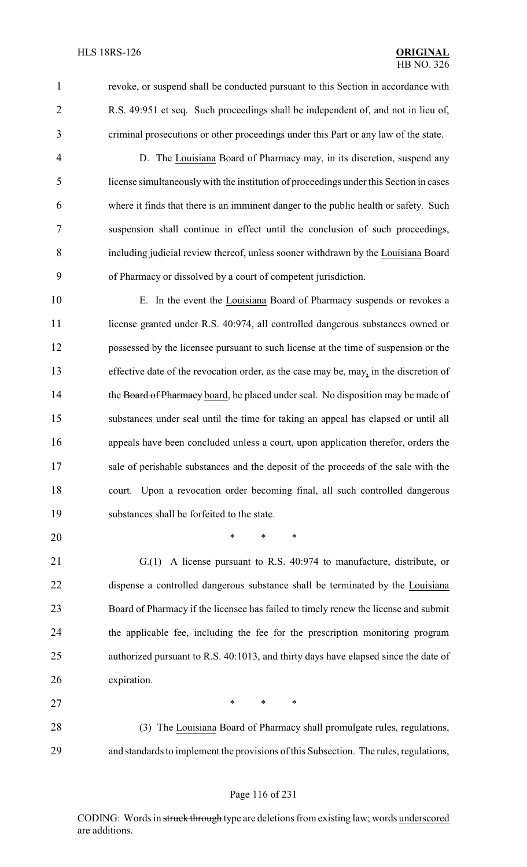- 
- 

 revoke, or suspend shall be conducted pursuant to this Section in accordance with R.S. 49:951 et seq. Such proceedings shall be independent of, and not in lieu of, criminal prosecutions or other proceedings under this Part or any law of the state.

 D. The Louisiana Board of Pharmacy may, in its discretion, suspend any license simultaneouslywith the institution of proceedings under this Section in cases where it finds that there is an imminent danger to the public health or safety. Such suspension shall continue in effect until the conclusion of such proceedings, including judicial review thereof, unless sooner withdrawn by the Louisiana Board of Pharmacy or dissolved by a court of competent jurisdiction.

 E. In the event the Louisiana Board of Pharmacy suspends or revokes a 11 license granted under R.S. 40:974, all controlled dangerous substances owned or possessed by the licensee pursuant to such license at the time of suspension or the effective date of the revocation order, as the case may be, may, in the discretion of 14 the Board of Pharmacy board, be placed under seal. No disposition may be made of substances under seal until the time for taking an appeal has elapsed or until all appeals have been concluded unless a court, upon application therefor, orders the sale of perishable substances and the deposit of the proceeds of the sale with the court. Upon a revocation order becoming final, all such controlled dangerous substances shall be forfeited to the state.

\* \* \*

 G.(1) A license pursuant to R.S. 40:974 to manufacture, distribute, or dispense a controlled dangerous substance shall be terminated by the Louisiana Board of Pharmacy if the licensee has failed to timely renew the license and submit the applicable fee, including the fee for the prescription monitoring program authorized pursuant to R.S. 40:1013, and thirty days have elapsed since the date of expiration.

27 \* \* \* \* (3) The Louisiana Board of Pharmacy shall promulgate rules, regulations, and standards to implement the provisions of this Subsection. The rules, regulations,

#### Page 116 of 231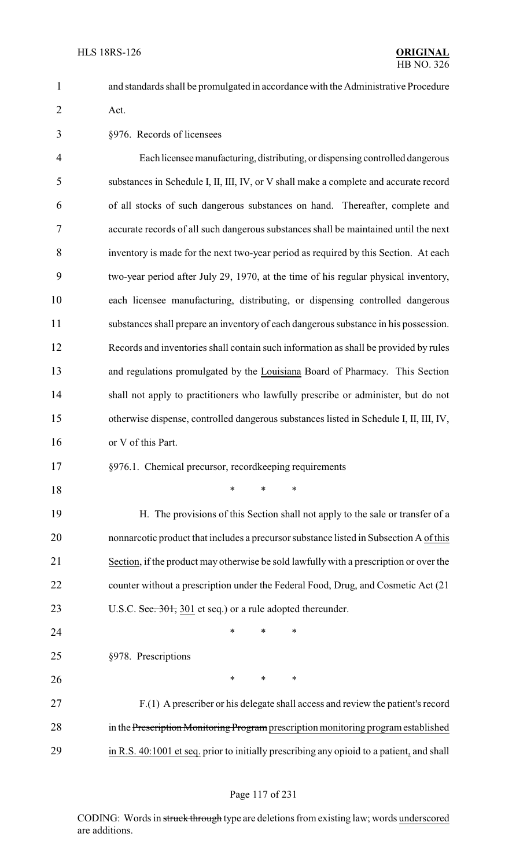and standards shall be promulgated in accordance with the Administrative Procedure Act.

§976. Records of licensees

 Each licenseemanufacturing, distributing, or dispensing controlled dangerous substances in Schedule I, II, III, IV, or V shall make a complete and accurate record of all stocks of such dangerous substances on hand. Thereafter, complete and accurate records of all such dangerous substances shall be maintained until the next inventory is made for the next two-year period as required by this Section. At each two-year period after July 29, 1970, at the time of his regular physical inventory, each licensee manufacturing, distributing, or dispensing controlled dangerous substances shall prepare an inventory of each dangerous substance in his possession. Records and inventories shall contain such information as shall be provided by rules 13 and regulations promulgated by the Louisiana Board of Pharmacy. This Section shall not apply to practitioners who lawfully prescribe or administer, but do not otherwise dispense, controlled dangerous substances listed in Schedule I, II, III, IV, or V of this Part.

- §976.1. Chemical precursor, recordkeeping requirements
- \* \* \*

 H. The provisions of this Section shall not apply to the sale or transfer of a nonnarcotic product that includes a precursor substance listed in Subsection A of this Section, if the product may otherwise be sold lawfully with a prescription or over the counter without a prescription under the Federal Food, Drug, and Cosmetic Act (21 23 U.S.C. Sec. 301, 301 et seq.) or a rule adopted thereunder.

**\*** \* \* \* §978. Prescriptions

26 \* \* \* \*

 F.(1) A prescriber or his delegate shall access and review the patient's record 28 in the Prescription Monitoring Program prescription monitoring program established in R.S. 40:1001 et seq. prior to initially prescribing any opioid to a patient, and shall

#### Page 117 of 231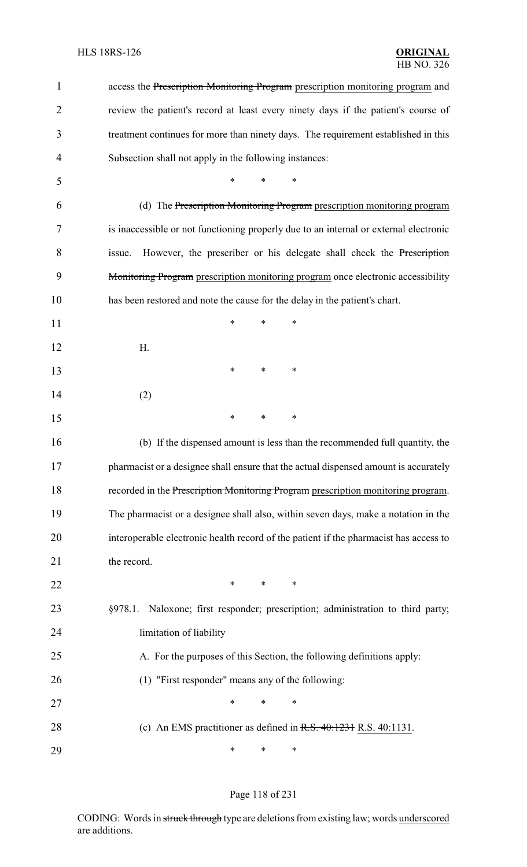| $\mathbf{1}$   | access the Prescription Monitoring Program prescription monitoring program and        |
|----------------|---------------------------------------------------------------------------------------|
| $\overline{2}$ | review the patient's record at least every ninety days if the patient's course of     |
| 3              | treatment continues for more than ninety days. The requirement established in this    |
| 4              | Subsection shall not apply in the following instances:                                |
| 5              | *<br>$\ast$<br>*                                                                      |
| 6              | (d) The Prescription Monitoring Program prescription monitoring program               |
| 7              | is inaccessible or not functioning properly due to an internal or external electronic |
| 8              | However, the prescriber or his delegate shall check the Prescription<br>issue.        |
| 9              | Monitoring Program prescription monitoring program once electronic accessibility      |
| 10             | has been restored and note the cause for the delay in the patient's chart.            |
| 11             | $\ast$<br>*<br>*                                                                      |
| 12             | H.                                                                                    |
| 13             | *<br>∗<br>∗                                                                           |
| 14             | (2)                                                                                   |
| 15             | $\ast$<br>*<br>*                                                                      |
| 16             | (b) If the dispensed amount is less than the recommended full quantity, the           |
| 17             | pharmacist or a designee shall ensure that the actual dispensed amount is accurately  |
| 18             | recorded in the Prescription Monitoring Program prescription monitoring program.      |
| 19             | The pharmacist or a designee shall also, within seven days, make a notation in the    |
| 20             | interoperable electronic health record of the patient if the pharmacist has access to |
| 21             | the record.                                                                           |
| 22             | $\ast$<br>$\ast$<br>$\ast$                                                            |
| 23             | Naloxone; first responder; prescription; administration to third party;<br>§978.1.    |
| 24             | limitation of liability                                                               |
| 25             | A. For the purposes of this Section, the following definitions apply:                 |
| 26             | (1) "First responder" means any of the following:                                     |
| 27             | $\ast$<br>*<br>*                                                                      |
| 28             | (c) An EMS practitioner as defined in $R.S. 40:1231 R.S. 40:1131$ .                   |
| 29             | ∗<br>∗<br>∗                                                                           |

# Page 118 of 231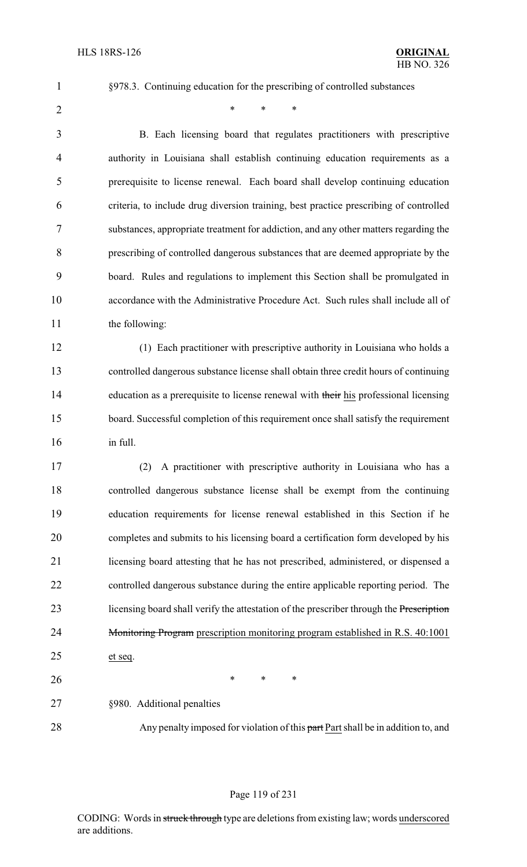§978.3. Continuing education for the prescribing of controlled substances

 $*$  \* \* \*

 B. Each licensing board that regulates practitioners with prescriptive authority in Louisiana shall establish continuing education requirements as a prerequisite to license renewal. Each board shall develop continuing education criteria, to include drug diversion training, best practice prescribing of controlled substances, appropriate treatment for addiction, and any other matters regarding the prescribing of controlled dangerous substances that are deemed appropriate by the board. Rules and regulations to implement this Section shall be promulgated in accordance with the Administrative Procedure Act. Such rules shall include all of 11 the following:

 (1) Each practitioner with prescriptive authority in Louisiana who holds a controlled dangerous substance license shall obtain three credit hours of continuing 14 education as a prerequisite to license renewal with their his professional licensing board. Successful completion of this requirement once shall satisfy the requirement in full.

 (2) A practitioner with prescriptive authority in Louisiana who has a controlled dangerous substance license shall be exempt from the continuing education requirements for license renewal established in this Section if he completes and submits to his licensing board a certification form developed by his licensing board attesting that he has not prescribed, administered, or dispensed a controlled dangerous substance during the entire applicable reporting period. The 23 licensing board shall verify the attestation of the prescriber through the Prescription 24 Monitoring Program prescription monitoring program established in R.S. 40:1001 et seq.

§980. Additional penalties

26 \* \* \* \*

28 Any penalty imposed for violation of this part Part shall be in addition to, and

#### Page 119 of 231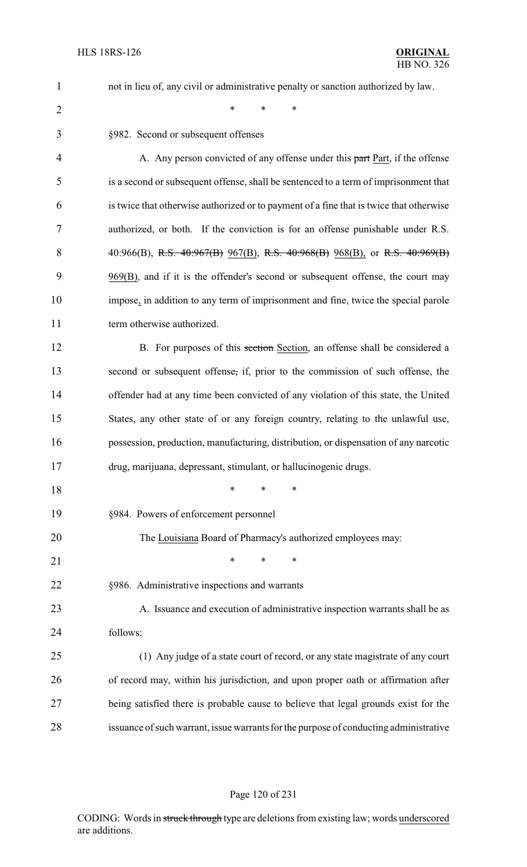1 not in lieu of, any civil or administrative penalty or sanction authorized by law.

2  $*$  \* \* \*

| 3  | §982. Second or subsequent offenses                                                     |
|----|-----------------------------------------------------------------------------------------|
| 4  | A. Any person convicted of any offense under this part Part, if the offense             |
| 5  | is a second or subsequent offense, shall be sentenced to a term of imprisonment that    |
| 6  | is twice that otherwise authorized or to payment of a fine that is twice that otherwise |
| 7  | authorized, or both. If the conviction is for an offense punishable under R.S.          |
| 8  | 40:966(B), R.S. 40:967(B) 967(B), R.S. 40:968(B) 968(B), or R.S. 40:969(B)              |
| 9  | 969(B), and if it is the offender's second or subsequent offense, the court may         |
| 10 | impose, in addition to any term of imprisonment and fine, twice the special parole      |
| 11 | term otherwise authorized.                                                              |
| 12 | B. For purposes of this section Section, an offense shall be considered a               |
| 13 | second or subsequent offense, if, prior to the commission of such offense, the          |
| 14 | offender had at any time been convicted of any violation of this state, the United      |
| 15 | States, any other state of or any foreign country, relating to the unlawful use,        |
| 16 | possession, production, manufacturing, distribution, or dispensation of any narcotic    |
| 17 | drug, marijuana, depressant, stimulant, or hallucinogenic drugs.                        |
| 18 | $\ast$<br>*<br>∗                                                                        |
| 19 | §984. Powers of enforcement personnel                                                   |
| 20 | The Louisiana Board of Pharmacy's authorized employees may:                             |
| 21 | ∗<br>*<br>*                                                                             |
| 22 | §986. Administrative inspections and warrants                                           |
| 23 | A. Issuance and execution of administrative inspection warrants shall be as             |
| 24 | follows:                                                                                |
| 25 | (1) Any judge of a state court of record, or any state magistrate of any court          |
| 26 | of record may, within his jurisdiction, and upon proper oath or affirmation after       |
| 27 | being satisfied there is probable cause to believe that legal grounds exist for the     |
| 28 | issuance of such warrant, issue warrants for the purpose of conducting administrative   |
|    |                                                                                         |

#### Page 120 of 231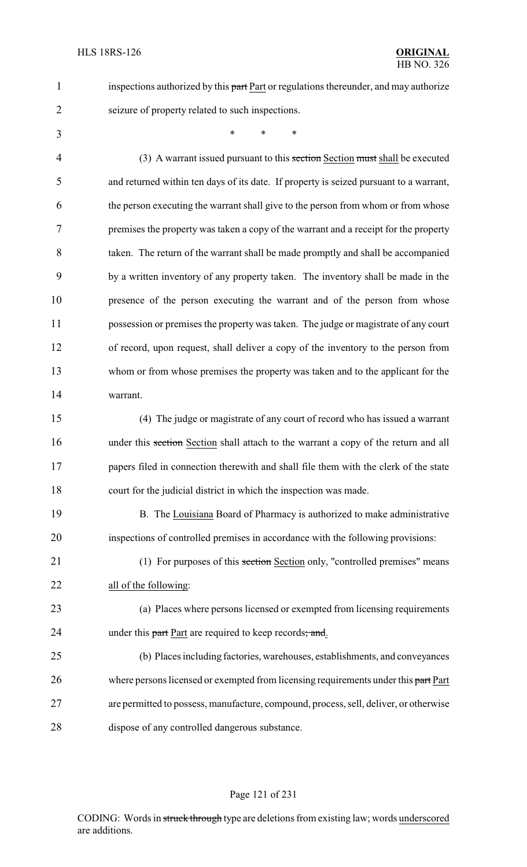seizure of property related to such inspections.

- 1 inspections authorized by this part Part or regulations thereunder, and may authorize
- 

\* \* \*

4 (3) A warrant issued pursuant to this section Section must shall be executed and returned within ten days of its date. If property is seized pursuant to a warrant, the person executing the warrant shall give to the person from whom or from whose premises the property was taken a copy of the warrant and a receipt for the property taken. The return of the warrant shall be made promptly and shall be accompanied by a written inventory of any property taken. The inventory shall be made in the presence of the person executing the warrant and of the person from whose possession or premises the property was taken. The judge or magistrate of any court of record, upon request, shall deliver a copy of the inventory to the person from whom or from whose premises the property was taken and to the applicant for the warrant.

 (4) The judge or magistrate of any court of record who has issued a warrant 16 under this section Section shall attach to the warrant a copy of the return and all 17 papers filed in connection therewith and shall file them with the clerk of the state court for the judicial district in which the inspection was made.

19 B. The Louisiana Board of Pharmacy is authorized to make administrative inspections of controlled premises in accordance with the following provisions:

21 (1) For purposes of this section Section only, "controlled premises" means all of the following:

 (a) Places where persons licensed or exempted from licensing requirements 24 under this part Part are required to keep records; and.

 (b) Places including factories, warehouses, establishments, and conveyances 26 where persons licensed or exempted from licensing requirements under this part Part are permitted to possess, manufacture, compound, process, sell, deliver, or otherwise dispose of any controlled dangerous substance.

#### Page 121 of 231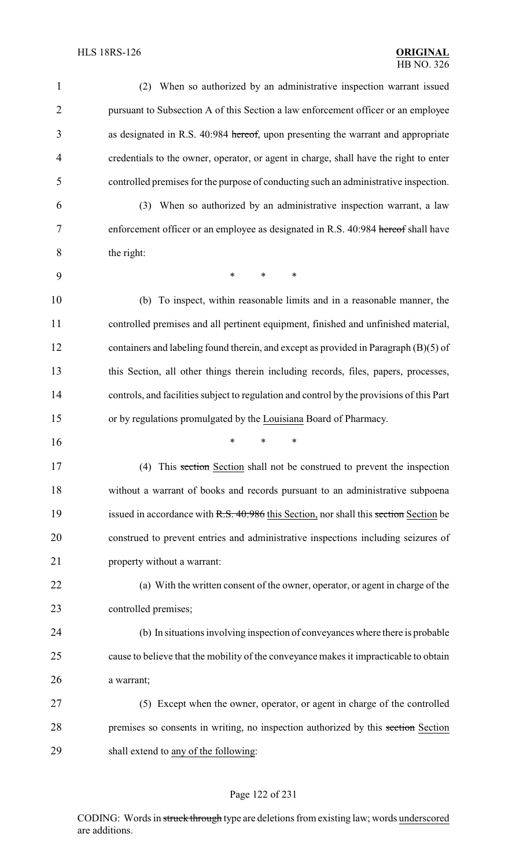| 1              | When so authorized by an administrative inspection warrant issued<br>(2)                  |
|----------------|-------------------------------------------------------------------------------------------|
| $\overline{2}$ | pursuant to Subsection A of this Section a law enforcement officer or an employee         |
| 3              | as designated in R.S. 40:984 hereof, upon presenting the warrant and appropriate          |
| 4              | credentials to the owner, operator, or agent in charge, shall have the right to enter     |
| 5              | controlled premises for the purpose of conducting such an administrative inspection.      |
| 6              | When so authorized by an administrative inspection warrant, a law<br>(3)                  |
| 7              | enforcement officer or an employee as designated in R.S. 40:984 hereof shall have         |
| 8              | the right:                                                                                |
| 9              | $\ast$<br>$\ast$<br>$\ast$                                                                |
| 10             | (b) To inspect, within reasonable limits and in a reasonable manner, the                  |
| 11             | controlled premises and all pertinent equipment, finished and unfinished material,        |
| 12             | containers and labeling found therein, and except as provided in Paragraph (B)(5) of      |
| 13             | this Section, all other things therein including records, files, papers, processes,       |
| 14             | controls, and facilities subject to regulation and control by the provisions of this Part |
| 15             | or by regulations promulgated by the Louisiana Board of Pharmacy.                         |
| 16             | *<br>∗                                                                                    |
| 17             | (4) This section Section shall not be construed to prevent the inspection                 |
| 18             | without a warrant of books and records pursuant to an administrative subpoena             |
| 19             | issued in accordance with R.S. 40:986 this Section, nor shall this section Section be     |
| 20             | construed to prevent entries and administrative inspections including seizures of         |
| 21             | property without a warrant:                                                               |
| 22             | (a) With the written consent of the owner, operator, or agent in charge of the            |
| 23             | controlled premises;                                                                      |
| 24             | (b) In situations involving inspection of conveyances where there is probable             |
|                | cause to believe that the mobility of the conveyance makes it impracticable to obtain     |
| 25             |                                                                                           |
| 26             | a warrant;                                                                                |
| 27             | (5) Except when the owner, operator, or agent in charge of the controlled                 |
| 28             | premises so consents in writing, no inspection authorized by this section Section         |

# Page 122 of 231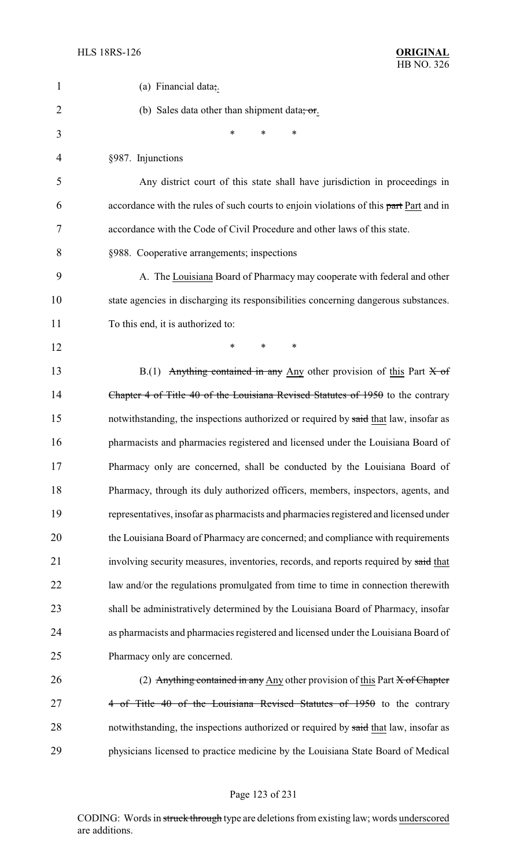| $\mathbf{1}$   | (a) Financial data;.                                                                   |
|----------------|----------------------------------------------------------------------------------------|
| $\overline{2}$ | (b) Sales data other than shipment data; or.                                           |
| 3              | *<br>*<br>∗                                                                            |
| 4              | §987. Injunctions                                                                      |
| 5              | Any district court of this state shall have jurisdiction in proceedings in             |
| 6              | accordance with the rules of such courts to enjoin violations of this part Part and in |
| 7              | accordance with the Code of Civil Procedure and other laws of this state.              |
| 8              | §988. Cooperative arrangements; inspections                                            |
| 9              | A. The Louisiana Board of Pharmacy may cooperate with federal and other                |
| 10             | state agencies in discharging its responsibilities concerning dangerous substances.    |
| 11             | To this end, it is authorized to:                                                      |
| 12             | *<br>*<br>∗                                                                            |
| 13             | B.(1) Anything contained in any Any other provision of this Part $X$ of                |
| 14             | Chapter 4 of Title 40 of the Louisiana Revised Statutes of 1950 to the contrary        |
| 15             | notwithstanding, the inspections authorized or required by said that law, insofar as   |
| 16             | pharmacists and pharmacies registered and licensed under the Louisiana Board of        |
| 17             | Pharmacy only are concerned, shall be conducted by the Louisiana Board of              |
| 18             | Pharmacy, through its duly authorized officers, members, inspectors, agents, and       |
| 19             | representatives, insofar as pharmacists and pharmacies registered and licensed under   |
| 20             | the Louisiana Board of Pharmacy are concerned; and compliance with requirements        |
| 21             | involving security measures, inventories, records, and reports required by said that   |
| 22             | law and/or the regulations promulgated from time to time in connection therewith       |
| 23             | shall be administratively determined by the Louisiana Board of Pharmacy, insofar       |
| 24             | as pharmacists and pharmacies registered and licensed under the Louisiana Board of     |
| 25             | Pharmacy only are concerned.                                                           |
| 26             | (2) Anything contained in any Any other provision of this Part $X$ of Chapter          |
| 27             | 4 of Title 40 of the Louisiana Revised Statutes of 1950 to the contrary                |
| 28             | notwithstanding, the inspections authorized or required by said that law, insofar as   |
| 29             | physicians licensed to practice medicine by the Louisiana State Board of Medical       |

# Page 123 of 231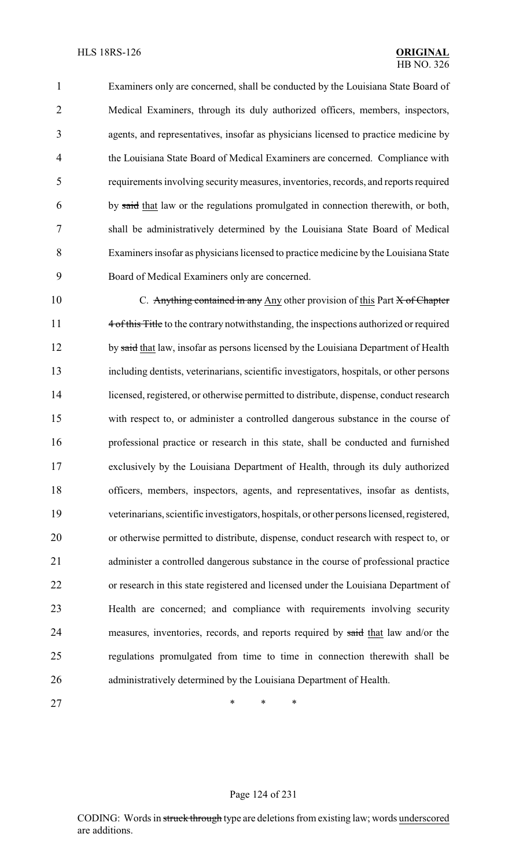Examiners only are concerned, shall be conducted by the Louisiana State Board of Medical Examiners, through its duly authorized officers, members, inspectors, agents, and representatives, insofar as physicians licensed to practice medicine by the Louisiana State Board of Medical Examiners are concerned. Compliance with requirements involving securitymeasures, inventories, records, and reports required by said that law or the regulations promulgated in connection therewith, or both, shall be administratively determined by the Louisiana State Board of Medical Examiners insofar as physicians licensed to practice medicine by the Louisiana State Board of Medical Examiners only are concerned.

10 C. Anything contained in any Any other provision of this Part X of Chapter 11 4 of this Title to the contrary notwithstanding, the inspections authorized or required 12 by said that law, insofar as persons licensed by the Louisiana Department of Health including dentists, veterinarians, scientific investigators, hospitals, or other persons licensed, registered, or otherwise permitted to distribute, dispense, conduct research with respect to, or administer a controlled dangerous substance in the course of professional practice or research in this state, shall be conducted and furnished exclusively by the Louisiana Department of Health, through its duly authorized officers, members, inspectors, agents, and representatives, insofar as dentists, veterinarians, scientific investigators, hospitals, or other persons licensed, registered, or otherwise permitted to distribute, dispense, conduct research with respect to, or administer a controlled dangerous substance in the course of professional practice or research in this state registered and licensed under the Louisiana Department of Health are concerned; and compliance with requirements involving security 24 measures, inventories, records, and reports required by said that law and/or the regulations promulgated from time to time in connection therewith shall be administratively determined by the Louisiana Department of Health.

27 \* \* \* \*

#### Page 124 of 231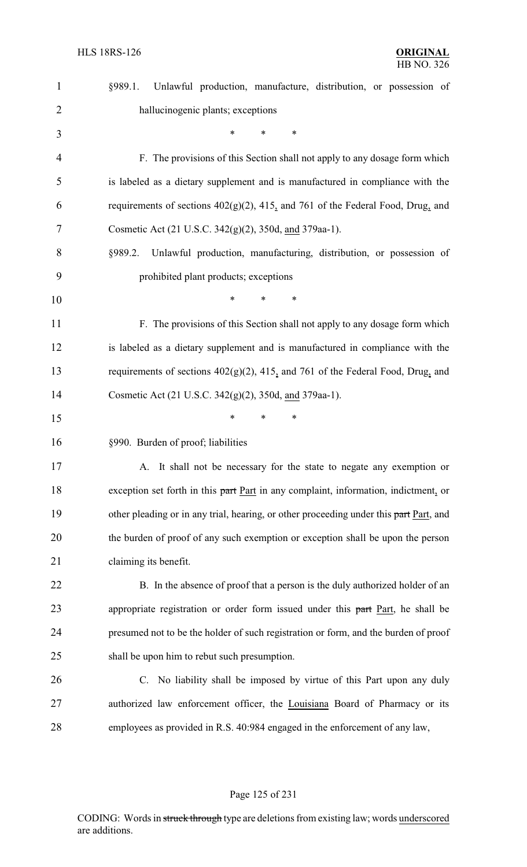| $\mathbf{1}$   | Unlawful production, manufacture, distribution, or possession of<br>§989.1.            |
|----------------|----------------------------------------------------------------------------------------|
| $\overline{2}$ | hallucinogenic plants; exceptions                                                      |
| 3              | *<br>$\ast$<br>$\ast$                                                                  |
| $\overline{4}$ | F. The provisions of this Section shall not apply to any dosage form which             |
| 5              | is labeled as a dietary supplement and is manufactured in compliance with the          |
| 6              | requirements of sections $402(g)(2)$ , $415_2$ and 761 of the Federal Food, Drug, and  |
| 7              | Cosmetic Act (21 U.S.C. 342(g)(2), 350d, and 379aa-1).                                 |
| 8              | Unlawful production, manufacturing, distribution, or possession of<br>§989.2.          |
| 9              | prohibited plant products; exceptions                                                  |
| 10             | *<br>*                                                                                 |
| 11             | F. The provisions of this Section shall not apply to any dosage form which             |
| 12             | is labeled as a dietary supplement and is manufactured in compliance with the          |
| 13             | requirements of sections $402(g)(2)$ , $415$ , and 761 of the Federal Food, Drug, and  |
| 14             | Cosmetic Act (21 U.S.C. 342(g)(2), 350d, and 379aa-1).                                 |
| 15             | *<br>∗<br>*                                                                            |
| 16             | §990. Burden of proof; liabilities                                                     |
| 17             | A. It shall not be necessary for the state to negate any exemption or                  |
| 18             | exception set forth in this part Part in any complaint, information, indictment, or    |
| 19             | other pleading or in any trial, hearing, or other proceeding under this part Part, and |
| 20             | the burden of proof of any such exemption or exception shall be upon the person        |
| 21             | claiming its benefit.                                                                  |
| 22             | B. In the absence of proof that a person is the duly authorized holder of an           |
| 23             | appropriate registration or order form issued under this part Part, he shall be        |
| 24             | presumed not to be the holder of such registration or form, and the burden of proof    |
| 25             | shall be upon him to rebut such presumption.                                           |
| 26             | C. No liability shall be imposed by virtue of this Part upon any duly                  |
| 27             | authorized law enforcement officer, the Louisiana Board of Pharmacy or its             |
| 28             | employees as provided in R.S. 40:984 engaged in the enforcement of any law,            |
|                |                                                                                        |

# Page 125 of 231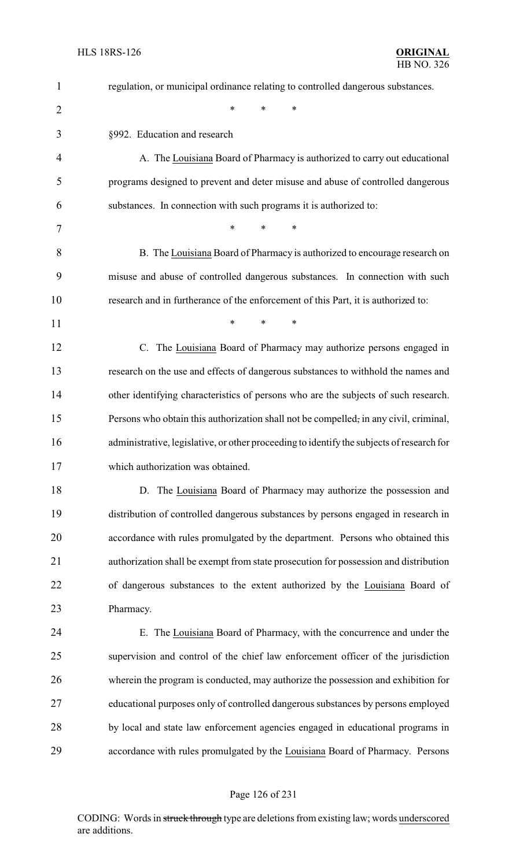| 1              | regulation, or municipal ordinance relating to controlled dangerous substances.           |
|----------------|-------------------------------------------------------------------------------------------|
| $\overline{2}$ | $\ast$<br>$\ast$<br>*                                                                     |
| 3              | §992. Education and research                                                              |
| 4              | A. The Louisiana Board of Pharmacy is authorized to carry out educational                 |
| 5              | programs designed to prevent and deter misuse and abuse of controlled dangerous           |
| 6              | substances. In connection with such programs it is authorized to:                         |
| 7              | $\ast$<br>$\ast$<br>*                                                                     |
| 8              | B. The Louisiana Board of Pharmacy is authorized to encourage research on                 |
| 9              | misuse and abuse of controlled dangerous substances. In connection with such              |
| 10             | research and in furtherance of the enforcement of this Part, it is authorized to:         |
| 11             | *<br>$\ast$<br>∗                                                                          |
| 12             | C. The Louisiana Board of Pharmacy may authorize persons engaged in                       |
| 13             | research on the use and effects of dangerous substances to withhold the names and         |
| 14             | other identifying characteristics of persons who are the subjects of such research.       |
| 15             | Persons who obtain this authorization shall not be compelled, in any civil, criminal,     |
| 16             | administrative, legislative, or other proceeding to identify the subjects of research for |
| 17             | which authorization was obtained.                                                         |
| 18             | D. The Louisiana Board of Pharmacy may authorize the possession and                       |
| 19             | distribution of controlled dangerous substances by persons engaged in research in         |
| 20             | accordance with rules promulgated by the department. Persons who obtained this            |
| 21             | authorization shall be exempt from state prosecution for possession and distribution      |
| 22             | of dangerous substances to the extent authorized by the Louisiana Board of                |
| 23             | Pharmacy.                                                                                 |
| 24             | E. The Louisiana Board of Pharmacy, with the concurrence and under the                    |
| 25             | supervision and control of the chief law enforcement officer of the jurisdiction          |
| 26             | wherein the program is conducted, may authorize the possession and exhibition for         |
| 27             | educational purposes only of controlled dangerous substances by persons employed          |
| 28             | by local and state law enforcement agencies engaged in educational programs in            |
| 29             | accordance with rules promulgated by the Louisiana Board of Pharmacy. Persons             |

# Page 126 of 231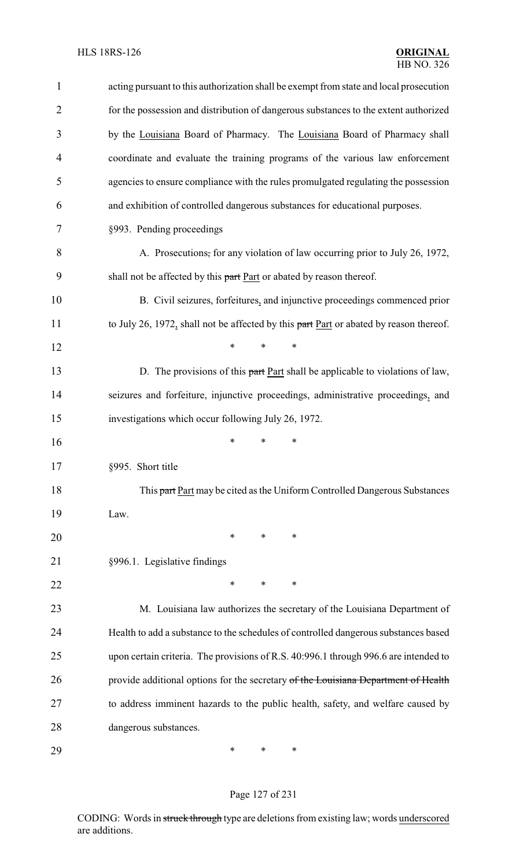| $\mathbf{1}$   | acting pursuant to this authorization shall be exempt from state and local prosecution |
|----------------|----------------------------------------------------------------------------------------|
| $\overline{2}$ | for the possession and distribution of dangerous substances to the extent authorized   |
| 3              | by the Louisiana Board of Pharmacy. The Louisiana Board of Pharmacy shall              |
| 4              | coordinate and evaluate the training programs of the various law enforcement           |
| 5              | agencies to ensure compliance with the rules promulgated regulating the possession     |
| 6              | and exhibition of controlled dangerous substances for educational purposes.            |
| 7              | §993. Pending proceedings                                                              |
| 8              | A. Prosecutions, for any violation of law occurring prior to July 26, 1972,            |
| 9              | shall not be affected by this part Part or abated by reason thereof.                   |
| 10             | B. Civil seizures, forfeitures, and injunctive proceedings commenced prior             |
| 11             | to July 26, 1972, shall not be affected by this part Part or abated by reason thereof. |
| 12             | $\ast$<br>*<br>$\ast$                                                                  |
| 13             | D. The provisions of this part Part shall be applicable to violations of law,          |
| 14             | seizures and forfeiture, injunctive proceedings, administrative proceedings, and       |
| 15             | investigations which occur following July 26, 1972.                                    |
| 16             | ∗<br>*<br>∗                                                                            |
| 17             | §995. Short title                                                                      |
| 18             | This part Part may be cited as the Uniform Controlled Dangerous Substances             |
| 19             | Law.                                                                                   |
| 20             | ∗<br>*<br>∗                                                                            |
| 21             | §996.1. Legislative findings                                                           |
| 22             | *<br>∗<br>*                                                                            |
| 23             | M. Louisiana law authorizes the secretary of the Louisiana Department of               |
| 24             | Health to add a substance to the schedules of controlled dangerous substances based    |
| 25             | upon certain criteria. The provisions of R.S. 40:996.1 through 996.6 are intended to   |
| 26             | provide additional options for the secretary of the Louisiana Department of Health     |
| 27             | to address imminent hazards to the public health, safety, and welfare caused by        |
| 28             | dangerous substances.                                                                  |
| 29             | *<br>∗<br>∗                                                                            |

# Page 127 of 231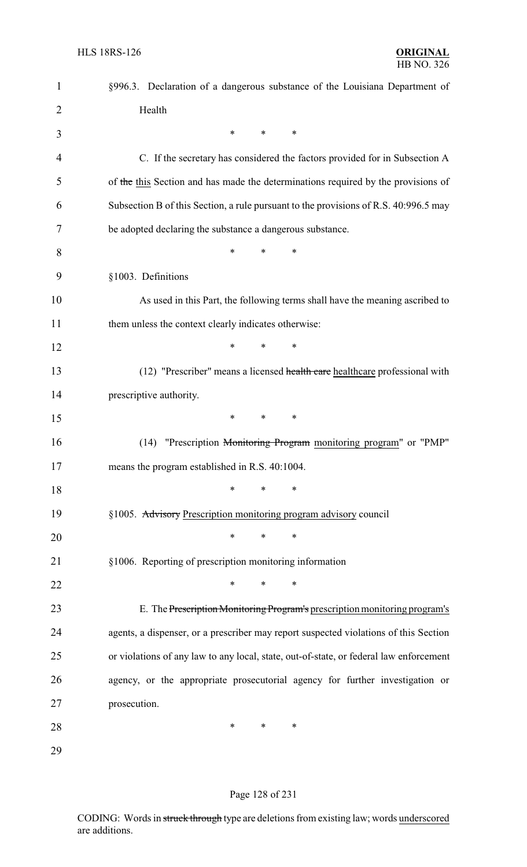| $\mathbf{1}$   | §996.3. Declaration of a dangerous substance of the Louisiana Department of            |
|----------------|----------------------------------------------------------------------------------------|
| $\overline{2}$ | Health                                                                                 |
| 3              | *<br>$\ast$<br>*                                                                       |
| 4              | C. If the secretary has considered the factors provided for in Subsection A            |
| 5              | of the this Section and has made the determinations required by the provisions of      |
| 6              | Subsection B of this Section, a rule pursuant to the provisions of R.S. 40:996.5 may   |
| 7              | be adopted declaring the substance a dangerous substance.                              |
| 8              | $\ast$<br>*<br>*                                                                       |
| 9              | §1003. Definitions                                                                     |
| 10             | As used in this Part, the following terms shall have the meaning ascribed to           |
| 11             | them unless the context clearly indicates otherwise:                                   |
| 12             | *<br>∗<br>*                                                                            |
| 13             | (12) "Prescriber" means a licensed health care healthcare professional with            |
| 14             | prescriptive authority.                                                                |
| 15             | *<br>∗<br>∗                                                                            |
| 16             | "Prescription Monitoring Program monitoring program" or "PMP"<br>(14)                  |
| 17             | means the program established in R.S. 40:1004.                                         |
| 18             | $\ast$<br>∗<br>$\ast$                                                                  |
| 19             | §1005. Advisory Prescription monitoring program advisory council                       |
| 20             | $\ast$<br>∗<br>$\ast$                                                                  |
| 21             | §1006. Reporting of prescription monitoring information                                |
| 22             | *<br>∗<br>∗                                                                            |
| 23             | E. The Prescription Monitoring Program's prescription monitoring program's             |
| 24             | agents, a dispenser, or a prescriber may report suspected violations of this Section   |
| 25             | or violations of any law to any local, state, out-of-state, or federal law enforcement |
| 26             | agency, or the appropriate prosecutorial agency for further investigation or           |
| 27             | prosecution.                                                                           |
| 28             | ∗<br>$\ast$<br>∗                                                                       |
| 29             |                                                                                        |

# Page 128 of 231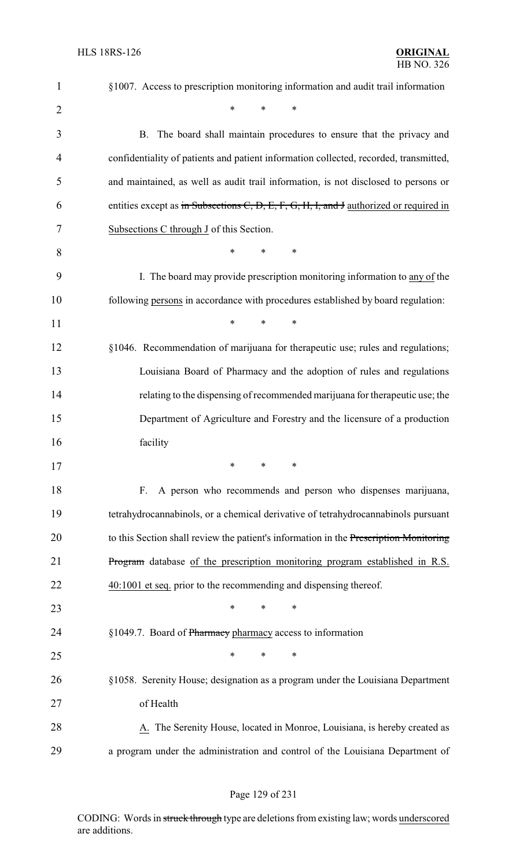| $\mathbf{1}$   | §1007. Access to prescription monitoring information and audit trail information       |
|----------------|----------------------------------------------------------------------------------------|
| $\overline{2}$ | $\ast$<br>$\ast$<br>*                                                                  |
| 3              | B. The board shall maintain procedures to ensure that the privacy and                  |
| 4              | confidentiality of patients and patient information collected, recorded, transmitted,  |
| 5              | and maintained, as well as audit trail information, is not disclosed to persons or     |
| 6              | entities except as in Subsections C, D, E, F, G, H, I, and J authorized or required in |
| 7              | Subsections C through J of this Section.                                               |
| 8              | $\ast$<br>∗<br>*                                                                       |
| 9              | I. The board may provide prescription monitoring information to any of the             |
| 10             | following persons in accordance with procedures established by board regulation:       |
| 11             | $\ast$<br>$\ast$<br>*                                                                  |
| 12             | §1046. Recommendation of marijuana for therapeutic use; rules and regulations;         |
| 13             | Louisiana Board of Pharmacy and the adoption of rules and regulations                  |
| 14             | relating to the dispensing of recommended marijuana for therapeutic use; the           |
| 15             | Department of Agriculture and Forestry and the licensure of a production               |
| 16             | facility                                                                               |
| 17             | ∗<br>∗<br>∗                                                                            |
| 18             | A person who recommends and person who dispenses marijuana,<br>F.                      |
| 19             | tetrahydrocannabinols, or a chemical derivative of tetrahydrocannabinols pursuant      |
| 20             | to this Section shall review the patient's information in the Prescription Monitoring  |
| 21             | Program database of the prescription monitoring program established in R.S.            |
| 22             | 40:1001 et seq. prior to the recommending and dispensing thereof.                      |
| 23             | $\ast$<br>∗<br>∗                                                                       |
| 24             | §1049.7. Board of Pharmacy pharmacy access to information                              |
| 25             | ∗<br>*<br>∗                                                                            |
| 26             | §1058. Serenity House; designation as a program under the Louisiana Department         |
| 27             | of Health                                                                              |
| 28             | A. The Serenity House, located in Monroe, Louisiana, is hereby created as              |
| 29             | a program under the administration and control of the Louisiana Department of          |

# Page 129 of 231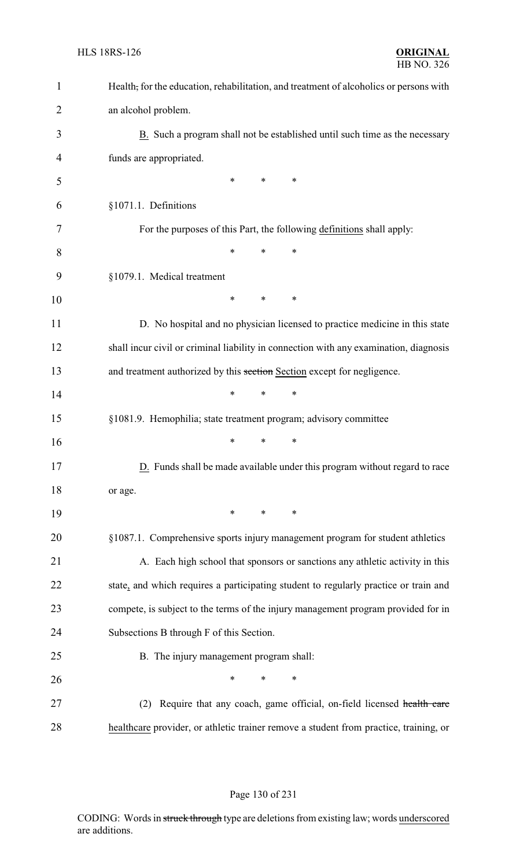| $\mathbf{1}$   | Health, for the education, rehabilitation, and treatment of alcoholics or persons with |
|----------------|----------------------------------------------------------------------------------------|
| $\overline{2}$ | an alcohol problem.                                                                    |
| 3              | B. Such a program shall not be established until such time as the necessary            |
| 4              | funds are appropriated.                                                                |
| 5              | *<br>∗<br>∗                                                                            |
| 6              | §1071.1. Definitions                                                                   |
| 7              | For the purposes of this Part, the following definitions shall apply:                  |
| 8              | $\ast$<br>*<br>*                                                                       |
| 9              | §1079.1. Medical treatment                                                             |
| 10             | *<br>*<br>∗                                                                            |
| 11             | D. No hospital and no physician licensed to practice medicine in this state            |
| 12             | shall incur civil or criminal liability in connection with any examination, diagnosis  |
| 13             | and treatment authorized by this section Section except for negligence.                |
| 14             | $\ast$<br>$\ast$<br>*                                                                  |
| 15             | §1081.9. Hemophilia; state treatment program; advisory committee                       |
| 16             | $\ast$<br>∗<br>*                                                                       |
| 17             | D. Funds shall be made available under this program without regard to race             |
| 18             | or age.                                                                                |
| 19             | $\ast$<br>$\ast$<br>∗                                                                  |
| 20             | §1087.1. Comprehensive sports injury management program for student athletics          |
| 21             | A. Each high school that sponsors or sanctions any athletic activity in this           |
| 22             | state, and which requires a participating student to regularly practice or train and   |
| 23             | compete, is subject to the terms of the injury management program provided for in      |
| 24             | Subsections B through F of this Section.                                               |
| 25             | B. The injury management program shall:                                                |
| 26             | $\ast$<br>∗<br>∗                                                                       |
| 27             | Require that any coach, game official, on-field licensed health care<br>(2)            |
| 28             | healthcare provider, or athletic trainer remove a student from practice, training, or  |

#### Page 130 of 231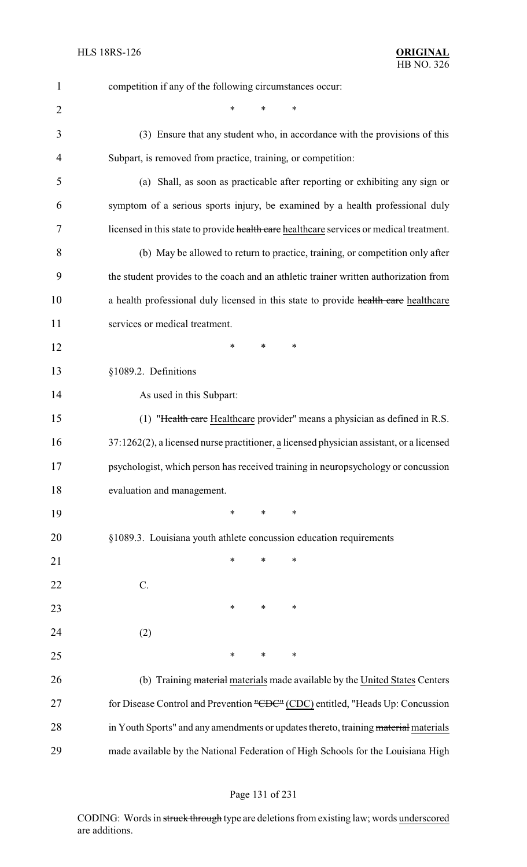| $\mathbf{1}$   | competition if any of the following circumstances occur:                                    |
|----------------|---------------------------------------------------------------------------------------------|
| $\overline{2}$ | *<br>∗                                                                                      |
| 3              | (3) Ensure that any student who, in accordance with the provisions of this                  |
| 4              | Subpart, is removed from practice, training, or competition:                                |
| 5              | (a) Shall, as soon as practicable after reporting or exhibiting any sign or                 |
| 6              | symptom of a serious sports injury, be examined by a health professional duly               |
| 7              | licensed in this state to provide health care healthcare services or medical treatment.     |
| 8              | (b) May be allowed to return to practice, training, or competition only after               |
| 9              | the student provides to the coach and an athletic trainer written authorization from        |
| 10             | a health professional duly licensed in this state to provide health care healthcare         |
| 11             | services or medical treatment.                                                              |
| 12             | *<br>∗<br>∗                                                                                 |
| 13             | §1089.2. Definitions                                                                        |
| 14             | As used in this Subpart:                                                                    |
| 15             | (1) "Health care Healthcare provider" means a physician as defined in R.S.                  |
| 16             | $37:1262(2)$ , a licensed nurse practitioner, a licensed physician assistant, or a licensed |
| 17             | psychologist, which person has received training in neuropsychology or concussion           |
| 18             | evaluation and management.                                                                  |
| 19             | $\ast$<br>*<br>∗                                                                            |
| 20             | §1089.3. Louisiana youth athlete concussion education requirements                          |
| 21             | $\ast$<br>∗<br>*                                                                            |
| 22             | C.                                                                                          |
| 23             | $\ast$<br>∗<br>∗                                                                            |
| 24             | (2)                                                                                         |
| 25             | $\ast$<br>$\ast$<br>$\ast$                                                                  |
| 26             | (b) Training material materials made available by the United States Centers                 |
| 27             | for Disease Control and Prevention "CDC" (CDC) entitled, "Heads Up: Concussion              |
| 28             | in Youth Sports" and any amendments or updates thereto, training material materials         |
| 29             | made available by the National Federation of High Schools for the Louisiana High            |

# Page 131 of 231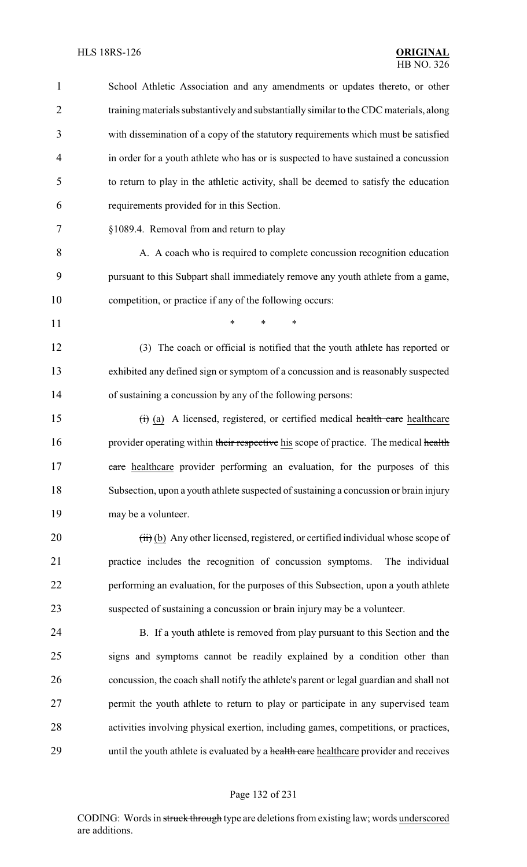| 1              | School Athletic Association and any amendments or updates thereto, or other             |
|----------------|-----------------------------------------------------------------------------------------|
| $\overline{2}$ | training materials substantively and substantially similar to the CDC materials, along  |
| 3              | with dissemination of a copy of the statutory requirements which must be satisfied      |
| 4              | in order for a youth athlete who has or is suspected to have sustained a concussion     |
| 5              | to return to play in the athletic activity, shall be deemed to satisfy the education    |
| 6              | requirements provided for in this Section.                                              |
| 7              | §1089.4. Removal from and return to play                                                |
| 8              | A. A coach who is required to complete concussion recognition education                 |
| 9              | pursuant to this Subpart shall immediately remove any youth athlete from a game,        |
| 10             | competition, or practice if any of the following occurs:                                |
| 11             | $\ast$<br>$\ast$<br>$\ast$                                                              |
| 12             | (3) The coach or official is notified that the youth athlete has reported or            |
| 13             | exhibited any defined sign or symptom of a concussion and is reasonably suspected       |
| 14             | of sustaining a concussion by any of the following persons:                             |
| 15             | (i) (a) A licensed, registered, or certified medical health care healthcare             |
| 16             | provider operating within their respective his scope of practice. The medical health    |
| 17             | eare healthcare provider performing an evaluation, for the purposes of this             |
| 18             | Subsection, upon a youth athlete suspected of sustaining a concussion or brain injury   |
| 19             | may be a volunteer.                                                                     |
| 20             | (iii) (b) Any other licensed, registered, or certified individual whose scope of        |
| 21             | practice includes the recognition of concussion symptoms.<br>The individual             |
| 22             | performing an evaluation, for the purposes of this Subsection, upon a youth athlete     |
| 23             | suspected of sustaining a concussion or brain injury may be a volunteer.                |
| 24             | B. If a youth athlete is removed from play pursuant to this Section and the             |
| 25             | signs and symptoms cannot be readily explained by a condition other than                |
| 26             | concussion, the coach shall notify the athlete's parent or legal guardian and shall not |
| 27             | permit the youth athlete to return to play or participate in any supervised team        |
| 28             | activities involving physical exertion, including games, competitions, or practices,    |
| 29             | until the youth athlete is evaluated by a health care healthcare provider and receives  |
|                |                                                                                         |

# Page 132 of 231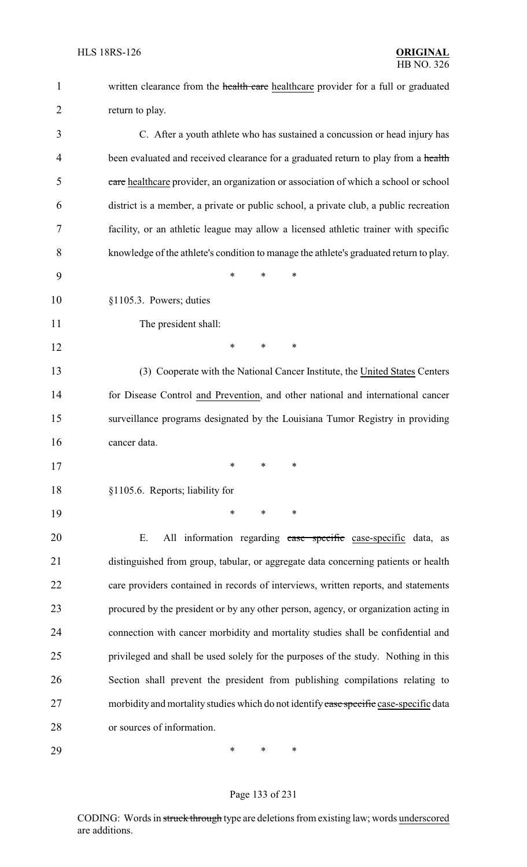| $\mathbf{1}$   | written clearance from the health care healthcare provider for a full or graduated     |
|----------------|----------------------------------------------------------------------------------------|
| $\overline{2}$ | return to play.                                                                        |
| 3              | C. After a youth athlete who has sustained a concussion or head injury has             |
| 4              | been evaluated and received clearance for a graduated return to play from a health     |
| 5              | eare healthcare provider, an organization or association of which a school or school   |
| 6              | district is a member, a private or public school, a private club, a public recreation  |
| 7              | facility, or an athletic league may allow a licensed athletic trainer with specific    |
| 8              | knowledge of the athlete's condition to manage the athlete's graduated return to play. |
| 9              | *<br>*<br>∗                                                                            |
| 10             | §1105.3. Powers; duties                                                                |
| 11             | The president shall:                                                                   |
| 12             | *<br>$\ast$<br>$\ast$                                                                  |
| 13             | (3) Cooperate with the National Cancer Institute, the United States Centers            |
| 14             | for Disease Control and Prevention, and other national and international cancer        |
| 15             | surveillance programs designated by the Louisiana Tumor Registry in providing          |
| 16             | cancer data.                                                                           |
| 17             | ∗<br>∗<br>∗                                                                            |
| 18             | §1105.6. Reports; liability for                                                        |
| 19             | $\ast$<br>$\ast$<br>$\ast$                                                             |
| 20             | Ε.<br>All information regarding case specific case-specific data, as                   |
| 21             | distinguished from group, tabular, or aggregate data concerning patients or health     |
| 22             | care providers contained in records of interviews, written reports, and statements     |
| 23             | procured by the president or by any other person, agency, or organization acting in    |
| 24             | connection with cancer morbidity and mortality studies shall be confidential and       |
| 25             | privileged and shall be used solely for the purposes of the study. Nothing in this     |
| 26             | Section shall prevent the president from publishing compilations relating to           |
| 27             | morbidity and mortality studies which do not identify ease specific case-specific data |
| 28             | or sources of information.                                                             |
| 29             | ∗<br>∗<br>∗                                                                            |

# Page 133 of 231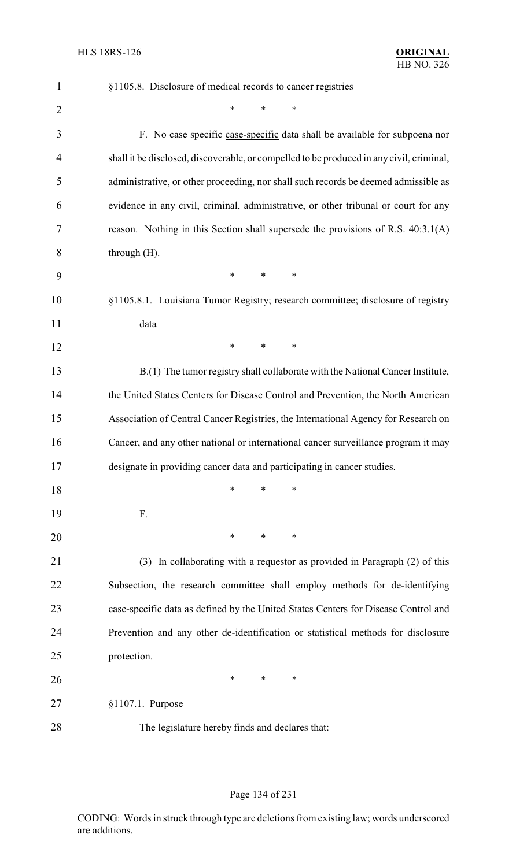| $\mathbf{1}$   | §1105.8. Disclosure of medical records to cancer registries                              |
|----------------|------------------------------------------------------------------------------------------|
| $\overline{2}$ | *<br>∗                                                                                   |
| 3              | F. No case specific case-specific data shall be available for subpoena nor               |
| 4              | shall it be disclosed, discoverable, or compelled to be produced in any civil, criminal, |
| 5              | administrative, or other proceeding, nor shall such records be deemed admissible as      |
| 6              | evidence in any civil, criminal, administrative, or other tribunal or court for any      |
| 7              | reason. Nothing in this Section shall supersede the provisions of R.S. 40:3.1(A)         |
| 8              | through $(H)$ .                                                                          |
| 9              | $\ast$<br>$\ast$<br>$\ast$                                                               |
| 10             | §1105.8.1. Louisiana Tumor Registry; research committee; disclosure of registry          |
| 11             | data                                                                                     |
| 12             | $\ast$<br>∗<br>$\ast$                                                                    |
| 13             | B.(1) The tumor registry shall collaborate with the National Cancer Institute,           |
| 14             | the United States Centers for Disease Control and Prevention, the North American         |
| 15             | Association of Central Cancer Registries, the International Agency for Research on       |
| 16             | Cancer, and any other national or international cancer surveillance program it may       |
| 17             | designate in providing cancer data and participating in cancer studies.                  |
| 18             | $\ast$<br>*<br>∗                                                                         |
| 19             | F.                                                                                       |
| 20             | $\ast$<br>$\ast$<br>∗                                                                    |
| 21             | (3) In collaborating with a requestor as provided in Paragraph (2) of this               |
| 22             | Subsection, the research committee shall employ methods for de-identifying               |
| 23             | case-specific data as defined by the United States Centers for Disease Control and       |
| 24             | Prevention and any other de-identification or statistical methods for disclosure         |
| 25             | protection.                                                                              |
| 26             | ∗<br>∗<br>∗                                                                              |
| 27             | $§1107.1$ . Purpose                                                                      |
| 28             | The legislature hereby finds and declares that:                                          |

# Page 134 of 231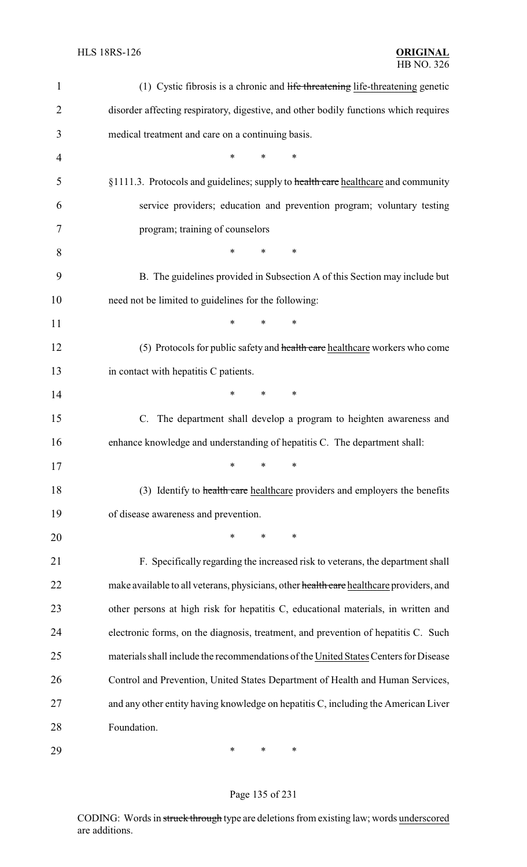| $\mathbf{1}$   | (1) Cystic fibrosis is a chronic and life threatening life-threatening genetic          |
|----------------|-----------------------------------------------------------------------------------------|
| $\overline{2}$ | disorder affecting respiratory, digestive, and other bodily functions which requires    |
| 3              | medical treatment and care on a continuing basis.                                       |
| 4              | $\ast$<br>∗<br>*                                                                        |
| 5              | §1111.3. Protocols and guidelines; supply to health care healthcare and community       |
| 6              | service providers; education and prevention program; voluntary testing                  |
| 7              | program; training of counselors                                                         |
| 8              | *<br>$\ast$<br>∗                                                                        |
| 9              | B. The guidelines provided in Subsection A of this Section may include but              |
| 10             | need not be limited to guidelines for the following:                                    |
| 11             | *<br>$\ast$<br>∗                                                                        |
| 12             | (5) Protocols for public safety and health care healthcare workers who come             |
| 13             | in contact with hepatitis C patients.                                                   |
| 14             | $\ast$<br>*<br>$\ast$                                                                   |
| 15             | C. The department shall develop a program to heighten awareness and                     |
| 16             | enhance knowledge and understanding of hepatitis C. The department shall:               |
| 17             | $*$ $*$ $*$                                                                             |
| 18             | (3) Identify to health care healthcare providers and employers the benefits             |
| 19             | of disease awareness and prevention.                                                    |
| 20             | *<br>$\ast$<br>*                                                                        |
| 21             | F. Specifically regarding the increased risk to veterans, the department shall          |
| 22             | make available to all veterans, physicians, other health care healthcare providers, and |
| 23             | other persons at high risk for hepatitis C, educational materials, in written and       |
| 24             | electronic forms, on the diagnosis, treatment, and prevention of hepatitis C. Such      |
| 25             | materials shall include the recommendations of the United States Centers for Disease    |
| 26             | Control and Prevention, United States Department of Health and Human Services,          |
| 27             | and any other entity having knowledge on hepatitis C, including the American Liver      |
| 28             | Foundation.                                                                             |
| 29             | ∗<br>∗<br>∗                                                                             |

# Page 135 of 231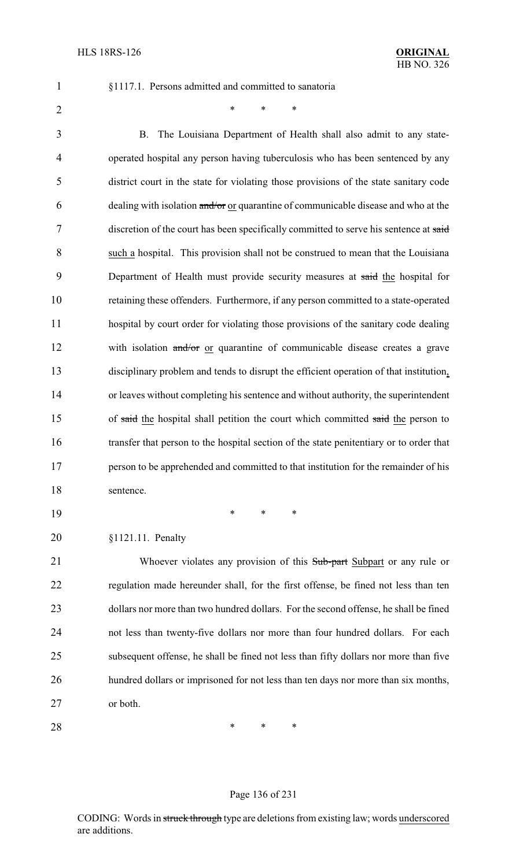§1117.1. Persons admitted and committed to sanatoria

 $*$  \* \* \*

 B. The Louisiana Department of Health shall also admit to any state- operated hospital any person having tuberculosis who has been sentenced by any district court in the state for violating those provisions of the state sanitary code 6 dealing with isolation  $\frac{\text{and}}{\text{or}}$  or quarantine of communicable disease and who at the discretion of the court has been specifically committed to serve his sentence at said such a hospital. This provision shall not be construed to mean that the Louisiana 9 Department of Health must provide security measures at said the hospital for retaining these offenders. Furthermore, if any person committed to a state-operated hospital by court order for violating those provisions of the sanitary code dealing 12 with isolation and/or or quarantine of communicable disease creates a grave disciplinary problem and tends to disrupt the efficient operation of that institution, or leaves without completing his sentence and without authority, the superintendent 15 of said the hospital shall petition the court which committed said the person to transfer that person to the hospital section of the state penitentiary or to order that person to be apprehended and committed to that institution for the remainder of his sentence.

\* \* \*

#### §1121.11. Penalty

21 Whoever violates any provision of this Sub-part Subpart or any rule or regulation made hereunder shall, for the first offense, be fined not less than ten dollars nor more than two hundred dollars. For the second offense, he shall be fined not less than twenty-five dollars nor more than four hundred dollars. For each subsequent offense, he shall be fined not less than fifty dollars nor more than five hundred dollars or imprisoned for not less than ten days nor more than six months, or both.

**\*** \* \* \*

#### Page 136 of 231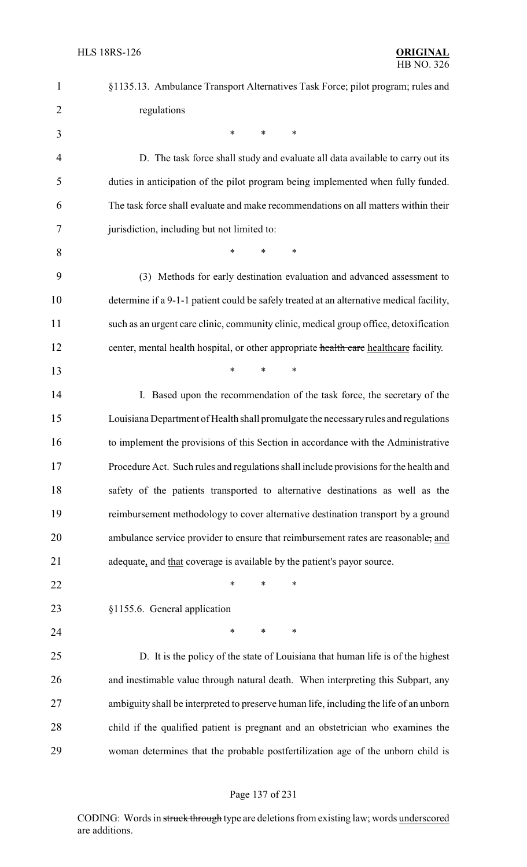| $\mathbf{1}$   | §1135.13. Ambulance Transport Alternatives Task Force; pilot program; rules and          |
|----------------|------------------------------------------------------------------------------------------|
| $\overline{2}$ | regulations                                                                              |
| 3              | $\ast$<br>$\ast$<br>$\ast$                                                               |
| 4              | D. The task force shall study and evaluate all data available to carry out its           |
| 5              | duties in anticipation of the pilot program being implemented when fully funded.         |
| 6              | The task force shall evaluate and make recommendations on all matters within their       |
| 7              | jurisdiction, including but not limited to:                                              |
| 8              | $\ast$<br>*<br>*                                                                         |
| 9              | (3) Methods for early destination evaluation and advanced assessment to                  |
| 10             | determine if a 9-1-1 patient could be safely treated at an alternative medical facility, |
| 11             | such as an urgent care clinic, community clinic, medical group office, detoxification    |
| 12             | center, mental health hospital, or other appropriate health care healthcare facility.    |
| 13             | $\ast$<br>$\ast$<br>$\ast$                                                               |
| 14             | I. Based upon the recommendation of the task force, the secretary of the                 |
| 15             | Louisiana Department of Health shall promulgate the necessary rules and regulations      |
| 16             | to implement the provisions of this Section in accordance with the Administrative        |
| 17             | Procedure Act. Such rules and regulations shall include provisions for the health and    |
| 18             | safety of the patients transported to alternative destinations as well as the            |
| 19             | reimbursement methodology to cover alternative destination transport by a ground         |
| 20             | ambulance service provider to ensure that reimbursement rates are reasonable, and        |
| 21             | adequate, and that coverage is available by the patient's payor source.                  |
| 22             | *<br>*<br>∗                                                                              |
| 23             | §1155.6. General application                                                             |
| 24             | $\ast$<br>$\ast$<br>*                                                                    |
| 25             | D. It is the policy of the state of Louisiana that human life is of the highest          |
| 26             | and inestimable value through natural death. When interpreting this Subpart, any         |
| 27             | ambiguity shall be interpreted to preserve human life, including the life of an unborn   |
| 28             | child if the qualified patient is pregnant and an obstetrician who examines the          |
| 29             | woman determines that the probable postfertilization age of the unborn child is          |
|                |                                                                                          |

# Page 137 of 231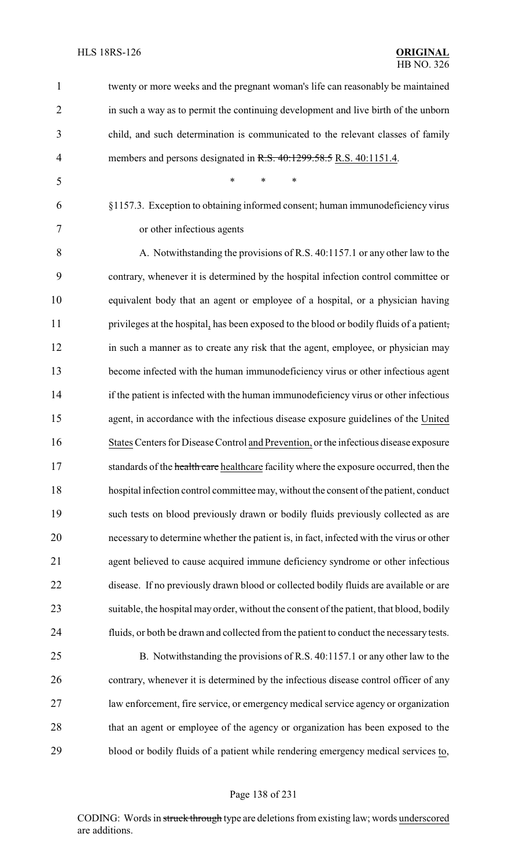twenty or more weeks and the pregnant woman's life can reasonably be maintained in such a way as to permit the continuing development and live birth of the unborn child, and such determination is communicated to the relevant classes of family 4 members and persons designated in R.S. 40:1299.58.5 R.S. 40:1151.4. \* \* \* §1157.3. Exception to obtaining informed consent; human immunodeficiency virus or other infectious agents A. Notwithstanding the provisions of R.S. 40:1157.1 or any other law to the contrary, whenever it is determined by the hospital infection control committee or equivalent body that an agent or employee of a hospital, or a physician having privileges at the hospital, has been exposed to the blood or bodily fluids of a patient, in such a manner as to create any risk that the agent, employee, or physician may become infected with the human immunodeficiency virus or other infectious agent 14 if the patient is infected with the human immunodeficiency virus or other infectious agent, in accordance with the infectious disease exposure guidelines of the United States Centers for Disease Control and Prevention, or the infectious disease exposure 17 standards of the health care healthcare facility where the exposure occurred, then the hospital infection control committee may, without the consent of the patient, conduct such tests on blood previously drawn or bodily fluids previously collected as are necessary to determine whether the patient is, in fact, infected with the virus or other agent believed to cause acquired immune deficiency syndrome or other infectious disease. If no previously drawn blood or collected bodily fluids are available or are suitable, the hospital may order, without the consent of the patient, that blood, bodily fluids, or both be drawn and collected from the patient to conduct the necessary tests. B. Notwithstanding the provisions of R.S. 40:1157.1 or any other law to the contrary, whenever it is determined by the infectious disease control officer of any law enforcement, fire service, or emergency medical service agency or organization 28 that an agent or employee of the agency or organization has been exposed to the blood or bodily fluids of a patient while rendering emergency medical services to,

#### Page 138 of 231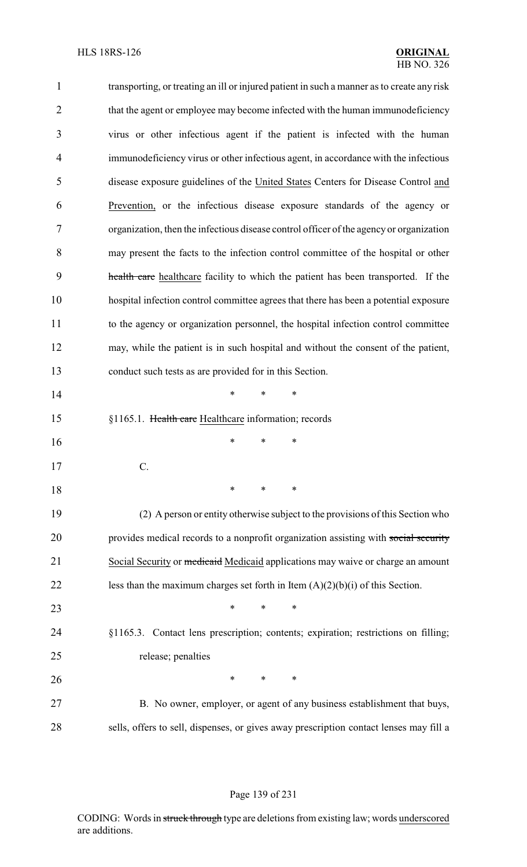| $\mathbf{1}$   | transporting, or treating an ill or injured patient in such a manner as to create any risk |
|----------------|--------------------------------------------------------------------------------------------|
| $\overline{2}$ | that the agent or employee may become infected with the human immunodeficiency             |
| 3              | virus or other infectious agent if the patient is infected with the human                  |
| $\overline{4}$ | immunodeficiency virus or other infectious agent, in accordance with the infectious        |
| 5              | disease exposure guidelines of the United States Centers for Disease Control and           |
| 6              | Prevention, or the infectious disease exposure standards of the agency or                  |
| 7              | organization, then the infectious disease control officer of the agency or organization    |
| 8              | may present the facts to the infection control committee of the hospital or other          |
| 9              | health care healthcare facility to which the patient has been transported. If the          |
| 10             | hospital infection control committee agrees that there has been a potential exposure       |
| 11             | to the agency or organization personnel, the hospital infection control committee          |
| 12             | may, while the patient is in such hospital and without the consent of the patient,         |
| 13             | conduct such tests as are provided for in this Section.                                    |
| 14             | *<br>*<br>∗                                                                                |
| 15             | §1165.1. Health care Healthcare information; records                                       |
| 16             | ∗<br>*<br>*                                                                                |
| 17             |                                                                                            |
| 18             | ∗<br>∗<br>∗                                                                                |
| 19             | (2) A person or entity otherwise subject to the provisions of this Section who             |
| 20             | provides medical records to a nonprofit organization assisting with social security        |
| 21             | Social Security or <i>medicaid</i> Medicaid applications may waive or charge an amount     |
| 22             | less than the maximum charges set forth in Item $(A)(2)(b)(i)$ of this Section.            |
| 23             | $\ast$<br>*<br>*                                                                           |
| 24             | §1165.3. Contact lens prescription; contents; expiration; restrictions on filling;         |
| 25             | release; penalties                                                                         |
| 26             | $\ast$<br>$\ast$<br>∗                                                                      |
| 27             | B. No owner, employer, or agent of any business establishment that buys,                   |
| 28             | sells, offers to sell, dispenses, or gives away prescription contact lenses may fill a     |

#### Page 139 of 231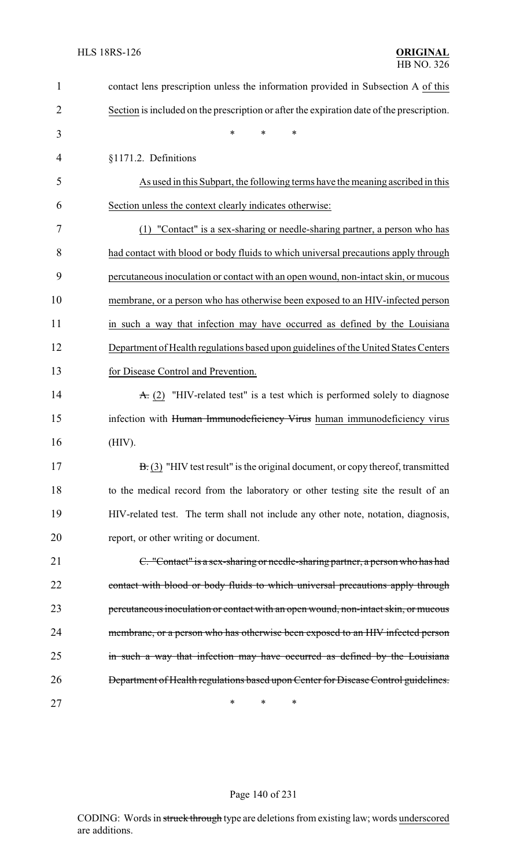| $\mathbf{1}$   | contact lens prescription unless the information provided in Subsection A of this         |
|----------------|-------------------------------------------------------------------------------------------|
| $\overline{2}$ | Section is included on the prescription or after the expiration date of the prescription. |
| 3              | $\ast$<br>*<br>*                                                                          |
| 4              | §1171.2. Definitions                                                                      |
| 5              | As used in this Subpart, the following terms have the meaning ascribed in this            |
| 6              | Section unless the context clearly indicates otherwise:                                   |
| 7              | (1) "Contact" is a sex-sharing or needle-sharing partner, a person who has                |
| 8              | had contact with blood or body fluids to which universal precautions apply through        |
| 9              | percutaneous inoculation or contact with an open wound, non-intact skin, or mucous        |
| 10             | membrane, or a person who has otherwise been exposed to an HIV-infected person            |
| 11             | in such a way that infection may have occurred as defined by the Louisiana                |
| 12             | Department of Health regulations based upon guidelines of the United States Centers       |
| 13             | for Disease Control and Prevention.                                                       |
| 14             | $\overline{A}$ . (2) "HIV-related test" is a test which is performed solely to diagnose   |
| 15             | infection with Human Immunodeficiency Virus human immunodeficiency virus                  |
| 16             | (HIV).                                                                                    |
| 17             | $B(3)$ "HIV test result" is the original document, or copy thereof, transmitted           |
| 18             | to the medical record from the laboratory or other testing site the result of an          |
| 19             | HIV-related test. The term shall not include any other note, notation, diagnosis,         |
| 20             | report, or other writing or document.                                                     |
| 21             | C. "Contact" is a sex-sharing or needle-sharing partner, a person who has had             |
| 22             | contact with blood or body fluids to which universal precautions apply through            |
| 23             | percutaneous inoculation or contact with an open wound, non-intact skin, or mucous        |
| 24             | membrane, or a person who has otherwise been exposed to an HIV infected person            |
| 25             | in such a way that infection may have occurred as defined by the Louisiana                |
| 26             | Department of Health regulations based upon Center for Disease Control guidelines.        |
| 27             | $\ast$<br>∗<br>∗                                                                          |

# Page 140 of 231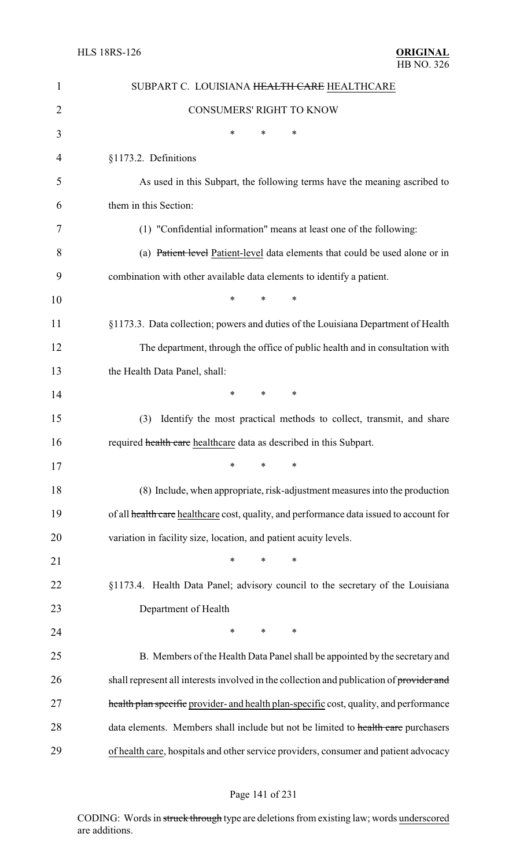| 1  | SUBPART C. LOUISIANA HEALTH CARE HEALTHCARE                                              |
|----|------------------------------------------------------------------------------------------|
| 2  | <b>CONSUMERS' RIGHT TO KNOW</b>                                                          |
| 3  | ∗<br>∗<br>*                                                                              |
| 4  | §1173.2. Definitions                                                                     |
| 5  | As used in this Subpart, the following terms have the meaning ascribed to                |
| 6  | them in this Section:                                                                    |
| 7  | (1) "Confidential information" means at least one of the following:                      |
| 8  | (a) Patient level Patient-level data elements that could be used alone or in             |
| 9  | combination with other available data elements to identify a patient.                    |
| 10 | $\ast$<br>$\ast$<br>∗                                                                    |
| 11 | §1173.3. Data collection; powers and duties of the Louisiana Department of Health        |
| 12 | The department, through the office of public health and in consultation with             |
| 13 | the Health Data Panel, shall:                                                            |
| 14 | *<br>*<br>∗                                                                              |
| 15 | Identify the most practical methods to collect, transmit, and share<br>(3)               |
| 16 | required health care healthcare data as described in this Subpart.                       |
| 17 | ∗<br>∗<br>∗                                                                              |
| 18 | (8) Include, when appropriate, risk-adjustment measures into the production              |
| 19 | of all health care healthcare cost, quality, and performance data issued to account for  |
| 20 | variation in facility size, location, and patient acuity levels.                         |
| 21 | $\ast$<br>*<br>*                                                                         |
| 22 | §1173.4. Health Data Panel; advisory council to the secretary of the Louisiana           |
| 23 | Department of Health                                                                     |
| 24 | $\ast$<br>*<br>∗                                                                         |
| 25 | B. Members of the Health Data Panel shall be appointed by the secretary and              |
| 26 | shall represent all interests involved in the collection and publication of provider and |
| 27 | health plan specific provider- and health plan-specific cost, quality, and performance   |
| 28 | data elements. Members shall include but not be limited to health care purchasers        |
| 29 | of health care, hospitals and other service providers, consumer and patient advocacy     |

# Page 141 of 231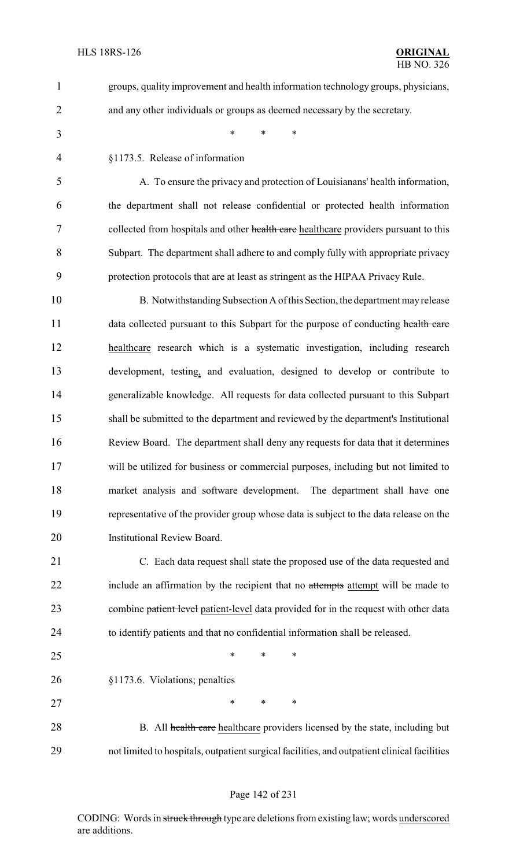groups, quality improvement and health information technology groups, physicians, and any other individuals or groups as deemed necessary by the secretary. \* \* \* §1173.5. Release of information

 A. To ensure the privacy and protection of Louisianans' health information, the department shall not release confidential or protected health information 7 collected from hospitals and other health care healthcare providers pursuant to this Subpart. The department shall adhere to and comply fully with appropriate privacy protection protocols that are at least as stringent as the HIPAA Privacy Rule.

 B. Notwithstanding Subsection A of this Section, the department mayrelease 11 data collected pursuant to this Subpart for the purpose of conducting health care healthcare research which is a systematic investigation, including research development, testing, and evaluation, designed to develop or contribute to generalizable knowledge. All requests for data collected pursuant to this Subpart shall be submitted to the department and reviewed by the department's Institutional Review Board. The department shall deny any requests for data that it determines will be utilized for business or commercial purposes, including but not limited to market analysis and software development. The department shall have one representative of the provider group whose data is subject to the data release on the Institutional Review Board.

 C. Each data request shall state the proposed use of the data requested and 22 include an affirmation by the recipient that no attempts attempt will be made to 23 combine patient level patient-level data provided for in the request with other data to identify patients and that no confidential information shall be released.

 $*$  \* \* \*

§1173.6. Violations; penalties

27 \* \* \* \*

28 B. All health care healthcare providers licensed by the state, including but not limited to hospitals, outpatient surgical facilities, and outpatient clinical facilities

#### Page 142 of 231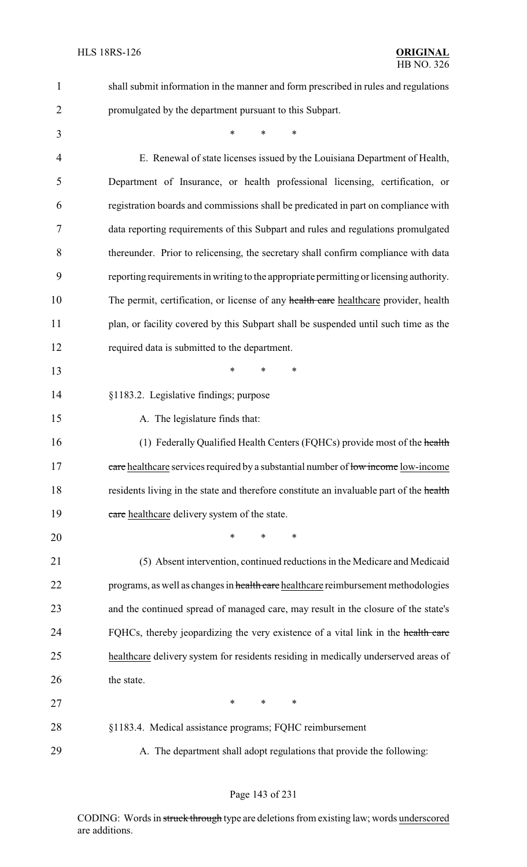| 1              | shall submit information in the manner and form prescribed in rules and regulations     |
|----------------|-----------------------------------------------------------------------------------------|
| $\overline{2}$ | promulgated by the department pursuant to this Subpart.                                 |
| 3              | $\ast$<br>$\ast$<br>$\ast$                                                              |
| 4              | E. Renewal of state licenses issued by the Louisiana Department of Health,              |
| 5              | Department of Insurance, or health professional licensing, certification, or            |
| 6              | registration boards and commissions shall be predicated in part on compliance with      |
| 7              | data reporting requirements of this Subpart and rules and regulations promulgated       |
| 8              | thereunder. Prior to relicensing, the secretary shall confirm compliance with data      |
| 9              | reporting requirements in writing to the appropriate permitting or licensing authority. |
| 10             | The permit, certification, or license of any health care healthcare provider, health    |
| 11             | plan, or facility covered by this Subpart shall be suspended until such time as the     |
| 12             | required data is submitted to the department.                                           |
| 13             | $\ast$<br>*<br>∗                                                                        |
| 14             | §1183.2. Legislative findings; purpose                                                  |
| 15             | A. The legislature finds that:                                                          |
| 16             | (1) Federally Qualified Health Centers (FQHCs) provide most of the health               |
| 17             | eare healthcare services required by a substantial number of low income low-income      |
| 18             | residents living in the state and therefore constitute an invaluable part of the health |
| 19             | care healthcare delivery system of the state.                                           |
| 20             | *<br>*<br>∗                                                                             |
| 21             | (5) Absent intervention, continued reductions in the Medicare and Medicaid              |
| 22             | programs, as well as changes in health care healthcare reimbursement methodologies      |
| 23             | and the continued spread of managed care, may result in the closure of the state's      |
| 24             | FQHCs, thereby jeopardizing the very existence of a vital link in the health care       |
| 25             | healthcare delivery system for residents residing in medically underserved areas of     |
| 26             | the state.                                                                              |
| 27             | $\ast$<br>$\ast$<br>∗                                                                   |
| 28             | §1183.4. Medical assistance programs; FQHC reimbursement                                |
| 29             | A. The department shall adopt regulations that provide the following:                   |

# Page 143 of 231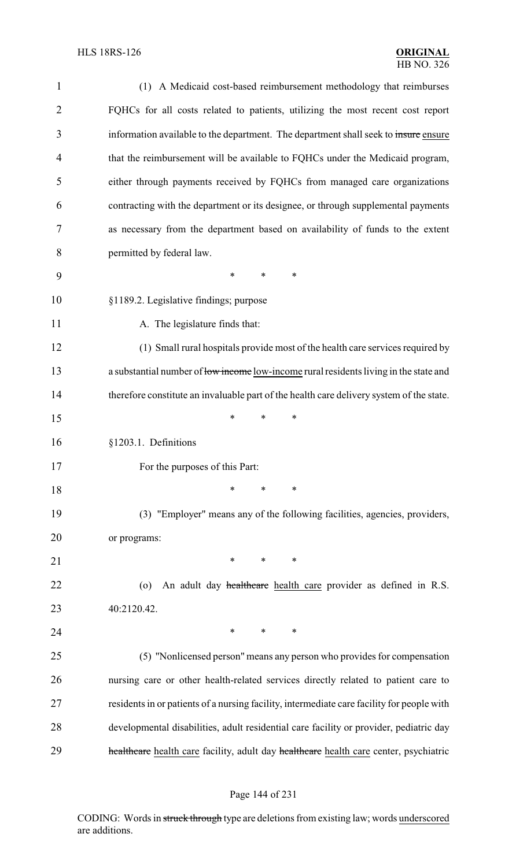| $\mathbf{1}$   | (1) A Medicaid cost-based reimbursement methodology that reimburses                        |
|----------------|--------------------------------------------------------------------------------------------|
| $\overline{2}$ | FQHCs for all costs related to patients, utilizing the most recent cost report             |
| 3              | information available to the department. The department shall seek to insure ensure        |
| $\overline{4}$ | that the reimbursement will be available to FQHCs under the Medicaid program,              |
| 5              | either through payments received by FQHCs from managed care organizations                  |
| 6              | contracting with the department or its designee, or through supplemental payments          |
| 7              | as necessary from the department based on availability of funds to the extent              |
| 8              | permitted by federal law.                                                                  |
| 9              | $\ast$<br>*<br>∗                                                                           |
| 10             | §1189.2. Legislative findings; purpose                                                     |
| 11             | A. The legislature finds that:                                                             |
| 12             | (1) Small rural hospitals provide most of the health care services required by             |
| 13             | a substantial number of low income low-income rural residents living in the state and      |
| 14             | therefore constitute an invaluable part of the health care delivery system of the state.   |
| 15             | *<br>$\ast$<br>∗                                                                           |
| 16             | §1203.1. Definitions                                                                       |
| 17             | For the purposes of this Part:                                                             |
| 18             | $\ast$<br>*<br>∗                                                                           |
| 19             | (3) "Employer" means any of the following facilities, agencies, providers,                 |
| 20             | or programs:                                                                               |
| 21             | ∗<br>$\ast$<br>∗                                                                           |
| 22             | An adult day healthcare health care provider as defined in R.S.<br>$\circ$                 |
| 23             | 40:2120.42.                                                                                |
| 24             | *<br>$*$ and $*$<br>$\ast$                                                                 |
| 25             | (5) "Nonlicensed person" means any person who provides for compensation                    |
| 26             | nursing care or other health-related services directly related to patient care to          |
| 27             | residents in or patients of a nursing facility, intermediate care facility for people with |
| 28             | developmental disabilities, adult residential care facility or provider, pediatric day     |
| 29             | healthcare health care facility, adult day healthcare health care center, psychiatric      |
|                |                                                                                            |

#### Page 144 of 231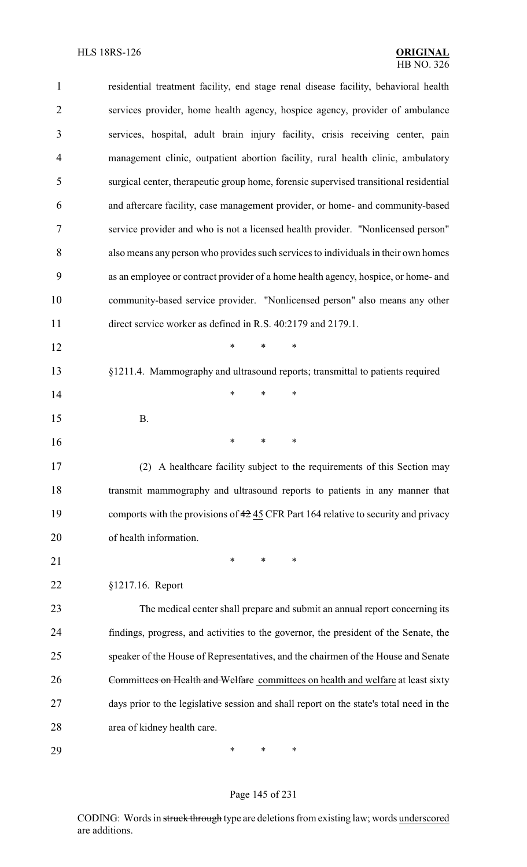| $\mathbf{1}$   | residential treatment facility, end stage renal disease facility, behavioral health     |
|----------------|-----------------------------------------------------------------------------------------|
| $\overline{2}$ | services provider, home health agency, hospice agency, provider of ambulance            |
| 3              | services, hospital, adult brain injury facility, crisis receiving center, pain          |
| $\overline{4}$ | management clinic, outpatient abortion facility, rural health clinic, ambulatory        |
| 5              | surgical center, therapeutic group home, forensic supervised transitional residential   |
| 6              | and aftercare facility, case management provider, or home- and community-based          |
| 7              | service provider and who is not a licensed health provider. "Nonlicensed person"        |
| 8              | also means any person who provides such services to individuals in their own homes      |
| 9              | as an employee or contract provider of a home health agency, hospice, or home- and      |
| 10             | community-based service provider. "Nonlicensed person" also means any other             |
| 11             | direct service worker as defined in R.S. 40:2179 and 2179.1.                            |
| 12             | $\ast$<br>$\ast$<br>*                                                                   |
| 13             | §1211.4. Mammography and ultrasound reports; transmittal to patients required           |
| 14             | ∗<br>*<br>*                                                                             |
| 15             | <b>B.</b>                                                                               |
| 16             | ∗<br>*<br>*                                                                             |
| 17             | (2) A healthcare facility subject to the requirements of this Section may               |
| 18             | transmit mammography and ultrasound reports to patients in any manner that              |
| 19             | comports with the provisions of 42 45 CFR Part 164 relative to security and privacy     |
| 20             | of health information.                                                                  |
| 21             | ∗<br>*<br>*                                                                             |
| 22             | §1217.16. Report                                                                        |
| 23             | The medical center shall prepare and submit an annual report concerning its             |
| 24             | findings, progress, and activities to the governor, the president of the Senate, the    |
| 25             | speaker of the House of Representatives, and the chairmen of the House and Senate       |
| 26             | Committees on Health and Welfare committees on health and welfare at least sixty        |
| 27             | days prior to the legislative session and shall report on the state's total need in the |
| 28             | area of kidney health care.                                                             |
| 29             | ∗<br>∗<br>∗                                                                             |

# Page 145 of 231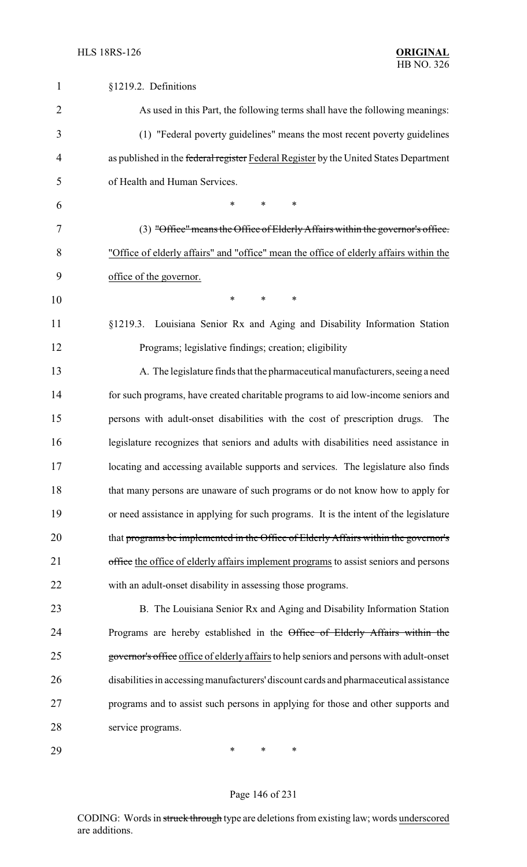| 1              | §1219.2. Definitions                                                                     |
|----------------|------------------------------------------------------------------------------------------|
| $\overline{2}$ | As used in this Part, the following terms shall have the following meanings:             |
| 3              | (1) "Federal poverty guidelines" means the most recent poverty guidelines                |
| $\overline{4}$ | as published in the federal register Federal Register by the United States Department    |
| 5              | of Health and Human Services.                                                            |
| 6              | *<br>*<br>$\ast$                                                                         |
| 7              | (3) "Office" means the Office of Elderly Affairs within the governor's office.           |
| 8              | "Office of elderly affairs" and "office" mean the office of elderly affairs within the   |
| 9              | office of the governor.                                                                  |
| 10             | $\ast$<br>$\ast$<br>$\ast$                                                               |
| 11             | §1219.3. Louisiana Senior Rx and Aging and Disability Information Station                |
| 12             | Programs; legislative findings; creation; eligibility                                    |
| 13             | A. The legislature finds that the pharmaceutical manufacturers, seeing a need            |
| 14             | for such programs, have created charitable programs to aid low-income seniors and        |
| 15             | persons with adult-onset disabilities with the cost of prescription drugs.<br>The        |
| 16             | legislature recognizes that seniors and adults with disabilities need assistance in      |
| 17             | locating and accessing available supports and services. The legislature also finds       |
| 18             | that many persons are unaware of such programs or do not know how to apply for           |
| 19             | or need assistance in applying for such programs. It is the intent of the legislature    |
| 20             | that programs be implemented in the Office of Elderly Affairs within the governor's      |
| 21             | office the office of elderly affairs implement programs to assist seniors and persons    |
| 22             | with an adult-onset disability in assessing those programs.                              |
| 23             | B. The Louisiana Senior Rx and Aging and Disability Information Station                  |
| 24             | Programs are hereby established in the Office of Elderly Affairs within the              |
| 25             | governor's office office of elderly affairs to help seniors and persons with adult-onset |
| 26             | disabilities in accessing manufacturers' discount cards and pharmaceutical assistance    |
| 27             | programs and to assist such persons in applying for those and other supports and         |
| 28             | service programs.                                                                        |
| 29             | ∗<br>$\ast$<br>∗                                                                         |

# Page 146 of 231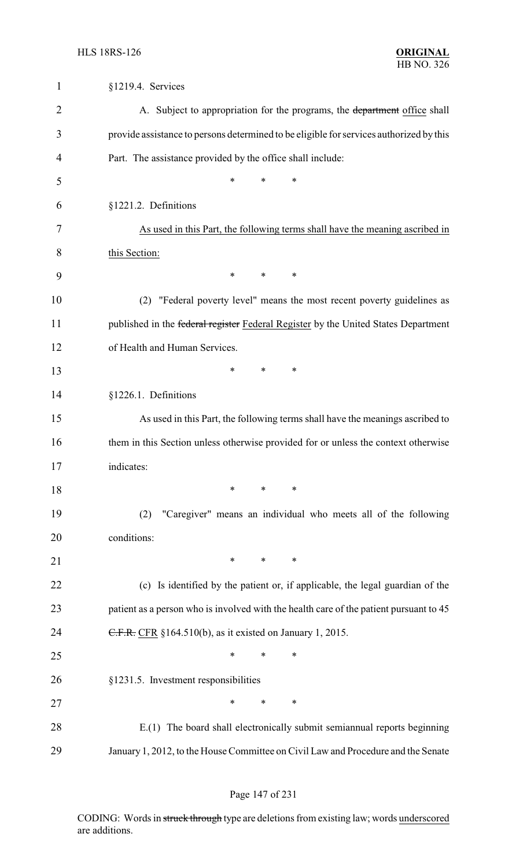| $\mathbf{1}$   | §1219.4. Services                                                                       |
|----------------|-----------------------------------------------------------------------------------------|
| $\overline{2}$ | A. Subject to appropriation for the programs, the department office shall               |
| 3              | provide assistance to persons determined to be eligible for services authorized by this |
| 4              | Part. The assistance provided by the office shall include:                              |
| 5              | $\ast$<br>*<br>*                                                                        |
| 6              | §1221.2. Definitions                                                                    |
| 7              | As used in this Part, the following terms shall have the meaning ascribed in            |
| 8              | this Section:                                                                           |
| 9              | $\ast$<br>$\ast$<br>∗                                                                   |
| 10             | "Federal poverty level" means the most recent poverty guidelines as<br>(2)              |
| 11             | published in the federal register Federal Register by the United States Department      |
| 12             | of Health and Human Services.                                                           |
| 13             | ∗<br>∗<br>∗                                                                             |
| 14             | §1226.1. Definitions                                                                    |
| 15             | As used in this Part, the following terms shall have the meanings ascribed to           |
| 16             | them in this Section unless otherwise provided for or unless the context otherwise      |
| 17             | indicates:                                                                              |
| 18             | $\ast$<br>∗<br>∗                                                                        |
| 19             | "Caregiver" means an individual who meets all of the following<br>(2)                   |
| 20             | conditions:                                                                             |
| 21             | $\ast$<br>∗<br>∗                                                                        |
| 22             | (c) Is identified by the patient or, if applicable, the legal guardian of the           |
| 23             | patient as a person who is involved with the health care of the patient pursuant to 45  |
| 24             | C.F.R. CFR §164.510(b), as it existed on January 1, 2015.                               |
| 25             | *<br>∗<br>∗                                                                             |
| 26             | §1231.5. Investment responsibilities                                                    |
| 27             | ∗<br>∗<br>*                                                                             |
| 28             | E.(1) The board shall electronically submit semiannual reports beginning                |
| 29             | January 1, 2012, to the House Committee on Civil Law and Procedure and the Senate       |

### Page 147 of 231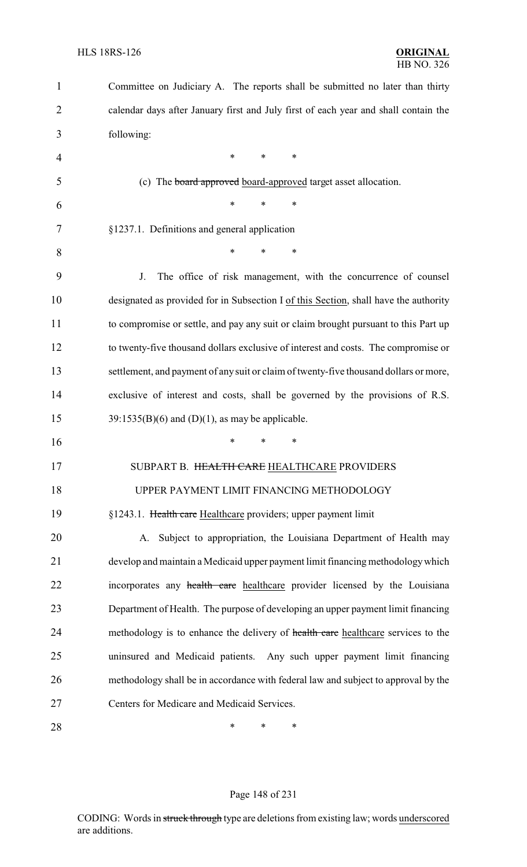| 1              | Committee on Judiciary A. The reports shall be submitted no later than thirty         |
|----------------|---------------------------------------------------------------------------------------|
| $\overline{2}$ | calendar days after January first and July first of each year and shall contain the   |
| 3              | following:                                                                            |
| $\overline{4}$ | $\ast$<br>∗<br>*                                                                      |
| 5              | (c) The <b>board approved</b> board-approved target asset allocation.                 |
| 6              | *<br>*<br>∗                                                                           |
| 7              | §1237.1. Definitions and general application                                          |
| 8              | $\ast$<br>$\ast$<br>*                                                                 |
| 9              | The office of risk management, with the concurrence of counsel<br>J.                  |
| 10             | designated as provided for in Subsection I of this Section, shall have the authority  |
| 11             | to compromise or settle, and pay any suit or claim brought pursuant to this Part up   |
| 12             | to twenty-five thousand dollars exclusive of interest and costs. The compromise or    |
| 13             | settlement, and payment of any suit or claim of twenty-five thousand dollars or more, |
| 14             | exclusive of interest and costs, shall be governed by the provisions of R.S.          |
| 15             | $39:1535(B)(6)$ and $(D)(1)$ , as may be applicable.                                  |
| 16             | *<br>∗                                                                                |
| 17             | SUBPART B. HEALTH CARE HEALTHCARE PROVIDERS                                           |
| 18             | UPPER PAYMENT LIMIT FINANCING METHODOLOGY                                             |
| 19             | §1243.1. Health care Healthcare providers; upper payment limit                        |
| 20             | Subject to appropriation, the Louisiana Department of Health may<br>A.                |
| 21             | develop and maintain a Medicaid upper payment limit financing methodology which       |
| 22             | incorporates any health care healthcare provider licensed by the Louisiana            |
| 23             | Department of Health. The purpose of developing an upper payment limit financing      |
| 24             | methodology is to enhance the delivery of health care healthcare services to the      |
| 25             | uninsured and Medicaid patients. Any such upper payment limit financing               |
| 26             | methodology shall be in accordance with federal law and subject to approval by the    |
| 27             | Centers for Medicare and Medicaid Services.                                           |
| 28             | ∗<br>*<br>∗                                                                           |

# Page 148 of 231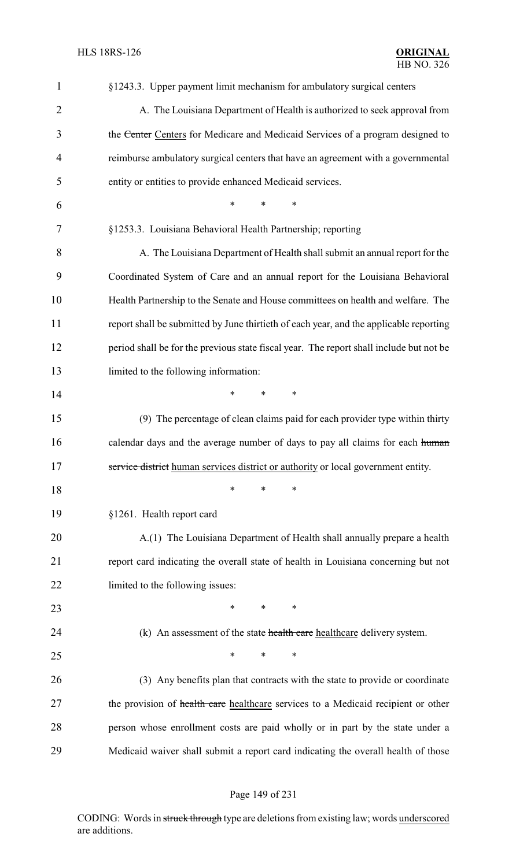| $\mathbf{1}$   | §1243.3. Upper payment limit mechanism for ambulatory surgical centers                  |
|----------------|-----------------------------------------------------------------------------------------|
| $\overline{2}$ | A. The Louisiana Department of Health is authorized to seek approval from               |
| 3              | the Center Centers for Medicare and Medicaid Services of a program designed to          |
| 4              | reimburse ambulatory surgical centers that have an agreement with a governmental        |
| 5              | entity or entities to provide enhanced Medicaid services.                               |
| 6              | *<br>*<br>*                                                                             |
| 7              | §1253.3. Louisiana Behavioral Health Partnership; reporting                             |
| 8              | A. The Louisiana Department of Health shall submit an annual report for the             |
| 9              | Coordinated System of Care and an annual report for the Louisiana Behavioral            |
| 10             | Health Partnership to the Senate and House committees on health and welfare. The        |
| 11             | report shall be submitted by June thirtieth of each year, and the applicable reporting  |
| 12             | period shall be for the previous state fiscal year. The report shall include but not be |
| 13             | limited to the following information:                                                   |
| 14             | *<br>$\ast$<br>∗                                                                        |
| 15             | (9) The percentage of clean claims paid for each provider type within thirty            |
| 16             | calendar days and the average number of days to pay all claims for each human           |
| 17             | service district human services district or authority or local government entity.       |
| 18             | ∗<br>∗<br>∗                                                                             |
| 19             | §1261. Health report card                                                               |
| 20             | A.(1) The Louisiana Department of Health shall annually prepare a health                |
| 21             | report card indicating the overall state of health in Louisiana concerning but not      |
| 22             | limited to the following issues:                                                        |
| 23             | ∗<br>*<br>∗                                                                             |
| 24             | (k) An assessment of the state health care healthcare delivery system.                  |
| 25             | $\ast$<br>*<br>∗                                                                        |
| 26             | (3) Any benefits plan that contracts with the state to provide or coordinate            |
| 27             | the provision of health care healthcare services to a Medicaid recipient or other       |
| 28             | person whose enrollment costs are paid wholly or in part by the state under a           |
| 29             | Medicaid waiver shall submit a report card indicating the overall health of those       |

# Page 149 of 231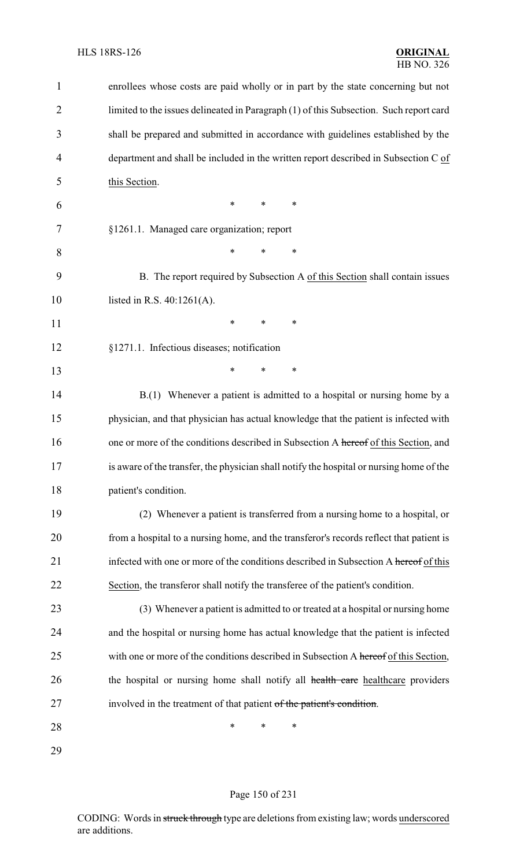| 1              | enrollees whose costs are paid wholly or in part by the state concerning but not         |
|----------------|------------------------------------------------------------------------------------------|
| $\overline{2}$ | limited to the issues delineated in Paragraph (1) of this Subsection. Such report card   |
| 3              | shall be prepared and submitted in accordance with guidelines established by the         |
| 4              | department and shall be included in the written report described in Subsection C of      |
| 5              | this Section.                                                                            |
| 6              | *<br>$\ast$<br>∗                                                                         |
| 7              | §1261.1. Managed care organization; report                                               |
| 8              | $\ast$<br>$\ast$<br>∗                                                                    |
| 9              | B. The report required by Subsection A of this Section shall contain issues              |
| 10             | listed in R.S. $40:1261(A)$ .                                                            |
| 11             | *<br>*<br>$\ast$                                                                         |
| 12             | §1271.1. Infectious diseases; notification                                               |
| 13             | $\ast$<br>$\ast$<br>∗                                                                    |
| 14             | B.(1) Whenever a patient is admitted to a hospital or nursing home by a                  |
| 15             | physician, and that physician has actual knowledge that the patient is infected with     |
| 16             | one or more of the conditions described in Subsection A hereof of this Section, and      |
| 17             | is aware of the transfer, the physician shall notify the hospital or nursing home of the |
| 18             | patient's condition.                                                                     |
| 19             | (2) Whenever a patient is transferred from a nursing home to a hospital, or              |
| 20             | from a hospital to a nursing home, and the transferor's records reflect that patient is  |
| 21             | infected with one or more of the conditions described in Subsection A hereof of this     |
| 22             | Section, the transferor shall notify the transferee of the patient's condition.          |
| 23             | (3) Whenever a patient is admitted to or treated at a hospital or nursing home           |
| 24             | and the hospital or nursing home has actual knowledge that the patient is infected       |
| 25             | with one or more of the conditions described in Subsection A hereof of this Section,     |
| 26             | the hospital or nursing home shall notify all health care healthcare providers           |
| 27             | involved in the treatment of that patient of the patient's condition.                    |
| 28             | *<br>∗<br>∗                                                                              |
| 29             |                                                                                          |

# Page 150 of 231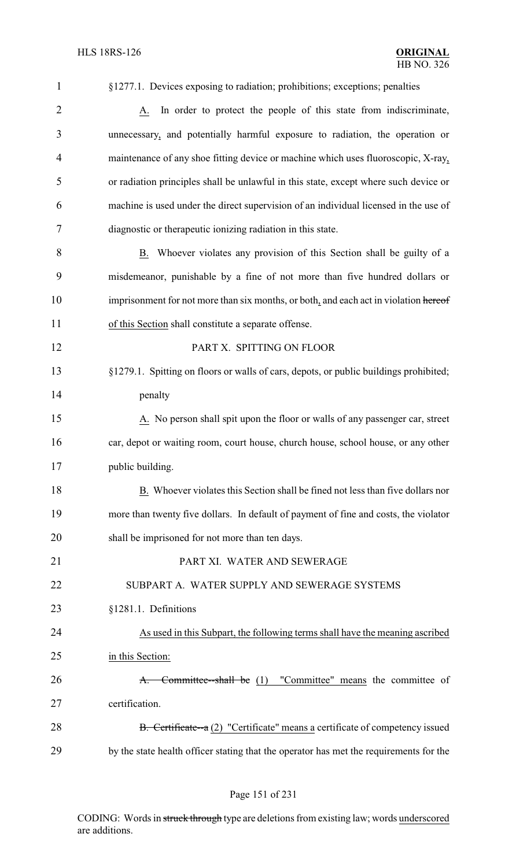| 1              | §1277.1. Devices exposing to radiation; prohibitions; exceptions; penalties            |
|----------------|----------------------------------------------------------------------------------------|
| $\overline{2}$ | In order to protect the people of this state from indiscriminate,<br>A.                |
| 3              | unnecessary, and potentially harmful exposure to radiation, the operation or           |
| $\overline{4}$ | maintenance of any shoe fitting device or machine which uses fluoroscopic, X-ray,      |
| 5              | or radiation principles shall be unlawful in this state, except where such device or   |
| 6              | machine is used under the direct supervision of an individual licensed in the use of   |
| 7              | diagnostic or therapeutic ionizing radiation in this state.                            |
| 8              | B. Whoever violates any provision of this Section shall be guilty of a                 |
| 9              | misdemeanor, punishable by a fine of not more than five hundred dollars or             |
| 10             | imprisonment for not more than six months, or both, and each act in violation hereof   |
| 11             | of this Section shall constitute a separate offense.                                   |
| 12             | PART X. SPITTING ON FLOOR                                                              |
| 13             | §1279.1. Spitting on floors or walls of cars, depots, or public buildings prohibited;  |
| 14             | penalty                                                                                |
| 15             | A. No person shall spit upon the floor or walls of any passenger car, street           |
| 16             | car, depot or waiting room, court house, church house, school house, or any other      |
| 17             | public building.                                                                       |
| 18             | B. Whoever violates this Section shall be fined not less than five dollars nor         |
| 19             | more than twenty five dollars. In default of payment of fine and costs, the violator   |
| 20             | shall be imprisoned for not more than ten days.                                        |
| 21             | PART XI. WATER AND SEWERAGE                                                            |
| 22             | SUBPART A. WATER SUPPLY AND SEWERAGE SYSTEMS                                           |
| 23             | §1281.1. Definitions                                                                   |
| 24             | As used in this Subpart, the following terms shall have the meaning ascribed           |
| 25             | in this Section:                                                                       |
| 26             | Committee-shall be (1) "Committee" means the committee of<br>A.                        |
| 27             | certification.                                                                         |
| 28             | B. Certificate--a (2) "Certificate" means a certificate of competency issued           |
| 29             | by the state health officer stating that the operator has met the requirements for the |

# Page 151 of 231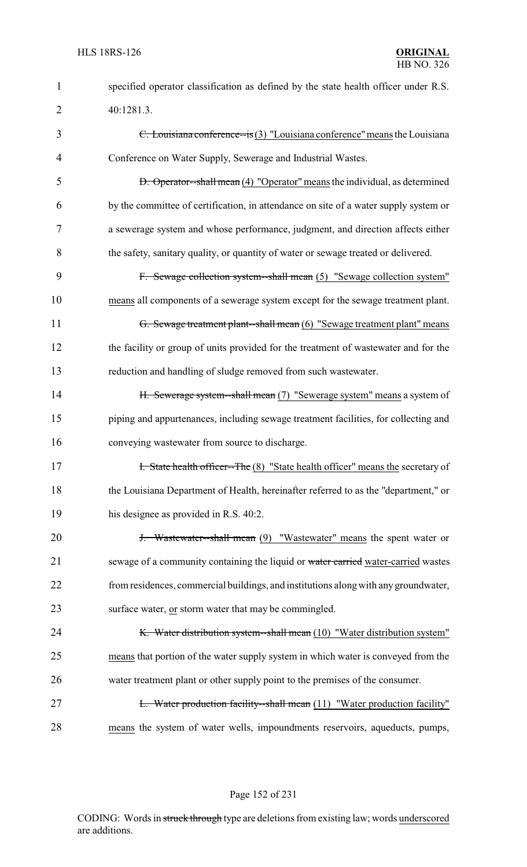| $\mathbf{1}$   | specified operator classification as defined by the state health officer under R.S.  |
|----------------|--------------------------------------------------------------------------------------|
| $\overline{2}$ | 40:1281.3.                                                                           |
| 3              | C. Louisiana conference-is $(3)$ "Louisiana conference" means the Louisiana          |
| 4              | Conference on Water Supply, Sewerage and Industrial Wastes.                          |
| 5              | <b>D.</b> Operator-shall mean (4) "Operator" means the individual, as determined     |
| 6              | by the committee of certification, in attendance on site of a water supply system or |
| 7              | a sewerage system and whose performance, judgment, and direction affects either      |
| 8              | the safety, sanitary quality, or quantity of water or sewage treated or delivered.   |
| 9              | F. Sewage collection system-shall mean (5) "Sewage collection system"                |
| 10             | means all components of a sewerage system except for the sewage treatment plant.     |
| 11             | G. Sewage treatment plant--shall mean (6) "Sewage treatment plant" means             |
| 12             | the facility or group of units provided for the treatment of wastewater and for the  |
| 13             | reduction and handling of sludge removed from such wastewater.                       |
| 14             | H. Sewerage system--shall mean (7) "Sewerage system" means a system of               |
| 15             | piping and appurtenances, including sewage treatment facilities, for collecting and  |
| 16             | conveying wastewater from source to discharge.                                       |
| 17             | I. State health officer--The (8) "State health officer" means the secretary of       |
| 18             | the Louisiana Department of Health, hereinafter referred to as the "department," or  |
| 19             | his designee as provided in R.S. 40:2.                                               |
| 20             | <b>J.</b> Wastewater--shall mean (9) "Wastewater" means the spent water or           |
| 21             | sewage of a community containing the liquid or water carried water-carried wastes    |
| 22             | from residences, commercial buildings, and institutions along with any groundwater,  |
| 23             | surface water, or storm water that may be commingled.                                |
| 24             | K. Water distribution system--shall mean (10) "Water distribution system"            |
| 25             | means that portion of the water supply system in which water is conveyed from the    |
| 26             | water treatment plant or other supply point to the premises of the consumer.         |
| 27             | <b>L.</b> Water production facility--shall mean (11) "Water production facility"     |
| 28             | means the system of water wells, impoundments reservoirs, aqueducts, pumps,          |

Page 152 of 231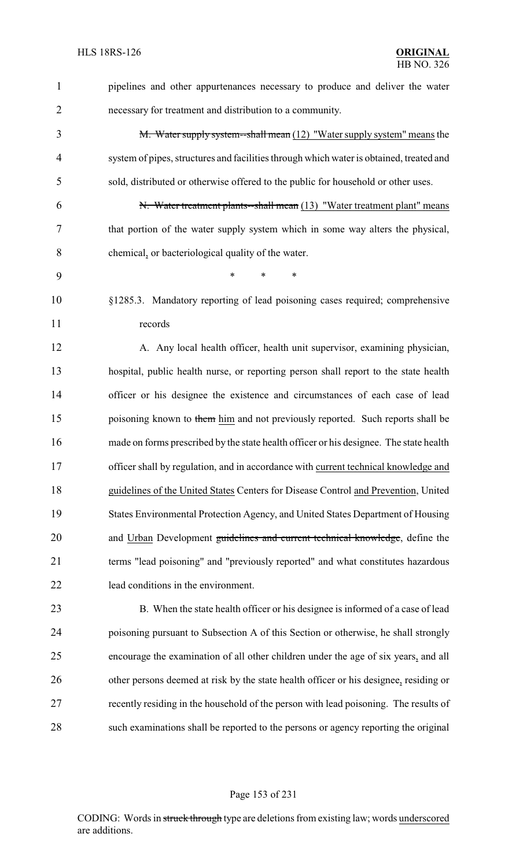| $\mathbf{1}$   | pipelines and other appurtenances necessary to produce and deliver the water            |
|----------------|-----------------------------------------------------------------------------------------|
| $\overline{2}$ | necessary for treatment and distribution to a community.                                |
| 3              | M. Water supply system--shall mean (12) "Water supply system" means the                 |
| $\overline{4}$ | system of pipes, structures and facilities through which water is obtained, treated and |
| 5              | sold, distributed or otherwise offered to the public for household or other uses.       |
| 6              | N. Water treatment plants--shall mean (13) "Water treatment plant" means                |
| 7              | that portion of the water supply system which in some way alters the physical,          |
| 8              | chemical, or bacteriological quality of the water.                                      |
| 9              | $\ast$<br>*<br>∗                                                                        |
| 10             | §1285.3. Mandatory reporting of lead poisoning cases required; comprehensive            |
| 11             | records                                                                                 |
| 12             | A. Any local health officer, health unit supervisor, examining physician,               |
| 13             | hospital, public health nurse, or reporting person shall report to the state health     |
| 14             | officer or his designee the existence and circumstances of each case of lead            |
| 15             | poisoning known to them him and not previously reported. Such reports shall be          |
| 16             | made on forms prescribed by the state health officer or his designee. The state health  |
| 17             | officer shall by regulation, and in accordance with current technical knowledge and     |
| 18             | guidelines of the United States Centers for Disease Control and Prevention, United      |
| 19             | States Environmental Protection Agency, and United States Department of Housing         |
| 20             | and Urban Development guidelines and current technical knowledge, define the            |
| 21             | terms "lead poisoning" and "previously reported" and what constitutes hazardous         |
| 22             | lead conditions in the environment.                                                     |
| 23             | B. When the state health officer or his designee is informed of a case of lead          |
| 24             | poisoning pursuant to Subsection A of this Section or otherwise, he shall strongly      |
| 25             | encourage the examination of all other children under the age of six years, and all     |
| 26             | other persons deemed at risk by the state health officer or his designee, residing or   |
| 27             | recently residing in the household of the person with lead poisoning. The results of    |
| 28             | such examinations shall be reported to the persons or agency reporting the original     |

Page 153 of 231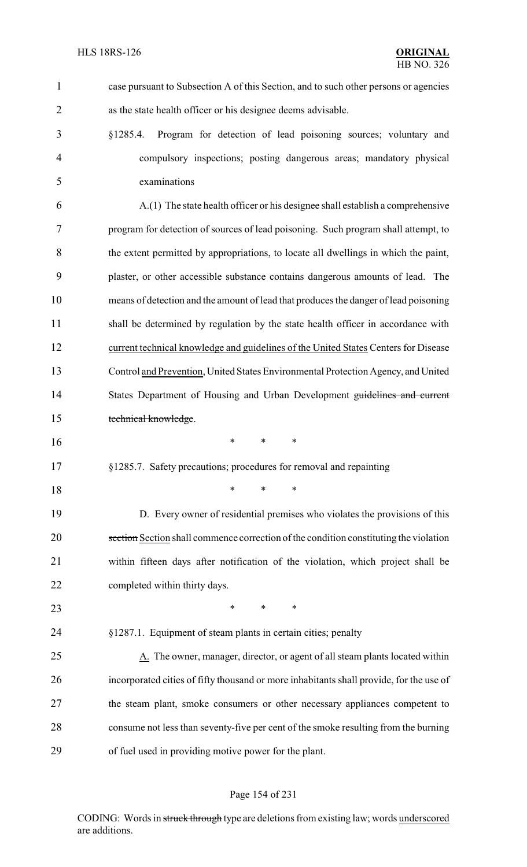| $\mathbf{1}$   | case pursuant to Subsection A of this Section, and to such other persons or agencies    |
|----------------|-----------------------------------------------------------------------------------------|
| $\overline{2}$ | as the state health officer or his designee deems advisable.                            |
| 3              | Program for detection of lead poisoning sources; voluntary and<br>\$1285.4.             |
| $\overline{4}$ | compulsory inspections; posting dangerous areas; mandatory physical                     |
| 5              | examinations                                                                            |
| 6              | A.(1) The state health officer or his designee shall establish a comprehensive          |
| 7              | program for detection of sources of lead poisoning. Such program shall attempt, to      |
| 8              | the extent permitted by appropriations, to locate all dwellings in which the paint,     |
| 9              | plaster, or other accessible substance contains dangerous amounts of lead. The          |
| 10             | means of detection and the amount of lead that produces the danger of lead poisoning    |
| 11             | shall be determined by regulation by the state health officer in accordance with        |
| 12             | current technical knowledge and guidelines of the United States Centers for Disease     |
| 13             | Control and Prevention, United States Environmental Protection Agency, and United       |
| 14             | States Department of Housing and Urban Development guidelines and current               |
| 15             | technical knowledge.                                                                    |
| 16             | $\ast$<br>$\ast$<br>*                                                                   |
| 17             | §1285.7. Safety precautions; procedures for removal and repainting                      |
| 18             | *<br>$\ast$<br>$\ast$                                                                   |
| 19             | D. Every owner of residential premises who violates the provisions of this              |
| 20             | section Section shall commence correction of the condition constituting the violation   |
| 21             | within fifteen days after notification of the violation, which project shall be         |
| 22             | completed within thirty days.                                                           |
| 23             | $\ast$<br>$\ast$<br>*                                                                   |
| 24             | §1287.1. Equipment of steam plants in certain cities; penalty                           |
| 25             | A. The owner, manager, director, or agent of all steam plants located within            |
| 26             | incorporated cities of fifty thousand or more inhabitants shall provide, for the use of |
| 27             | the steam plant, smoke consumers or other necessary appliances competent to             |
| 28             | consume not less than seventy-five per cent of the smoke resulting from the burning     |
| 29             | of fuel used in providing motive power for the plant.                                   |

# Page 154 of 231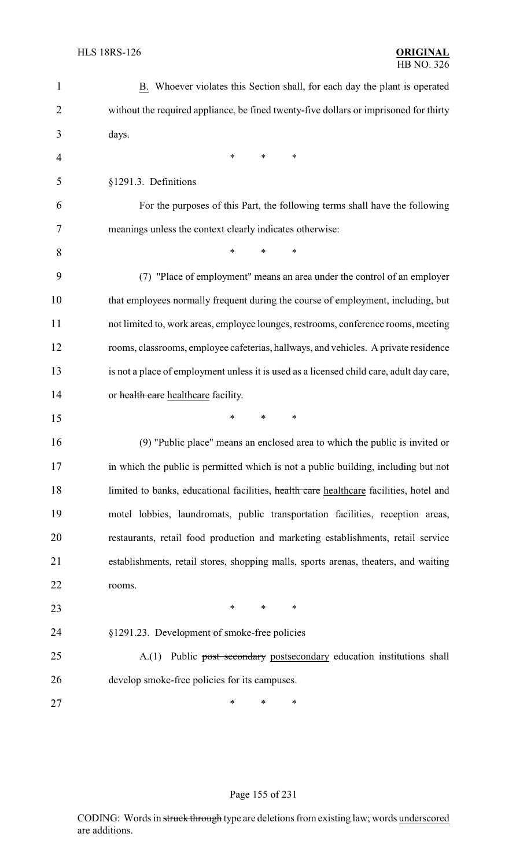| $\mathbf{1}$   | B. Whoever violates this Section shall, for each day the plant is operated               |
|----------------|------------------------------------------------------------------------------------------|
| $\overline{2}$ | without the required appliance, be fined twenty-five dollars or imprisoned for thirty    |
| 3              | days.                                                                                    |
| 4              | ∗<br>*<br>∗                                                                              |
| 5              | §1291.3. Definitions                                                                     |
| 6              | For the purposes of this Part, the following terms shall have the following              |
| 7              | meanings unless the context clearly indicates otherwise:                                 |
| 8              | *<br>$\ast$<br>∗                                                                         |
| 9              | (7) "Place of employment" means an area under the control of an employer                 |
| 10             | that employees normally frequent during the course of employment, including, but         |
| 11             | not limited to, work areas, employee lounges, restrooms, conference rooms, meeting       |
| 12             | rooms, classrooms, employee cafeterias, hallways, and vehicles. A private residence      |
| 13             | is not a place of employment unless it is used as a licensed child care, adult day care, |
| 14             | or health care healthcare facility.                                                      |
| 15             | *<br>$\ast$<br>*                                                                         |
| 16             | (9) "Public place" means an enclosed area to which the public is invited or              |
| 17             | in which the public is permitted which is not a public building, including but not       |
| 18             | limited to banks, educational facilities, health care healthcare facilities, hotel and   |
| 19             | motel lobbies, laundromats, public transportation facilities, reception areas,           |
| 20             | restaurants, retail food production and marketing establishments, retail service         |
| 21             | establishments, retail stores, shopping malls, sports arenas, theaters, and waiting      |
| 22             | rooms.                                                                                   |
| 23             | $\ast$<br>$\ast$<br>$\ast$                                                               |
| 24             | §1291.23. Development of smoke-free policies                                             |
| 25             | Public post secondary postsecondary education institutions shall<br>A(1)                 |
| 26             | develop smoke-free policies for its campuses.                                            |
| 27             | ∗<br>∗<br>∗                                                                              |

# Page 155 of 231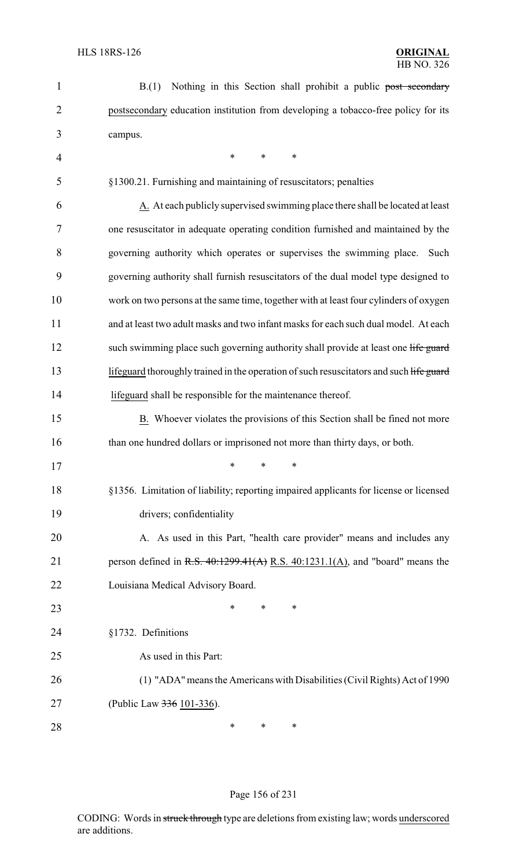| $\mathbf{1}$   | Nothing in this Section shall prohibit a public post secondary<br>B(1)                  |
|----------------|-----------------------------------------------------------------------------------------|
| $\overline{2}$ | postsecondary education institution from developing a tobacco-free policy for its       |
| 3              | campus.                                                                                 |
| $\overline{4}$ | $\ast$<br>$\ast$<br>∗                                                                   |
| 5              | §1300.21. Furnishing and maintaining of resuscitators; penalties                        |
| 6              | A. At each publicly supervised swimming place there shall be located at least           |
| 7              | one resuscitator in adequate operating condition furnished and maintained by the        |
| 8              | governing authority which operates or supervises the swimming place. Such               |
| 9              | governing authority shall furnish resuscitators of the dual model type designed to      |
| 10             | work on two persons at the same time, together with at least four cylinders of oxygen   |
| 11             | and at least two adult masks and two infant masks for each such dual model. At each     |
| 12             | such swimming place such governing authority shall provide at least one life guard      |
| 13             | lifeguard thoroughly trained in the operation of such resuscitators and such life guard |
| 14             | lifeguard shall be responsible for the maintenance thereof.                             |
| 15             | B. Whoever violates the provisions of this Section shall be fined not more              |
| 16             | than one hundred dollars or imprisoned not more than thirty days, or both.              |
| 17             | $*$ * *                                                                                 |
| 18             | §1356. Limitation of liability; reporting impaired applicants for license or licensed   |
| 19             | drivers; confidentiality                                                                |
| 20             | A. As used in this Part, "health care provider" means and includes any                  |
| 21             | person defined in R.S. $40:1299.41(A)$ R.S. $40:1231.1(A)$ , and "board" means the      |
| 22             | Louisiana Medical Advisory Board.                                                       |
| 23             | ∗<br>∗<br>∗                                                                             |
| 24             | §1732. Definitions                                                                      |
| 25             | As used in this Part:                                                                   |
| 26             | (1) "ADA" means the Americans with Disabilities (Civil Rights) Act of 1990              |
| 27             | (Public Law 336 101-336).                                                               |
| 28             | ∗<br>∗<br>∗                                                                             |

# Page 156 of 231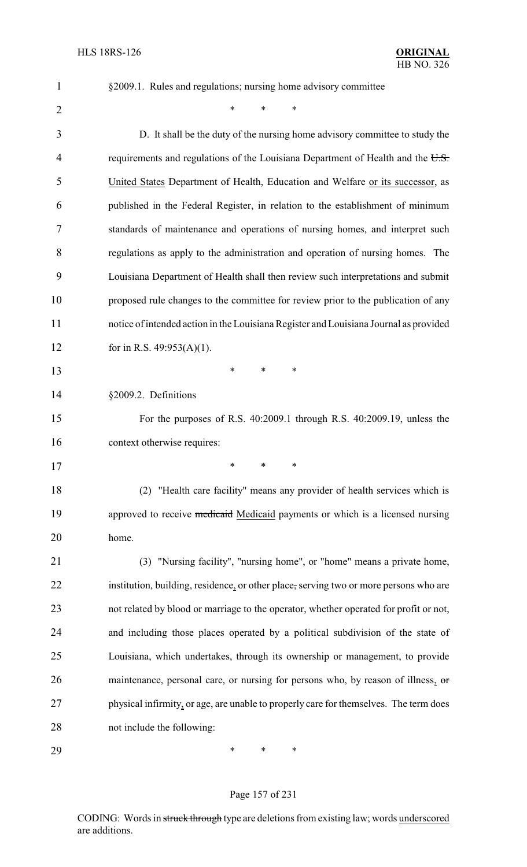§2009.1. Rules and regulations; nursing home advisory committee

 $*$  \* \* \*

 D. It shall be the duty of the nursing home advisory committee to study the 4 requirements and regulations of the Louisiana Department of Health and the U.S. United States Department of Health, Education and Welfare or its successor, as published in the Federal Register, in relation to the establishment of minimum standards of maintenance and operations of nursing homes, and interpret such regulations as apply to the administration and operation of nursing homes. The Louisiana Department of Health shall then review such interpretations and submit proposed rule changes to the committee for review prior to the publication of any notice of intended action in the Louisiana Register and Louisiana Journal as provided for in R.S. 49:953(A)(1). \* \* \* §2009.2. Definitions For the purposes of R.S. 40:2009.1 through R.S. 40:2009.19, unless the 16 context otherwise requires: \* \* \* (2) "Health care facility" means any provider of health services which is 19 approved to receive medicaid Medicaid payments or which is a licensed nursing home. (3) "Nursing facility", "nursing home", or "home" means a private home, institution, building, residence, or other place, serving two or more persons who are not related by blood or marriage to the operator, whether operated for profit or not, and including those places operated by a political subdivision of the state of Louisiana, which undertakes, through its ownership or management, to provide 26 maintenance, personal care, or nursing for persons who, by reason of illness, or 27 physical infirmity, or age, are unable to properly care for themselves. The term does not include the following: \* \* \*

#### Page 157 of 231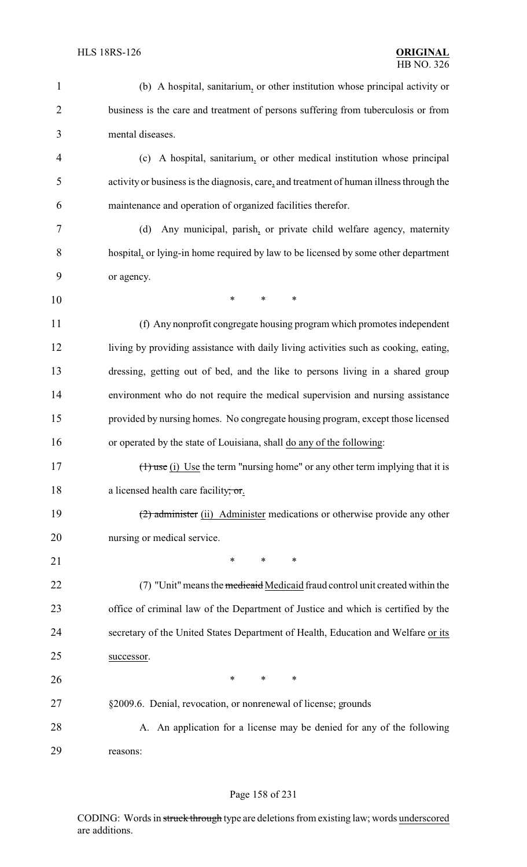| $\mathbf{1}$   | (b) A hospital, sanitarium, or other institution whose principal activity or            |
|----------------|-----------------------------------------------------------------------------------------|
| $\overline{2}$ | business is the care and treatment of persons suffering from tuberculosis or from       |
| 3              | mental diseases.                                                                        |
| $\overline{4}$ | (c) A hospital, sanitarium, or other medical institution whose principal                |
| 5              | activity or business is the diagnosis, care, and treatment of human illness through the |
| 6              | maintenance and operation of organized facilities therefor.                             |
| 7              | Any municipal, parish, or private child welfare agency, maternity<br>(d)                |
| 8              | hospital, or lying-in home required by law to be licensed by some other department      |
| 9              | or agency.                                                                              |
| 10             | $\ast$<br>*<br>*                                                                        |
| 11             | (f) Any nonprofit congregate housing program which promotes independent                 |
| 12             | living by providing assistance with daily living activities such as cooking, eating,    |
| 13             | dressing, getting out of bed, and the like to persons living in a shared group          |
| 14             | environment who do not require the medical supervision and nursing assistance           |
| 15             | provided by nursing homes. No congregate housing program, except those licensed         |
| 16             | or operated by the state of Louisiana, shall do any of the following:                   |
| 17             | $(1)$ use (i) Use the term "nursing home" or any other term implying that it is         |
| 18             | a licensed health care facility; or.                                                    |
| 19             | (2) administer (ii) Administer medications or otherwise provide any other               |
| 20             | nursing or medical service.                                                             |
| 21             | $\ast$<br>$\ast$<br>$\ast$                                                              |
| 22             | (7) "Unit" means the medicaid Medicaid fraud control unit created within the            |
| 23             | office of criminal law of the Department of Justice and which is certified by the       |
| 24             | secretary of the United States Department of Health, Education and Welfare or its       |
| 25             | successor.                                                                              |
| 26             | $\ast$<br>∗<br>$\ast$                                                                   |
| 27             | §2009.6. Denial, revocation, or nonrenewal of license; grounds                          |
| 28             | A. An application for a license may be denied for any of the following                  |
| 29             | reasons:                                                                                |

# Page 158 of 231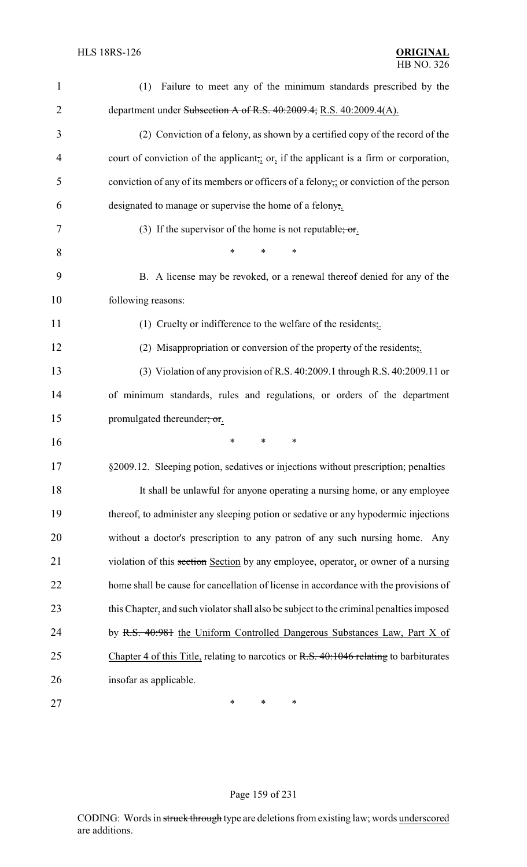| $\mathbf{1}$   | Failure to meet any of the minimum standards prescribed by the<br>(1)                   |
|----------------|-----------------------------------------------------------------------------------------|
| $\overline{2}$ | department under Subsection A of R.S. 40:2009.4; R.S. 40:2009.4(A).                     |
| 3              | (2) Conviction of a felony, as shown by a certified copy of the record of the           |
| 4              | court of conviction of the applicant, or, if the applicant is a firm or corporation,    |
| 5              | conviction of any of its members or officers of a felony, or conviction of the person   |
| 6              | designated to manage or supervise the home of a felony,.                                |
| 7              | (3) If the supervisor of the home is not reputable; or.                                 |
| 8              | ∗<br>∗                                                                                  |
| 9              | B. A license may be revoked, or a renewal thereof denied for any of the                 |
| 10             | following reasons:                                                                      |
| 11             | (1) Cruelty or indifference to the welfare of the residents,                            |
| 12             | (2) Misappropriation or conversion of the property of the residents,.                   |
| 13             | (3) Violation of any provision of R.S. 40:2009.1 through R.S. 40:2009.11 or             |
| 14             | of minimum standards, rules and regulations, or orders of the department                |
| 15             | promulgated thereunder; or.                                                             |
| 16             | $\ast$<br>*<br>∗                                                                        |
| 17             | §2009.12. Sleeping potion, sedatives or injections without prescription; penalties      |
| 18             | It shall be unlawful for anyone operating a nursing home, or any employee               |
| 19             | thereof, to administer any sleeping potion or sedative or any hypodermic injections     |
| 20             | without a doctor's prescription to any patron of any such nursing home. Any             |
| 21             | violation of this section Section by any employee, operator, or owner of a nursing      |
| 22             | home shall be cause for cancellation of license in accordance with the provisions of    |
| 23             | this Chapter, and such violator shall also be subject to the criminal penalties imposed |
| 24             | by R.S. 40:981 the Uniform Controlled Dangerous Substances Law, Part X of               |
| 25             | Chapter 4 of this Title, relating to narcotics or R.S. 40:1046 relating to barbiturates |
| 26             | insofar as applicable.                                                                  |
| 27             | $\ast$<br>$\ast$<br>∗                                                                   |

# Page 159 of 231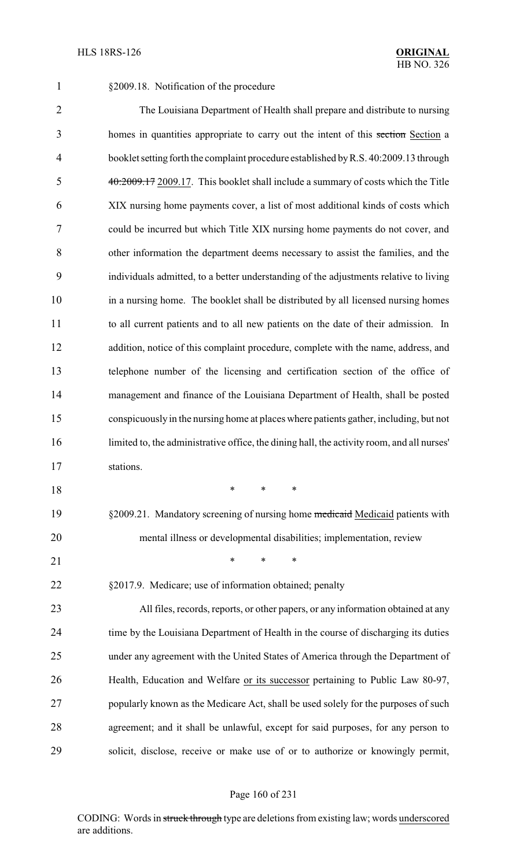§2009.18. Notification of the procedure

 The Louisiana Department of Health shall prepare and distribute to nursing 3 homes in quantities appropriate to carry out the intent of this section Section a booklet setting forth the complaint procedure established byR.S. 40:2009.13 through 40:2009.17 2009.17. This booklet shall include a summary of costs which the Title XIX nursing home payments cover, a list of most additional kinds of costs which could be incurred but which Title XIX nursing home payments do not cover, and other information the department deems necessary to assist the families, and the individuals admitted, to a better understanding of the adjustments relative to living in a nursing home. The booklet shall be distributed by all licensed nursing homes to all current patients and to all new patients on the date of their admission. In addition, notice of this complaint procedure, complete with the name, address, and telephone number of the licensing and certification section of the office of management and finance of the Louisiana Department of Health, shall be posted conspicuously in the nursing home at places where patients gather, including, but not limited to, the administrative office, the dining hall, the activity room, and all nurses' stations. \* \* \* 19 §2009.21. Mandatory screening of nursing home medicaid Medicaid patients with mental illness or developmental disabilities; implementation, review 21 \* \* \* \* §2017.9. Medicare; use of information obtained; penalty All files, records, reports, or other papers, or any information obtained at any time by the Louisiana Department of Health in the course of discharging its duties

 under any agreement with the United States of America through the Department of Health, Education and Welfare or its successor pertaining to Public Law 80-97, popularly known as the Medicare Act, shall be used solely for the purposes of such agreement; and it shall be unlawful, except for said purposes, for any person to solicit, disclose, receive or make use of or to authorize or knowingly permit,

### Page 160 of 231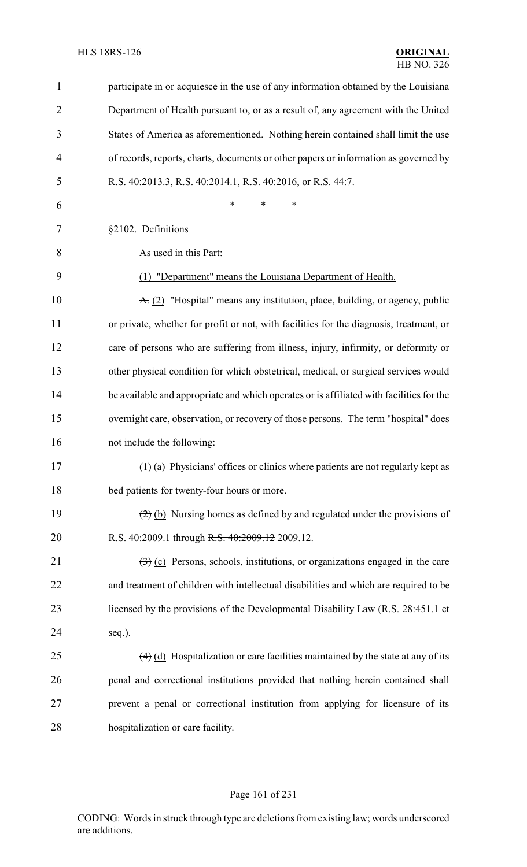| 1              | participate in or acquiesce in the use of any information obtained by the Louisiana                     |
|----------------|---------------------------------------------------------------------------------------------------------|
| $\overline{2}$ | Department of Health pursuant to, or as a result of, any agreement with the United                      |
| 3              | States of America as aforementioned. Nothing herein contained shall limit the use                       |
| 4              | of records, reports, charts, documents or other papers or information as governed by                    |
| 5              | R.S. 40:2013.3, R.S. 40:2014.1, R.S. 40:2016, or R.S. 44:7.                                             |
| 6              | *<br>*<br>*                                                                                             |
| 7              | §2102. Definitions                                                                                      |
| 8              | As used in this Part:                                                                                   |
| 9              | (1) "Department" means the Louisiana Department of Health.                                              |
| 10             | $\angle$ + (2) "Hospital" means any institution, place, building, or agency, public                     |
| 11             | or private, whether for profit or not, with facilities for the diagnosis, treatment, or                 |
| 12             | care of persons who are suffering from illness, injury, infirmity, or deformity or                      |
| 13             | other physical condition for which obstetrical, medical, or surgical services would                     |
| 14             | be available and appropriate and which operates or is affiliated with facilities for the                |
| 15             | overnight care, observation, or recovery of those persons. The term "hospital" does                     |
| 16             | not include the following:                                                                              |
| 17             | $(\dagger)$ (a) Physicians' offices or clinics where patients are not regularly kept as                 |
| 18             | bed patients for twenty-four hours or more.                                                             |
| 19             | $\left(\frac{2}{2}\right)$ (b) Nursing homes as defined by and regulated under the provisions of        |
| 20             | R.S. 40:2009.1 through R.S. 40:2009.12 2009.12.                                                         |
| 21             | $\left(\frac{1}{2}\right)$ (c) Persons, schools, institutions, or organizations engaged in the care     |
| 22             | and treatment of children with intellectual disabilities and which are required to be                   |
| 23             | licensed by the provisions of the Developmental Disability Law (R.S. 28:451.1 et                        |
| 24             | seq.).                                                                                                  |
| 25             | $\left(\frac{4}{4}\right)$ (d) Hospitalization or care facilities maintained by the state at any of its |
| 26             | penal and correctional institutions provided that nothing herein contained shall                        |
| 27             | prevent a penal or correctional institution from applying for licensure of its                          |
| 28             | hospitalization or care facility.                                                                       |

# Page 161 of 231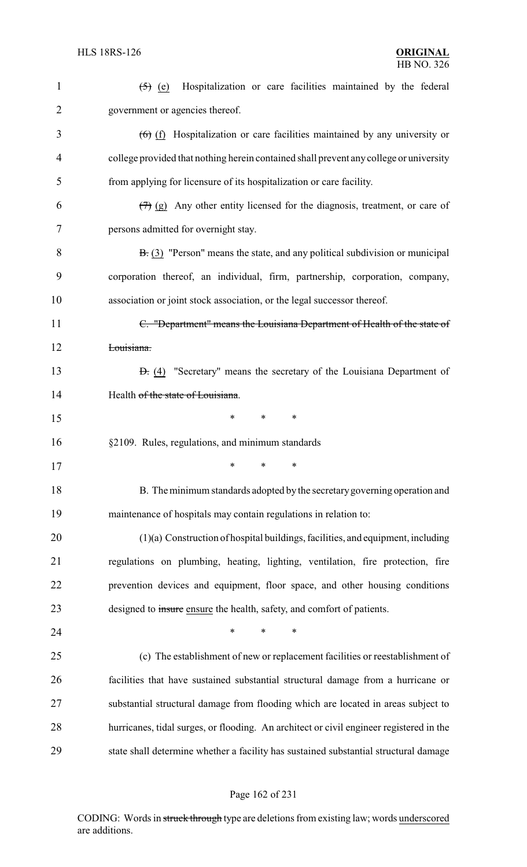| $\mathbf{1}$   | Hospitalization or care facilities maintained by the federal<br>$(5)$ (e)                 |
|----------------|-------------------------------------------------------------------------------------------|
| $\overline{2}$ | government or agencies thereof.                                                           |
| 3              | $(6)$ (f) Hospitalization or care facilities maintained by any university or              |
| 4              | college provided that nothing herein contained shall prevent any college or university    |
| 5              | from applying for licensure of its hospitalization or care facility.                      |
| 6              | $(\overline{7})$ (g) Any other entity licensed for the diagnosis, treatment, or care of   |
| 7              | persons admitted for overnight stay.                                                      |
| 8              | $\overline{B}$ : (3) "Person" means the state, and any political subdivision or municipal |
| 9              | corporation thereof, an individual, firm, partnership, corporation, company,              |
| 10             | association or joint stock association, or the legal successor thereof.                   |
| 11             | C. "Department" means the Louisiana Department of Health of the state of                  |
| 12             | Louisiana.                                                                                |
| 13             | <b>D.</b> (4) "Secretary" means the secretary of the Louisiana Department of              |
| 14             | Health of the state of Louisiana.                                                         |
| 15             | *<br>∗<br>∗                                                                               |
| 16             | §2109. Rules, regulations, and minimum standards                                          |
| 17             | ∗<br>∗<br>∗                                                                               |
| 18             | B. The minimum standards adopted by the secretary governing operation and                 |
| 19             | maintenance of hospitals may contain regulations in relation to:                          |
| 20             | $(1)(a)$ Construction of hospital buildings, facilities, and equipment, including         |
| 21             | regulations on plumbing, heating, lighting, ventilation, fire protection, fire            |
| 22             | prevention devices and equipment, floor space, and other housing conditions               |
| 23             | designed to insure ensure the health, safety, and comfort of patients.                    |
| 24             | $\ast$<br>$\ast$<br>$\ast$                                                                |
| 25             | (c) The establishment of new or replacement facilities or reestablishment of              |
| 26             | facilities that have sustained substantial structural damage from a hurricane or          |
| 27             | substantial structural damage from flooding which are located in areas subject to         |
| 28             | hurricanes, tidal surges, or flooding. An architect or civil engineer registered in the   |
| 29             | state shall determine whether a facility has sustained substantial structural damage      |
|                |                                                                                           |

# Page 162 of 231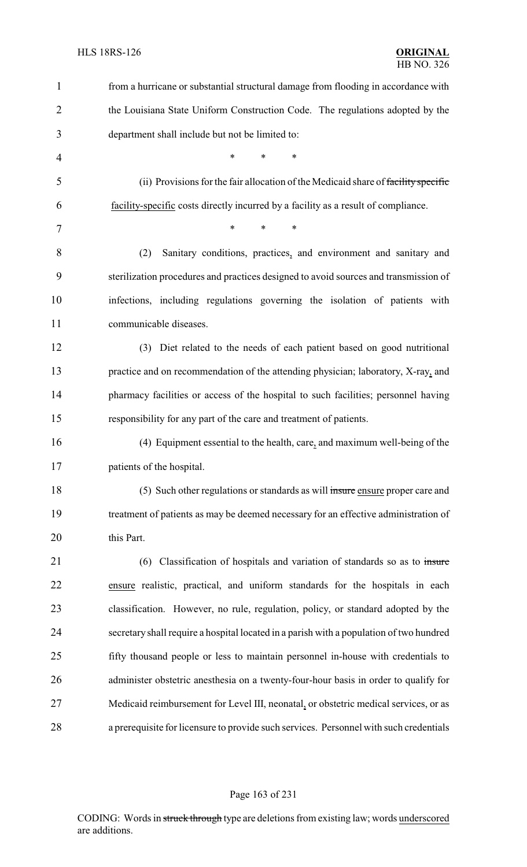| $\mathbf{1}$   | from a hurricane or substantial structural damage from flooding in accordance with      |
|----------------|-----------------------------------------------------------------------------------------|
| $\overline{2}$ | the Louisiana State Uniform Construction Code. The regulations adopted by the           |
| 3              | department shall include but not be limited to:                                         |
| $\overline{4}$ | *<br>*<br>*                                                                             |
| 5              | (ii) Provisions for the fair allocation of the Medicaid share of facility specific      |
| 6              | facility-specific costs directly incurred by a facility as a result of compliance.      |
| 7              | $\ast$<br>*<br>*                                                                        |
| 8              | Sanitary conditions, practices, and environment and sanitary and<br>(2)                 |
| 9              | sterilization procedures and practices designed to avoid sources and transmission of    |
| 10             | infections, including regulations governing the isolation of patients with              |
| 11             | communicable diseases.                                                                  |
| 12             | (3) Diet related to the needs of each patient based on good nutritional                 |
| 13             | practice and on recommendation of the attending physician; laboratory, X-ray, and       |
| 14             | pharmacy facilities or access of the hospital to such facilities; personnel having      |
| 15             | responsibility for any part of the care and treatment of patients.                      |
| 16             | (4) Equipment essential to the health, care, and maximum well-being of the              |
| 17             | patients of the hospital.                                                               |
| 18             | (5) Such other regulations or standards as will insure ensure proper care and           |
| 19             | treatment of patients as may be deemed necessary for an effective administration of     |
| 20             | this Part.                                                                              |
| 21             | Classification of hospitals and variation of standards so as to insure<br>(6)           |
| 22             | ensure realistic, practical, and uniform standards for the hospitals in each            |
| 23             | classification. However, no rule, regulation, policy, or standard adopted by the        |
| 24             | secretary shall require a hospital located in a parish with a population of two hundred |
| 25             | fifty thousand people or less to maintain personnel in-house with credentials to        |
| 26             | administer obstetric anesthesia on a twenty-four-hour basis in order to qualify for     |
| 27             | Medicaid reimbursement for Level III, neonatal, or obstetric medical services, or as    |
| 28             | a prerequisite for licensure to provide such services. Personnel with such credentials  |

# Page 163 of 231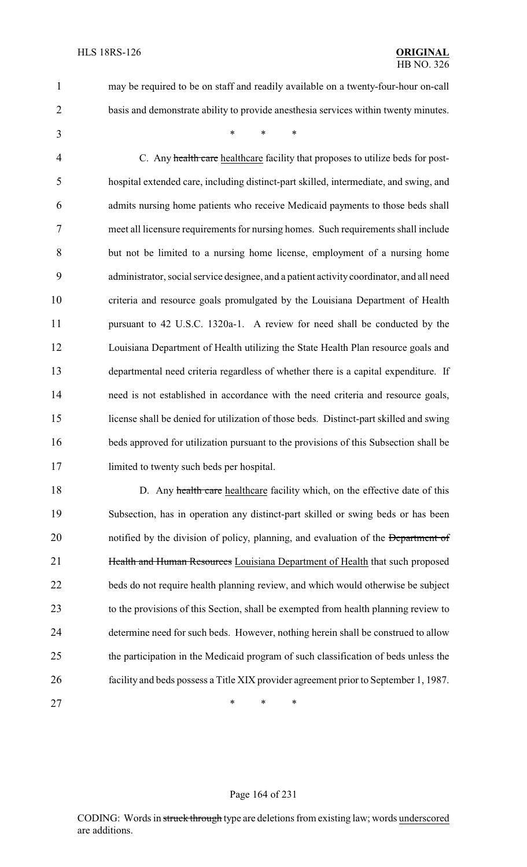- may be required to be on staff and readily available on a twenty-four-hour on-call
- basis and demonstrate ability to provide anesthesia services within twenty minutes.
	-

\* \* \*

4 C. Any health care healthcare facility that proposes to utilize beds for post- hospital extended care, including distinct-part skilled, intermediate, and swing, and admits nursing home patients who receive Medicaid payments to those beds shall meet all licensure requirements for nursing homes. Such requirements shall include but not be limited to a nursing home license, employment of a nursing home administrator, social service designee, and a patient activity coordinator, and all need criteria and resource goals promulgated by the Louisiana Department of Health pursuant to 42 U.S.C. 1320a-1. A review for need shall be conducted by the Louisiana Department of Health utilizing the State Health Plan resource goals and departmental need criteria regardless of whether there is a capital expenditure. If need is not established in accordance with the need criteria and resource goals, license shall be denied for utilization of those beds. Distinct-part skilled and swing beds approved for utilization pursuant to the provisions of this Subsection shall be limited to twenty such beds per hospital.

18 D. Any health care healthcare facility which, on the effective date of this Subsection, has in operation any distinct-part skilled or swing beds or has been 20 notified by the division of policy, planning, and evaluation of the Department of **Health and Human Resources** Louisiana Department of Health that such proposed beds do not require health planning review, and which would otherwise be subject to the provisions of this Section, shall be exempted from health planning review to determine need for such beds. However, nothing herein shall be construed to allow the participation in the Medicaid program of such classification of beds unless the facility and beds possess a Title XIX provider agreement prior to September 1, 1987.

27 \* \* \* \*

#### Page 164 of 231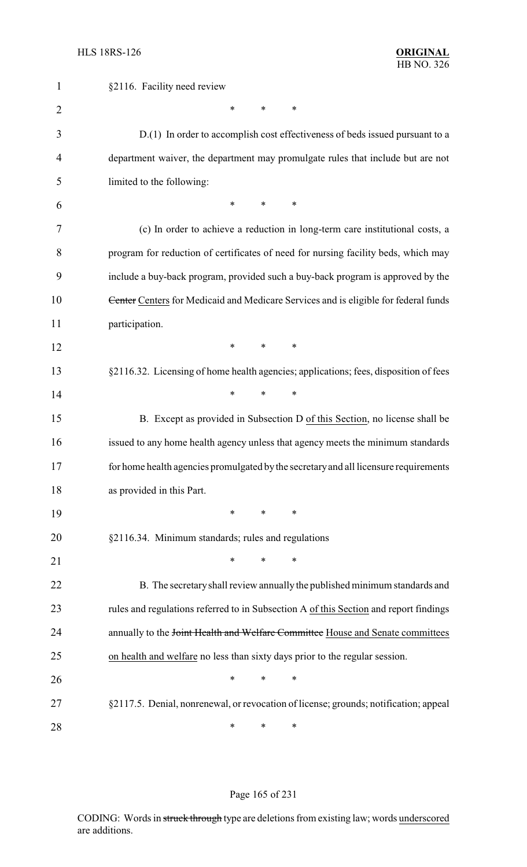| $\mathbf{1}$   | §2116. Facility need review                                                           |
|----------------|---------------------------------------------------------------------------------------|
| $\overline{2}$ | *<br>∗<br>∗                                                                           |
| 3              | D.(1) In order to accomplish cost effectiveness of beds issued pursuant to a          |
| 4              | department waiver, the department may promulgate rules that include but are not       |
| 5              | limited to the following:                                                             |
| 6              | $\ast$<br>$\ast$<br>∗                                                                 |
| 7              | (c) In order to achieve a reduction in long-term care institutional costs, a          |
| 8              | program for reduction of certificates of need for nursing facility beds, which may    |
| 9              | include a buy-back program, provided such a buy-back program is approved by the       |
| 10             | Center Centers for Medicaid and Medicare Services and is eligible for federal funds   |
| 11             | participation.                                                                        |
| 12             | $\ast$<br>*<br>∗                                                                      |
| 13             | §2116.32. Licensing of home health agencies; applications; fees, disposition of fees  |
| 14             | *<br>*<br>$\ast$                                                                      |
| 15             | B. Except as provided in Subsection D of this Section, no license shall be            |
| 16             | issued to any home health agency unless that agency meets the minimum standards       |
| 17             | for home health agencies promulgated by the secretary and all licensure requirements  |
| 18             | as provided in this Part.                                                             |
| 19             | *<br>∗<br>∗                                                                           |
| 20             | §2116.34. Minimum standards; rules and regulations                                    |
| 21             | $\ast$<br>*<br>∗                                                                      |
| 22             | B. The secretary shall review annually the published minimum standards and            |
| 23             | rules and regulations referred to in Subsection A of this Section and report findings |
| 24             | annually to the Joint Health and Welfare Committee House and Senate committees        |
| 25             | on health and welfare no less than sixty days prior to the regular session.           |
| 26             | *<br>∗<br>∗                                                                           |
| 27             | §2117.5. Denial, nonrenewal, or revocation of license; grounds; notification; appeal  |
| 28             | ∗<br>∗<br>∗                                                                           |

# Page 165 of 231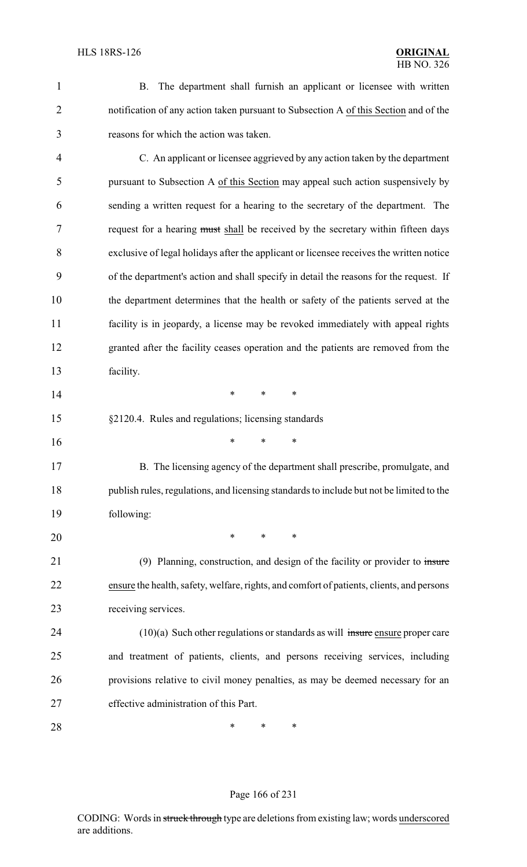| $\mathbf{1}$   | The department shall furnish an applicant or licensee with written<br>B.                  |
|----------------|-------------------------------------------------------------------------------------------|
| $\overline{2}$ | notification of any action taken pursuant to Subsection A of this Section and of the      |
| 3              | reasons for which the action was taken.                                                   |
| 4              | C. An applicant or licensee aggrieved by any action taken by the department               |
| 5              | pursuant to Subsection A of this Section may appeal such action suspensively by           |
| 6              | sending a written request for a hearing to the secretary of the department. The           |
| 7              | request for a hearing must shall be received by the secretary within fifteen days         |
| 8              | exclusive of legal holidays after the applicant or licensee receives the written notice   |
| 9              | of the department's action and shall specify in detail the reasons for the request. If    |
| 10             | the department determines that the health or safety of the patients served at the         |
| 11             | facility is in jeopardy, a license may be revoked immediately with appeal rights          |
| 12             | granted after the facility ceases operation and the patients are removed from the         |
| 13             | facility.                                                                                 |
| 14             | *<br>$\ast$<br>*                                                                          |
| 15             | §2120.4. Rules and regulations; licensing standards                                       |
| 16             | *<br>*<br>$\ast$                                                                          |
| 17             | B. The licensing agency of the department shall prescribe, promulgate, and                |
| 18             | publish rules, regulations, and licensing standards to include but not be limited to the  |
| 19             | following:                                                                                |
| 20             | $\ast$<br>∗<br>∗                                                                          |
| 21             | (9) Planning, construction, and design of the facility or provider to insure              |
| 22             | ensure the health, safety, welfare, rights, and comfort of patients, clients, and persons |
| 23             | receiving services.                                                                       |
| 24             | $(10)(a)$ Such other regulations or standards as will insure ensure proper care           |
| 25             | and treatment of patients, clients, and persons receiving services, including             |
| 26             | provisions relative to civil money penalties, as may be deemed necessary for an           |
| 27             | effective administration of this Part.                                                    |
| 28             | ∗<br>∗<br>∗                                                                               |
|                |                                                                                           |

# Page 166 of 231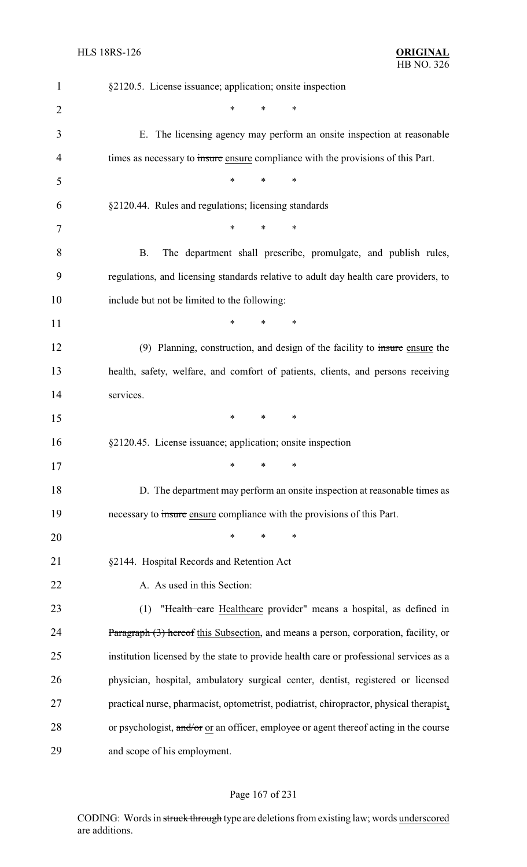| $\mathbf{1}$   | §2120.5. License issuance; application; onsite inspection                               |
|----------------|-----------------------------------------------------------------------------------------|
| $\overline{2}$ | *<br>*<br>∗                                                                             |
| 3              | E. The licensing agency may perform an onsite inspection at reasonable                  |
| 4              | times as necessary to insure ensure compliance with the provisions of this Part.        |
| 5              | $\ast$<br>$\ast$<br>*                                                                   |
| 6              | §2120.44. Rules and regulations; licensing standards                                    |
| 7              | *<br>*<br>∗                                                                             |
| 8              | <b>B.</b><br>The department shall prescribe, promulgate, and publish rules,             |
| 9              | regulations, and licensing standards relative to adult day health care providers, to    |
| 10             | include but not be limited to the following:                                            |
| 11             | $\ast$<br>*<br>*                                                                        |
| 12             | (9) Planning, construction, and design of the facility to insure ensure the             |
| 13             | health, safety, welfare, and comfort of patients, clients, and persons receiving        |
| 14             | services.                                                                               |
| 15             | $\ast$<br>$\ast$<br>$\ast$                                                              |
| 16             | §2120.45. License issuance; application; onsite inspection                              |
| 17             | $\ast$ . The set of $\ast$<br>$*$ and $*$<br>∗                                          |
| 18             | D. The department may perform an onsite inspection at reasonable times as               |
| 19             | necessary to insure ensure compliance with the provisions of this Part.                 |
| 20             | $\ast$<br>$\ast$<br>$\ast$                                                              |
| 21             | §2144. Hospital Records and Retention Act                                               |
| 22             | A. As used in this Section:                                                             |
| 23             | "Health care Healthcare provider" means a hospital, as defined in<br>(1)                |
| 24             | Paragraph (3) hereof this Subsection, and means a person, corporation, facility, or     |
| 25             | institution licensed by the state to provide health care or professional services as a  |
| 26             | physician, hospital, ambulatory surgical center, dentist, registered or licensed        |
| 27             | practical nurse, pharmacist, optometrist, podiatrist, chiropractor, physical therapist, |
| 28             | or psychologist, and/or or an officer, employee or agent thereof acting in the course   |
| 29             | and scope of his employment.                                                            |

# Page 167 of 231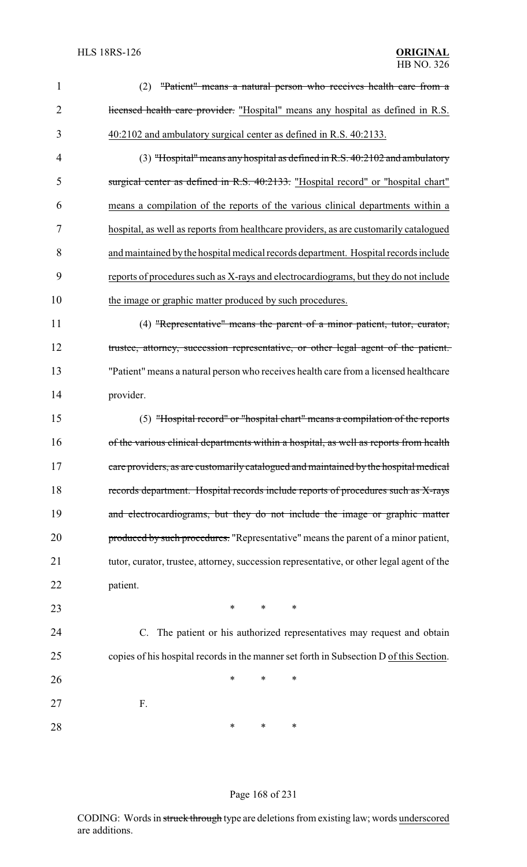| $\mathbf{1}$   | "Patient" means a natural person who receives health care from a<br>(2)                   |
|----------------|-------------------------------------------------------------------------------------------|
| $\overline{2}$ | licensed health care provider. "Hospital" means any hospital as defined in R.S.           |
| 3              | 40:2102 and ambulatory surgical center as defined in R.S. 40:2133.                        |
| 4              | $(3)$ "Hospital" means any hospital as defined in R.S. 40:2102 and ambulatory             |
| 5              | surgical center as defined in R.S. 40:2133. "Hospital record" or "hospital chart"         |
| 6              | means a compilation of the reports of the various clinical departments within a           |
| 7              | hospital, as well as reports from healthcare providers, as are customarily catalogued     |
| 8              | and maintained by the hospital medical records department. Hospital records include       |
| 9              | reports of procedures such as X-rays and electrocardiograms, but they do not include      |
| 10             | the image or graphic matter produced by such procedures.                                  |
| 11             | (4) "Representative" means the parent of a minor patient, tutor, curator,                 |
| 12             | trustee, attorney, succession representative, or other legal agent of the patient.        |
| 13             | "Patient" means a natural person who receives health care from a licensed healthcare      |
| 14             | provider.                                                                                 |
| 15             | (5) "Hospital record" or "hospital chart" means a compilation of the reports              |
| 16             | of the various clinical departments within a hospital, as well as reports from health     |
| 17             | care providers, as are customarily catalogued and maintained by the hospital medical      |
| 18             | records department. Hospital records include reports of procedures such as X-rays         |
| 19             | and electrocardiograms, but they do not include the image or graphic matter               |
| 20             | produced by such procedures. "Representative" means the parent of a minor patient,        |
| 21             | tutor, curator, trustee, attorney, succession representative, or other legal agent of the |
| 22             | patient.                                                                                  |
| 23             | $\ast$<br>$\ast$<br>$\ast$                                                                |
| 24             | C. The patient or his authorized representatives may request and obtain                   |
| 25             | copies of his hospital records in the manner set forth in Subsection D of this Section.   |
| 26             | ∗<br>*<br>∗                                                                               |
| 27             | F.                                                                                        |
| 28             | $\ast$<br>*<br>∗                                                                          |

### Page 168 of 231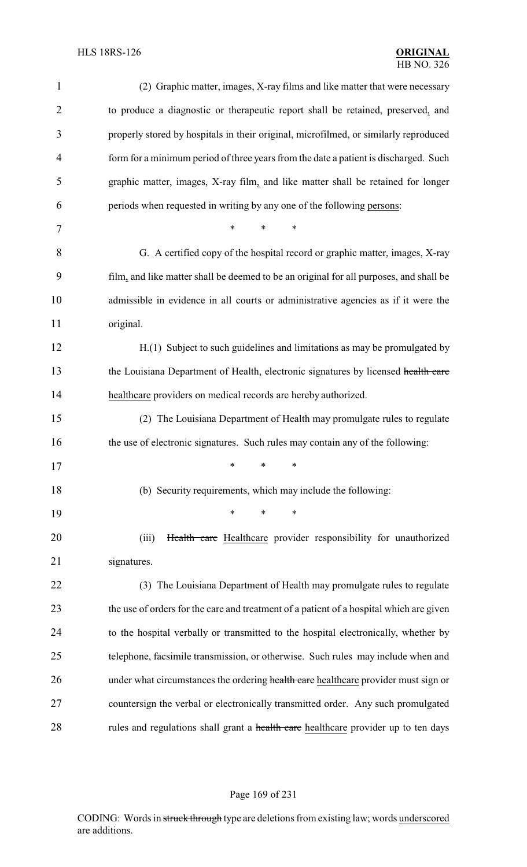| $\mathbf{1}$   | (2) Graphic matter, images, X-ray films and like matter that were necessary             |
|----------------|-----------------------------------------------------------------------------------------|
| $\overline{2}$ | to produce a diagnostic or therapeutic report shall be retained, preserved, and         |
| 3              | properly stored by hospitals in their original, microfilmed, or similarly reproduced    |
| 4              | form for a minimum period of three years from the date a patient is discharged. Such    |
| 5              | graphic matter, images, X-ray film, and like matter shall be retained for longer        |
| 6              | periods when requested in writing by any one of the following persons:                  |
| 7              | $\ast$<br>$\ast$<br>*                                                                   |
| 8              | G. A certified copy of the hospital record or graphic matter, images, X-ray             |
| 9              | film, and like matter shall be deemed to be an original for all purposes, and shall be  |
| 10             | admissible in evidence in all courts or administrative agencies as if it were the       |
| 11             | original.                                                                               |
| 12             | H.(1) Subject to such guidelines and limitations as may be promulgated by               |
| 13             | the Louisiana Department of Health, electronic signatures by licensed health care       |
| 14             | healthcare providers on medical records are hereby authorized.                          |
| 15             | (2) The Louisiana Department of Health may promulgate rules to regulate                 |
| 16             | the use of electronic signatures. Such rules may contain any of the following:          |
| 17             | ∗<br>∗<br>∗                                                                             |
| 18             | (b) Security requirements, which may include the following:                             |
| 19             | *<br>*<br>∗                                                                             |
| 20             | Health care Healthcare provider responsibility for unauthorized<br>(iii)                |
| 21             | signatures.                                                                             |
| 22             | (3) The Louisiana Department of Health may promulgate rules to regulate                 |
| 23             | the use of orders for the care and treatment of a patient of a hospital which are given |
| 24             | to the hospital verbally or transmitted to the hospital electronically, whether by      |
| 25             | telephone, facsimile transmission, or otherwise. Such rules may include when and        |
| 26             | under what circumstances the ordering health care healthcare provider must sign or      |
| 27             | countersign the verbal or electronically transmitted order. Any such promulgated        |
| 28             | rules and regulations shall grant a health care healthcare provider up to ten days      |

# Page 169 of 231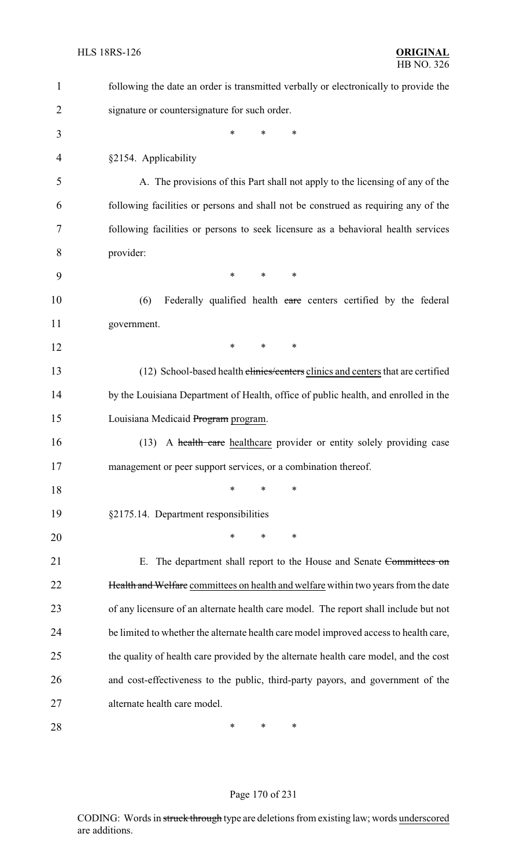| $\mathbf{1}$   | following the date an order is transmitted verbally or electronically to provide the  |
|----------------|---------------------------------------------------------------------------------------|
| $\overline{2}$ | signature or countersignature for such order.                                         |
| 3              | *<br>*<br>*                                                                           |
| 4              | §2154. Applicability                                                                  |
| 5              | A. The provisions of this Part shall not apply to the licensing of any of the         |
| 6              | following facilities or persons and shall not be construed as requiring any of the    |
| 7              | following facilities or persons to seek licensure as a behavioral health services     |
| 8              | provider:                                                                             |
| 9              | $\ast$<br>$\ast$<br>$\ast$                                                            |
| 10             | (6)<br>Federally qualified health care centers certified by the federal               |
| 11             | government.                                                                           |
| 12             | $\ast$<br>*<br>∗                                                                      |
| 13             | (12) School-based health clinics/centers clinics and centers that are certified       |
| 14             | by the Louisiana Department of Health, office of public health, and enrolled in the   |
| 15             | Louisiana Medicaid Program program.                                                   |
| 16             | A health care healthcare provider or entity solely providing case<br>(13)             |
| 17             | management or peer support services, or a combination thereof.                        |
| 18             | ∗<br>*<br>∗                                                                           |
| 19             | §2175.14. Department responsibilities                                                 |
| 20             | *<br>*<br>∗                                                                           |
| 21             | The department shall report to the House and Senate Committees on<br>Е.               |
| 22             | Health and Welfare committees on health and welfare within two years from the date    |
| 23             | of any licensure of an alternate health care model. The report shall include but not  |
| 24             | be limited to whether the alternate health care model improved access to health care, |
| 25             | the quality of health care provided by the alternate health care model, and the cost  |
| 26             | and cost-effectiveness to the public, third-party payors, and government of the       |
| 27             | alternate health care model.                                                          |
| 28             | ∗<br>$\ast$<br>∗                                                                      |

# Page 170 of 231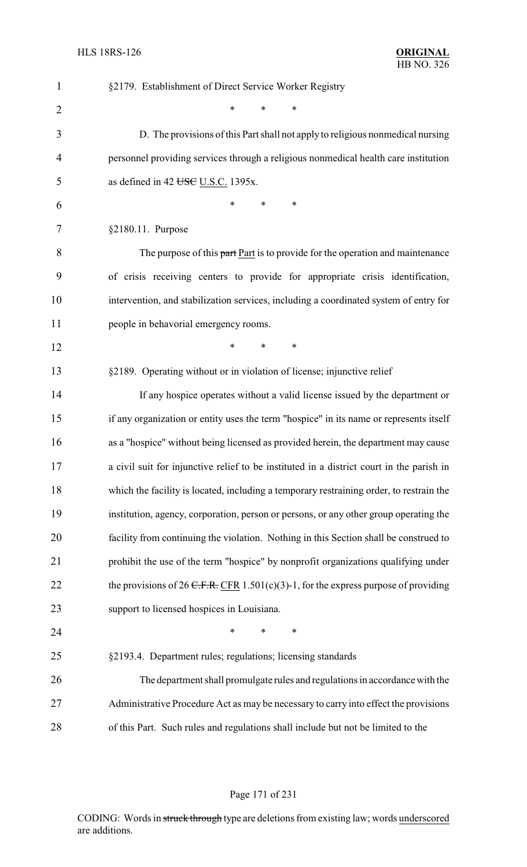| $\mathbf{1}$   | §2179. Establishment of Direct Service Worker Registry                                   |
|----------------|------------------------------------------------------------------------------------------|
| $\overline{2}$ | *<br>$\ast$<br>∗                                                                         |
| 3              | D. The provisions of this Part shall not apply to religious nonmedical nursing           |
| 4              | personnel providing services through a religious nonmedical health care institution      |
| 5              | as defined in 42 USC U.S.C. 1395x.                                                       |
| 6              | $\ast$<br>$\ast$<br>*                                                                    |
| 7              | §2180.11. Purpose                                                                        |
| 8              | The purpose of this part Part is to provide for the operation and maintenance            |
| 9              | of crisis receiving centers to provide for appropriate crisis identification,            |
| 10             | intervention, and stabilization services, including a coordinated system of entry for    |
| 11             | people in behavorial emergency rooms.                                                    |
| 12             | *<br>$\ast$<br>∗                                                                         |
| 13             | §2189. Operating without or in violation of license; injunctive relief                   |
| 14             | If any hospice operates without a valid license issued by the department or              |
| 15             | if any organization or entity uses the term "hospice" in its name or represents itself   |
| 16             | as a "hospice" without being licensed as provided herein, the department may cause       |
| 17             | a civil suit for injunctive relief to be instituted in a district court in the parish in |
| 18             | which the facility is located, including a temporary restraining order, to restrain the  |
| 19             | institution, agency, corporation, person or persons, or any other group operating the    |
| 20             | facility from continuing the violation. Nothing in this Section shall be construed to    |
| 21             | prohibit the use of the term "hospice" by nonprofit organizations qualifying under       |
| 22             | the provisions of 26 C.F.R. CFR 1.501(c)(3)-1, for the express purpose of providing      |
| 23             | support to licensed hospices in Louisiana.                                               |
| 24             | *<br>∗<br>∗                                                                              |
| 25             | §2193.4. Department rules; regulations; licensing standards                              |
| 26             | The department shall promulgate rules and regulations in accordance with the             |
| 27             | Administrative Procedure Act as may be necessary to carry into effect the provisions     |
| 28             | of this Part. Such rules and regulations shall include but not be limited to the         |

Page 171 of 231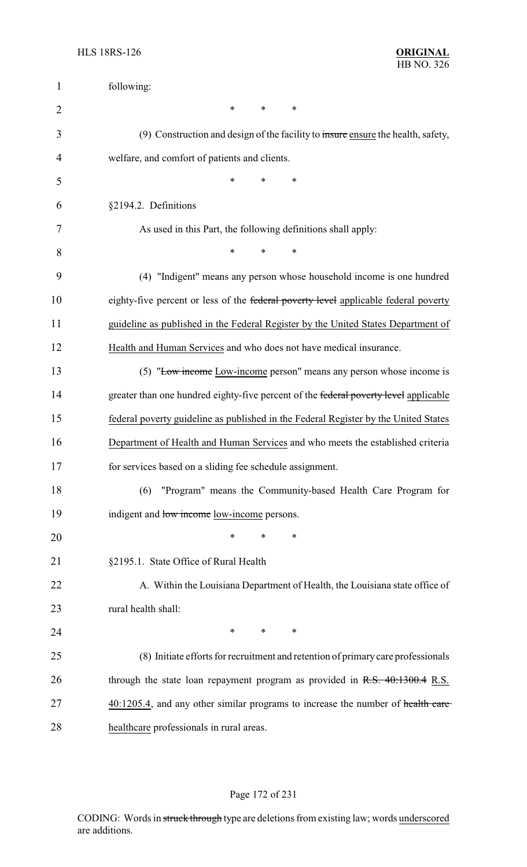| $\mathbf{1}$   | following:                                                                           |
|----------------|--------------------------------------------------------------------------------------|
| $\overline{2}$ | ∗<br>$\ast$<br>∗                                                                     |
| 3              | (9) Construction and design of the facility to insure ensure the health, safety,     |
| 4              | welfare, and comfort of patients and clients.                                        |
| 5              | *<br>*<br>*                                                                          |
| 6              | §2194.2. Definitions                                                                 |
| 7              | As used in this Part, the following definitions shall apply:                         |
| 8              | $\ast$<br>*<br>$\ast$                                                                |
| 9              | (4) "Indigent" means any person whose household income is one hundred                |
| 10             | eighty-five percent or less of the federal poverty level applicable federal poverty  |
| 11             | guideline as published in the Federal Register by the United States Department of    |
| 12             | Health and Human Services and who does not have medical insurance.                   |
| 13             | (5) "Low income Low-income person" means any person whose income is                  |
| 14             | greater than one hundred eighty-five percent of the federal poverty level applicable |
| 15             | federal poverty guideline as published in the Federal Register by the United States  |
| 16             | Department of Health and Human Services and who meets the established criteria       |
| 17             | for services based on a sliding fee schedule assignment.                             |
| 18             | "Program" means the Community-based Health Care Program for<br>(6)                   |
| 19             | indigent and low income low-income persons.                                          |
| 20             | ∗<br>∗<br>∗                                                                          |
| 21             | §2195.1. State Office of Rural Health                                                |
| 22             | A. Within the Louisiana Department of Health, the Louisiana state office of          |
| 23             | rural health shall:                                                                  |
| 24             | $\ast$<br>$\ast$<br>$\ast$                                                           |
| 25             | (8) Initiate efforts for recruitment and retention of primary care professionals     |
| 26             | through the state loan repayment program as provided in $R.S. 40:1300.4 R.S.$        |
| 27             | 40:1205.4, and any other similar programs to increase the number of health care      |
| 28             | healthcare professionals in rural areas.                                             |

# Page 172 of 231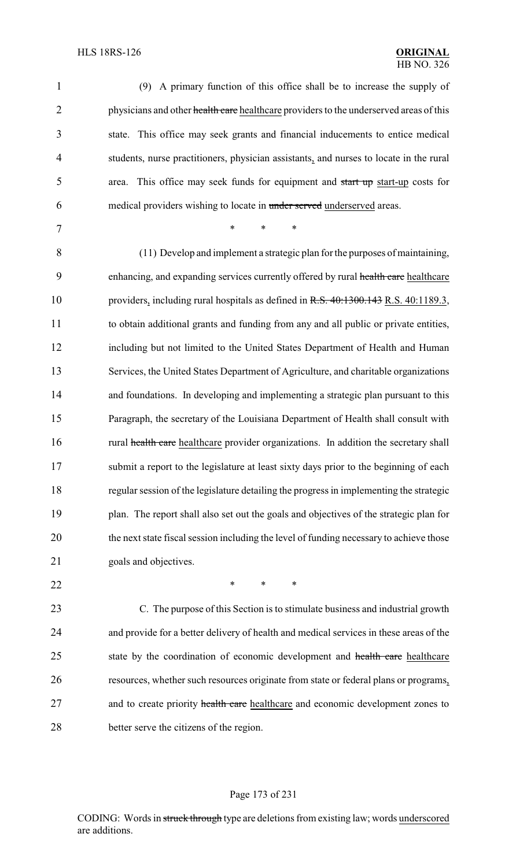| $\mathbf{1}$   | (9) A primary function of this office shall be to increase the supply of                |
|----------------|-----------------------------------------------------------------------------------------|
| $\overline{2}$ | physicians and other health care healthcare providers to the underserved areas of this  |
| 3              | state. This office may seek grants and financial inducements to entice medical          |
| 4              | students, nurse practitioners, physician assistants, and nurses to locate in the rural  |
| 5              | area. This office may seek funds for equipment and start up start-up costs for          |
| 6              | medical providers wishing to locate in under served underserved areas.                  |
| 7              | $\ast$<br>$\ast$<br>*                                                                   |
| 8              | (11) Develop and implement a strategic plan for the purposes of maintaining,            |
| 9              | enhancing, and expanding services currently offered by rural health care healthcare     |
| 10             | providers, including rural hospitals as defined in R.S. 40:1300.143 R.S. 40:1189.3,     |
| 11             | to obtain additional grants and funding from any and all public or private entities,    |
| 12             | including but not limited to the United States Department of Health and Human           |
| 13             | Services, the United States Department of Agriculture, and charitable organizations     |
| 14             | and foundations. In developing and implementing a strategic plan pursuant to this       |
| 15             | Paragraph, the secretary of the Louisiana Department of Health shall consult with       |
| 16             | rural health care healthcare provider organizations. In addition the secretary shall    |
| 17             | submit a report to the legislature at least sixty days prior to the beginning of each   |
| 18             | regular session of the legislature detailing the progress in implementing the strategic |
| 19             | plan. The report shall also set out the goals and objectives of the strategic plan for  |
| 20             | the next state fiscal session including the level of funding necessary to achieve those |
| 21             | goals and objectives.                                                                   |
| 22             | $\ast$<br>$\ast$<br>∗                                                                   |
| 23             | C. The purpose of this Section is to stimulate business and industrial growth           |
| 24             | and provide for a better delivery of health and medical services in these areas of the  |
| 25             | state by the coordination of economic development and health care healthcare            |
| 26             | resources, whether such resources originate from state or federal plans or programs,    |
| 27             | and to create priority health care healthcare and economic development zones to         |
| 28             | better serve the citizens of the region.                                                |

# Page 173 of 231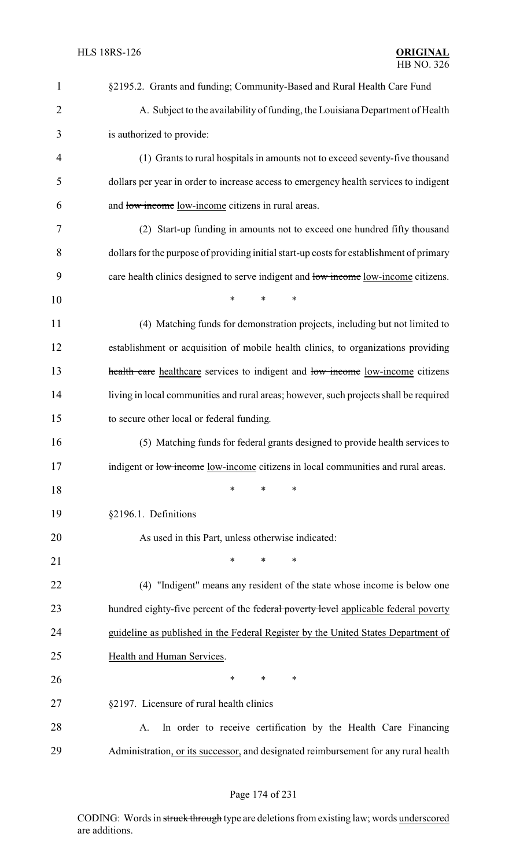| $\mathbf{1}$   | §2195.2. Grants and funding; Community-Based and Rural Health Care Fund                  |
|----------------|------------------------------------------------------------------------------------------|
| $\overline{2}$ | A. Subject to the availability of funding, the Louisiana Department of Health            |
| 3              | is authorized to provide:                                                                |
| 4              | (1) Grants to rural hospitals in amounts not to exceed seventy-five thousand             |
| 5              | dollars per year in order to increase access to emergency health services to indigent    |
| 6              | and low income low-income citizens in rural areas.                                       |
| 7              | (2) Start-up funding in amounts not to exceed one hundred fifty thousand                 |
| 8              | dollars for the purpose of providing initial start-up costs for establishment of primary |
| 9              | care health clinics designed to serve indigent and low income low-income citizens.       |
| 10             | $\ast$<br>$\ast$<br>*                                                                    |
| 11             | (4) Matching funds for demonstration projects, including but not limited to              |
| 12             | establishment or acquisition of mobile health clinics, to organizations providing        |
| 13             | health care healthcare services to indigent and low income low-income citizens           |
| 14             | living in local communities and rural areas; however, such projects shall be required    |
| 15             | to secure other local or federal funding.                                                |
| 16             | (5) Matching funds for federal grants designed to provide health services to             |
| 17             | indigent or low income low-income citizens in local communities and rural areas.         |
| 18             | $\ast$<br>*<br>∗                                                                         |
| 19             | §2196.1. Definitions                                                                     |
| 20             | As used in this Part, unless otherwise indicated:                                        |
| 21             | $\ast$<br>*<br>*                                                                         |
| 22             | (4) "Indigent" means any resident of the state whose income is below one                 |
| 23             | hundred eighty-five percent of the federal poverty level applicable federal poverty      |
| 24             | guideline as published in the Federal Register by the United States Department of        |
| 25             | Health and Human Services.                                                               |
| 26             | $\ast$<br>$\ast$<br>*                                                                    |
| 27             | §2197. Licensure of rural health clinics                                                 |
| 28             | In order to receive certification by the Health Care Financing<br>А.                     |
| 29             | Administration, or its successor, and designated reimbursement for any rural health      |

# Page 174 of 231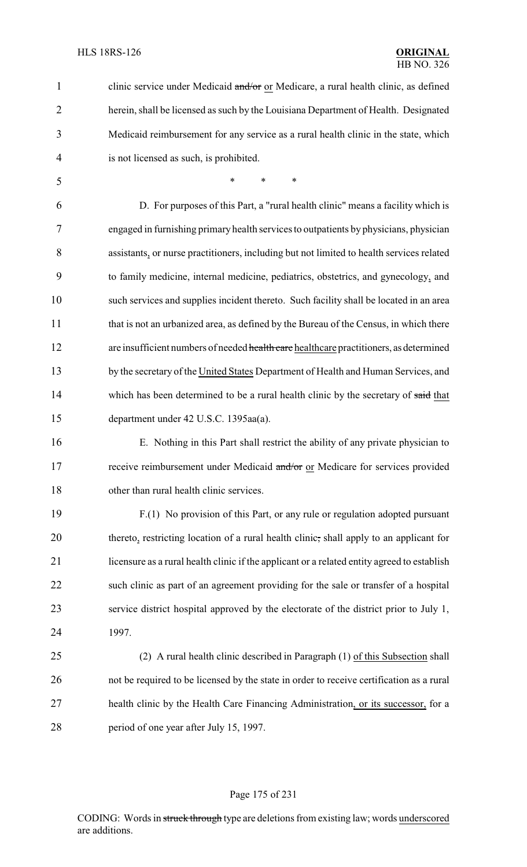| $\mathbf{1}$   | clinic service under Medicaid and/or or Medicare, a rural health clinic, as defined         |
|----------------|---------------------------------------------------------------------------------------------|
| $\overline{2}$ | herein, shall be licensed as such by the Louisiana Department of Health. Designated         |
| 3              | Medicaid reimbursement for any service as a rural health clinic in the state, which         |
| 4              | is not licensed as such, is prohibited.                                                     |
| 5              | *<br>$\ast$<br>∗                                                                            |
| 6              | D. For purposes of this Part, a "rural health clinic" means a facility which is             |
| 7              | engaged in furnishing primary health services to outpatients by physicians, physician       |
| 8              | assistants, or nurse practitioners, including but not limited to health services related    |
| 9              | to family medicine, internal medicine, pediatrics, obstetrics, and gynecology, and          |
| 10             | such services and supplies incident thereto. Such facility shall be located in an area      |
| 11             | that is not an urbanized area, as defined by the Bureau of the Census, in which there       |
| 12             | are insufficient numbers of needed health care healthcare practitioners, as determined      |
| 13             | by the secretary of the United States Department of Health and Human Services, and          |
| 14             | which has been determined to be a rural health clinic by the secretary of said that         |
| 15             | department under 42 U.S.C. 1395aa(a).                                                       |
| 16             | E. Nothing in this Part shall restrict the ability of any private physician to              |
| 17             | receive reimbursement under Medicaid and/or or Medicare for services provided               |
| 18             | other than rural health clinic services.                                                    |
| 19             | F.(1) No provision of this Part, or any rule or regulation adopted pursuant                 |
| 20             | thereto, restricting location of a rural health clinic, shall apply to an applicant for     |
| 21             | licensure as a rural health clinic if the applicant or a related entity agreed to establish |
| 22             | such clinic as part of an agreement providing for the sale or transfer of a hospital        |
| 23             | service district hospital approved by the electorate of the district prior to July 1,       |
| 24             | 1997.                                                                                       |
| 25             | (2) A rural health clinic described in Paragraph (1) of this Subsection shall               |
| 26             | not be required to be licensed by the state in order to receive certification as a rural    |
| 27             | health clinic by the Health Care Financing Administration, or its successor, for a          |
| 28             | period of one year after July 15, 1997.                                                     |

# Page 175 of 231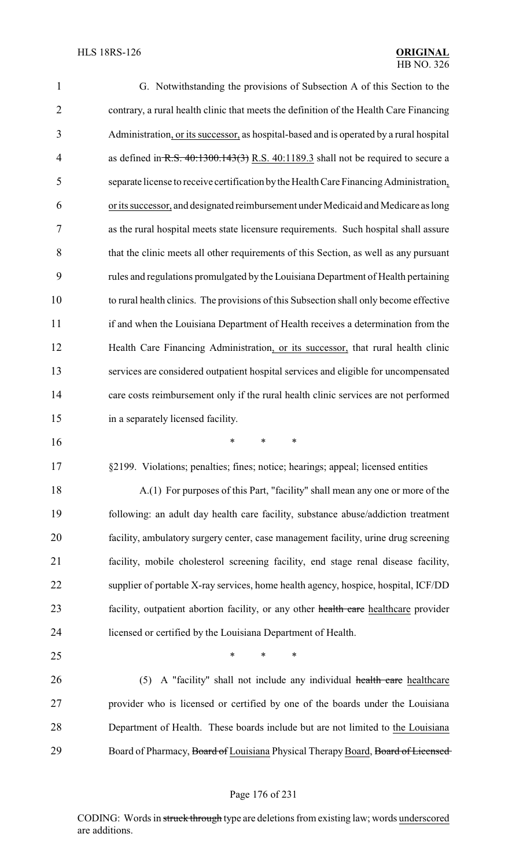| 1              | G. Notwithstanding the provisions of Subsection A of this Section to the                |
|----------------|-----------------------------------------------------------------------------------------|
| $\overline{2}$ | contrary, a rural health clinic that meets the definition of the Health Care Financing  |
| 3              | Administration, or its successor, as hospital-based and is operated by a rural hospital |
| $\overline{4}$ | as defined in R.S. $40:1300.143(3)$ R.S. $40:1189.3$ shall not be required to secure a  |
| 5              | separate license to receive certification by the Health Care Financing Administration,  |
| 6              | or its successor, and designated reimbursement under Medicaid and Medicare as long      |
| 7              | as the rural hospital meets state licensure requirements. Such hospital shall assure    |
| 8              | that the clinic meets all other requirements of this Section, as well as any pursuant   |
| 9              | rules and regulations promulgated by the Louisiana Department of Health pertaining      |
| 10             | to rural health clinics. The provisions of this Subsection shall only become effective  |
| 11             | if and when the Louisiana Department of Health receives a determination from the        |
| 12             | Health Care Financing Administration, or its successor, that rural health clinic        |
| 13             | services are considered outpatient hospital services and eligible for uncompensated     |
| 14             | care costs reimbursement only if the rural health clinic services are not performed     |
|                |                                                                                         |
| 15             | in a separately licensed facility.                                                      |
| 16             | *<br>*<br>$\ast$                                                                        |
| 17             | §2199. Violations; penalties; fines; notice; hearings; appeal; licensed entities        |
| 18             | A.(1) For purposes of this Part, "facility" shall mean any one or more of the           |
| 19             | following: an adult day health care facility, substance abuse/addiction treatment       |
| 20             | facility, ambulatory surgery center, case management facility, urine drug screening     |
| 21             | facility, mobile cholesterol screening facility, end stage renal disease facility,      |
| 22             | supplier of portable X-ray services, home health agency, hospice, hospital, ICF/DD      |
| 23             | facility, outpatient abortion facility, or any other health care healthcare provider    |
| 24             | licensed or certified by the Louisiana Department of Health.                            |
| 25             | $\ast$<br>$\ast$<br>*                                                                   |
| 26             | A "facility" shall not include any individual health care healthcare<br>(5)             |
| 27             | provider who is licensed or certified by one of the boards under the Louisiana          |
| 28             | Department of Health. These boards include but are not limited to the Louisiana         |

# Page 176 of 231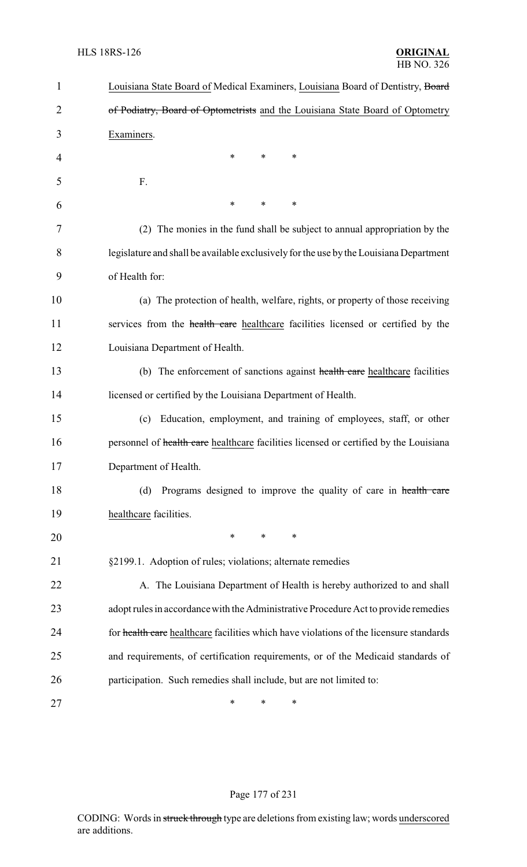| $\mathbf{1}$ | Louisiana State Board of Medical Examiners, Louisiana Board of Dentistry, Board        |
|--------------|----------------------------------------------------------------------------------------|
| 2            | of Podiatry, Board of Optometrists and the Louisiana State Board of Optometry          |
| 3            | Examiners.                                                                             |
| 4            | $\ast$<br>*<br>$\ast$                                                                  |
| 5            | F.                                                                                     |
| 6            | *<br>$\ast$<br>*                                                                       |
| 7            | (2) The monies in the fund shall be subject to annual appropriation by the             |
| 8            | legislature and shall be available exclusively for the use by the Louisiana Department |
| 9            | of Health for:                                                                         |
| 10           | (a) The protection of health, welfare, rights, or property of those receiving          |
| 11           | services from the health care healthcare facilities licensed or certified by the       |
| 12           | Louisiana Department of Health.                                                        |
| 13           | (b) The enforcement of sanctions against health care healthcare facilities             |
| 14           | licensed or certified by the Louisiana Department of Health.                           |
| 15           | Education, employment, and training of employees, staff, or other<br>(c)               |
| 16           | personnel of health care healthcare facilities licensed or certified by the Louisiana  |
| 17           | Department of Health.                                                                  |
| 18           | Programs designed to improve the quality of care in health care<br>(d)                 |
| 19           | healthcare facilities.                                                                 |
| 20           | ∗<br>*<br>∗                                                                            |
| 21           | §2199.1. Adoption of rules; violations; alternate remedies                             |
| 22           | A. The Louisiana Department of Health is hereby authorized to and shall                |
| 23           | adopt rules in accordance with the Administrative Procedure Act to provide remedies    |
| 24           | for health care healthcare facilities which have violations of the licensure standards |
| 25           | and requirements, of certification requirements, or of the Medicaid standards of       |
| 26           | participation. Such remedies shall include, but are not limited to:                    |
| 27           | ∗<br>∗<br>∗                                                                            |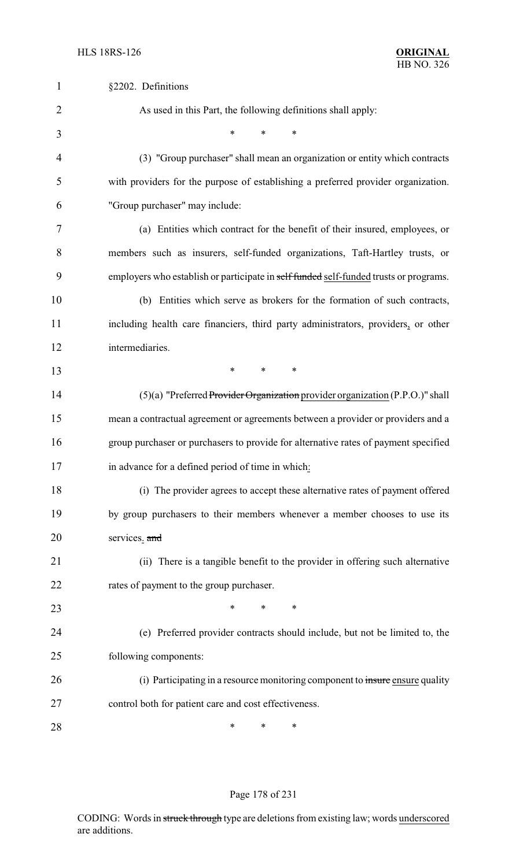| 1              | §2202. Definitions                                                                    |
|----------------|---------------------------------------------------------------------------------------|
| $\overline{2}$ | As used in this Part, the following definitions shall apply:                          |
| 3              | $\ast$<br>*<br>*                                                                      |
| $\overline{4}$ | (3) "Group purchaser" shall mean an organization or entity which contracts            |
| 5              | with providers for the purpose of establishing a preferred provider organization.     |
| 6              | "Group purchaser" may include:                                                        |
| 7              | (a) Entities which contract for the benefit of their insured, employees, or           |
| 8              | members such as insurers, self-funded organizations, Taft-Hartley trusts, or          |
| 9              | employers who establish or participate in self funded self-funded trusts or programs. |
| 10             | (b) Entities which serve as brokers for the formation of such contracts,              |
| 11             | including health care financiers, third party administrators, providers, or other     |
| 12             | intermediaries.                                                                       |
| 13             | $\ast$<br>$\ast$<br>∗                                                                 |
| 14             | $(5)(a)$ "Preferred Provider Organization provider organization (P.P.O.)" shall       |
| 15             | mean a contractual agreement or agreements between a provider or providers and a      |
| 16             | group purchaser or purchasers to provide for alternative rates of payment specified   |
| 17             | in advance for a defined period of time in which:                                     |
| 18             | (i) The provider agrees to accept these alternative rates of payment offered          |
| 19             | by group purchasers to their members whenever a member chooses to use its             |
| 20             | services. and                                                                         |
| 21             | (ii) There is a tangible benefit to the provider in offering such alternative         |
| 22             | rates of payment to the group purchaser.                                              |
| 23             | $\ast$<br>∗<br>∗                                                                      |
| 24             | (e) Preferred provider contracts should include, but not be limited to, the           |
| 25             | following components:                                                                 |
| 26             | (i) Participating in a resource monitoring component to insure ensure quality         |
| 27             | control both for patient care and cost effectiveness.                                 |
| 28             | ∗<br>∗<br>∗                                                                           |

# Page 178 of 231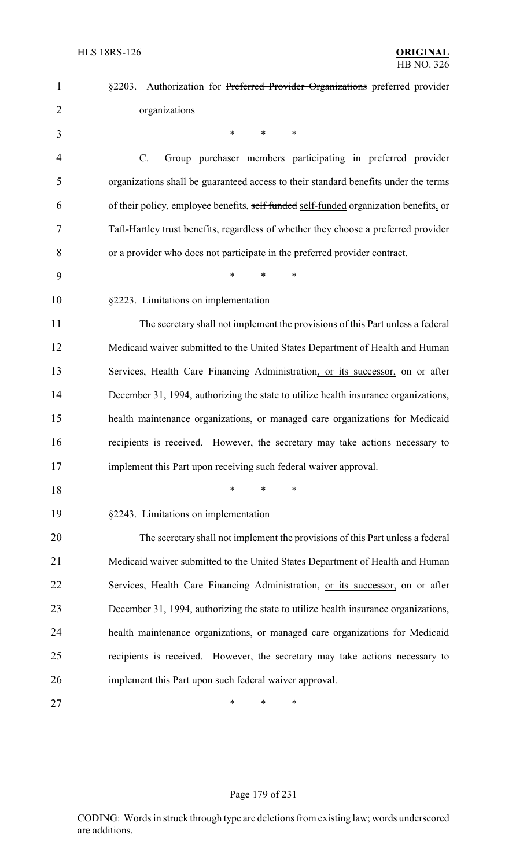| $\mathbf{1}$   | §2203. Authorization for Preferred Provider Organizations preferred provider          |
|----------------|---------------------------------------------------------------------------------------|
| $\overline{2}$ | organizations                                                                         |
| 3              | $\ast$<br>$\ast$<br>∗                                                                 |
| 4              | C.<br>Group purchaser members participating in preferred provider                     |
| 5              | organizations shall be guaranteed access to their standard benefits under the terms   |
| 6              | of their policy, employee benefits, self funded self-funded organization benefits, or |
| 7              | Taft-Hartley trust benefits, regardless of whether they choose a preferred provider   |
| 8              | or a provider who does not participate in the preferred provider contract.            |
| 9              | $\ast$<br>*<br>*                                                                      |
| 10             | §2223. Limitations on implementation                                                  |
| 11             | The secretary shall not implement the provisions of this Part unless a federal        |
| 12             | Medicaid waiver submitted to the United States Department of Health and Human         |
| 13             | Services, Health Care Financing Administration, or its successor, on or after         |
| 14             | December 31, 1994, authorizing the state to utilize health insurance organizations,   |
| 15             | health maintenance organizations, or managed care organizations for Medicaid          |
| 16             | recipients is received. However, the secretary may take actions necessary to          |
| 17             | implement this Part upon receiving such federal waiver approval.                      |
| 18             | *<br>*<br>∗                                                                           |
| 19             | §2243. Limitations on implementation                                                  |
| 20             | The secretary shall not implement the provisions of this Part unless a federal        |
| 21             | Medicaid waiver submitted to the United States Department of Health and Human         |
| 22             | Services, Health Care Financing Administration, or its successor, on or after         |
| 23             | December 31, 1994, authorizing the state to utilize health insurance organizations,   |
| 24             | health maintenance organizations, or managed care organizations for Medicaid          |
| 25             | recipients is received. However, the secretary may take actions necessary to          |
| 26             | implement this Part upon such federal waiver approval.                                |
| 27             | ∗<br>∗<br>∗                                                                           |

# Page 179 of 231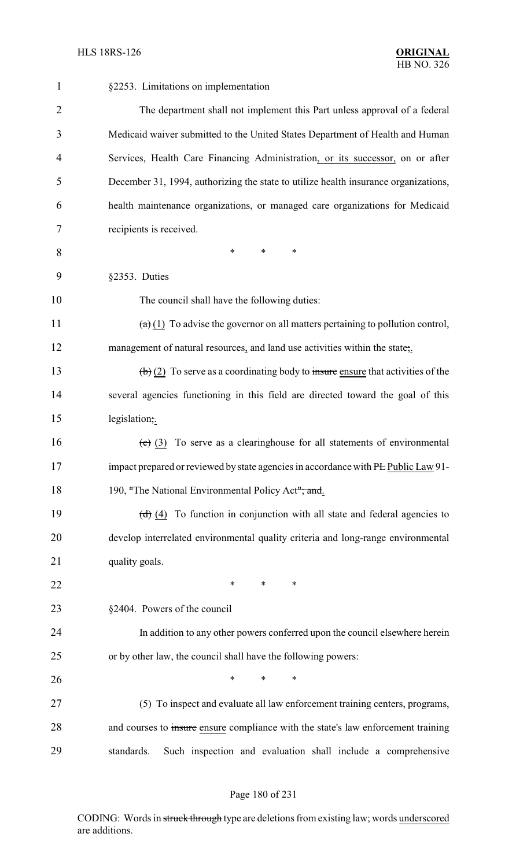| 1              | §2253. Limitations on implementation                                                                   |
|----------------|--------------------------------------------------------------------------------------------------------|
| $\overline{2}$ | The department shall not implement this Part unless approval of a federal                              |
| 3              | Medicaid waiver submitted to the United States Department of Health and Human                          |
| 4              | Services, Health Care Financing Administration, or its successor, on or after                          |
| 5              | December 31, 1994, authorizing the state to utilize health insurance organizations,                    |
| 6              | health maintenance organizations, or managed care organizations for Medicaid                           |
| 7              | recipients is received.                                                                                |
| 8              | $\ast$<br>$\ast$<br>*                                                                                  |
| 9              | §2353. Duties                                                                                          |
| 10             | The council shall have the following duties:                                                           |
| 11             | $\left(\frac{a}{b}\right)$ (1) To advise the governor on all matters pertaining to pollution control,  |
| 12             | management of natural resources, and land use activities within the state,.                            |
| 13             | $\left(\frac{b}{c}\right)$ (2) To serve as a coordinating body to insure ensure that activities of the |
| 14             | several agencies functioning in this field are directed toward the goal of this                        |
| 15             | legislation;.                                                                                          |
| 16             | $\overline{(e)}$ (3) To serve as a clearinghouse for all statements of environmental                   |
| 17             | impact prepared or reviewed by state agencies in accordance with PL Public Law 91-                     |
| 18             | 190, "The National Environmental Policy Act"; and.                                                     |
| 19             | $(d)$ (4) To function in conjunction with all state and federal agencies to                            |
| 20             | develop interrelated environmental quality criteria and long-range environmental                       |
| 21             | quality goals.                                                                                         |
| 22             | ∗<br>∗<br>∗                                                                                            |
| 23             | §2404. Powers of the council                                                                           |
| 24             | In addition to any other powers conferred upon the council elsewhere herein                            |
| 25             | or by other law, the council shall have the following powers:                                          |
| 26             | $\ast$<br>$\ast$<br>*                                                                                  |
| 27             | (5) To inspect and evaluate all law enforcement training centers, programs,                            |
| 28             | and courses to insure ensure compliance with the state's law enforcement training                      |
| 29             | Such inspection and evaluation shall include a comprehensive<br>standards.                             |

# Page 180 of 231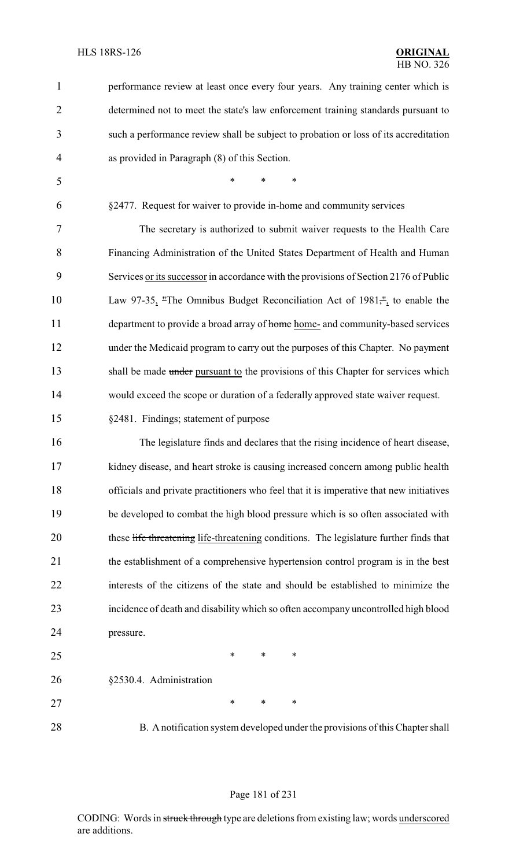| $\mathbf{1}$   | performance review at least once every four years. Any training center which is          |
|----------------|------------------------------------------------------------------------------------------|
| $\overline{2}$ | determined not to meet the state's law enforcement training standards pursuant to        |
| 3              | such a performance review shall be subject to probation or loss of its accreditation     |
| 4              | as provided in Paragraph (8) of this Section.                                            |
| 5              | $\ast$<br>$\ast$<br>$\ast$                                                               |
| 6              | §2477. Request for waiver to provide in-home and community services                      |
| 7              | The secretary is authorized to submit waiver requests to the Health Care                 |
| 8              | Financing Administration of the United States Department of Health and Human             |
| 9              | Services or its successor in accordance with the provisions of Section 2176 of Public    |
| 10             | Law 97-35, "The Omnibus Budget Reconciliation Act of $1981\frac{\mu}{\mu}$ to enable the |
| 11             | department to provide a broad array of home home- and community-based services           |
| 12             | under the Medicaid program to carry out the purposes of this Chapter. No payment         |
| 13             | shall be made under pursuant to the provisions of this Chapter for services which        |
| 14             | would exceed the scope or duration of a federally approved state waiver request.         |
| 15             | §2481. Findings; statement of purpose                                                    |
| 16             | The legislature finds and declares that the rising incidence of heart disease,           |
| 17             | kidney disease, and heart stroke is causing increased concern among public health        |
| 18             | officials and private practitioners who feel that it is imperative that new initiatives  |
| 19             | be developed to combat the high blood pressure which is so often associated with         |
| 20             | these life threatening life-threatening conditions. The legislature further finds that   |
| 21             | the establishment of a comprehensive hypertension control program is in the best         |
| 22             | interests of the citizens of the state and should be established to minimize the         |
| 23             | incidence of death and disability which so often accompany uncontrolled high blood       |
| 24             | pressure.                                                                                |

 $*$  \* \* \* §2530.4. Administration 27 \* \* \* \*

B. A notification system developed under the provisions of this Chapter shall

#### Page 181 of 231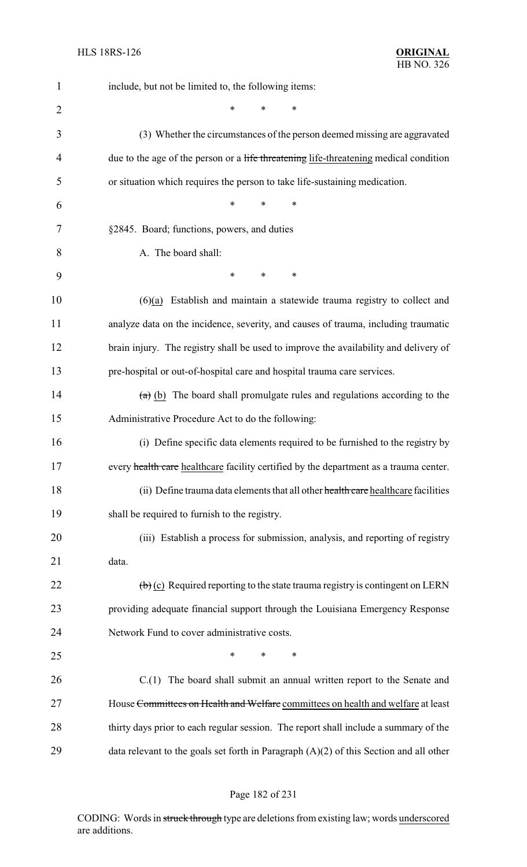| 1              | include, but not be limited to, the following items:                                                 |
|----------------|------------------------------------------------------------------------------------------------------|
| $\overline{2}$ | *<br>∗                                                                                               |
| 3              | (3) Whether the circumstances of the person deemed missing are aggravated                            |
| 4              | due to the age of the person or a life threatening life-threatening medical condition                |
| 5              | or situation which requires the person to take life-sustaining medication.                           |
| 6              | *<br>*<br>*                                                                                          |
| 7              | §2845. Board; functions, powers, and duties                                                          |
| 8              | A. The board shall:                                                                                  |
| 9              | $\ast$<br>*<br>∗                                                                                     |
| 10             | $(6)(a)$ Establish and maintain a statewide trauma registry to collect and                           |
| 11             | analyze data on the incidence, severity, and causes of trauma, including traumatic                   |
| 12             | brain injury. The registry shall be used to improve the availability and delivery of                 |
| 13             | pre-hospital or out-of-hospital care and hospital trauma care services.                              |
| 14             | $(a)$ (b) The board shall promulgate rules and regulations according to the                          |
| 15             | Administrative Procedure Act to do the following:                                                    |
| 16             | (i) Define specific data elements required to be furnished to the registry by                        |
| 17             | every health care healthcare facility certified by the department as a trauma center.                |
| 18             | (ii) Define trauma data elements that all other health care healthcare facilities                    |
| 19             | shall be required to furnish to the registry.                                                        |
| 20             | (iii) Establish a process for submission, analysis, and reporting of registry                        |
| 21             | data.                                                                                                |
| 22             | $\left(\frac{b}{c}\right)$ (c) Required reporting to the state trauma registry is contingent on LERN |
| 23             | providing adequate financial support through the Louisiana Emergency Response                        |
| 24             | Network Fund to cover administrative costs.                                                          |
| 25             | *<br>*<br>∗                                                                                          |
| 26             | $C(1)$ The board shall submit an annual written report to the Senate and                             |
| 27             | House Committees on Health and Welfare committees on health and welfare at least                     |
| 28             | thirty days prior to each regular session. The report shall include a summary of the                 |
| 29             | data relevant to the goals set forth in Paragraph $(A)(2)$ of this Section and all other             |

# Page 182 of 231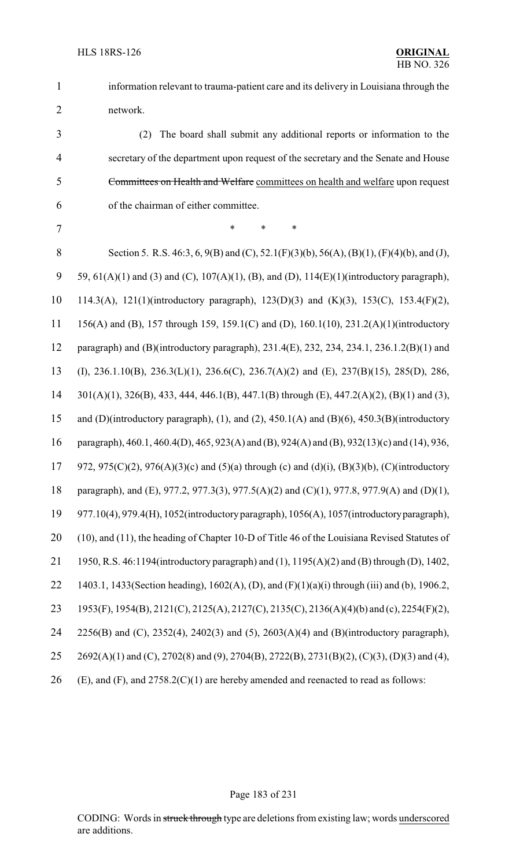information relevant to trauma-patient care and its delivery in Louisiana through the network.

 (2) The board shall submit any additional reports or information to the secretary of the department upon request of the secretary and the Senate and House Committees on Health and Welfare committees on health and welfare upon request of the chairman of either committee.

7 \* \* \* \*

8 Section 5. R.S. 46:3, 6, 9(B) and (C), 52.1(F)(3)(b), 56(A), (B)(1), (F)(4)(b), and (J), 9 59, 61(A)(1) and (3) and (C), 107(A)(1), (B), and (D), 114(E)(1)(introductory paragraph), 114.3(A), 121(1)(introductory paragraph), 123(D)(3) and (K)(3), 153(C), 153.4(F)(2), 156(A) and (B), 157 through 159, 159.1(C) and (D), 160.1(10), 231.2(A)(1)(introductory paragraph) and (B)(introductory paragraph), 231.4(E), 232, 234, 234.1, 236.1.2(B)(1) and (I), 236.1.10(B), 236.3(L)(1), 236.6(C), 236.7(A)(2) and (E), 237(B)(15), 285(D), 286, 301(A)(1), 326(B), 433, 444, 446.1(B), 447.1(B) through (E), 447.2(A)(2), (B)(1) and (3), and (D)(introductory paragraph), (1), and (2), 450.1(A) and (B)(6), 450.3(B)(introductory paragraph), 460.1, 460.4(D), 465, 923(A) and (B), 924(A) and (B), 932(13)(c) and (14), 936, 17 972, 975(C)(2), 976(A)(3)(c) and (5)(a) through (c) and (d)(i), (B)(3)(b), (C)(introductory paragraph), and (E), 977.2, 977.3(3), 977.5(A)(2) and (C)(1), 977.8, 977.9(A) and (D)(1), 977.10(4), 979.4(H), 1052(introductoryparagraph), 1056(A), 1057(introductoryparagraph), 20 (10), and (11), the heading of Chapter 10-D of Title 46 of the Louisiana Revised Statutes of 1950, R.S. 46:1194(introductory paragraph) and (1), 1195(A)(2) and (B) through (D), 1402, 1403.1, 1433(Section heading), 1602(A), (D), and (F)(1)(a)(i) through (iii) and (b), 1906.2, 1953(F), 1954(B), 2121(C), 2125(A), 2127(C), 2135(C), 2136(A)(4)(b) and (c), 2254(F)(2), 2256(B) and (C), 2352(4), 2402(3) and (5), 2603(A)(4) and (B)(introductory paragraph), 2692(A)(1) and (C), 2702(8) and (9), 2704(B), 2722(B), 2731(B)(2), (C)(3), (D)(3) and (4), 26 (E), and  $(F)$ , and  $2758.2(C)(1)$  are hereby amended and reenacted to read as follows:

#### Page 183 of 231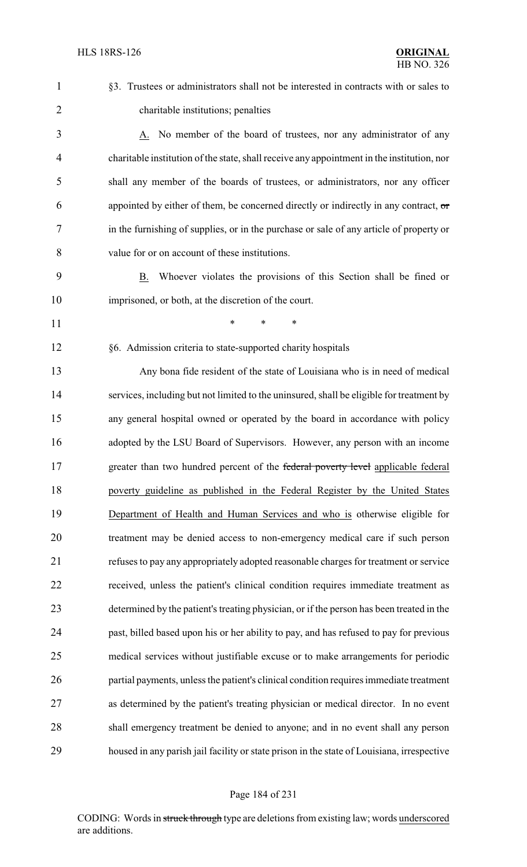| $\mathbf{1}$   | §3. Trustees or administrators shall not be interested in contracts with or sales to       |
|----------------|--------------------------------------------------------------------------------------------|
| $\overline{2}$ | charitable institutions; penalties                                                         |
| 3              | A. No member of the board of trustees, nor any administrator of any                        |
| $\overline{4}$ | charitable institution of the state, shall receive any appointment in the institution, nor |
| 5              | shall any member of the boards of trustees, or administrators, nor any officer             |
| 6              | appointed by either of them, be concerned directly or indirectly in any contract, or       |
| 7              | in the furnishing of supplies, or in the purchase or sale of any article of property or    |
| 8              | value for or on account of these institutions.                                             |
| 9              | Whoever violates the provisions of this Section shall be fined or<br>B.                    |
| 10             | imprisoned, or both, at the discretion of the court.                                       |
| 11             | *<br>*<br>∗                                                                                |
| 12             | §6. Admission criteria to state-supported charity hospitals                                |
| 13             | Any bona fide resident of the state of Louisiana who is in need of medical                 |
| 14             | services, including but not limited to the uninsured, shall be eligible for treatment by   |
| 15             | any general hospital owned or operated by the board in accordance with policy              |
| 16             | adopted by the LSU Board of Supervisors. However, any person with an income                |
| 17             | greater than two hundred percent of the federal poverty level applicable federal           |
| 18             | poverty guideline as published in the Federal Register by the United States                |
| 19             | Department of Health and Human Services and who is otherwise eligible for                  |
| 20             | treatment may be denied access to non-emergency medical care if such person                |
| 21             | refuses to pay any appropriately adopted reasonable charges for treatment or service       |
| 22             | received, unless the patient's clinical condition requires immediate treatment as          |
| 23             | determined by the patient's treating physician, or if the person has been treated in the   |
| 24             | past, billed based upon his or her ability to pay, and has refused to pay for previous     |
| 25             | medical services without justifiable excuse or to make arrangements for periodic           |
| 26             | partial payments, unless the patient's clinical condition requires immediate treatment     |
| 27             | as determined by the patient's treating physician or medical director. In no event         |
| 28             | shall emergency treatment be denied to anyone; and in no event shall any person            |
| 29             | housed in any parish jail facility or state prison in the state of Louisiana, irrespective |

# Page 184 of 231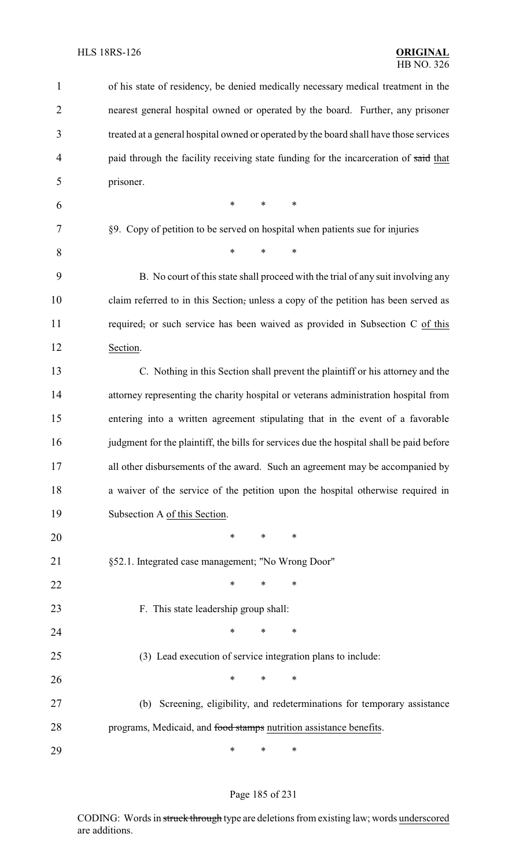| 1              | of his state of residency, be denied medically necessary medical treatment in the        |
|----------------|------------------------------------------------------------------------------------------|
| $\overline{2}$ | nearest general hospital owned or operated by the board. Further, any prisoner           |
| 3              | treated at a general hospital owned or operated by the board shall have those services   |
| 4              | paid through the facility receiving state funding for the incarceration of said that     |
| 5              | prisoner.                                                                                |
| 6              | $\ast$<br>$\ast$<br>$\ast$                                                               |
| 7              | §9. Copy of petition to be served on hospital when patients sue for injuries             |
| 8              | $\ast$<br>*<br>$\ast$                                                                    |
| 9              | B. No court of this state shall proceed with the trial of any suit involving any         |
| 10             | claim referred to in this Section, unless a copy of the petition has been served as      |
| 11             | required, or such service has been waived as provided in Subsection C of this            |
| 12             | Section.                                                                                 |
| 13             | C. Nothing in this Section shall prevent the plaintiff or his attorney and the           |
| 14             | attorney representing the charity hospital or veterans administration hospital from      |
| 15             | entering into a written agreement stipulating that in the event of a favorable           |
| 16             | judgment for the plaintiff, the bills for services due the hospital shall be paid before |
| 17             | all other disbursements of the award. Such an agreement may be accompanied by            |
| 18             | a waiver of the service of the petition upon the hospital otherwise required in          |
| 19             | Subsection A of this Section.                                                            |
| 20             | $\ast$<br>$\ast$<br>*                                                                    |
| 21             | §52.1. Integrated case management; "No Wrong Door"                                       |
| 22             | ∗<br>∗<br>∗                                                                              |
| 23             | F. This state leadership group shall:                                                    |
| 24             | *<br>*<br>∗                                                                              |
| 25             | (3) Lead execution of service integration plans to include:                              |
| 26             | *<br>*<br>∗                                                                              |
| 27             | (b) Screening, eligibility, and redeterminations for temporary assistance                |
| 28             | programs, Medicaid, and food stamps nutrition assistance benefits.                       |
| 29             | ∗<br>∗<br>∗                                                                              |

Page 185 of 231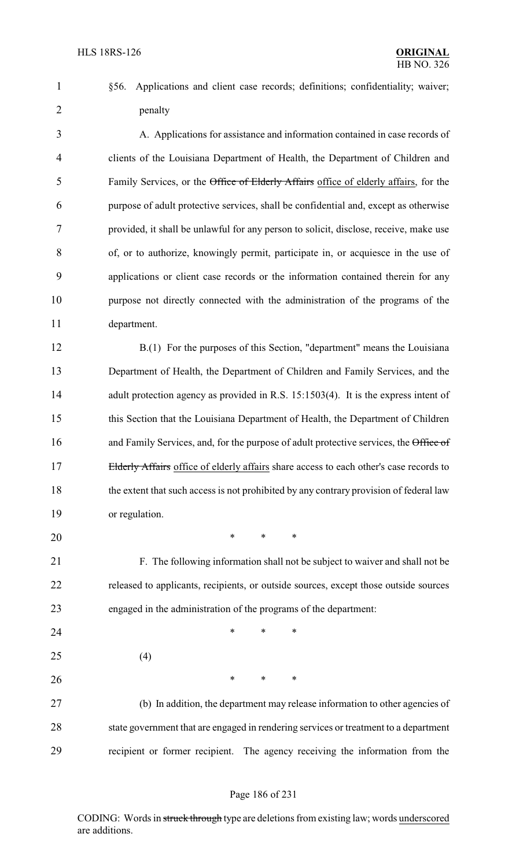§56. Applications and client case records; definitions; confidentiality; waiver; penalty

 A. Applications for assistance and information contained in case records of clients of the Louisiana Department of Health, the Department of Children and Family Services, or the Office of Elderly Affairs office of elderly affairs, for the purpose of adult protective services, shall be confidential and, except as otherwise provided, it shall be unlawful for any person to solicit, disclose, receive, make use of, or to authorize, knowingly permit, participate in, or acquiesce in the use of applications or client case records or the information contained therein for any purpose not directly connected with the administration of the programs of the department.

12 B.(1) For the purposes of this Section, "department" means the Louisiana Department of Health, the Department of Children and Family Services, and the 14 adult protection agency as provided in R.S. 15:1503(4). It is the express intent of this Section that the Louisiana Department of Health, the Department of Children 16 and Family Services, and, for the purpose of adult protective services, the Office of 17 Elderly Affairs office of elderly affairs share access to each other's case records to 18 the extent that such access is not prohibited by any contrary provision of federal law or regulation.

\* \* \*

 F. The following information shall not be subject to waiver and shall not be released to applicants, recipients, or outside sources, except those outside sources engaged in the administration of the programs of the department:

- **\*** \* \* \*
- (4)

**\*** \* \* \*

 (b) In addition, the department may release information to other agencies of state government that are engaged in rendering services or treatment to a department recipient or former recipient. The agency receiving the information from the

#### Page 186 of 231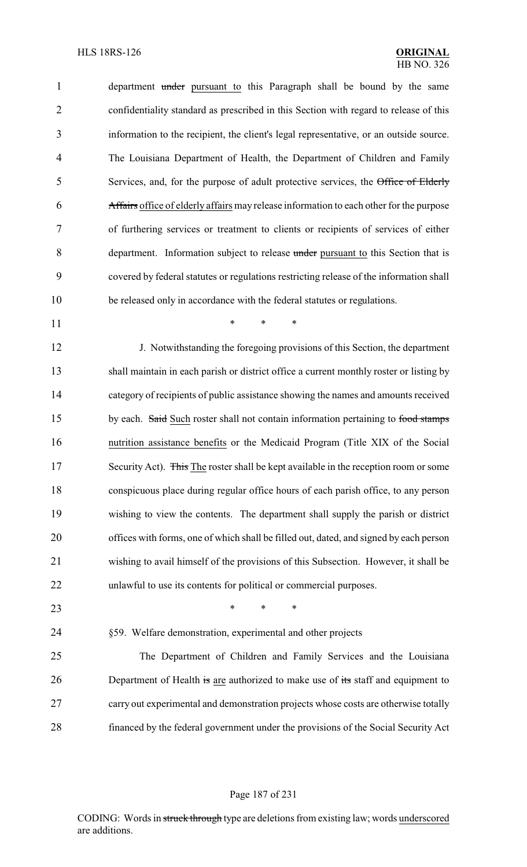1 department under pursuant to this Paragraph shall be bound by the same confidentiality standard as prescribed in this Section with regard to release of this information to the recipient, the client's legal representative, or an outside source. The Louisiana Department of Health, the Department of Children and Family Services, and, for the purpose of adult protective services, the Office of Elderly Affairs office of elderly affairs may release information to each other for the purpose of furthering services or treatment to clients or recipients of services of either department. Information subject to release under pursuant to this Section that is covered by federal statutes or regulations restricting release of the information shall be released only in accordance with the federal statutes or regulations.

**\*** \* \* \*

 J. Notwithstanding the foregoing provisions of this Section, the department shall maintain in each parish or district office a current monthly roster or listing by category of recipients of public assistance showing the names and amounts received 15 by each. Said Such roster shall not contain information pertaining to food stamps nutrition assistance benefits or the Medicaid Program (Title XIX of the Social 17 Security Act). This The roster shall be kept available in the reception room or some conspicuous place during regular office hours of each parish office, to any person wishing to view the contents. The department shall supply the parish or district offices with forms, one of which shall be filled out, dated, and signed by each person wishing to avail himself of the provisions of this Subsection. However, it shall be unlawful to use its contents for political or commercial purposes.

- **\*** \* \* \*
- §59. Welfare demonstration, experimental and other projects

 The Department of Children and Family Services and the Louisiana 26 Department of Health is are authorized to make use of its staff and equipment to carry out experimental and demonstration projects whose costs are otherwise totally financed by the federal government under the provisions of the Social Security Act

#### Page 187 of 231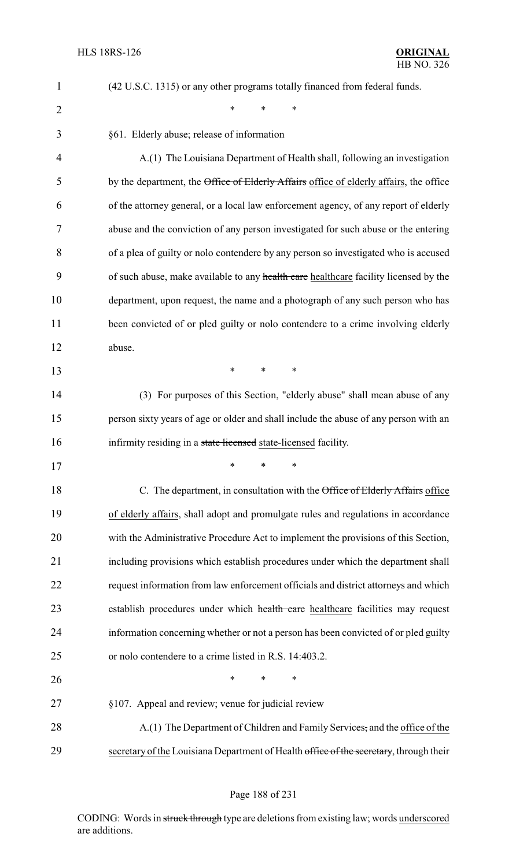| $\mathbf{1}$   | (42 U.S.C. 1315) or any other programs totally financed from federal funds.            |
|----------------|----------------------------------------------------------------------------------------|
| $\overline{2}$ | *<br>$\ast$<br>$\ast$                                                                  |
| 3              | §61. Elderly abuse; release of information                                             |
| 4              | A.(1) The Louisiana Department of Health shall, following an investigation             |
| 5              | by the department, the Office of Elderly Affairs office of elderly affairs, the office |
| 6              | of the attorney general, or a local law enforcement agency, of any report of elderly   |
| 7              | abuse and the conviction of any person investigated for such abuse or the entering     |
| 8              | of a plea of guilty or nolo contendere by any person so investigated who is accused    |
| 9              | of such abuse, make available to any health care healthcare facility licensed by the   |
| 10             | department, upon request, the name and a photograph of any such person who has         |
| 11             | been convicted of or pled guilty or nolo contendere to a crime involving elderly       |
| 12             | abuse.                                                                                 |
| 13             | $\ast$<br>$\ast$<br>$\ast$                                                             |
| 14             | (3) For purposes of this Section, "elderly abuse" shall mean abuse of any              |
| 15             | person sixty years of age or older and shall include the abuse of any person with an   |
| 16             | infirmity residing in a state licensed state-licensed facility.                        |
| 17             |                                                                                        |
| 18             | C. The department, in consultation with the Office of Elderly Affairs office           |
| 19             | of elderly affairs, shall adopt and promulgate rules and regulations in accordance     |
| 20             | with the Administrative Procedure Act to implement the provisions of this Section,     |
| 21             | including provisions which establish procedures under which the department shall       |
| 22             | request information from law enforcement officials and district attorneys and which    |
| 23             | establish procedures under which health care healthcare facilities may request         |
| 24             | information concerning whether or not a person has been convicted of or pled guilty    |
| 25             | or nolo contendere to a crime listed in R.S. 14:403.2.                                 |
| 26             | $\ast$<br>$\ast$<br>$\ast$                                                             |
| 27             | §107. Appeal and review; venue for judicial review                                     |
| 28             | A.(1) The Department of Children and Family Services, and the office of the            |
| 29             | secretary of the Louisiana Department of Health office of the secretary, through their |

# Page 188 of 231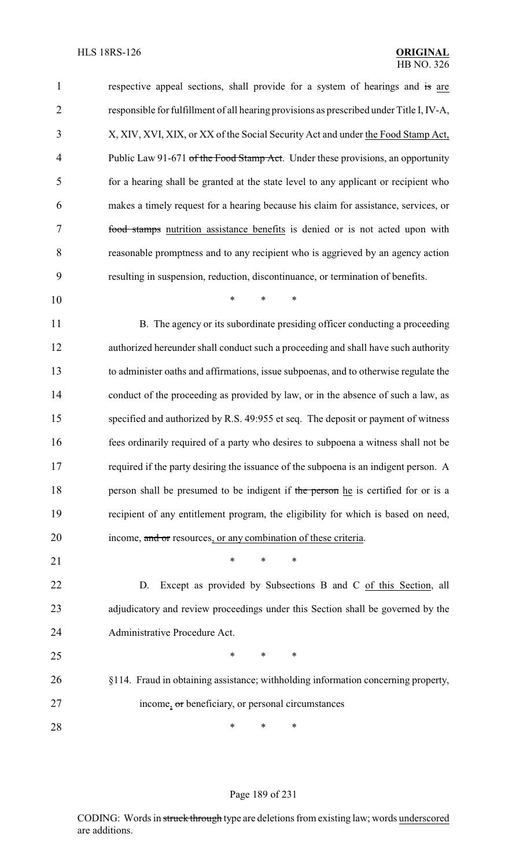| 1              | respective appeal sections, shall provide for a system of hearings and is are            |
|----------------|------------------------------------------------------------------------------------------|
| $\overline{2}$ | responsible for fulfillment of all hearing provisions as prescribed under Title I, IV-A, |
| 3              | X, XIV, XVI, XIX, or XX of the Social Security Act and under the Food Stamp Act,         |
| $\overline{4}$ | Public Law 91-671 of the Food Stamp Act. Under these provisions, an opportunity          |
| 5              | for a hearing shall be granted at the state level to any applicant or recipient who      |
| 6              | makes a timely request for a hearing because his claim for assistance, services, or      |
| 7              | food stamps nutrition assistance benefits is denied or is not acted upon with            |
| 8              | reasonable promptness and to any recipient who is aggrieved by an agency action          |
| 9              | resulting in suspension, reduction, discontinuance, or termination of benefits.          |
| 10             | $\ast$<br>$\ast$<br>$\ast$                                                               |
| 11             | B. The agency or its subordinate presiding officer conducting a proceeding               |
| 12             | authorized hereunder shall conduct such a proceeding and shall have such authority       |
| 13             | to administer oaths and affirmations, issue subpoenas, and to otherwise regulate the     |
| 14             | conduct of the proceeding as provided by law, or in the absence of such a law, as        |
| 15             | specified and authorized by R.S. 49:955 et seq. The deposit or payment of witness        |
| 16             | fees ordinarily required of a party who desires to subpoena a witness shall not be       |
| 17             | required if the party desiring the issuance of the subpoena is an indigent person. A     |
| 18             | person shall be presumed to be indigent if the person he is certified for or is a        |
| 19             | recipient of any entitlement program, the eligibility for which is based on need,        |
| 20             | income, and or resources, or any combination of these criteria.                          |
| 21             | ∗<br>∗<br>∗                                                                              |
| 22             | Except as provided by Subsections B and C of this Section, all<br>D.                     |
| 23             | adjudicatory and review proceedings under this Section shall be governed by the          |
| 24             | Administrative Procedure Act.                                                            |
| 25             | ∗<br>∗<br>∗                                                                              |
| 26             | §114. Fraud in obtaining assistance; withholding information concerning property,        |
| 27             | income, or beneficiary, or personal circumstances                                        |
| 28             | $\ast$<br>∗<br>∗                                                                         |
|                |                                                                                          |

# Page 189 of 231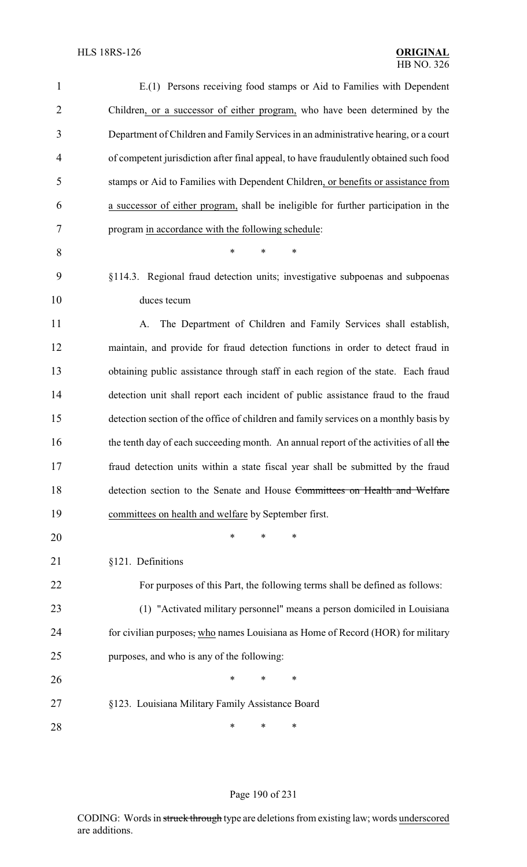| $\mathbf{1}$   | E.(1) Persons receiving food stamps or Aid to Families with Dependent                 |
|----------------|---------------------------------------------------------------------------------------|
| $\overline{2}$ | Children, or a successor of either program, who have been determined by the           |
| 3              | Department of Children and Family Services in an administrative hearing, or a court   |
| $\overline{4}$ | of competent jurisdiction after final appeal, to have fraudulently obtained such food |
| 5              | stamps or Aid to Families with Dependent Children, or benefits or assistance from     |
| 6              | a successor of either program, shall be ineligible for further participation in the   |
| 7              | program in accordance with the following schedule:                                    |
| 8              | $\ast$<br>$\ast$<br>∗                                                                 |
| 9              | §114.3. Regional fraud detection units; investigative subpoenas and subpoenas         |
| 10             | duces tecum                                                                           |
| 11             | The Department of Children and Family Services shall establish,<br>A.                 |
| 12             | maintain, and provide for fraud detection functions in order to detect fraud in       |
| 13             | obtaining public assistance through staff in each region of the state. Each fraud     |
| 14             | detection unit shall report each incident of public assistance fraud to the fraud     |
| 15             | detection section of the office of children and family services on a monthly basis by |
| 16             | the tenth day of each succeeding month. An annual report of the activities of all the |
| 17             | fraud detection units within a state fiscal year shall be submitted by the fraud      |
| 18             | detection section to the Senate and House Committees on Health and Welfare            |
| 19             | committees on health and welfare by September first.                                  |
| 20             | ∗<br>*<br>*                                                                           |
| 21             | §121. Definitions                                                                     |
| 22             | For purposes of this Part, the following terms shall be defined as follows:           |
| 23             | (1) "Activated military personnel" means a person domiciled in Louisiana              |
| 24             | for civilian purposes, who names Louisiana as Home of Record (HOR) for military       |
| 25             | purposes, and who is any of the following:                                            |
| 26             | ∗<br>*<br>∗                                                                           |
| 27             | §123. Louisiana Military Family Assistance Board                                      |
| 28             | ∗<br>∗<br>∗                                                                           |

# Page 190 of 231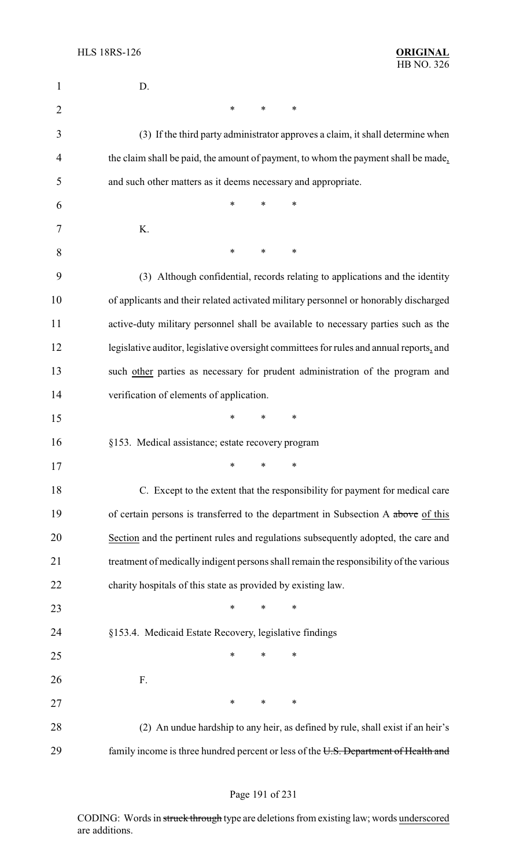| 1              | D.                                                                                      |
|----------------|-----------------------------------------------------------------------------------------|
| $\overline{2}$ | $\ast$<br>$\ast$<br>∗                                                                   |
| 3              | (3) If the third party administrator approves a claim, it shall determine when          |
| 4              | the claim shall be paid, the amount of payment, to whom the payment shall be made,      |
| 5              | and such other matters as it deems necessary and appropriate.                           |
| 6              | *<br>*<br>∗                                                                             |
| 7              | K.                                                                                      |
| 8              | *<br>*<br>∗                                                                             |
| 9              | (3) Although confidential, records relating to applications and the identity            |
| 10             | of applicants and their related activated military personnel or honorably discharged    |
| 11             | active-duty military personnel shall be available to necessary parties such as the      |
| 12             | legislative auditor, legislative oversight committees for rules and annual reports, and |
| 13             | such other parties as necessary for prudent administration of the program and           |
| 14             | verification of elements of application.                                                |
| 15             | *<br>*<br>∗                                                                             |
| 16             | §153. Medical assistance; estate recovery program                                       |
| 17             | $\sim$ $\sim$ $\sim$                                                                    |
| 18             | C. Except to the extent that the responsibility for payment for medical care            |
| 19             | of certain persons is transferred to the department in Subsection A above of this       |
| 20             | Section and the pertinent rules and regulations subsequently adopted, the care and      |
| 21             | treatment of medically indigent persons shall remain the responsibility of the various  |
| 22             | charity hospitals of this state as provided by existing law.                            |
| 23             | $\ast$<br>$\ast$<br>$\ast$                                                              |
| 24             | §153.4. Medicaid Estate Recovery, legislative findings                                  |
| 25             | $\ast$<br>$\ast$<br>∗                                                                   |
| 26             | F.                                                                                      |
| 27             | $\ast$<br>$\ast$<br>$\ast$                                                              |
| 28             | (2) An undue hardship to any heir, as defined by rule, shall exist if an heir's         |
| 29             | family income is three hundred percent or less of the U.S. Department of Health and     |

# Page 191 of 231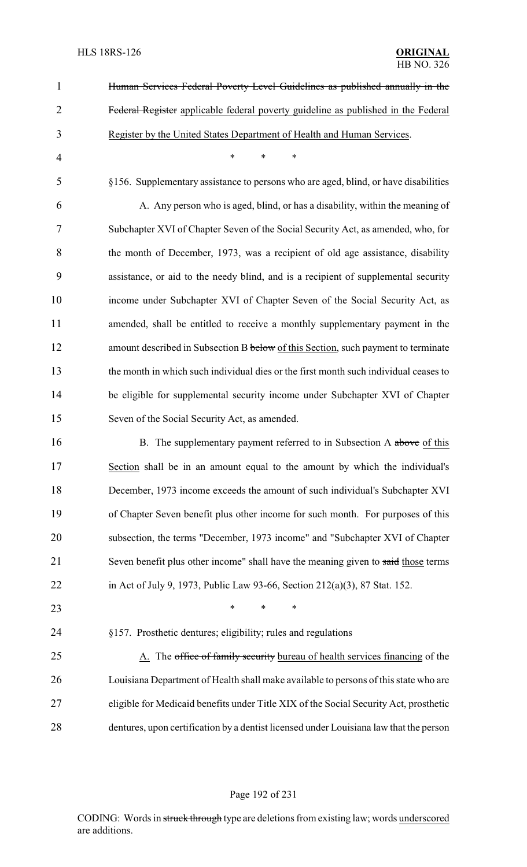| $\mathbf{1}$   | Human Services Federal Poverty Level Guidelines as published annually in the           |
|----------------|----------------------------------------------------------------------------------------|
| $\overline{2}$ | Federal Register applicable federal poverty guideline as published in the Federal      |
| 3              | Register by the United States Department of Health and Human Services.                 |
| $\overline{4}$ | *<br>*<br>∗                                                                            |
| 5              | §156. Supplementary assistance to persons who are aged, blind, or have disabilities    |
| 6              | A. Any person who is aged, blind, or has a disability, within the meaning of           |
| 7              | Subchapter XVI of Chapter Seven of the Social Security Act, as amended, who, for       |
| 8              | the month of December, 1973, was a recipient of old age assistance, disability         |
| 9              | assistance, or aid to the needy blind, and is a recipient of supplemental security     |
| 10             | income under Subchapter XVI of Chapter Seven of the Social Security Act, as            |
| 11             | amended, shall be entitled to receive a monthly supplementary payment in the           |
| 12             | amount described in Subsection B below of this Section, such payment to terminate      |
| 13             | the month in which such individual dies or the first month such individual ceases to   |
| 14             | be eligible for supplemental security income under Subchapter XVI of Chapter           |
| 15             | Seven of the Social Security Act, as amended.                                          |
| 16             | B. The supplementary payment referred to in Subsection A above of this                 |
| 17             | Section shall be in an amount equal to the amount by which the individual's            |
| 18             | December, 1973 income exceeds the amount of such individual's Subchapter XVI           |
| 19             | of Chapter Seven benefit plus other income for such month. For purposes of this        |
| 20             | subsection, the terms "December, 1973 income" and "Subchapter XVI of Chapter           |
| 21             | Seven benefit plus other income" shall have the meaning given to said those terms      |
| 22             | in Act of July 9, 1973, Public Law 93-66, Section 212(a)(3), 87 Stat. 152.             |
| 23             | $\ast$<br>∗                                                                            |
| 24             | §157. Prosthetic dentures; eligibility; rules and regulations                          |
| 25             | A. The office of family security bureau of health services financing of the            |
| 26             | Louisiana Department of Health shall make available to persons of this state who are   |
| 27             | eligible for Medicaid benefits under Title XIX of the Social Security Act, prosthetic  |
| 28             | dentures, upon certification by a dentist licensed under Louisiana law that the person |
|                |                                                                                        |

# Page 192 of 231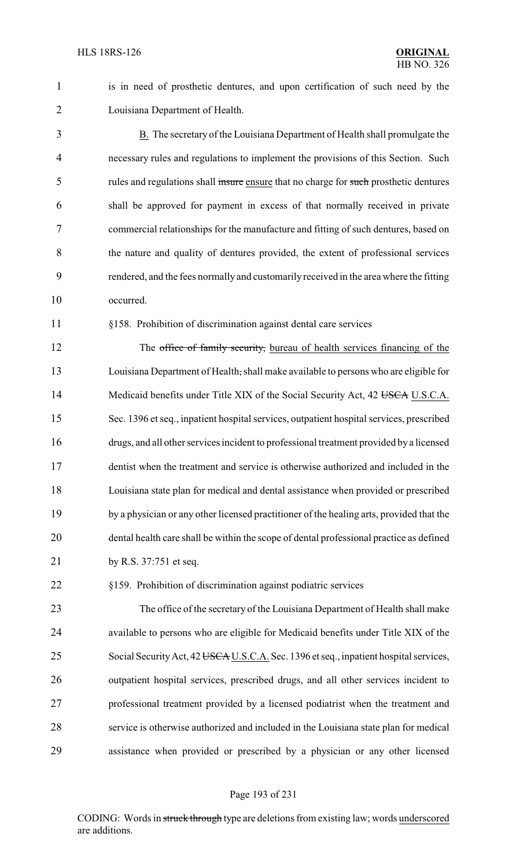is in need of prosthetic dentures, and upon certification of such need by the Louisiana Department of Health.

 B. The secretary of the Louisiana Department of Health shall promulgate the necessary rules and regulations to implement the provisions of this Section. Such 5 rules and regulations shall insure ensure that no charge for such prosthetic dentures shall be approved for payment in excess of that normally received in private commercial relationships for the manufacture and fitting of such dentures, based on the nature and quality of dentures provided, the extent of professional services rendered, and the fees normally and customarily received in the area where the fitting occurred.

#### §158. Prohibition of discrimination against dental care services

12 The office of family security, bureau of health services financing of the Louisiana Department of Health, shall make available to persons who are eligible for 14 Medicaid benefits under Title XIX of the Social Security Act, 42 USCA U.S.C.A. Sec. 1396 et seq., inpatient hospital services, outpatient hospital services, prescribed drugs, and all other services incident to professional treatment provided by a licensed dentist when the treatment and service is otherwise authorized and included in the Louisiana state plan for medical and dental assistance when provided or prescribed by a physician or any other licensed practitioner of the healing arts, provided that the dental health care shall be within the scope of dental professional practice as defined by R.S. 37:751 et seq.

§159. Prohibition of discrimination against podiatric services

 The office of the secretary of the Louisiana Department of Health shall make available to persons who are eligible for Medicaid benefits under Title XIX of the 25 Social Security Act, 42 USCA U.S.C.A. Sec. 1396 et seq., inpatient hospital services, outpatient hospital services, prescribed drugs, and all other services incident to professional treatment provided by a licensed podiatrist when the treatment and service is otherwise authorized and included in the Louisiana state plan for medical assistance when provided or prescribed by a physician or any other licensed

#### Page 193 of 231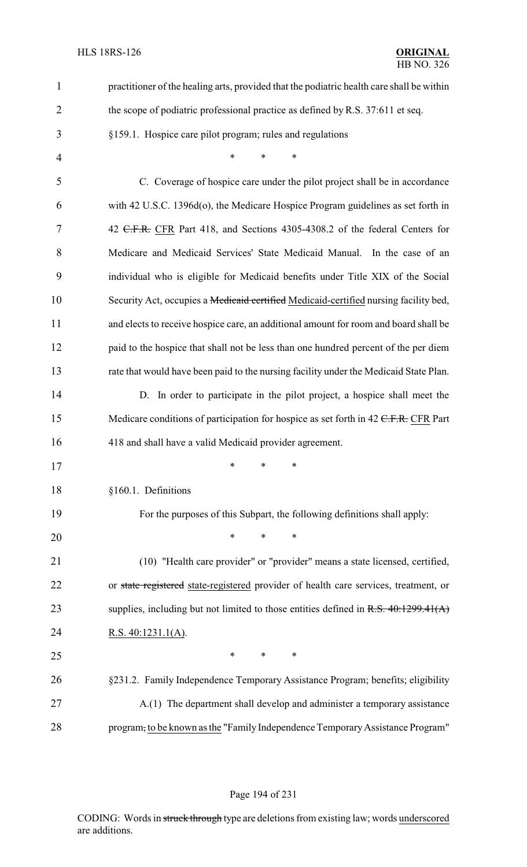| $\mathbf{1}$   | practitioner of the healing arts, provided that the podiatric health care shall be within |
|----------------|-------------------------------------------------------------------------------------------|
| $\overline{2}$ | the scope of podiatric professional practice as defined by R.S. 37:611 et seq.            |
| 3              | §159.1. Hospice care pilot program; rules and regulations                                 |
| $\overline{4}$ | $\ast$<br>$\ast$<br>*                                                                     |
| 5              | C. Coverage of hospice care under the pilot project shall be in accordance                |
| 6              | with 42 U.S.C. 1396d(o), the Medicare Hospice Program guidelines as set forth in          |
| 7              | 42 <del>C.F.R.</del> CFR Part 418, and Sections 4305-4308.2 of the federal Centers for    |
| 8              | Medicare and Medicaid Services' State Medicaid Manual. In the case of an                  |
| 9              | individual who is eligible for Medicaid benefits under Title XIX of the Social            |
| 10             | Security Act, occupies a Medicaid certified Medicaid-certified nursing facility bed,      |
| 11             | and elects to receive hospice care, an additional amount for room and board shall be      |
| 12             | paid to the hospice that shall not be less than one hundred percent of the per diem       |
| 13             | rate that would have been paid to the nursing facility under the Medicaid State Plan.     |
| 14             | D. In order to participate in the pilot project, a hospice shall meet the                 |
| 15             | Medicare conditions of participation for hospice as set forth in 42 C.F.R. CFR Part       |
| 16             | 418 and shall have a valid Medicaid provider agreement.                                   |
| 17             | $\ast$ $\ast$ $\ast$                                                                      |
| 18             | §160.1. Definitions                                                                       |
| 19             | For the purposes of this Subpart, the following definitions shall apply:                  |
| 20             | $\ast$<br>$\ast$<br>$\ast$                                                                |
| 21             | (10) "Health care provider" or "provider" means a state licensed, certified,              |
| 22             | or state registered state-registered provider of health care services, treatment, or      |
| 23             | supplies, including but not limited to those entities defined in $R.S. 40.1299.41(A)$     |
| 24             | R.S. $40:1231.1(A)$ .                                                                     |
| 25             | $\ast$<br>∗<br>∗                                                                          |
| 26             | §231.2. Family Independence Temporary Assistance Program; benefits; eligibility           |
| 27             | A.(1) The department shall develop and administer a temporary assistance                  |
| 28             | program, to be known as the "Family Independence Temporary Assistance Program"            |

#### Page 194 of 231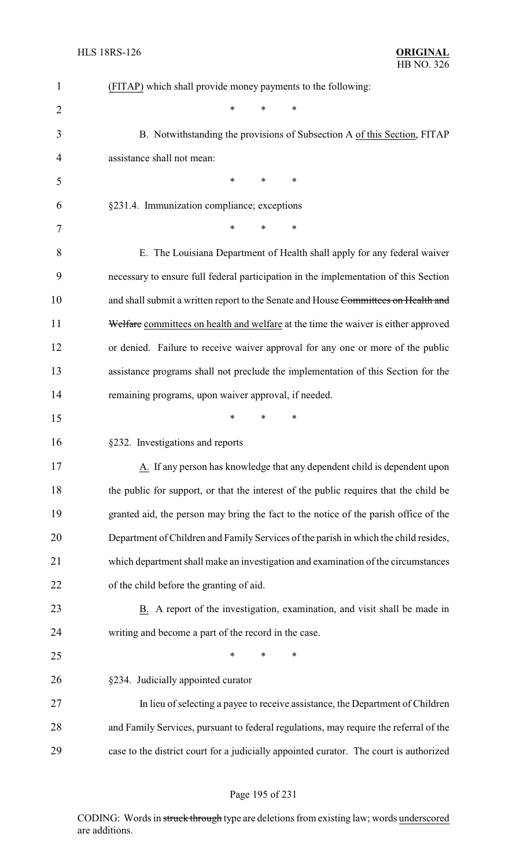| 1              | (FITAP) which shall provide money payments to the following:                           |
|----------------|----------------------------------------------------------------------------------------|
| $\overline{2}$ | $\ast$<br>*<br>*                                                                       |
| 3              | B. Notwithstanding the provisions of Subsection A of this Section, FITAP               |
| $\overline{4}$ | assistance shall not mean:                                                             |
| 5              | $\ast$<br>*<br>$\ast$                                                                  |
| 6              | §231.4. Immunization compliance; exceptions                                            |
| 7              | *<br>*<br>$\ast$                                                                       |
| 8              | E. The Louisiana Department of Health shall apply for any federal waiver               |
| 9              | necessary to ensure full federal participation in the implementation of this Section   |
| 10             | and shall submit a written report to the Senate and House Committees on Health and     |
| 11             | Welfare committees on health and welfare at the time the waiver is either approved     |
| 12             | or denied. Failure to receive waiver approval for any one or more of the public        |
| 13             | assistance programs shall not preclude the implementation of this Section for the      |
| 14             | remaining programs, upon waiver approval, if needed.                                   |
| 15             | $\ast$<br>∗<br>∗                                                                       |
| 16             | §232. Investigations and reports                                                       |
| 17             | A. If any person has knowledge that any dependent child is dependent upon              |
| 18             | the public for support, or that the interest of the public requires that the child be  |
| 19             | granted aid, the person may bring the fact to the notice of the parish office of the   |
| 20             | Department of Children and Family Services of the parish in which the child resides,   |
| 21             | which department shall make an investigation and examination of the circumstances      |
| 22             | of the child before the granting of aid.                                               |
| 23             | B. A report of the investigation, examination, and visit shall be made in              |
| 24             | writing and become a part of the record in the case.                                   |
| 25             | $\ast$<br>∗<br>*                                                                       |
| 26             | §234. Judicially appointed curator                                                     |
| 27             | In lieu of selecting a payee to receive assistance, the Department of Children         |
| 28             | and Family Services, pursuant to federal regulations, may require the referral of the  |
| 29             | case to the district court for a judicially appointed curator. The court is authorized |

# Page 195 of 231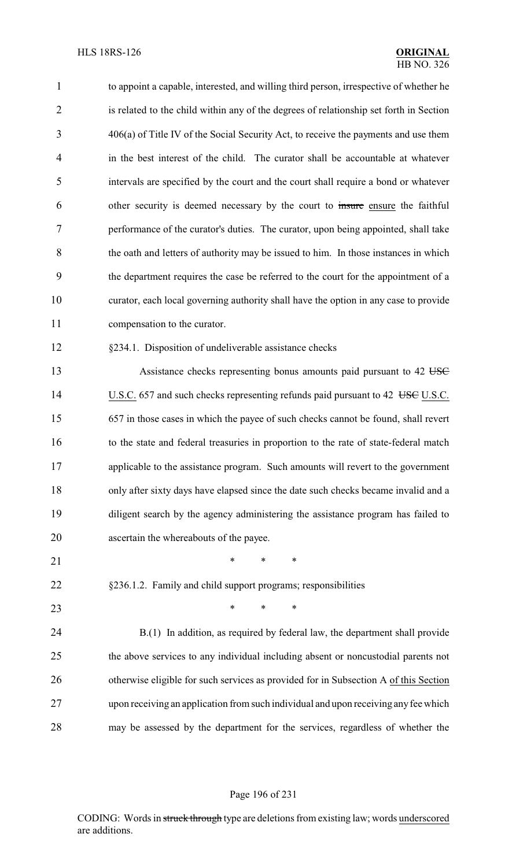| $\mathbf{1}$ | to appoint a capable, interested, and willing third person, irrespective of whether he |
|--------------|----------------------------------------------------------------------------------------|
| 2            | is related to the child within any of the degrees of relationship set forth in Section |
| 3            | $406(a)$ of Title IV of the Social Security Act, to receive the payments and use them  |
| 4            | in the best interest of the child. The curator shall be accountable at whatever        |
| 5            | intervals are specified by the court and the court shall require a bond or whatever    |
| 6            | other security is deemed necessary by the court to insure ensure the faithful          |
| 7            | performance of the curator's duties. The curator, upon being appointed, shall take     |
| 8            | the oath and letters of authority may be issued to him. In those instances in which    |
| 9            | the department requires the case be referred to the court for the appointment of a     |
| 10           | curator, each local governing authority shall have the option in any case to provide   |
| 11           | compensation to the curator.                                                           |
| 12           | §234.1. Disposition of undeliverable assistance checks                                 |
| 13           | Assistance checks representing bonus amounts paid pursuant to 42 USC                   |
| 14           | U.S.C. 657 and such checks representing refunds paid pursuant to 42 USE U.S.C.         |
| 15           | 657 in those cases in which the payee of such checks cannot be found, shall revert     |
| 16           | to the state and federal treasuries in proportion to the rate of state-federal match   |
| 17           | applicable to the assistance program. Such amounts will revert to the government       |
| 18           | only after sixty days have elapsed since the date such checks became invalid and a     |
| 19           | diligent search by the agency administering the assistance program has failed to       |
| 20           | ascertain the whereabouts of the payee.                                                |
| 21           | $\ast$<br>∗<br>$\ast$                                                                  |
| 22           | §236.1.2. Family and child support programs; responsibilities                          |
| 23           | $\ast$<br>$\ast$<br>∗                                                                  |
| 24           | B.(1) In addition, as required by federal law, the department shall provide            |
| 25           | the above services to any individual including absent or noncustodial parents not      |
| 26           | otherwise eligible for such services as provided for in Subsection A of this Section   |
| 27           | upon receiving an application from such individual and upon receiving any fee which    |
|              |                                                                                        |

may be assessed by the department for the services, regardless of whether the

#### Page 196 of 231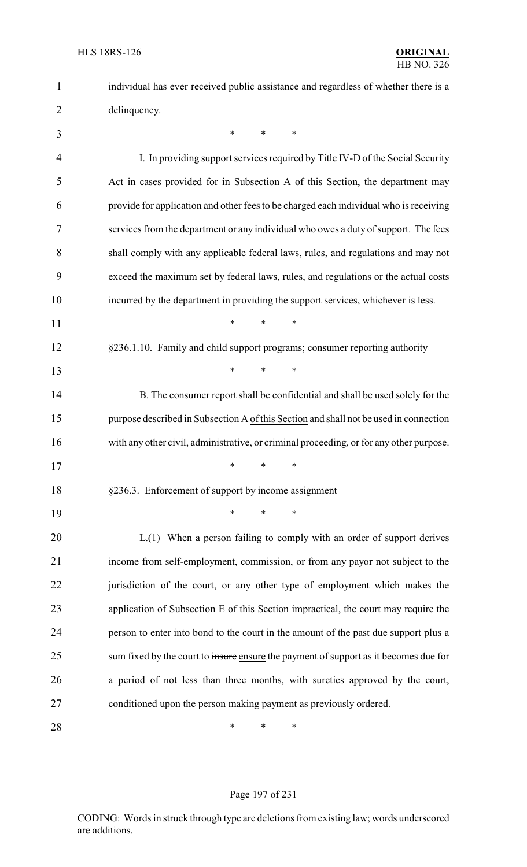| $\mathbf{1}$   | individual has ever received public assistance and regardless of whether there is a     |
|----------------|-----------------------------------------------------------------------------------------|
| $\overline{2}$ | delinquency.                                                                            |
| 3              | $\ast$<br>∗<br>∗                                                                        |
| 4              | I. In providing support services required by Title IV-D of the Social Security          |
| 5              | Act in cases provided for in Subsection A of this Section, the department may           |
| 6              | provide for application and other fees to be charged each individual who is receiving   |
| 7              | services from the department or any individual who owes a duty of support. The fees     |
| 8              | shall comply with any applicable federal laws, rules, and regulations and may not       |
| 9              | exceed the maximum set by federal laws, rules, and regulations or the actual costs      |
| 10             | incurred by the department in providing the support services, whichever is less.        |
| 11             | $\ast$<br>$\ast$<br>$\ast$                                                              |
| 12             | §236.1.10. Family and child support programs; consumer reporting authority              |
| 13             | $\ast$<br>$\ast$<br>$\ast$                                                              |
| 14             | B. The consumer report shall be confidential and shall be used solely for the           |
| 15             | purpose described in Subsection A of this Section and shall not be used in connection   |
| 16             | with any other civil, administrative, or criminal proceeding, or for any other purpose. |
| 17             | ∗<br>∗<br>∗                                                                             |
| 18             | §236.3. Enforcement of support by income assignment                                     |
| 19             | *<br>*<br>∗                                                                             |
| 20             | L.(1) When a person failing to comply with an order of support derives                  |
| 21             | income from self-employment, commission, or from any payor not subject to the           |
| 22             | jurisdiction of the court, or any other type of employment which makes the              |
| 23             | application of Subsection E of this Section impractical, the court may require the      |
| 24             | person to enter into bond to the court in the amount of the past due support plus a     |
| 25             | sum fixed by the court to insure ensure the payment of support as it becomes due for    |
| 26             | a period of not less than three months, with sureties approved by the court,            |
| 27             | conditioned upon the person making payment as previously ordered.                       |
| 28             | ∗<br>*<br>∗                                                                             |

# Page 197 of 231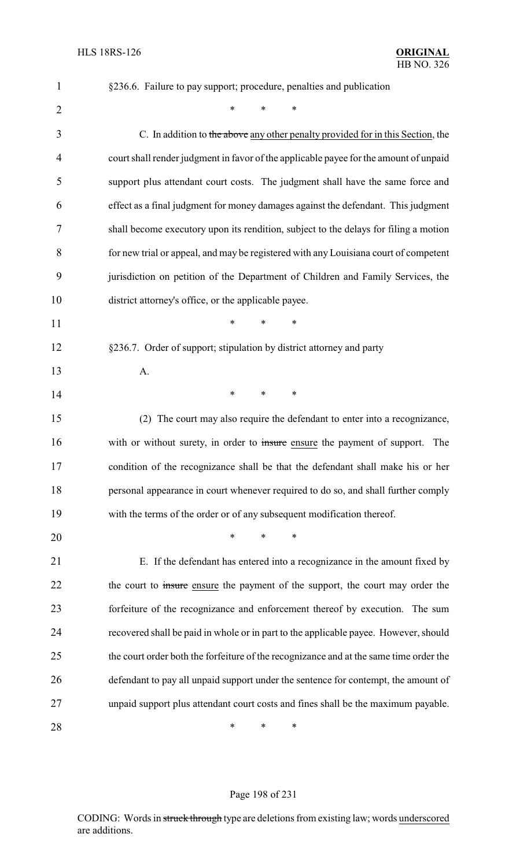| 1              | §236.6. Failure to pay support; procedure, penalties and publication                   |
|----------------|----------------------------------------------------------------------------------------|
| $\overline{2}$ | $\ast$<br>$\ast$<br>$\ast$                                                             |
| 3              | C. In addition to the above any other penalty provided for in this Section, the        |
| 4              | court shall render judgment in favor of the applicable payee for the amount of unpaid  |
| 5              | support plus attendant court costs. The judgment shall have the same force and         |
| 6              | effect as a final judgment for money damages against the defendant. This judgment      |
| 7              | shall become executory upon its rendition, subject to the delays for filing a motion   |
| 8              | for new trial or appeal, and may be registered with any Louisiana court of competent   |
| 9              | jurisdiction on petition of the Department of Children and Family Services, the        |
| 10             | district attorney's office, or the applicable payee.                                   |
| 11             | $\ast$<br>$\ast$<br>$\ast$                                                             |
| 12             | §236.7. Order of support; stipulation by district attorney and party                   |
| 13             | A.                                                                                     |
| 14             | $\ast$<br>∗<br>∗                                                                       |
| 15             | (2) The court may also require the defendant to enter into a recognizance,             |
| 16             | with or without surety, in order to insure ensure the payment of support.<br>The       |
| 17             | condition of the recognizance shall be that the defendant shall make his or her        |
| 18             | personal appearance in court whenever required to do so, and shall further comply      |
| 19             | with the terms of the order or of any subsequent modification thereof.                 |
| 20             | *<br>*<br>*                                                                            |
| 21             | E. If the defendant has entered into a recognizance in the amount fixed by             |
| 22             | the court to <i>insure</i> ensure the payment of the support, the court may order the  |
| 23             | forfeiture of the recognizance and enforcement thereof by execution. The sum           |
| 24             | recovered shall be paid in whole or in part to the applicable payee. However, should   |
| 25             | the court order both the forfeiture of the recognizance and at the same time order the |
| 26             | defendant to pay all unpaid support under the sentence for contempt, the amount of     |
| 27             | unpaid support plus attendant court costs and fines shall be the maximum payable.      |
| 28             | ∗<br>∗<br>∗                                                                            |

# Page 198 of 231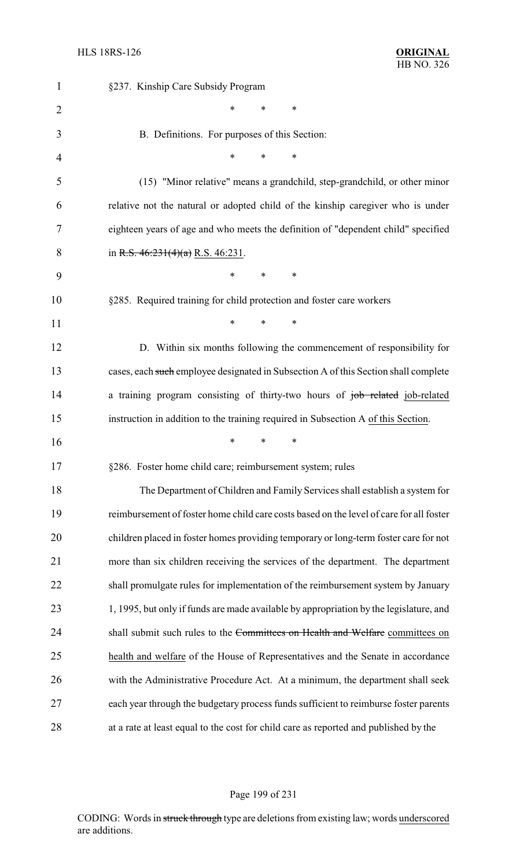| $\mathbf{1}$   | §237. Kinship Care Subsidy Program                                                      |
|----------------|-----------------------------------------------------------------------------------------|
| $\overline{2}$ | ∗<br>$\ast$<br>∗                                                                        |
| 3              | B. Definitions. For purposes of this Section:                                           |
| 4              | $\ast$<br>*<br>*                                                                        |
| 5              | (15) "Minor relative" means a grandchild, step-grandchild, or other minor               |
| 6              | relative not the natural or adopted child of the kinship caregiver who is under         |
| 7              | eighteen years of age and who meets the definition of "dependent child" specified       |
| 8              | in R.S. $46:231(4)(a)$ R.S. $46:231$ .                                                  |
| 9              | $\ast$<br>$\ast$<br>∗                                                                   |
| 10             | §285. Required training for child protection and foster care workers                    |
| 11             | *<br>∗<br>∗                                                                             |
| 12             | D. Within six months following the commencement of responsibility for                   |
| 13             | cases, each such employee designated in Subsection A of this Section shall complete     |
| 14             | a training program consisting of thirty-two hours of job related job-related            |
| 15             | instruction in addition to the training required in Subsection A of this Section.       |
| 16             | $\ast$<br>*<br>∗                                                                        |
| 17             | §286. Foster home child care; reimbursement system; rules                               |
| 18             | The Department of Children and Family Services shall establish a system for             |
| 19             | reimbursement of foster home child care costs based on the level of care for all foster |
| 20             | children placed in foster homes providing temporary or long-term foster care for not    |
| 21             | more than six children receiving the services of the department. The department         |
| 22             | shall promulgate rules for implementation of the reimbursement system by January        |
| 23             | 1, 1995, but only if funds are made available by appropriation by the legislature, and  |
| 24             | shall submit such rules to the Committees on Health and Welfare committees on           |
| 25             | health and welfare of the House of Representatives and the Senate in accordance         |
| 26             | with the Administrative Procedure Act. At a minimum, the department shall seek          |
| 27             | each year through the budgetary process funds sufficient to reimburse foster parents    |
| 28             | at a rate at least equal to the cost for child care as reported and published by the    |

# Page 199 of 231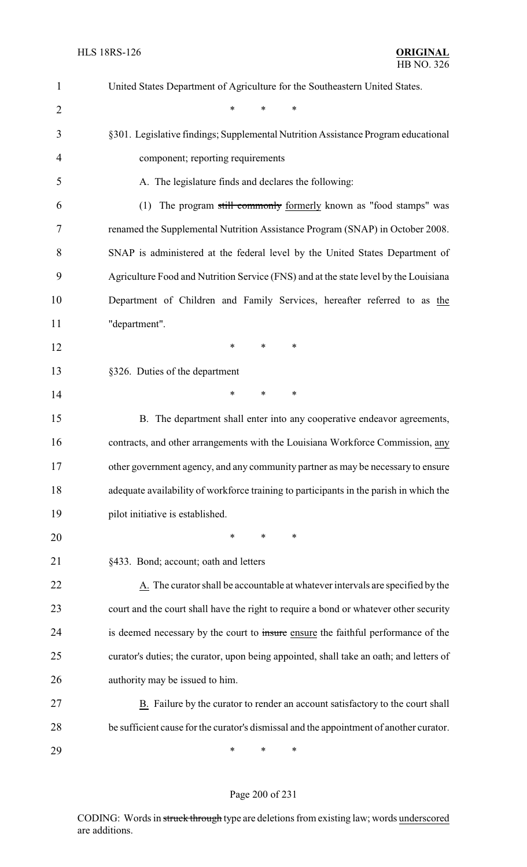| $\mathbf{1}$   | United States Department of Agriculture for the Southeastern United States.             |
|----------------|-----------------------------------------------------------------------------------------|
| $\overline{2}$ | $\ast$<br>*<br>$\ast$                                                                   |
| 3              | §301. Legislative findings; Supplemental Nutrition Assistance Program educational       |
| 4              | component; reporting requirements                                                       |
| 5              | A. The legislature finds and declares the following:                                    |
| 6              | The program still commonly formerly known as "food stamps" was<br>(1)                   |
| 7              | renamed the Supplemental Nutrition Assistance Program (SNAP) in October 2008.           |
| 8              | SNAP is administered at the federal level by the United States Department of            |
| 9              | Agriculture Food and Nutrition Service (FNS) and at the state level by the Louisiana    |
| 10             | Department of Children and Family Services, hereafter referred to as the                |
| 11             | "department".                                                                           |
| 12             | $\ast$<br>*<br>$\ast$                                                                   |
| 13             | §326. Duties of the department                                                          |
| 14             | *<br>*<br>∗                                                                             |
| 15             | B. The department shall enter into any cooperative endeavor agreements,                 |
| 16             | contracts, and other arrangements with the Louisiana Workforce Commission, any          |
| 17             | other government agency, and any community partner as may be necessary to ensure        |
| 18             | adequate availability of workforce training to participants in the parish in which the  |
| 19             | pilot initiative is established.                                                        |
| 20             | *<br>∗<br>∗                                                                             |
| 21             | §433. Bond; account; oath and letters                                                   |
| 22             | A. The curator shall be accountable at whatever intervals are specified by the          |
| 23             | court and the court shall have the right to require a bond or whatever other security   |
| 24             | is deemed necessary by the court to insure ensure the faithful performance of the       |
| 25             | curator's duties; the curator, upon being appointed, shall take an oath; and letters of |
| 26             | authority may be issued to him.                                                         |
| 27             | B. Failure by the curator to render an account satisfactory to the court shall          |
| 28             | be sufficient cause for the curator's dismissal and the appointment of another curator. |
| 29             | ∗<br>∗<br>∗                                                                             |

Page 200 of 231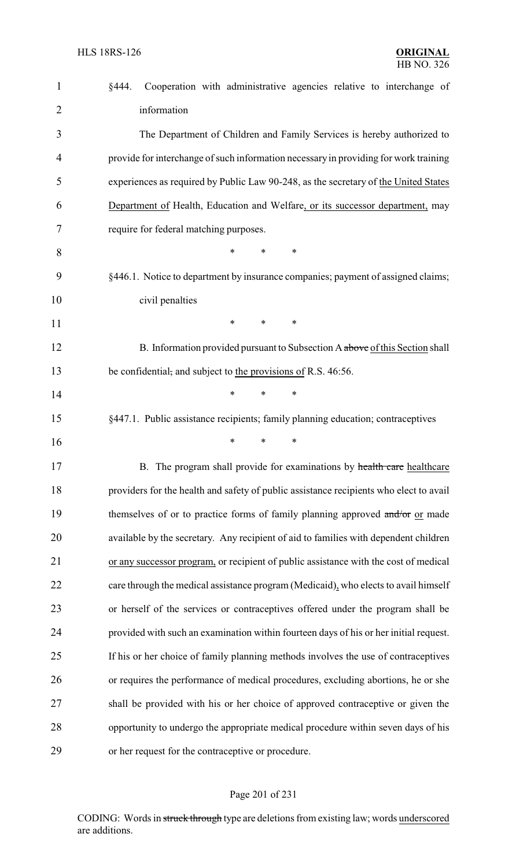| $\mathbf{1}$   | §444.<br>Cooperation with administrative agencies relative to interchange of           |
|----------------|----------------------------------------------------------------------------------------|
| $\overline{2}$ | information                                                                            |
| 3              | The Department of Children and Family Services is hereby authorized to                 |
| 4              | provide for interchange of such information necessary in providing for work training   |
| 5              | experiences as required by Public Law 90-248, as the secretary of the United States    |
| 6              | Department of Health, Education and Welfare, or its successor department, may          |
| 7              | require for federal matching purposes.                                                 |
| 8              | $\ast$<br>*<br>∗                                                                       |
| 9              | §446.1. Notice to department by insurance companies; payment of assigned claims;       |
| 10             | civil penalties                                                                        |
| 11             | $\ast$<br>∗<br>*                                                                       |
| 12             | B. Information provided pursuant to Subsection A above of this Section shall           |
| 13             | be confidential, and subject to the provisions of R.S. 46:56.                          |
| 14             | *<br>*<br>*                                                                            |
| 15             | §447.1. Public assistance recipients; family planning education; contraceptives        |
| 16             | $\ast$<br>∗<br>*                                                                       |
| 17             | B. The program shall provide for examinations by health care healthcare                |
| 18             | providers for the health and safety of public assistance recipients who elect to avail |
| 19             | themselves of or to practice forms of family planning approved and/or or made          |
| 20             | available by the secretary. Any recipient of aid to families with dependent children   |
| 21             | or any successor program, or recipient of public assistance with the cost of medical   |
| 22             | care through the medical assistance program (Medicaid), who elects to avail himself    |
| 23             | or herself of the services or contraceptives offered under the program shall be        |
| 24             | provided with such an examination within fourteen days of his or her initial request.  |
| 25             | If his or her choice of family planning methods involves the use of contraceptives     |
| 26             | or requires the performance of medical procedures, excluding abortions, he or she      |
| 27             | shall be provided with his or her choice of approved contraceptive or given the        |
| 28             | opportunity to undergo the appropriate medical procedure within seven days of his      |
| 29             | or her request for the contraceptive or procedure.                                     |

# Page 201 of 231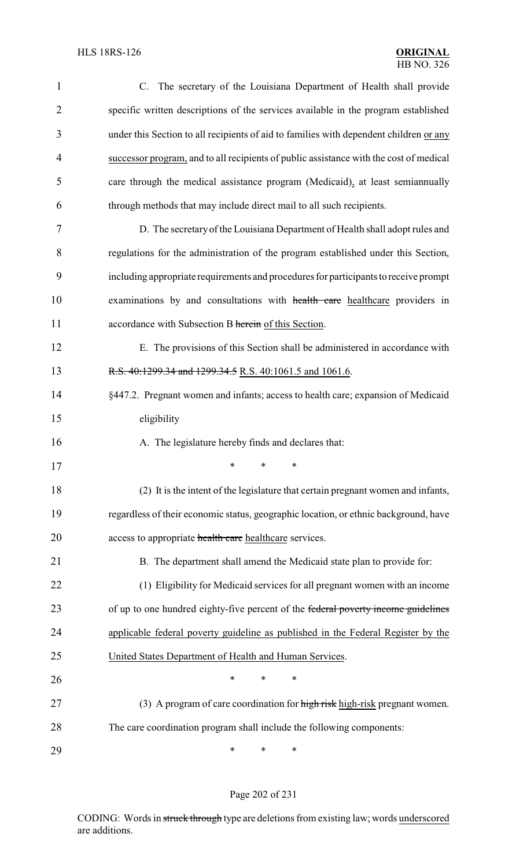| $\mathbf{1}$   | C. The secretary of the Louisiana Department of Health shall provide                   |
|----------------|----------------------------------------------------------------------------------------|
| $\overline{2}$ | specific written descriptions of the services available in the program established     |
| 3              | under this Section to all recipients of aid to families with dependent children or any |
| 4              | successor program, and to all recipients of public assistance with the cost of medical |
| 5              | care through the medical assistance program (Medicaid), at least semiannually          |
| 6              | through methods that may include direct mail to all such recipients.                   |
| 7              | D. The secretary of the Louisiana Department of Health shall adopt rules and           |
| 8              | regulations for the administration of the program established under this Section,      |
| 9              | including appropriate requirements and procedures for participants to receive prompt   |
| 10             | examinations by and consultations with health care healthcare providers in             |
| 11             | accordance with Subsection B herein of this Section.                                   |
| 12             | E. The provisions of this Section shall be administered in accordance with             |
| 13             | R.S. 40:1299.34 and 1299.34.5 R.S. 40:1061.5 and 1061.6.                               |
| 14             | §447.2. Pregnant women and infants; access to health care; expansion of Medicaid       |
| 15             | eligibility                                                                            |
| 16             | A. The legislature hereby finds and declares that:                                     |
| 17             | $*$ * *                                                                                |
| 18             | (2) It is the intent of the legislature that certain pregnant women and infants,       |
| 19             | regardless of their economic status, geographic location, or ethnic background, have   |
| 20             | access to appropriate health care healthcare services.                                 |
| 21             | B. The department shall amend the Medicaid state plan to provide for:                  |
| 22             | (1) Eligibility for Medicaid services for all pregnant women with an income            |
| 23             | of up to one hundred eighty-five percent of the federal poverty income guidelines      |
| 24             | applicable federal poverty guideline as published in the Federal Register by the       |
| 25             | United States Department of Health and Human Services.                                 |
| 26             | *<br>*<br>∗                                                                            |
| 27             | (3) A program of care coordination for high risk high-risk pregnant women.             |
| 28             | The care coordination program shall include the following components:                  |
| 29             | ∗<br>∗<br>∗                                                                            |

# Page 202 of 231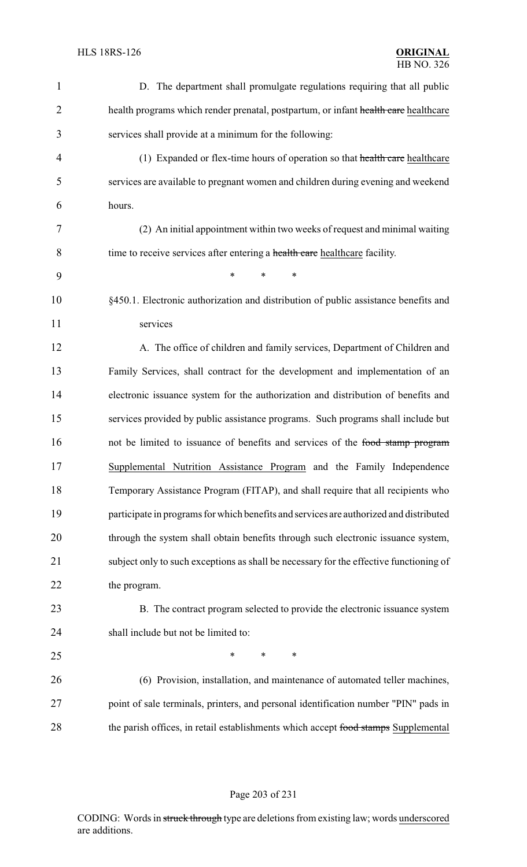| $\mathbf{1}$   | D. The department shall promulgate regulations requiring that all public               |
|----------------|----------------------------------------------------------------------------------------|
| $\overline{2}$ | health programs which render prenatal, postpartum, or infant health care healthcare    |
| 3              | services shall provide at a minimum for the following:                                 |
| $\overline{4}$ | (1) Expanded or flex-time hours of operation so that health care healthcare            |
| 5              | services are available to pregnant women and children during evening and weekend       |
| 6              | hours.                                                                                 |
| 7              | (2) An initial appointment within two weeks of request and minimal waiting             |
| 8              | time to receive services after entering a health care healthcare facility.             |
| 9              | *<br>$\ast$<br>*                                                                       |
| 10             | §450.1. Electronic authorization and distribution of public assistance benefits and    |
| 11             | services                                                                               |
| 12             | A. The office of children and family services, Department of Children and              |
| 13             | Family Services, shall contract for the development and implementation of an           |
| 14             | electronic issuance system for the authorization and distribution of benefits and      |
| 15             | services provided by public assistance programs. Such programs shall include but       |
| 16             | not be limited to issuance of benefits and services of the food stamp program          |
| 17             | Supplemental Nutrition Assistance Program and the Family Independence                  |
| 18             | Temporary Assistance Program (FITAP), and shall require that all recipients who        |
| 19             | participate in programs for which benefits and services are authorized and distributed |
| 20             | through the system shall obtain benefits through such electronic issuance system,      |
| 21             | subject only to such exceptions as shall be necessary for the effective functioning of |
| 22             | the program.                                                                           |
| 23             | B. The contract program selected to provide the electronic issuance system             |
| 24             | shall include but not be limited to:                                                   |
| 25             | ∗<br>$\ast$<br>∗                                                                       |
| 26             | (6) Provision, installation, and maintenance of automated teller machines,             |
| 27             | point of sale terminals, printers, and personal identification number "PIN" pads in    |
| 28             | the parish offices, in retail establishments which accept food stamps Supplemental     |

# Page 203 of 231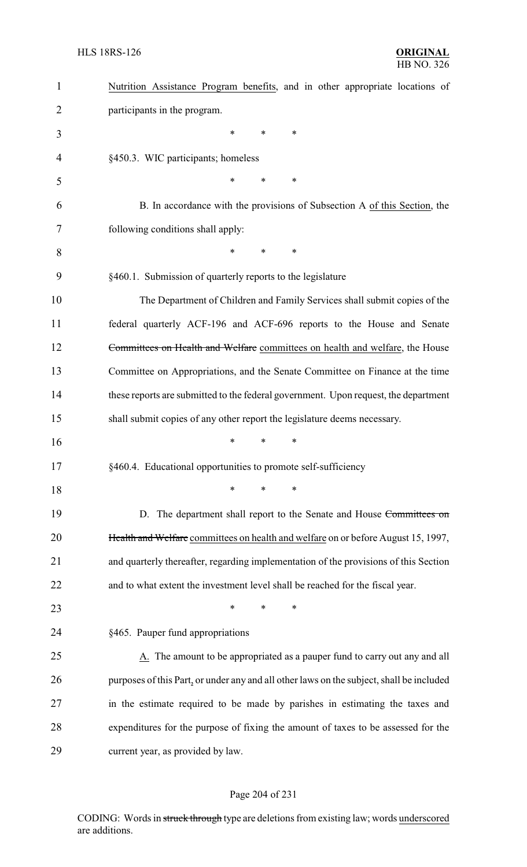| $\mathbf{1}$ | Nutrition Assistance Program benefits, and in other appropriate locations of             |
|--------------|------------------------------------------------------------------------------------------|
| 2            | participants in the program.                                                             |
| 3            | ∗<br>*<br>∗                                                                              |
| 4            | §450.3. WIC participants; homeless                                                       |
| 5            | *<br>∗<br>∗                                                                              |
| 6            | B. In accordance with the provisions of Subsection A of this Section, the                |
| 7            | following conditions shall apply:                                                        |
| 8            | $\ast$<br>*<br>*                                                                         |
| 9            | §460.1. Submission of quarterly reports to the legislature                               |
| 10           | The Department of Children and Family Services shall submit copies of the                |
| 11           | federal quarterly ACF-196 and ACF-696 reports to the House and Senate                    |
| 12           | Committees on Health and Welfare committees on health and welfare, the House             |
| 13           | Committee on Appropriations, and the Senate Committee on Finance at the time             |
| 14           | these reports are submitted to the federal government. Upon request, the department      |
| 15           | shall submit copies of any other report the legislature deems necessary.                 |
| 16           | *<br>*<br>∗                                                                              |
| 17           | §460.4. Educational opportunities to promote self-sufficiency                            |
| 18           | ∗<br>*<br>$\ast$                                                                         |
| 19           | D. The department shall report to the Senate and House Committees on                     |
| 20           | Health and Welfare committees on health and welfare on or before August 15, 1997,        |
| 21           | and quarterly thereafter, regarding implementation of the provisions of this Section     |
| 22           | and to what extent the investment level shall be reached for the fiscal year.            |
| 23           | $\ast$<br>∗<br>*                                                                         |
| 24           | §465. Pauper fund appropriations                                                         |
| 25           | A. The amount to be appropriated as a pauper fund to carry out any and all               |
| 26           | purposes of this Part, or under any and all other laws on the subject, shall be included |
| 27           | in the estimate required to be made by parishes in estimating the taxes and              |
| 28           | expenditures for the purpose of fixing the amount of taxes to be assessed for the        |
| 29           | current year, as provided by law.                                                        |

# Page 204 of 231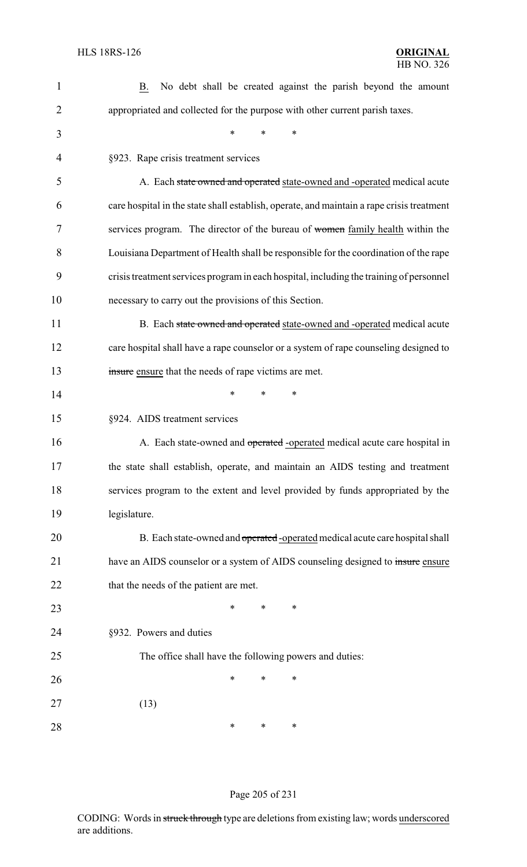| $\mathbf{1}$   | No debt shall be created against the parish beyond the amount<br>B.                       |
|----------------|-------------------------------------------------------------------------------------------|
| $\overline{2}$ | appropriated and collected for the purpose with other current parish taxes.               |
| 3              | *<br>*<br>*                                                                               |
| 4              | §923. Rape crisis treatment services                                                      |
| 5              | A. Each state owned and operated state-owned and -operated medical acute                  |
| 6              | care hospital in the state shall establish, operate, and maintain a rape crisis treatment |
| 7              | services program. The director of the bureau of women family health within the            |
| 8              | Louisiana Department of Health shall be responsible for the coordination of the rape      |
| 9              | crisis treatment services program in each hospital, including the training of personnel   |
| 10             | necessary to carry out the provisions of this Section.                                    |
| 11             | B. Each state owned and operated state-owned and -operated medical acute                  |
| 12             | care hospital shall have a rape counselor or a system of rape counseling designed to      |
| 13             | insure ensure that the needs of rape victims are met.                                     |
| 14             | $\ast$<br>∗<br>∗                                                                          |
| 15             | §924. AIDS treatment services                                                             |
| 16             | A. Each state-owned and operated -operated medical acute care hospital in                 |
| 17             | the state shall establish, operate, and maintain an AIDS testing and treatment            |
| 18             | services program to the extent and level provided by funds appropriated by the            |
| 19             | legislature.                                                                              |
| 20             | B. Each state-owned and operated -operated medical acute care hospital shall              |
| 21             | have an AIDS counselor or a system of AIDS counseling designed to insure ensure           |
| 22             | that the needs of the patient are met.                                                    |
| 23             | ∗<br>*<br>∗                                                                               |
| 24             | §932. Powers and duties                                                                   |
| 25             | The office shall have the following powers and duties:                                    |
| 26             | *<br>∗<br>*                                                                               |
| 27             | (13)                                                                                      |
| 28             | ∗<br>∗<br>*                                                                               |

# Page 205 of 231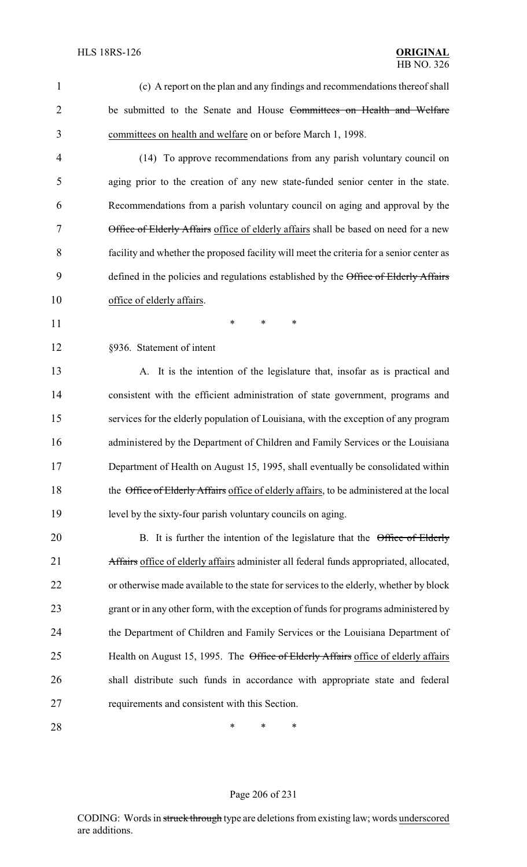(c) A report on the plan and any findings and recommendations thereof shall 2 be submitted to the Senate and House Committees on Health and Welfare committees on health and welfare on or before March 1, 1998.

 (14) To approve recommendations from any parish voluntary council on aging prior to the creation of any new state-funded senior center in the state. Recommendations from a parish voluntary council on aging and approval by the Office of Elderly Affairs office of elderly affairs shall be based on need for a new facility and whether the proposed facility will meet the criteria for a senior center as 9 defined in the policies and regulations established by the Office of Elderly Affairs office of elderly affairs.

**\*** \* \* \*

§936. Statement of intent

 A. It is the intention of the legislature that, insofar as is practical and consistent with the efficient administration of state government, programs and services for the elderly population of Louisiana, with the exception of any program administered by the Department of Children and Family Services or the Louisiana Department of Health on August 15, 1995, shall eventually be consolidated within 18 the Office of Elderly Affairs office of elderly affairs, to be administered at the local level by the sixty-four parish voluntary councils on aging.

20 B. It is further the intention of the legislature that the Office of Elderly 21 Affairs office of elderly affairs administer all federal funds appropriated, allocated, or otherwise made available to the state for services to the elderly, whether by block grant or in any other form, with the exception of funds for programs administered by the Department of Children and Family Services or the Louisiana Department of 25 Health on August 15, 1995. The Office of Elderly Affairs office of elderly affairs shall distribute such funds in accordance with appropriate state and federal requirements and consistent with this Section.

**\*** \* \* \*

#### Page 206 of 231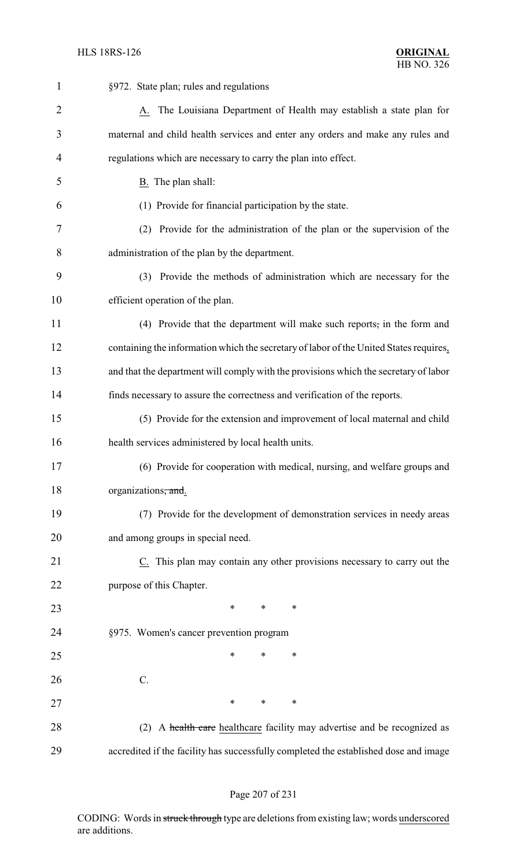| 1              | §972. State plan; rules and regulations                                                |  |  |
|----------------|----------------------------------------------------------------------------------------|--|--|
| $\overline{2}$ | A. The Louisiana Department of Health may establish a state plan for                   |  |  |
| 3              | maternal and child health services and enter any orders and make any rules and         |  |  |
| $\overline{4}$ | regulations which are necessary to carry the plan into effect.                         |  |  |
| 5              | B. The plan shall:                                                                     |  |  |
| 6              | (1) Provide for financial participation by the state.                                  |  |  |
| 7              | (2) Provide for the administration of the plan or the supervision of the               |  |  |
| 8              | administration of the plan by the department.                                          |  |  |
| 9              | (3) Provide the methods of administration which are necessary for the                  |  |  |
| 10             | efficient operation of the plan.                                                       |  |  |
| 11             | (4) Provide that the department will make such reports, in the form and                |  |  |
| 12             | containing the information which the secretary of labor of the United States requires, |  |  |
| 13             | and that the department will comply with the provisions which the secretary of labor   |  |  |
| 14             | finds necessary to assure the correctness and verification of the reports.             |  |  |
| 15             | (5) Provide for the extension and improvement of local maternal and child              |  |  |
| 16             | health services administered by local health units.                                    |  |  |
| 17             | (6) Provide for cooperation with medical, nursing, and welfare groups and              |  |  |
| 18             | organizations, and.                                                                    |  |  |
| 19             | (7) Provide for the development of demonstration services in needy areas               |  |  |
| 20             | and among groups in special need.                                                      |  |  |
| 21             | C. This plan may contain any other provisions necessary to carry out the               |  |  |
| 22             | purpose of this Chapter.                                                               |  |  |
| 23             | $\ast$<br>$\ast$<br>$\ast$                                                             |  |  |
| 24             | §975. Women's cancer prevention program                                                |  |  |
| 25             | *<br>*<br>*                                                                            |  |  |
| 26             | $C$ .                                                                                  |  |  |
| 27             | $\ast$<br>$\ast$<br>∗                                                                  |  |  |
| 28             | A health care healthcare facility may advertise and be recognized as<br>(2)            |  |  |
| 29             | accredited if the facility has successfully completed the established dose and image   |  |  |

# Page 207 of 231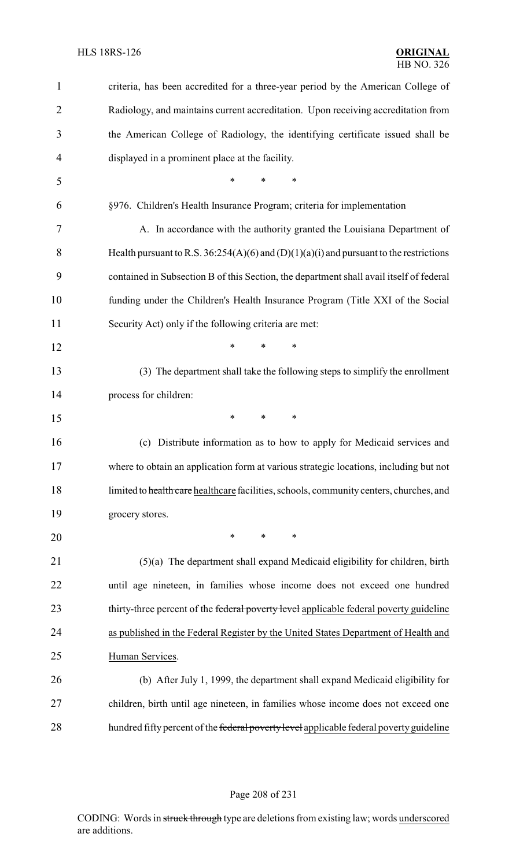| 1              | criteria, has been accredited for a three-year period by the American College of           |
|----------------|--------------------------------------------------------------------------------------------|
| $\overline{2}$ | Radiology, and maintains current accreditation. Upon receiving accreditation from          |
| 3              | the American College of Radiology, the identifying certificate issued shall be             |
| 4              | displayed in a prominent place at the facility.                                            |
| 5              | $\ast$<br>$\ast$<br>$\ast$                                                                 |
| 6              | §976. Children's Health Insurance Program; criteria for implementation                     |
| 7              | A. In accordance with the authority granted the Louisiana Department of                    |
| 8              | Health pursuant to R.S. $36:254(A)(6)$ and $(D)(1)(a)(i)$ and pursuant to the restrictions |
| 9              | contained in Subsection B of this Section, the department shall avail itself of federal    |
| 10             | funding under the Children's Health Insurance Program (Title XXI of the Social             |
| 11             | Security Act) only if the following criteria are met:                                      |
| 12             | *<br>$\ast$<br>$\ast$                                                                      |
| 13             | (3) The department shall take the following steps to simplify the enrollment               |
| 14             | process for children:                                                                      |
| 15             | *<br>$\ast$<br>$\ast$                                                                      |
| 16             | (c) Distribute information as to how to apply for Medicaid services and                    |
| 17             | where to obtain an application form at various strategic locations, including but not      |
| 18             | limited to health care healthcare facilities, schools, community centers, churches, and    |
| 19             | grocery stores.                                                                            |
| 20             | $\ast$<br>$\ast$<br>$\ast$                                                                 |
| 21             | $(5)(a)$ The department shall expand Medicaid eligibility for children, birth              |
| 22             | until age nineteen, in families whose income does not exceed one hundred                   |
| 23             | thirty-three percent of the federal poverty level applicable federal poverty guideline     |
| 24             | as published in the Federal Register by the United States Department of Health and         |
| 25             | Human Services.                                                                            |
| 26             | (b) After July 1, 1999, the department shall expand Medicaid eligibility for               |
| 27             | children, birth until age nineteen, in families whose income does not exceed one           |
| 28             | hundred fifty percent of the federal poverty level applicable federal poverty guideline    |

# Page 208 of 231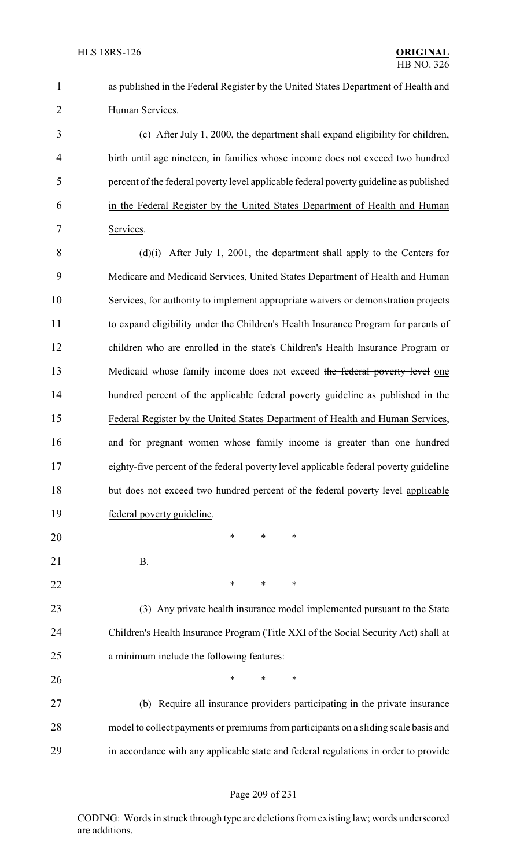| $\mathbf{1}$   | as published in the Federal Register by the United States Department of Health and     |
|----------------|----------------------------------------------------------------------------------------|
| $\overline{2}$ | Human Services.                                                                        |
| 3              | (c) After July 1, 2000, the department shall expand eligibility for children,          |
| $\overline{4}$ | birth until age nineteen, in families whose income does not exceed two hundred         |
| 5              | percent of the federal poverty level applicable federal poverty guideline as published |
| 6              | in the Federal Register by the United States Department of Health and Human            |
| 7              | Services.                                                                              |
| 8              | $(d)(i)$ After July 1, 2001, the department shall apply to the Centers for             |
| 9              | Medicare and Medicaid Services, United States Department of Health and Human           |
| 10             | Services, for authority to implement appropriate waivers or demonstration projects     |
| 11             | to expand eligibility under the Children's Health Insurance Program for parents of     |
| 12             | children who are enrolled in the state's Children's Health Insurance Program or        |
| 13             | Medicaid whose family income does not exceed the federal poverty level one             |
| 14             | hundred percent of the applicable federal poverty guideline as published in the        |
| 15             | Federal Register by the United States Department of Health and Human Services,         |
| 16             | and for pregnant women whose family income is greater than one hundred                 |
| 17             | eighty-five percent of the federal poverty level applicable federal poverty guideline  |
| 18             | but does not exceed two hundred percent of the federal poverty level applicable        |
| 19             | federal poverty guideline.                                                             |
| 20             | $\ast$<br>∗<br>∗                                                                       |
| 21             | <b>B.</b>                                                                              |
| 22             | ∗<br>∗<br>∗                                                                            |
| 23             | (3) Any private health insurance model implemented pursuant to the State               |
| 24             | Children's Health Insurance Program (Title XXI of the Social Security Act) shall at    |
| 25             | a minimum include the following features:                                              |
| 26             | ∗<br>*<br>∗                                                                            |
| 27             | (b) Require all insurance providers participating in the private insurance             |
| 28             | model to collect payments or premiums from participants on a sliding scale basis and   |
| 29             | in accordance with any applicable state and federal regulations in order to provide    |
|                |                                                                                        |

# Page 209 of 231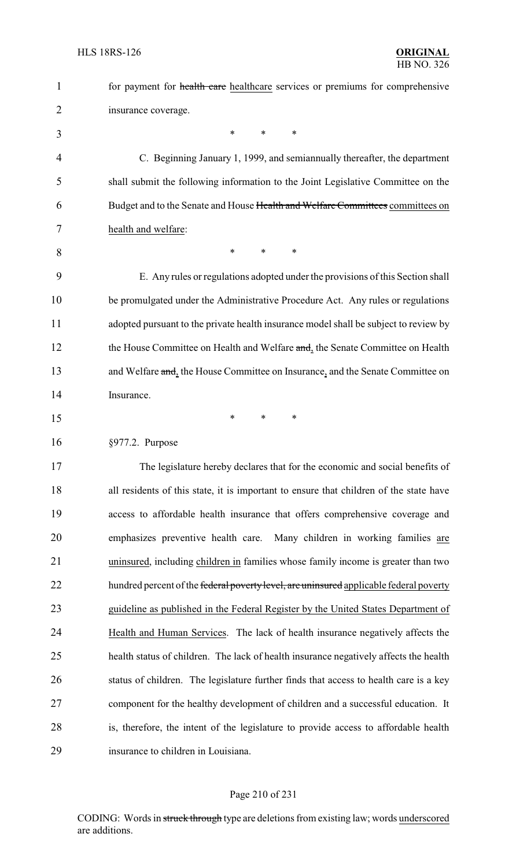| $\mathbf{1}$   | for payment for health care healthcare services or premiums for comprehensive          |
|----------------|----------------------------------------------------------------------------------------|
| $\overline{2}$ | insurance coverage.                                                                    |
| 3              | $\ast$<br>$\ast$<br>$\ast$                                                             |
| $\overline{4}$ | C. Beginning January 1, 1999, and semiannually thereafter, the department              |
| 5              | shall submit the following information to the Joint Legislative Committee on the       |
| 6              | Budget and to the Senate and House Health and Welfare Committees committees on         |
| 7              | health and welfare:                                                                    |
| 8              | ∗<br>∗<br>$\ast$                                                                       |
| 9              | E. Any rules or regulations adopted under the provisions of this Section shall         |
| 10             | be promulgated under the Administrative Procedure Act. Any rules or regulations        |
| 11             | adopted pursuant to the private health insurance model shall be subject to review by   |
| 12             | the House Committee on Health and Welfare and, the Senate Committee on Health          |
| 13             | and Welfare and, the House Committee on Insurance, and the Senate Committee on         |
| 14             | Insurance.                                                                             |
| 15             | ∗<br>$\ast$<br>∗                                                                       |
| 16             | §977.2. Purpose                                                                        |
| 17             | The legislature hereby declares that for the economic and social benefits of           |
| 18             | all residents of this state, it is important to ensure that children of the state have |
| 19             | access to affordable health insurance that offers comprehensive coverage and           |
| 20             | emphasizes preventive health care. Many children in working families are               |
| 21             | uninsured, including children in families whose family income is greater than two      |
| 22             | hundred percent of the federal poverty level, are uninsured applicable federal poverty |
| 23             | guideline as published in the Federal Register by the United States Department of      |
| 24             | Health and Human Services. The lack of health insurance negatively affects the         |
| 25             | health status of children. The lack of health insurance negatively affects the health  |
| 26             | status of children. The legislature further finds that access to health care is a key  |
| 27             | component for the healthy development of children and a successful education. It       |
| 28             | is, therefore, the intent of the legislature to provide access to affordable health    |
| 29             | insurance to children in Louisiana.                                                    |

# Page 210 of 231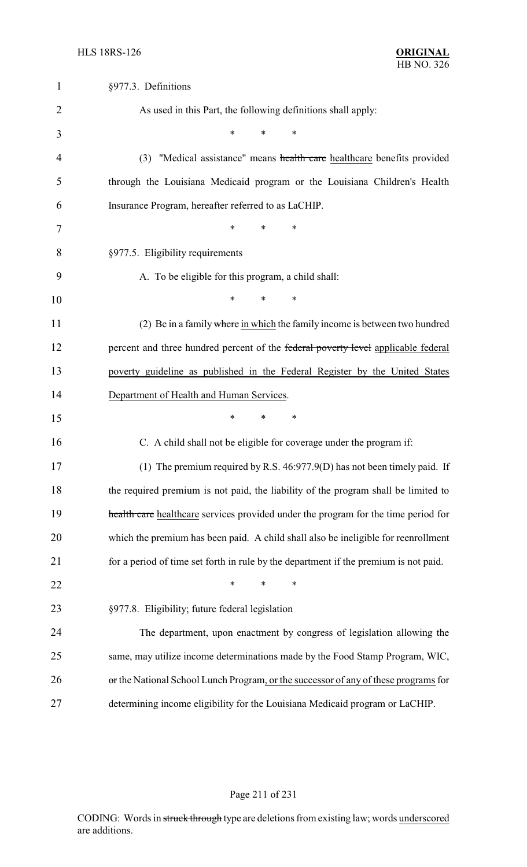| $\mathbf{1}$   | §977.3. Definitions                                                                  |
|----------------|--------------------------------------------------------------------------------------|
| $\overline{2}$ | As used in this Part, the following definitions shall apply:                         |
| 3              | $\ast$<br>*<br>*                                                                     |
| 4              | "Medical assistance" means health care healthcare benefits provided<br>(3)           |
| 5              | through the Louisiana Medicaid program or the Louisiana Children's Health            |
| 6              | Insurance Program, hereafter referred to as LaCHIP.                                  |
| 7              | $\ast$<br>$\ast$<br>∗                                                                |
| 8              | §977.5. Eligibility requirements                                                     |
| 9              | A. To be eligible for this program, a child shall:                                   |
| 10             | $\ast$<br>*<br>*                                                                     |
| 11             | (2) Be in a family where in which the family income is between two hundred           |
| 12             | percent and three hundred percent of the federal poverty level applicable federal    |
| 13             | poverty guideline as published in the Federal Register by the United States          |
| 14             | Department of Health and Human Services.                                             |
| 15             | *<br>∗<br>$\ast$                                                                     |
| 16             | C. A child shall not be eligible for coverage under the program if:                  |
| 17             | (1) The premium required by R.S. $46:977.9(D)$ has not been timely paid. If          |
| 18             | the required premium is not paid, the liability of the program shall be limited to   |
| 19             | health care healthcare services provided under the program for the time period for   |
| 20             | which the premium has been paid. A child shall also be ineligible for reenrollment   |
| 21             | for a period of time set forth in rule by the department if the premium is not paid. |
| 22             | *<br>∗<br>∗                                                                          |
| 23             | §977.8. Eligibility; future federal legislation                                      |
| 24             | The department, upon enactment by congress of legislation allowing the               |
| 25             | same, may utilize income determinations made by the Food Stamp Program, WIC,         |
| 26             | or the National School Lunch Program, or the successor of any of these programs for  |
| 27             | determining income eligibility for the Louisiana Medicaid program or LaCHIP.         |

# Page 211 of 231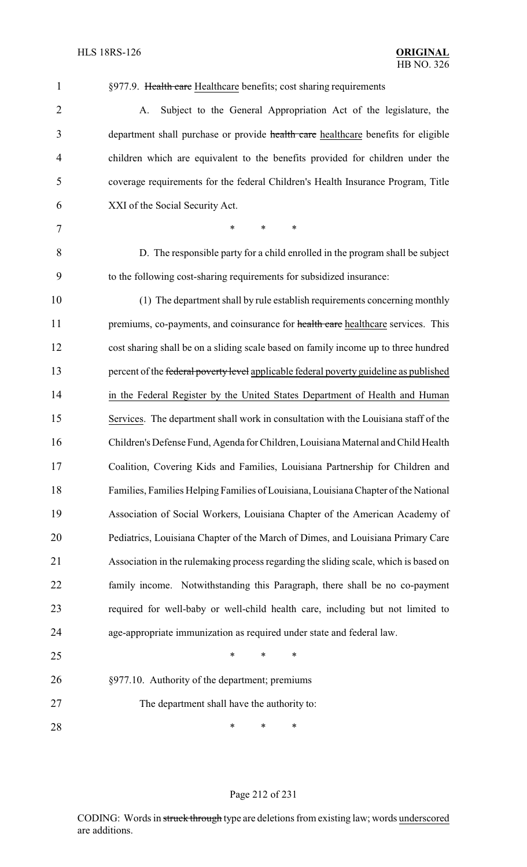| $\overline{2}$ | Subject to the General Appropriation Act of the legislature, the<br>A.                 |
|----------------|----------------------------------------------------------------------------------------|
| 3              | department shall purchase or provide health care healthcare benefits for eligible      |
| $\overline{4}$ | children which are equivalent to the benefits provided for children under the          |
| 5              | coverage requirements for the federal Children's Health Insurance Program, Title       |
| 6              | XXI of the Social Security Act.                                                        |
| $\overline{7}$ | $\ast$<br>$\ast$<br>*                                                                  |
| 8              | D. The responsible party for a child enrolled in the program shall be subject          |
| 9              | to the following cost-sharing requirements for subsidized insurance:                   |
| 10             | (1) The department shall by rule establish requirements concerning monthly             |
| 11             | premiums, co-payments, and coinsurance for health care healthcare services. This       |
| 12             | cost sharing shall be on a sliding scale based on family income up to three hundred    |
| 13             | percent of the federal poverty level applicable federal poverty guideline as published |
| 14             | in the Federal Register by the United States Department of Health and Human            |
| 15             | Services. The department shall work in consultation with the Louisiana staff of the    |
| 16             | Children's Defense Fund, Agenda for Children, Louisiana Maternal and Child Health      |
| 17             | Coalition, Covering Kids and Families, Louisiana Partnership for Children and          |
| 18             | Families, Families Helping Families of Louisiana, Louisiana Chapter of the National    |
| 19             | Association of Social Workers, Louisiana Chapter of the American Academy of            |
| 20             | Pediatrics, Louisiana Chapter of the March of Dimes, and Louisiana Primary Care        |
| 21             | Association in the rulemaking process regarding the sliding scale, which is based on   |
| 22             | family income. Notwithstanding this Paragraph, there shall be no co-payment            |
| 23             | required for well-baby or well-child health care, including but not limited to         |
| 24             | age-appropriate immunization as required under state and federal law.                  |
| 25             | *<br>*<br>∗                                                                            |
| 26             | §977.10. Authority of the department; premiums                                         |
| 27             | The department shall have the authority to:                                            |
| 28             | ∗<br>∗<br>∗                                                                            |

1 §977.9. Health care Healthcare benefits; cost sharing requirements

#### Page 212 of 231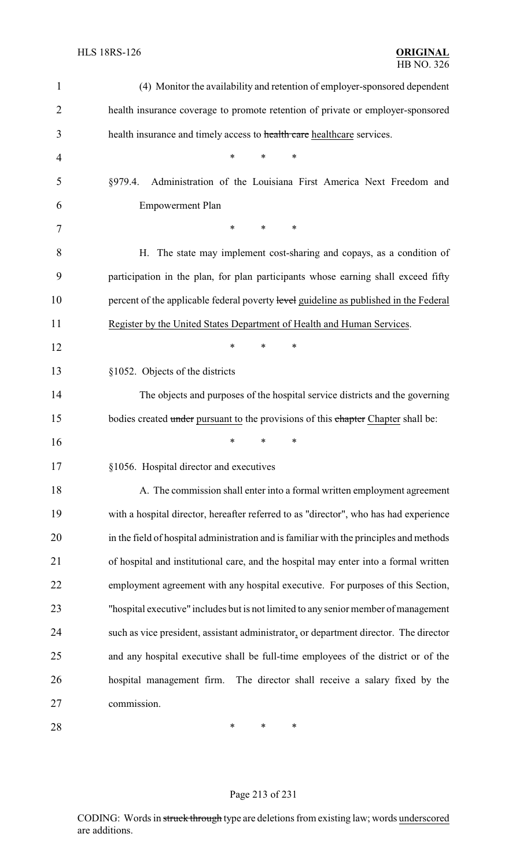| $\mathbf 1$    | (4) Monitor the availability and retention of employer-sponsored dependent              |
|----------------|-----------------------------------------------------------------------------------------|
| $\overline{2}$ | health insurance coverage to promote retention of private or employer-sponsored         |
| 3              | health insurance and timely access to health care healthcare services.                  |
| 4              | *<br>$\ast$<br>*                                                                        |
| 5              | Administration of the Louisiana First America Next Freedom and<br>§979.4.               |
| 6              | <b>Empowerment Plan</b>                                                                 |
| 7              | ∗<br>$\ast$<br>$\ast$                                                                   |
| 8              | H. The state may implement cost-sharing and copays, as a condition of                   |
| 9              | participation in the plan, for plan participants whose earning shall exceed fifty       |
| 10             | percent of the applicable federal poverty level guideline as published in the Federal   |
| 11             | Register by the United States Department of Health and Human Services.                  |
| 12             | ∗<br>*<br>∗                                                                             |
| 13             | §1052. Objects of the districts                                                         |
| 14             | The objects and purposes of the hospital service districts and the governing            |
| 15             | bodies created under pursuant to the provisions of this chapter Chapter shall be:       |
| 16             | ∗<br>∗<br>*                                                                             |
| 17             | §1056. Hospital director and executives                                                 |
| 18             | A. The commission shall enter into a formal written employment agreement                |
| 19             | with a hospital director, hereafter referred to as "director", who has had experience   |
| 20             | in the field of hospital administration and is familiar with the principles and methods |
| 21             | of hospital and institutional care, and the hospital may enter into a formal written    |
| 22             | employment agreement with any hospital executive. For purposes of this Section,         |
| 23             | "hospital executive" includes but is not limited to any senior member of management     |
| 24             | such as vice president, assistant administrator, or department director. The director   |
| 25             | and any hospital executive shall be full-time employees of the district or of the       |
| 26             | hospital management firm. The director shall receive a salary fixed by the              |
| 27             | commission.                                                                             |
| 28             | *<br>∗<br>∗                                                                             |

# Page 213 of 231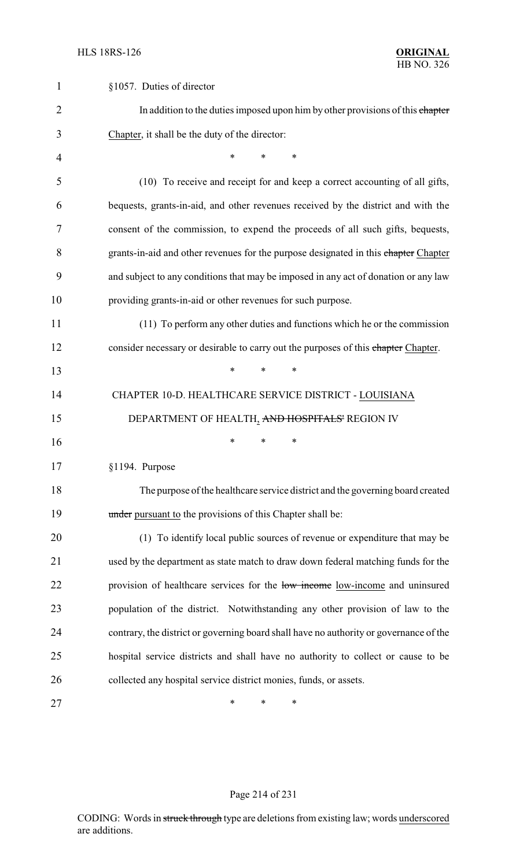| $\mathbf{1}$ | §1057. Duties of director                                                              |
|--------------|----------------------------------------------------------------------------------------|
| 2            | In addition to the duties imposed upon him by other provisions of this chapter         |
| 3            | Chapter, it shall be the duty of the director:                                         |
| 4            | $\ast$<br>*<br>*                                                                       |
| 5            | (10) To receive and receipt for and keep a correct accounting of all gifts,            |
| 6            | bequests, grants-in-aid, and other revenues received by the district and with the      |
| 7            | consent of the commission, to expend the proceeds of all such gifts, bequests,         |
| 8            | grants-in-aid and other revenues for the purpose designated in this chapter Chapter    |
| 9            | and subject to any conditions that may be imposed in any act of donation or any law    |
| 10           | providing grants-in-aid or other revenues for such purpose.                            |
| 11           | (11) To perform any other duties and functions which he or the commission              |
| 12           | consider necessary or desirable to carry out the purposes of this chapter Chapter.     |
| 13           | *<br>*<br>∗                                                                            |
| 14           | CHAPTER 10-D. HEALTHCARE SERVICE DISTRICT - LOUISIANA                                  |
| 15           | DEPARTMENT OF HEALTH, AND HOSPITALS' REGION IV                                         |
| 16           | ∗<br>∗<br>∗                                                                            |
| 17           | §1194. Purpose                                                                         |
| 18           | The purpose of the healthcare service district and the governing board created         |
| 19           | under pursuant to the provisions of this Chapter shall be:                             |
| 20           | (1) To identify local public sources of revenue or expenditure that may be             |
| 21           | used by the department as state match to draw down federal matching funds for the      |
| 22           | provision of healthcare services for the low income low-income and uninsured           |
| 23           | population of the district. Notwithstanding any other provision of law to the          |
| 24           | contrary, the district or governing board shall have no authority or governance of the |
| 25           | hospital service districts and shall have no authority to collect or cause to be       |
| 26           | collected any hospital service district monies, funds, or assets.                      |
| 27           | ∗<br>∗<br>*                                                                            |

# Page 214 of 231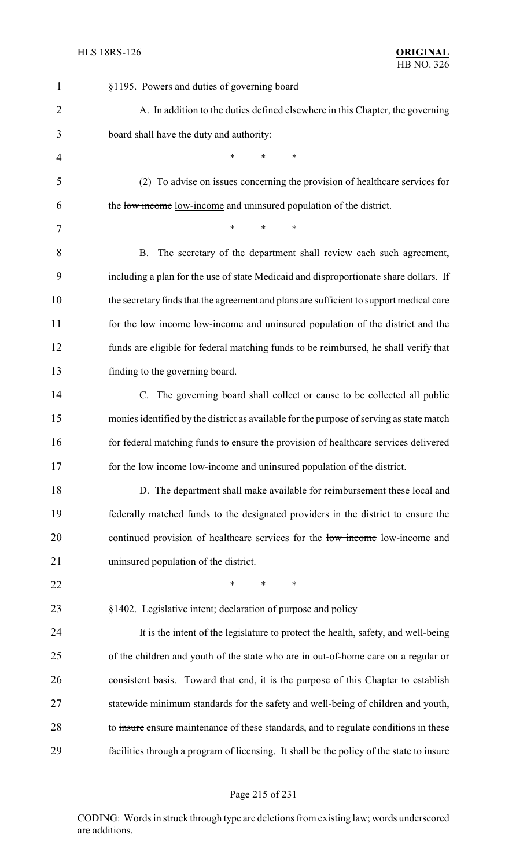| $\mathbf{1}$   | §1195. Powers and duties of governing board                                              |
|----------------|------------------------------------------------------------------------------------------|
| $\overline{2}$ | A. In addition to the duties defined elsewhere in this Chapter, the governing            |
| 3              | board shall have the duty and authority:                                                 |
| $\overline{4}$ | $\ast$<br>$\ast$<br>*                                                                    |
| 5              | (2) To advise on issues concerning the provision of healthcare services for              |
| 6              | the low income low-income and uninsured population of the district.                      |
| 7              | *<br>$\ast$<br>∗                                                                         |
| 8              | The secretary of the department shall review each such agreement,<br>B.                  |
| 9              | including a plan for the use of state Medicaid and disproportionate share dollars. If    |
| 10             | the secretary finds that the agreement and plans are sufficient to support medical care  |
| 11             | for the low-income low-income and uninsured population of the district and the           |
| 12             | funds are eligible for federal matching funds to be reimbursed, he shall verify that     |
| 13             | finding to the governing board.                                                          |
| 14             | C. The governing board shall collect or cause to be collected all public                 |
| 15             | monies identified by the district as available for the purpose of serving as state match |
| 16             | for federal matching funds to ensure the provision of healthcare services delivered      |
| 17             | for the low-income low-income and uninsured population of the district.                  |
| 18             | D. The department shall make available for reimbursement these local and                 |
| 19             | federally matched funds to the designated providers in the district to ensure the        |
| 20             | continued provision of healthcare services for the low-income low-income and             |
| 21             | uninsured population of the district.                                                    |
| 22             | *<br>$\ast$<br>*                                                                         |
| 23             | §1402. Legislative intent; declaration of purpose and policy                             |
| 24             | It is the intent of the legislature to protect the health, safety, and well-being        |
| 25             | of the children and youth of the state who are in out-of-home care on a regular or       |
| 26             | consistent basis. Toward that end, it is the purpose of this Chapter to establish        |
| 27             | statewide minimum standards for the safety and well-being of children and youth,         |
| 28             | to insure ensure maintenance of these standards, and to regulate conditions in these     |
| 29             | facilities through a program of licensing. It shall be the policy of the state to insure |

# Page 215 of 231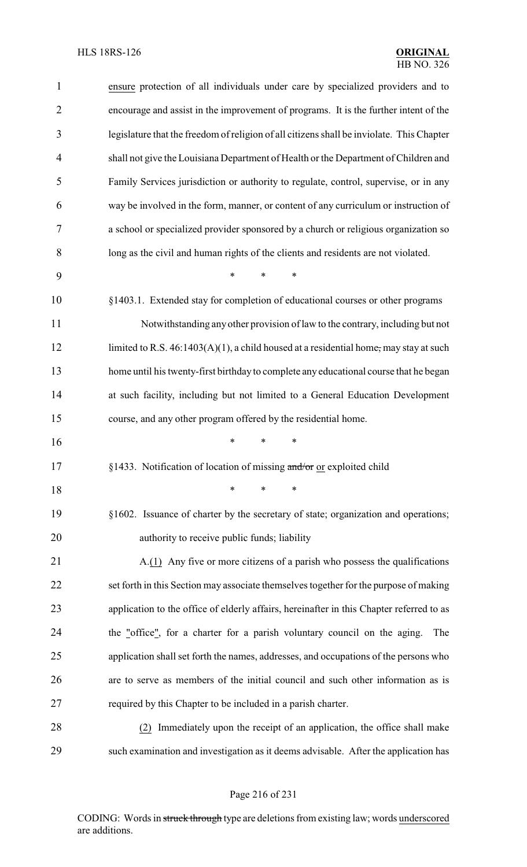| $\mathbf{1}$   | ensure protection of all individuals under care by specialized providers and to           |
|----------------|-------------------------------------------------------------------------------------------|
| $\overline{2}$ | encourage and assist in the improvement of programs. It is the further intent of the      |
| 3              | legislature that the freedom of religion of all citizens shall be inviolate. This Chapter |
| $\overline{4}$ | shall not give the Louisiana Department of Health or the Department of Children and       |
| 5              | Family Services jurisdiction or authority to regulate, control, supervise, or in any      |
| 6              | way be involved in the form, manner, or content of any curriculum or instruction of       |
| 7              | a school or specialized provider sponsored by a church or religious organization so       |
| 8              | long as the civil and human rights of the clients and residents are not violated.         |
| 9              | $\ast$<br>*                                                                               |
| 10             | §1403.1. Extended stay for completion of educational courses or other programs            |
| 11             | Notwithstanding any other provision of law to the contrary, including but not             |
| 12             | limited to R.S. $46:1403(A)(1)$ , a child housed at a residential home, may stay at such  |
| 13             | home until his twenty-first birthday to complete any educational course that he began     |
| 14             | at such facility, including but not limited to a General Education Development            |
| 15             | course, and any other program offered by the residential home.                            |
| 16             | *<br>∗                                                                                    |
| 17             | §1433. Notification of location of missing and/or or exploited child                      |
| 18             | $\ast$<br>*<br>$\ast$                                                                     |
| 19             | §1602. Issuance of charter by the secretary of state; organization and operations;        |
| 20             | authority to receive public funds; liability                                              |
| 21             | A.(1) Any five or more citizens of a parish who possess the qualifications                |
| 22             | set forth in this Section may associate themselves together for the purpose of making     |
| 23             | application to the office of elderly affairs, hereinafter in this Chapter referred to as  |
| 24             | the "office", for a charter for a parish voluntary council on the aging.<br>The           |
| 25             | application shall set forth the names, addresses, and occupations of the persons who      |
| 26             | are to serve as members of the initial council and such other information as is           |
| 27             | required by this Chapter to be included in a parish charter.                              |
| 28             | (2) Immediately upon the receipt of an application, the office shall make                 |
| 29             | such examination and investigation as it deems advisable. After the application has       |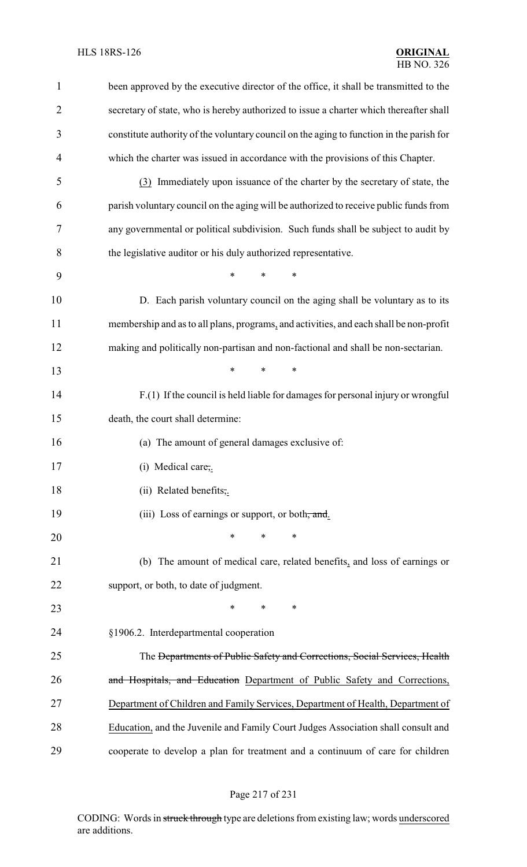| $\mathbf{1}$   | been approved by the executive director of the office, it shall be transmitted to the    |
|----------------|------------------------------------------------------------------------------------------|
| $\overline{2}$ | secretary of state, who is hereby authorized to issue a charter which thereafter shall   |
| 3              | constitute authority of the voluntary council on the aging to function in the parish for |
| 4              | which the charter was issued in accordance with the provisions of this Chapter.          |
| 5              | (3) Immediately upon issuance of the charter by the secretary of state, the              |
| 6              | parish voluntary council on the aging will be authorized to receive public funds from    |
| 7              | any governmental or political subdivision. Such funds shall be subject to audit by       |
| 8              | the legislative auditor or his duly authorized representative.                           |
| 9              | *<br>$\ast$<br>*                                                                         |
| 10             | D. Each parish voluntary council on the aging shall be voluntary as to its               |
| 11             | membership and as to all plans, programs, and activities, and each shall be non-profit   |
| 12             | making and politically non-partisan and non-factional and shall be non-sectarian.        |
| 13             | $\ast$<br>*<br>*                                                                         |
| 14             | F.(1) If the council is held liable for damages for personal injury or wrongful          |
| 15             | death, the court shall determine:                                                        |
| 16             | (a) The amount of general damages exclusive of:                                          |
| 17             | (i) Medical care,.                                                                       |
| 18             | (ii) Related benefits,.                                                                  |
| 19             | (iii) Loss of earnings or support, or both, and.                                         |
| 20             | $\ast$<br>*<br>*                                                                         |
| 21             | (b) The amount of medical care, related benefits, and loss of earnings or                |
| 22             | support, or both, to date of judgment.                                                   |
| 23             | ∗<br>∗<br>∗                                                                              |
| 24             | §1906.2. Interdepartmental cooperation                                                   |
| 25             | The <del>Departments of Public Safety and Corrections, Social Services, Health</del>     |
| 26             | and Hospitals, and Education Department of Public Safety and Corrections,                |
| 27             | Department of Children and Family Services, Department of Health, Department of          |
| 28             | Education, and the Juvenile and Family Court Judges Association shall consult and        |
| 29             | cooperate to develop a plan for treatment and a continuum of care for children           |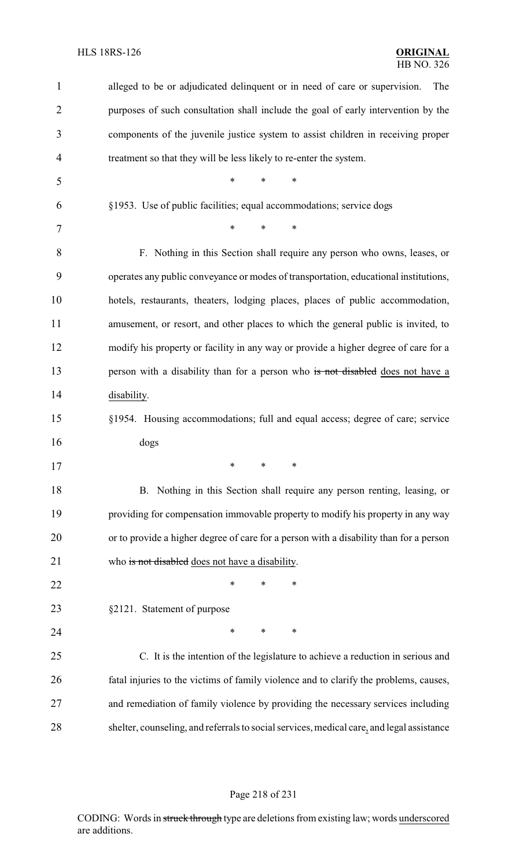| 1              | alleged to be or adjudicated delinquent or in need of care or supervision.<br>The         |
|----------------|-------------------------------------------------------------------------------------------|
| $\overline{2}$ | purposes of such consultation shall include the goal of early intervention by the         |
| 3              | components of the juvenile justice system to assist children in receiving proper          |
| 4              | treatment so that they will be less likely to re-enter the system.                        |
| 5              | $\ast$<br>$\ast$<br>$\ast$                                                                |
| 6              | §1953. Use of public facilities; equal accommodations; service dogs                       |
| 7              | $\ast$<br>$\ast$<br>$\ast$                                                                |
| 8              | F. Nothing in this Section shall require any person who owns, leases, or                  |
| 9              | operates any public conveyance or modes of transportation, educational institutions,      |
| 10             | hotels, restaurants, theaters, lodging places, places of public accommodation,            |
| 11             | amusement, or resort, and other places to which the general public is invited, to         |
| 12             | modify his property or facility in any way or provide a higher degree of care for a       |
| 13             | person with a disability than for a person who is not disabled does not have a            |
| 14             | disability.                                                                               |
| 15             | §1954. Housing accommodations; full and equal access; degree of care; service             |
| 16             | dogs                                                                                      |
| 17             | $\mathbf{r}$<br>$\sim$                                                                    |
| 18             | B. Nothing in this Section shall require any person renting, leasing, or                  |
| 19             | providing for compensation immovable property to modify his property in any way           |
| 20             | or to provide a higher degree of care for a person with a disability than for a person    |
| 21             | who is not disabled does not have a disability.                                           |
| 22             | $\ast$<br>$\ast$<br>∗                                                                     |
| 23             | §2121. Statement of purpose                                                               |
| 24             | $\ast$<br>∗<br>∗                                                                          |
| 25             | C. It is the intention of the legislature to achieve a reduction in serious and           |
| 26             | fatal injuries to the victims of family violence and to clarify the problems, causes,     |
| 27             | and remediation of family violence by providing the necessary services including          |
| 28             | shelter, counseling, and referrals to social services, medical care, and legal assistance |

# Page 218 of 231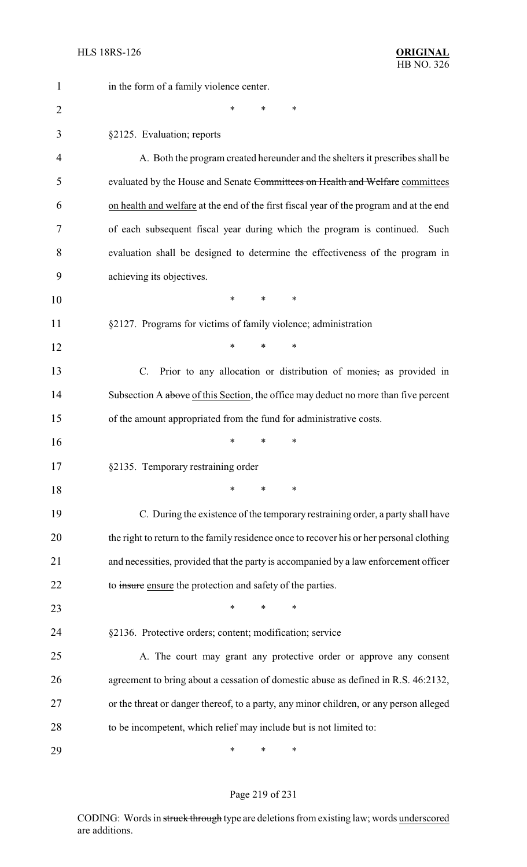| 1              | in the form of a family violence center.                                                 |
|----------------|------------------------------------------------------------------------------------------|
| $\overline{2}$ | *<br>∗<br>*                                                                              |
| 3              | §2125. Evaluation; reports                                                               |
| 4              | A. Both the program created hereunder and the shelters it prescribes shall be            |
| 5              | evaluated by the House and Senate Committees on Health and Welfare committees            |
| 6              | on health and welfare at the end of the first fiscal year of the program and at the end  |
| 7              | of each subsequent fiscal year during which the program is continued.<br>Such            |
| 8              | evaluation shall be designed to determine the effectiveness of the program in            |
| 9              | achieving its objectives.                                                                |
| 10             | *<br>$\ast$<br>$\ast$                                                                    |
| 11             | §2127. Programs for victims of family violence; administration                           |
| 12             | $\ast$<br>*<br>*                                                                         |
| 13             | Prior to any allocation or distribution of monies, as provided in<br>$\mathcal{C}$ .     |
| 14             | Subsection A above of this Section, the office may deduct no more than five percent      |
| 15             | of the amount appropriated from the fund for administrative costs.                       |
| 16             | ∗<br>*<br>∗                                                                              |
| 17             | §2135. Temporary restraining order                                                       |
| 18             | ∗<br>*<br>*                                                                              |
| 19             | C. During the existence of the temporary restraining order, a party shall have           |
| 20             | the right to return to the family residence once to recover his or her personal clothing |
| 21             | and necessities, provided that the party is accompanied by a law enforcement officer     |
| 22             | to insure ensure the protection and safety of the parties.                               |
| 23             | *<br>*                                                                                   |
| 24             | §2136. Protective orders; content; modification; service                                 |
| 25             | A. The court may grant any protective order or approve any consent                       |
| 26             | agreement to bring about a cessation of domestic abuse as defined in R.S. 46:2132,       |
| 27             | or the threat or danger thereof, to a party, any minor children, or any person alleged   |
| 28             | to be incompetent, which relief may include but is not limited to:                       |
| 29             | ∗<br>∗<br>∗                                                                              |

# Page 219 of 231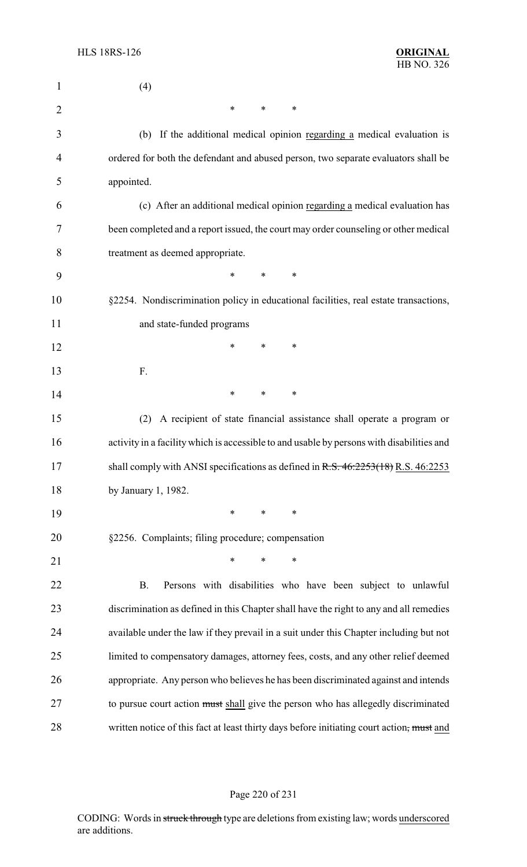| $\mathbf{1}$   | (4)                                                                                       |
|----------------|-------------------------------------------------------------------------------------------|
| $\overline{2}$ | *<br>∗<br>$\ast$                                                                          |
| 3              | (b) If the additional medical opinion regarding a medical evaluation is                   |
| 4              | ordered for both the defendant and abused person, two separate evaluators shall be        |
| 5              | appointed.                                                                                |
| 6              | (c) After an additional medical opinion regarding a medical evaluation has                |
| 7              | been completed and a report issued, the court may order counseling or other medical       |
| 8              | treatment as deemed appropriate.                                                          |
| 9              | *<br>*<br>$\ast$                                                                          |
| 10             | §2254. Nondiscrimination policy in educational facilities, real estate transactions,      |
| 11             | and state-funded programs                                                                 |
| 12             | *<br>∗<br>*                                                                               |
| 13             | F.                                                                                        |
| 14             | *<br>∗<br>∗                                                                               |
| 15             | A recipient of state financial assistance shall operate a program or<br>(2)               |
| 16             | activity in a facility which is accessible to and usable by persons with disabilities and |
| 17             | shall comply with ANSI specifications as defined in $R.S. 46:2253(18) R.S. 46:2253$       |
| 18             | by January 1, 1982.                                                                       |
| 19             | *<br>∗<br>$\ast$                                                                          |
| 20             | §2256. Complaints; filing procedure; compensation                                         |
| 21             | $\ast$<br>$\ast$<br>*                                                                     |
| 22             | Persons with disabilities who have been subject to unlawful<br><b>B.</b>                  |
| 23             | discrimination as defined in this Chapter shall have the right to any and all remedies    |
| 24             | available under the law if they prevail in a suit under this Chapter including but not    |
| 25             | limited to compensatory damages, attorney fees, costs, and any other relief deemed        |
| 26             | appropriate. Any person who believes he has been discriminated against and intends        |
| 27             | to pursue court action must shall give the person who has allegedly discriminated         |
| 28             | written notice of this fact at least thirty days before initiating court action, must and |

### Page 220 of 231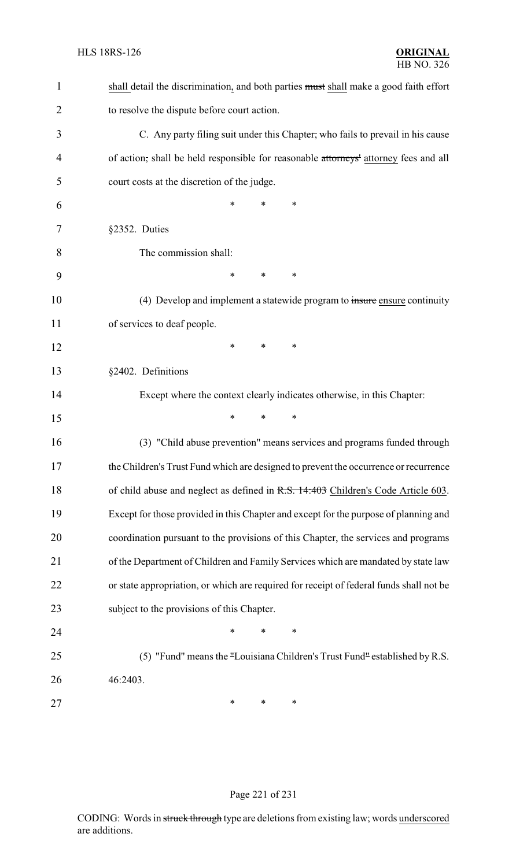| $\mathbf{1}$   | shall detail the discrimination, and both parties must shall make a good faith effort   |
|----------------|-----------------------------------------------------------------------------------------|
| $\overline{2}$ | to resolve the dispute before court action.                                             |
| 3              | C. Any party filing suit under this Chapter, who fails to prevail in his cause          |
| $\overline{4}$ | of action, shall be held responsible for reasonable attorneys' attorney fees and all    |
| 5              | court costs at the discretion of the judge.                                             |
| 6              | *<br>*<br>*                                                                             |
| 7              | §2352. Duties                                                                           |
| 8              | The commission shall:                                                                   |
| 9              | $\ast$<br>*<br>∗                                                                        |
| 10             | (4) Develop and implement a statewide program to insure ensure continuity               |
| 11             | of services to deaf people.                                                             |
| 12             | *<br>*<br>*                                                                             |
| 13             | §2402. Definitions                                                                      |
| 14             | Except where the context clearly indicates otherwise, in this Chapter:                  |
| 15             | *<br>*<br>*                                                                             |
| 16             | (3) "Child abuse prevention" means services and programs funded through                 |
| 17             | the Children's Trust Fund which are designed to prevent the occurrence or recurrence    |
| 18             | of child abuse and neglect as defined in R.S. 14:403 Children's Code Article 603.       |
| 19             | Except for those provided in this Chapter and except for the purpose of planning and    |
| 20             | coordination pursuant to the provisions of this Chapter, the services and programs      |
| 21             | of the Department of Children and Family Services which are mandated by state law       |
| 22             | or state appropriation, or which are required for receipt of federal funds shall not be |
| 23             | subject to the provisions of this Chapter.                                              |
| 24             | *<br>$\ast$<br>*                                                                        |
| 25             | (5) "Fund" means the "Louisiana Children's Trust Fund" established by R.S.              |
| 26             | 46:2403.                                                                                |
| 27             | ∗<br>∗<br>∗                                                                             |

# Page 221 of 231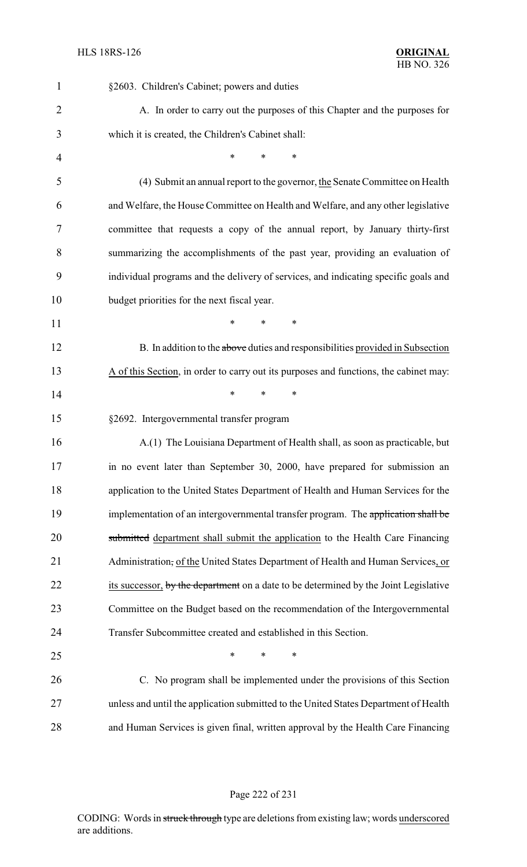| $\mathbf{1}$   | §2603. Children's Cabinet; powers and duties                                          |
|----------------|---------------------------------------------------------------------------------------|
| $\overline{2}$ | A. In order to carry out the purposes of this Chapter and the purposes for            |
| 3              | which it is created, the Children's Cabinet shall:                                    |
| 4              | *<br>*<br>$\ast$                                                                      |
| 5              | (4) Submit an annual report to the governor, the Senate Committee on Health           |
| 6              | and Welfare, the House Committee on Health and Welfare, and any other legislative     |
| 7              | committee that requests a copy of the annual report, by January thirty-first          |
| 8              | summarizing the accomplishments of the past year, providing an evaluation of          |
| 9              | individual programs and the delivery of services, and indicating specific goals and   |
| 10             | budget priorities for the next fiscal year.                                           |
| 11             | $\ast$<br>*<br>∗                                                                      |
| 12             | B. In addition to the above duties and responsibilities provided in Subsection        |
| 13             | A of this Section, in order to carry out its purposes and functions, the cabinet may: |
| 14             | *<br>*<br>*                                                                           |
| 15             | §2692. Intergovernmental transfer program                                             |
| 16             | A.(1) The Louisiana Department of Health shall, as soon as practicable, but           |
| 17             | in no event later than September 30, 2000, have prepared for submission an            |
| 18             | application to the United States Department of Health and Human Services for the      |
| 19             | implementation of an intergovernmental transfer program. The application shall be     |
| 20             | submitted department shall submit the application to the Health Care Financing        |
| 21             | Administration, of the United States Department of Health and Human Services, or      |
| 22             | its successor, by the department on a date to be determined by the Joint Legislative  |
| 23             | Committee on the Budget based on the recommendation of the Intergovernmental          |
| 24             | Transfer Subcommittee created and established in this Section.                        |
| 25             | ∗<br>*<br>*                                                                           |
| 26             | C. No program shall be implemented under the provisions of this Section               |
| 27             | unless and until the application submitted to the United States Department of Health  |
| 28             | and Human Services is given final, written approval by the Health Care Financing      |

### Page 222 of 231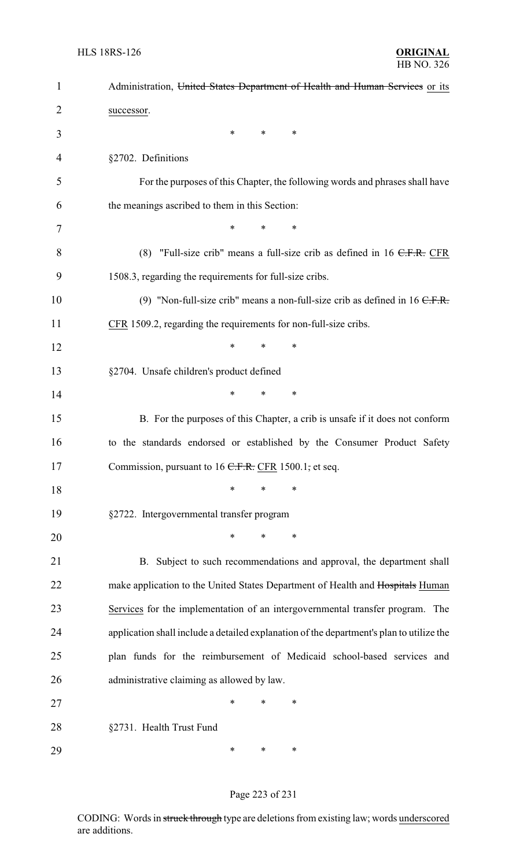| $\mathbf{1}$   | Administration, United States Department of Health and Human Services or its             |
|----------------|------------------------------------------------------------------------------------------|
| $\overline{2}$ | successor.                                                                               |
| 3              | $\ast$<br>$\ast$<br>∗                                                                    |
| 4              | §2702. Definitions                                                                       |
| 5              | For the purposes of this Chapter, the following words and phrases shall have             |
| 6              | the meanings ascribed to them in this Section:                                           |
| 7              | *<br>*<br>∗                                                                              |
| 8              | (8) "Full-size crib" means a full-size crib as defined in $16$ C.F.R. CFR                |
| 9              | 1508.3, regarding the requirements for full-size cribs.                                  |
| 10             | (9) "Non-full-size crib" means a non-full-size crib as defined in $16 \text{ C.F.R.}$    |
| 11             | CFR 1509.2, regarding the requirements for non-full-size cribs.                          |
| 12             | *<br>*<br>*                                                                              |
| 13             | §2704. Unsafe children's product defined                                                 |
| 14             | *<br>*<br>$\ast$                                                                         |
| 15             | B. For the purposes of this Chapter, a crib is unsafe if it does not conform             |
| 16             | to the standards endorsed or established by the Consumer Product Safety                  |
| 17             | Commission, pursuant to 16 <del>C.F.R.</del> CFR 1500.1, et seq.                         |
| 18             | *<br>$\ast$<br>∗                                                                         |
| 19             | §2722. Intergovernmental transfer program                                                |
| 20             | $\ast$<br>*<br>*                                                                         |
| 21             | B. Subject to such recommendations and approval, the department shall                    |
| 22             | make application to the United States Department of Health and Hospitals Human           |
| 23             | Services for the implementation of an intergovernmental transfer program. The            |
| 24             | application shall include a detailed explanation of the department's plan to utilize the |
| 25             | plan funds for the reimbursement of Medicaid school-based services and                   |
| 26             | administrative claiming as allowed by law.                                               |
| 27             | *<br>*<br>*                                                                              |
| 28             | §2731. Health Trust Fund                                                                 |
| 29             | *<br>∗<br>∗                                                                              |

# Page 223 of 231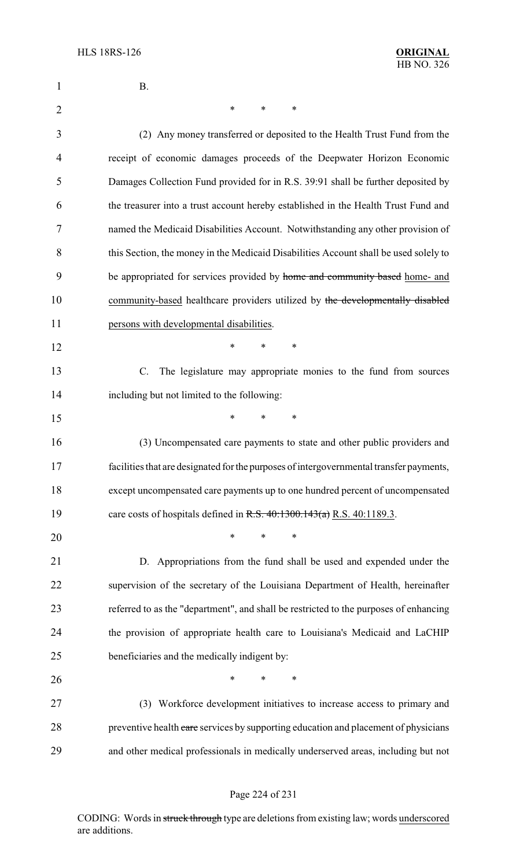| 1              | <b>B.</b>                                                                               |
|----------------|-----------------------------------------------------------------------------------------|
| $\overline{2}$ | ∗<br>∗<br>$\ast$                                                                        |
| 3              | (2) Any money transferred or deposited to the Health Trust Fund from the                |
| 4              | receipt of economic damages proceeds of the Deepwater Horizon Economic                  |
| 5              | Damages Collection Fund provided for in R.S. 39:91 shall be further deposited by        |
| 6              | the treasurer into a trust account hereby established in the Health Trust Fund and      |
| 7              | named the Medicaid Disabilities Account. Notwithstanding any other provision of         |
| 8              | this Section, the money in the Medicaid Disabilities Account shall be used solely to    |
| 9              | be appropriated for services provided by home and community based home- and             |
| 10             | community-based healthcare providers utilized by the developmentally disabled           |
| 11             | persons with developmental disabilities.                                                |
| 12             | *<br>*<br>*                                                                             |
| 13             | The legislature may appropriate monies to the fund from sources<br>C.                   |
| 14             | including but not limited to the following:                                             |
| 15             | *<br>*<br>*                                                                             |
| 16             | (3) Uncompensated care payments to state and other public providers and                 |
| 17             | facilities that are designated for the purposes of intergovernmental transfer payments, |
| 18             | except uncompensated care payments up to one hundred percent of uncompensated           |
| 19             | care costs of hospitals defined in R.S. $40:1300.143(a)$ R.S. $40:1189.3$ .             |
| 20             | $\ast$<br>*                                                                             |
| 21             | D. Appropriations from the fund shall be used and expended under the                    |
| 22             | supervision of the secretary of the Louisiana Department of Health, hereinafter         |
| 23             | referred to as the "department", and shall be restricted to the purposes of enhancing   |
| 24             | the provision of appropriate health care to Louisiana's Medicaid and LaCHIP             |
| 25             | beneficiaries and the medically indigent by:                                            |
| 26             | *<br>*<br>∗                                                                             |
| 27             | (3) Workforce development initiatives to increase access to primary and                 |
| 28             | preventive health care services by supporting education and placement of physicians     |
| 29             | and other medical professionals in medically underserved areas, including but not       |

# Page 224 of 231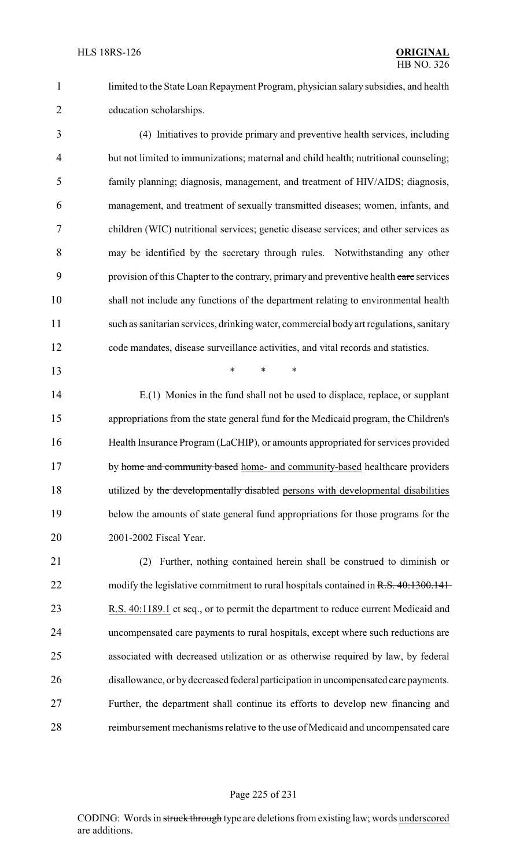limited to the State Loan Repayment Program, physician salary subsidies, and health education scholarships.

 (4) Initiatives to provide primary and preventive health services, including but not limited to immunizations; maternal and child health; nutritional counseling; family planning; diagnosis, management, and treatment of HIV/AIDS; diagnosis, management, and treatment of sexually transmitted diseases; women, infants, and children (WIC) nutritional services; genetic disease services; and other services as may be identified by the secretary through rules. Notwithstanding any other 9 provision of this Chapter to the contrary, primary and preventive health care services shall not include any functions of the department relating to environmental health such as sanitarian services, drinking water, commercial body art regulations, sanitary code mandates, disease surveillance activities, and vital records and statistics.

\* \* \*

 E.(1) Monies in the fund shall not be used to displace, replace, or supplant appropriations from the state general fund for the Medicaid program, the Children's Health Insurance Program (LaCHIP), or amounts appropriated for services provided 17 by home and community based home- and community-based healthcare providers 18 utilized by the developmentally disabled persons with developmental disabilities below the amounts of state general fund appropriations for those programs for the 2001-2002 Fiscal Year.

 (2) Further, nothing contained herein shall be construed to diminish or 22 modify the legislative commitment to rural hospitals contained in R.S. 40:1300.141 23 R.S. 40:1189.1 et seq., or to permit the department to reduce current Medicaid and uncompensated care payments to rural hospitals, except where such reductions are associated with decreased utilization or as otherwise required by law, by federal disallowance, or bydecreased federal participation in uncompensated care payments. Further, the department shall continue its efforts to develop new financing and reimbursement mechanisms relative to the use of Medicaid and uncompensated care

Page 225 of 231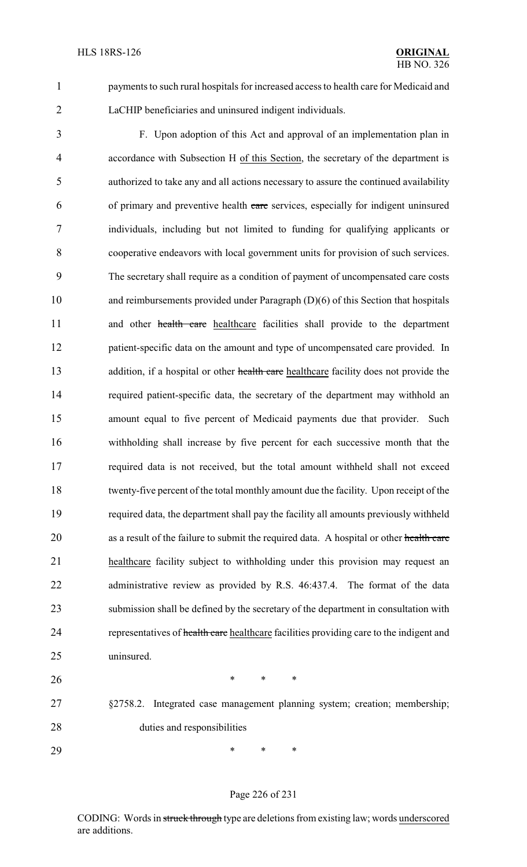payments to such rural hospitals for increased access to health care for Medicaid and LaCHIP beneficiaries and uninsured indigent individuals.

 F. Upon adoption of this Act and approval of an implementation plan in accordance with Subsection H of this Section, the secretary of the department is authorized to take any and all actions necessary to assure the continued availability of primary and preventive health care services, especially for indigent uninsured individuals, including but not limited to funding for qualifying applicants or cooperative endeavors with local government units for provision of such services. The secretary shall require as a condition of payment of uncompensated care costs and reimbursements provided under Paragraph (D)(6) of this Section that hospitals 11 and other health care healthcare facilities shall provide to the department patient-specific data on the amount and type of uncompensated care provided. In 13 addition, if a hospital or other health care healthcare facility does not provide the required patient-specific data, the secretary of the department may withhold an amount equal to five percent of Medicaid payments due that provider. Such withholding shall increase by five percent for each successive month that the required data is not received, but the total amount withheld shall not exceed twenty-five percent of the total monthly amount due the facility. Upon receipt of the required data, the department shall pay the facility all amounts previously withheld 20 as a result of the failure to submit the required data. A hospital or other health care healthcare facility subject to withholding under this provision may request an administrative review as provided by R.S. 46:437.4. The format of the data submission shall be defined by the secretary of the department in consultation with 24 representatives of health care healthcare facilities providing care to the indigent and uninsured.

**\*** \* \* \* §2758.2. Integrated case management planning system; creation; membership; duties and responsibilities

\* \* \*

### Page 226 of 231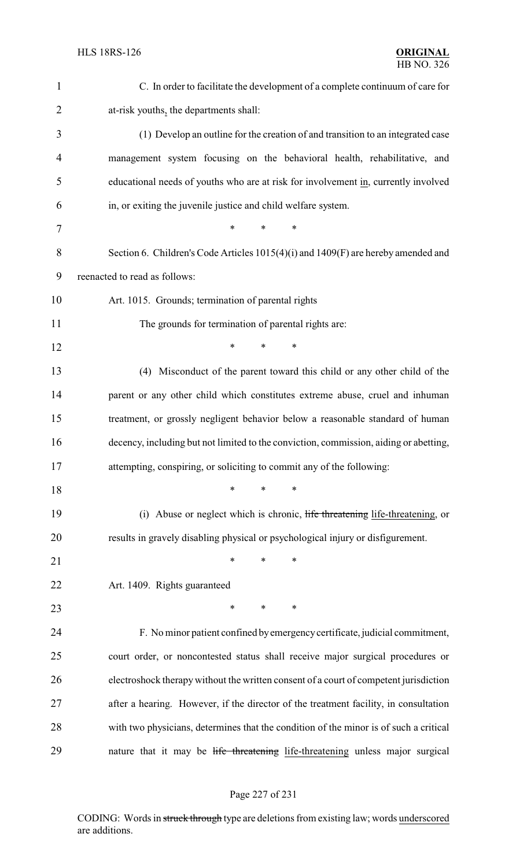| $\mathbf{1}$   | C. In order to facilitate the development of a complete continuum of care for         |
|----------------|---------------------------------------------------------------------------------------|
| $\overline{2}$ | at-risk youths, the departments shall:                                                |
| 3              | (1) Develop an outline for the creation of and transition to an integrated case       |
| 4              | management system focusing on the behavioral health, rehabilitative, and              |
| 5              | educational needs of youths who are at risk for involvement in, currently involved    |
| 6              | in, or exiting the juvenile justice and child welfare system.                         |
| 7              | $\ast$<br>*<br>*                                                                      |
| 8              | Section 6. Children's Code Articles 1015(4)(i) and 1409(F) are hereby amended and     |
| 9              | reenacted to read as follows:                                                         |
| 10             | Art. 1015. Grounds; termination of parental rights                                    |
| 11             | The grounds for termination of parental rights are:                                   |
| 12             | *<br>$\ast$<br>*                                                                      |
| 13             | (4) Misconduct of the parent toward this child or any other child of the              |
| 14             | parent or any other child which constitutes extreme abuse, cruel and inhuman          |
| 15             | treatment, or grossly negligent behavior below a reasonable standard of human         |
| 16             | decency, including but not limited to the conviction, commission, aiding or abetting, |
| 17             | attempting, conspiring, or soliciting to commit any of the following:                 |
| 18             | ∗<br>∗<br>∗                                                                           |
| 19             | (i) Abuse or neglect which is chronic, life threatening life-threatening, or          |
| 20             | results in gravely disabling physical or psychological injury or disfigurement.       |
| 21             | ∗<br>∗<br>∗                                                                           |
| 22             | Art. 1409. Rights guaranteed                                                          |
| 23             | ∗<br>*<br>∗                                                                           |
| 24             | F. No minor patient confined by emergency certificate, judicial commitment,           |
| 25             | court order, or noncontested status shall receive major surgical procedures or        |
| 26             | electroshock therapy without the written consent of a court of competent jurisdiction |
| 27             | after a hearing. However, if the director of the treatment facility, in consultation  |
| 28             | with two physicians, determines that the condition of the minor is of such a critical |
| 29             | nature that it may be life threatening life-threatening unless major surgical         |

# Page 227 of 231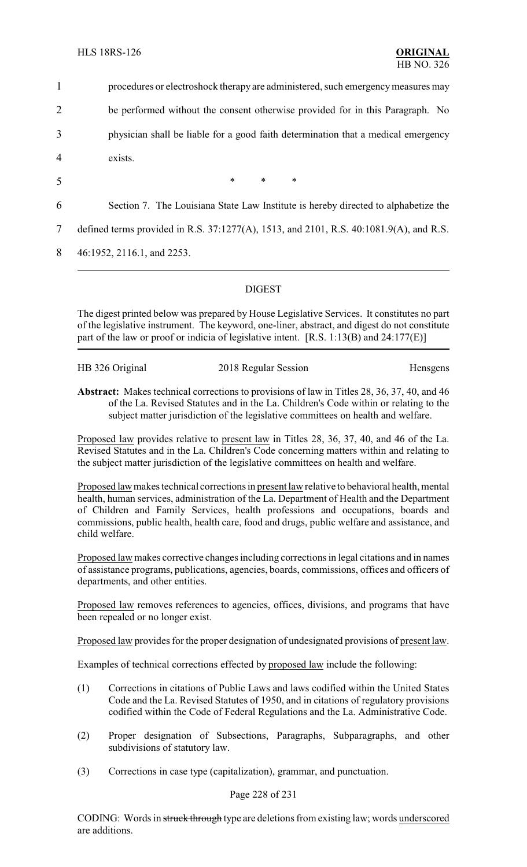| $\mathbf{1}$   | procedures or electroshock therapy are administered, such emergency measures may       |
|----------------|----------------------------------------------------------------------------------------|
| $\overline{2}$ | be performed without the consent otherwise provided for in this Paragraph. No          |
| 3              | physician shall be liable for a good faith determination that a medical emergency      |
| $\overline{4}$ | exists.                                                                                |
| 5              | $\ast$<br>$*$<br>$\ast$                                                                |
| 6              | Section 7. The Louisiana State Law Institute is hereby directed to alphabetize the     |
| 7              | defined terms provided in R.S. 37:1277(A), 1513, and 2101, R.S. 40:1081.9(A), and R.S. |
| 8              | 46:1952, 2116.1, and 2253.                                                             |
|                |                                                                                        |

### DIGEST

The digest printed below was prepared by House Legislative Services. It constitutes no part of the legislative instrument. The keyword, one-liner, abstract, and digest do not constitute part of the law or proof or indicia of legislative intent. [R.S. 1:13(B) and 24:177(E)]

HB 326 Original 2018 Regular Session Hensgens

**Abstract:** Makes technical corrections to provisions of law in Titles 28, 36, 37, 40, and 46 of the La. Revised Statutes and in the La. Children's Code within or relating to the subject matter jurisdiction of the legislative committees on health and welfare.

Proposed law provides relative to present law in Titles 28, 36, 37, 40, and 46 of the La. Revised Statutes and in the La. Children's Code concerning matters within and relating to the subject matter jurisdiction of the legislative committees on health and welfare.

Proposed law makes technical corrections in present law relative to behavioral health, mental health, human services, administration of the La. Department of Health and the Department of Children and Family Services, health professions and occupations, boards and commissions, public health, health care, food and drugs, public welfare and assistance, and child welfare.

Proposed law makes corrective changes including corrections in legal citations and in names of assistance programs, publications, agencies, boards, commissions, offices and officers of departments, and other entities.

Proposed law removes references to agencies, offices, divisions, and programs that have been repealed or no longer exist.

Proposed law provides for the proper designation of undesignated provisions of present law.

Examples of technical corrections effected by proposed law include the following:

- (1) Corrections in citations of Public Laws and laws codified within the United States Code and the La. Revised Statutes of 1950, and in citations of regulatory provisions codified within the Code of Federal Regulations and the La. Administrative Code.
- (2) Proper designation of Subsections, Paragraphs, Subparagraphs, and other subdivisions of statutory law.
- (3) Corrections in case type (capitalization), grammar, and punctuation.

### Page 228 of 231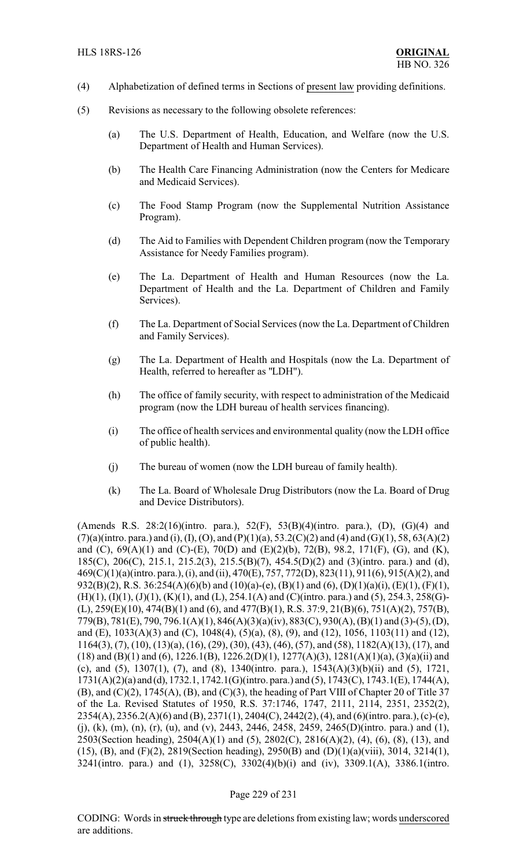- (4) Alphabetization of defined terms in Sections of present law providing definitions.
- (5) Revisions as necessary to the following obsolete references:
	- (a) The U.S. Department of Health, Education, and Welfare (now the U.S. Department of Health and Human Services).
	- (b) The Health Care Financing Administration (now the Centers for Medicare and Medicaid Services).
	- (c) The Food Stamp Program (now the Supplemental Nutrition Assistance Program).
	- (d) The Aid to Families with Dependent Children program (now the Temporary Assistance for Needy Families program).
	- (e) The La. Department of Health and Human Resources (now the La. Department of Health and the La. Department of Children and Family Services).
	- (f) The La. Department of Social Services (now the La. Department of Children and Family Services).
	- (g) The La. Department of Health and Hospitals (now the La. Department of Health, referred to hereafter as "LDH").
	- (h) The office of family security, with respect to administration of the Medicaid program (now the LDH bureau of health services financing).
	- (i) The office of health services and environmental quality (now the LDH office of public health).
	- (j) The bureau of women (now the LDH bureau of family health).
	- (k) The La. Board of Wholesale Drug Distributors (now the La. Board of Drug and Device Distributors).

(Amends R.S. 28:2(16)(intro. para.), 52(F), 53(B)(4)(intro. para.), (D), (G)(4) and  $(7)(a)$ (intro. para.) and (i), (I), (O), and (P)(1)(a), 53.2(C)(2) and (4) and (G)(1), 58, 63(A)(2) and (C), 69(A)(1) and (C)-(E), 70(D) and (E)(2)(b), 72(B), 98.2, 171(F), (G), and (K), 185(C), 206(C), 215.1, 215.2(3), 215.5(B)(7), 454.5(D)(2) and (3)(intro. para.) and (d), 469(C)(1)(a)(intro. para.), (i), and (ii), 470(E), 757, 772(D), 823(11), 911(6), 915(A)(2), and 932(B)(2), R.S. 36:254(A)(6)(b) and (10)(a)-(e), (B)(1) and (6), (D)(1)(a)(i), (E)(1), (F)(1),  $(H)(1), (I)(1), (J)(1), (K)(1),$  and  $(L), 254.1(A)$  and  $(C)($ intro. para.) and  $(5), 254.3, 258(G)$ -(L), 259(E)(10), 474(B)(1) and (6), and 477(B)(1), R.S. 37:9, 21(B)(6), 751(A)(2), 757(B), 779(B), 781(E), 790, 796.1(A)(1), 846(A)(3)(a)(iv), 883(C), 930(A), (B)(1) and (3)-(5), (D), and (E), 1033(A)(3) and (C), 1048(4), (5)(a), (8), (9), and (12), 1056, 1103(11) and (12), 1164(3), (7), (10), (13)(a), (16), (29), (30), (43), (46), (57), and (58), 1182(A)(13), (17), and (18) and (B)(1) and (6), 1226.1(B), 1226.2(D)(1), 1277(A)(3), 1281(A)(1)(a), (3)(a)(ii) and (c), and (5), 1307(1), (7), and (8), 1340(intro. para.), 1543(A)(3)(b)(ii) and (5), 1721, 1731(A)(2)(a) and (d), 1732.1, 1742.1(G)(intro. para.) and (5), 1743(C), 1743.1(E), 1744(A),  $(B)$ , and  $(C)(2)$ , 1745 $(A)$ ,  $(B)$ , and  $(C)(3)$ , the heading of Part VIII of Chapter 20 of Title 37 of the La. Revised Statutes of 1950, R.S. 37:1746, 1747, 2111, 2114, 2351, 2352(2), 2354(A), 2356.2(A)(6) and (B), 2371(1), 2404(C), 2442(2), (4), and (6)(intro. para.), (c)-(e), (i), (k), (m), (n), (r), (u), and (v), 2443, 2446, 2458, 2459, 2465(D)(intro. para.) and (1), 2503(Section heading), 2504(A)(1) and (5), 2802(C), 2816(A)(2), (4), (6), (8), (13), and (15), (B), and (F)(2), 2819(Section heading), 2950(B) and (D)(1)(a)(viii), 3014, 3214(1), 3241(intro. para.) and (1), 3258(C), 3302(4)(b)(i) and (iv), 3309.1(A), 3386.1(intro.

#### Page 229 of 231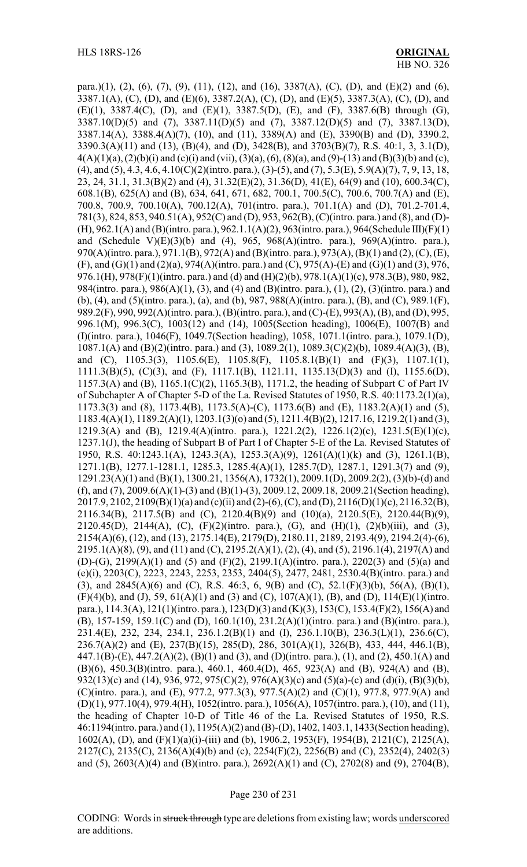para.)(1), (2), (6), (7), (9), (11), (12), and (16), 3387(A), (C), (D), and (E)(2) and (6), 3387.1(A), (C), (D), and (E)(6), 3387.2(A), (C), (D), and (E)(5), 3387.3(A), (C), (D), and (E)(1), 3387.4(C), (D), and (E)(1), 3387.5(D), (E), and (F), 3387.6(B) through (G), 3387.10(D)(5) and (7), 3387.11(D)(5) and (7), 3387.12(D)(5) and (7), 3387.13(D), 3387.14(A), 3388.4(A)(7), (10), and (11), 3389(A) and (E), 3390(B) and (D), 3390.2, 3390.3(A)(11) and (13), (B)(4), and (D), 3428(B), and 3703(B)(7), R.S. 40:1, 3, 3.1(D), 4(A)(1)(a), (2)(b)(i) and (c)(i) and (vii), (3)(a), (6), (8)(a), and (9)-(13) and (B)(3)(b) and (c), (4), and (5), 4.3, 4.6, 4.10(C)(2)(intro. para.), (3)-(5), and (7), 5.3(E), 5.9(A)(7), 7, 9, 13, 18, 23, 24, 31.1, 31.3(B)(2) and (4), 31.32(E)(2), 31.36(D), 41(E), 64(9) and (10), 600.34(C), 608.1(B), 625(A) and (B), 634, 641, 671, 682, 700.1, 700.5(C), 700.6, 700.7(A) and (E), 700.8, 700.9, 700.10(A), 700.12(A), 701(intro. para.), 701.1(A) and (D), 701.2-701.4, 781(3), 824, 853, 940.51(A), 952(C) and (D), 953, 962(B), (C)(intro. para.) and (8), and (D)- (H), 962.1(A) and (B)(intro. para.), 962.1.1(A)(2), 963(intro. para.), 964(Schedule III)(F)(1) and (Schedule V) $(E)(3)(b)$  and (4), 965, 968 $(A)($ intro. para.), 969 $(A)($ intro. para.), 970(A)(intro. para.), 971.1(B), 972(A) and (B)(intro. para.), 973(A), (B)(1) and (2), (C), (E), (F), and (G)(1) and (2)(a), 974(A)(intro. para.) and (C), 975(A)-(E) and (G)(1) and (3), 976, 976.1(H), 978(F)(1)(intro. para.) and (d) and (H)(2)(b), 978.1(A)(1)(c), 978.3(B), 980, 982, 984(intro. para.), 986(A)(1), (3), and (4) and (B)(intro. para.), (1), (2), (3)(intro. para.) and (b), (4), and (5)(intro. para.), (a), and (b), 987, 988(A)(intro. para.), (B), and (C), 989.1(F), 989.2(F), 990, 992(A)(intro. para.), (B)(intro. para.), and (C)-(E), 993(A), (B), and (D), 995, 996.1(M), 996.3(C), 1003(12) and (14), 1005(Section heading), 1006(E), 1007(B) and (I)(intro. para.), 1046(F), 1049.7(Section heading), 1058, 1071.1(intro. para.), 1079.1(D), 1087.1(A) and (B)(2)(intro. para.) and (3), 1089.2(1), 1089.3(C)(2)(b), 1089.4(A)(3), (B), and (C), 1105.3(3), 1105.6(E), 1105.8(F), 1105.8.1(B)(1) and (F)(3), 1107.1(1), 1111.3(B)(5), (C)(3), and (F), 1117.1(B), 1121.11, 1135.13(D)(3) and (I), 1155.6(D), 1157.3(A) and (B), 1165.1(C)(2), 1165.3(B), 1171.2, the heading of Subpart C of Part IV of Subchapter A of Chapter 5-D of the La. Revised Statutes of 1950, R.S. 40:1173.2(1)(a), 1173.3(3) and (8), 1173.4(B), 1173.5(A)-(C), 1173.6(B) and (E), 1183.2(A)(1) and (5), 1183.4(A)(1), 1189.2(A)(1), 1203.1(3)(o) and (5), 1211.4(B)(2), 1217.16, 1219.2(1) and (3), 1219.3(A) and (B), 1219.4(A)(intro. para.), 1221.2(2), 1226.1(2)(c), 1231.5(E)(1)(c), 1237.1(J), the heading of Subpart B of Part I of Chapter 5-E of the La. Revised Statutes of 1950, R.S. 40:1243.1(A), 1243.3(A), 1253.3(A)(9), 1261(A)(1)(k) and (3), 1261.1(B), 1271.1(B), 1277.1-1281.1, 1285.3, 1285.4(A)(1), 1285.7(D), 1287.1, 1291.3(7) and (9), 1291.23(A)(1) and (B)(1), 1300.21, 1356(A), 1732(1), 2009.1(D), 2009.2(2), (3)(b)-(d) and (f), and (7), 2009.6(A)(1)-(3) and (B)(1)-(3), 2009.12, 2009.18, 2009.21(Section heading), 2017.9, 2102, 2109(B)(1)(a) and (c)(ii) and (2)-(6), (C), and (D), 2116(D)(1)(c), 2116.32(B), 2116.34(B), 2117.5(B) and (C), 2120.4(B)(9) and (10)(a), 2120.5(E), 2120.44(B)(9), 2120.45(D), 2144(A), (C), (F)(2)(intro. para.), (G), and (H)(1), (2)(b)(iii), and (3), 2154(A)(6), (12), and (13), 2175.14(E), 2179(D), 2180.11, 2189, 2193.4(9), 2194.2(4)-(6), 2195.1(A)(8), (9), and (11) and (C), 2195.2(A)(1), (2), (4), and (5), 2196.1(4), 2197(A) and (D)-(G), 2199(A)(1) and (5) and (F)(2), 2199.1(A)(intro. para.), 2202(3) and (5)(a) and (e)(i), 2203(C), 2223, 2243, 2253, 2353, 2404(5), 2477, 2481, 2530.4(B)(intro. para.) and (3), and 2845(A)(6) and (C), R.S. 46:3, 6, 9(B) and (C), 52.1(F)(3)(b), 56(A), (B)(1), (F)(4)(b), and (J), 59, 61(A)(1) and (3) and (C), 107(A)(1), (B), and (D), 114(E)(1)(intro. para.), 114.3(A), 121(1)(intro. para.), 123(D)(3) and (K)(3), 153(C), 153.4(F)(2), 156(A) and (B), 157-159, 159.1(C) and (D), 160.1(10), 231.2(A)(1)(intro. para.) and (B)(intro. para.), 231.4(E), 232, 234, 234.1, 236.1.2(B)(1) and (I), 236.1.10(B), 236.3(L)(1), 236.6(C), 236.7(A)(2) and (E), 237(B)(15), 285(D), 286, 301(A)(1), 326(B), 433, 444, 446.1(B), 447.1(B)-(E), 447.2(A)(2), (B)(1) and (3), and (D)(intro. para.), (1), and (2), 450.1(A) and (B)(6), 450.3(B)(intro. para.), 460.1, 460.4(D), 465, 923(A) and (B), 924(A) and (B), 932(13)(c) and (14), 936, 972, 975(C)(2), 976(A)(3)(c) and (5)(a)-(c) and (d)(i), (B)(3)(b), (C)(intro. para.), and (E), 977.2, 977.3(3), 977.5(A)(2) and (C)(1), 977.8, 977.9(A) and (D)(1), 977.10(4), 979.4(H), 1052(intro. para.), 1056(A), 1057(intro. para.), (10), and (11), the heading of Chapter 10-D of Title 46 of the La. Revised Statutes of 1950, R.S. 46:1194(intro. para.) and (1), 1195(A)(2) and (B)-(D), 1402, 1403.1, 1433(Section heading), 1602(A), (D), and (F)(1)(a)(i)-(iii) and (b), 1906.2, 1953(F), 1954(B), 2121(C), 2125(A), 2127(C), 2135(C), 2136(A)(4)(b) and (c), 2254(F)(2), 2256(B) and (C), 2352(4), 2402(3) and (5), 2603(A)(4) and (B)(intro. para.), 2692(A)(1) and (C), 2702(8) and (9), 2704(B),

#### Page 230 of 231